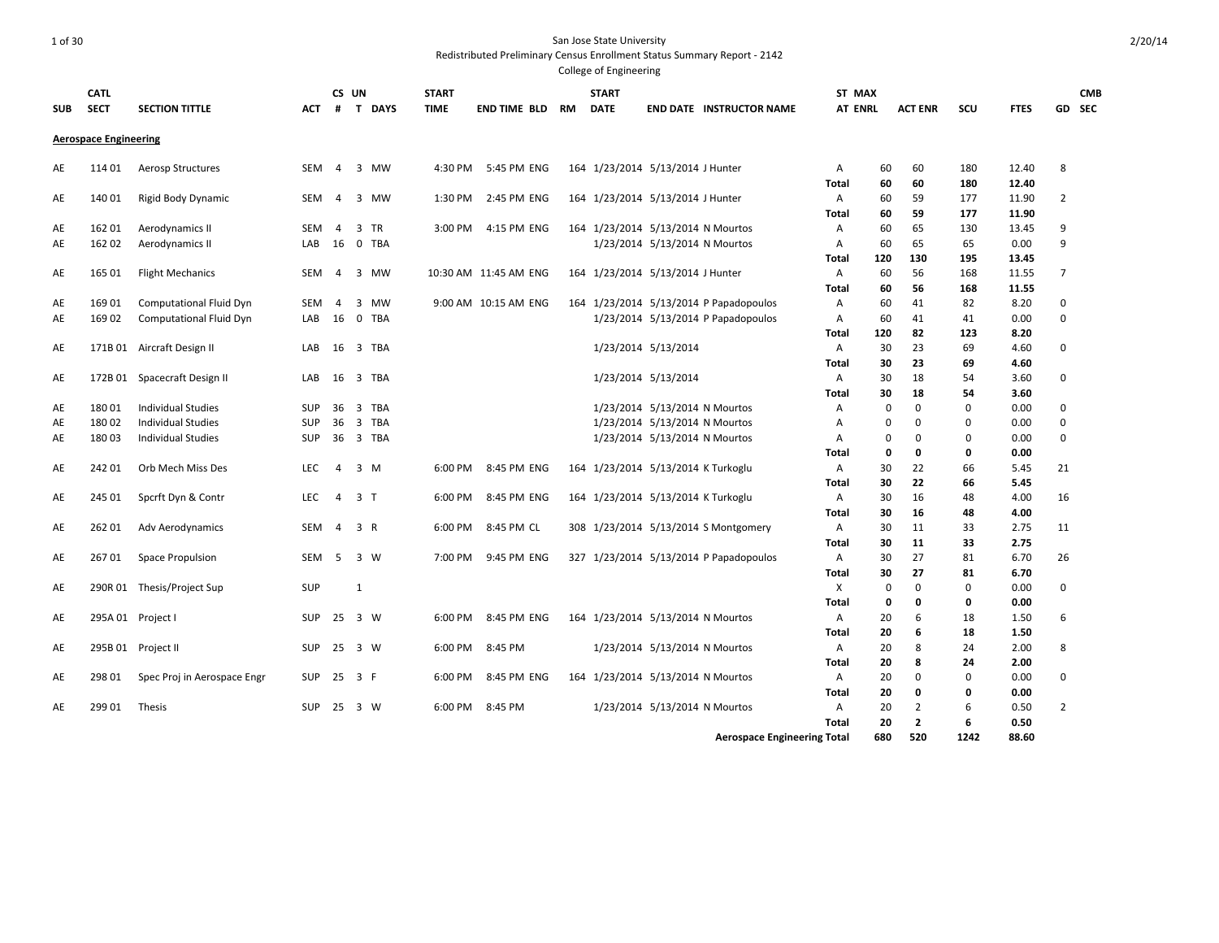# 1 of 30 San Jose State University

Redistributed Preliminary Census Enrollment Status Summary Report - 2142

| <b>SUB</b> | <b>CATL</b><br><b>SECT</b>   | <b>SECTION TITTLE</b>          | ACT        | CS UN<br>#     |                         | <b>T DAYS</b> | <b>START</b><br><b>TIME</b> | END TIME BLD          | RM | <b>START</b><br><b>DATE</b> |                                    | <b>END DATE INSTRUCTOR NAME</b>        | ST MAX<br><b>AT ENRL</b> |             | <b>ACT ENR</b> | scu      | <b>FTES</b> |                | <b>CMB</b><br>GD SEC |
|------------|------------------------------|--------------------------------|------------|----------------|-------------------------|---------------|-----------------------------|-----------------------|----|-----------------------------|------------------------------------|----------------------------------------|--------------------------|-------------|----------------|----------|-------------|----------------|----------------------|
|            | <b>Aerospace Engineering</b> |                                |            |                |                         |               |                             |                       |    |                             |                                    |                                        |                          |             |                |          |             |                |                      |
| AE         | 114 01                       | Aerosp Structures              | SEM        | $\overline{4}$ |                         | 3 MW          | 4:30 PM                     | 5:45 PM ENG           |    |                             | 164 1/23/2014 5/13/2014 J Hunter   |                                        | A                        | 60          | 60             | 180      | 12.40       | 8              |                      |
|            |                              |                                |            |                |                         |               |                             |                       |    |                             |                                    |                                        | Total                    | 60          | 60             | 180      | 12.40       |                |                      |
| AE         | 140 01                       | Rigid Body Dynamic             | SEM        | -4             |                         | 3 MW          | 1:30 PM                     | 2:45 PM ENG           |    |                             | 164 1/23/2014 5/13/2014 J Hunter   |                                        | A                        | 60          | 59             | 177      | 11.90       | $\overline{2}$ |                      |
|            |                              |                                |            |                |                         |               |                             |                       |    |                             |                                    |                                        | Total                    | 60          | 59             | 177      | 11.90       |                |                      |
| AE         | 162 01                       | Aerodynamics II                | SEM        | $\overline{4}$ | 3                       | TR            | 3:00 PM                     | 4:15 PM ENG           |    |                             | 164 1/23/2014 5/13/2014 N Mourtos  |                                        | Α                        | 60          | 65             | 130      | 13.45       | 9              |                      |
| AE         | 162 02                       | Aerodynamics II                | LAB        | 16 0 TBA       |                         |               |                             |                       |    |                             | 1/23/2014 5/13/2014 N Mourtos      |                                        | Α                        | 60          | 65             | 65       | 0.00        | 9              |                      |
|            |                              |                                |            |                |                         |               |                             |                       |    |                             |                                    |                                        | Total                    | 120         | 130            | 195      | 13.45       |                |                      |
| AE         | 165 01                       | <b>Flight Mechanics</b>        | SEM        | $\overline{4}$ |                         | 3 MW          |                             | 10:30 AM 11:45 AM ENG |    |                             | 164 1/23/2014 5/13/2014 J Hunter   |                                        | A                        | 60          | 56             | 168      | 11.55       | $\overline{7}$ |                      |
|            |                              |                                |            |                |                         |               |                             |                       |    |                             |                                    |                                        | Total                    | 60          | 56             | 168      | 11.55       |                |                      |
| AE         | 169 01                       | <b>Computational Fluid Dyn</b> | SEM        | 4              | 3                       | <b>MW</b>     |                             | 9:00 AM 10:15 AM ENG  |    |                             |                                    | 164 1/23/2014 5/13/2014 P Papadopoulos | Α                        | 60          | 41             | 82       | 8.20        | $\mathbf 0$    |                      |
| AE         | 169 02                       | Computational Fluid Dyn        | LAB        | 16             | $\overline{0}$          | <b>TBA</b>    |                             |                       |    |                             |                                    | 1/23/2014 5/13/2014 P Papadopoulos     | Α                        | 60          | 41             | 41       | 0.00        | $\mathbf 0$    |                      |
|            |                              |                                |            |                |                         |               |                             |                       |    |                             |                                    |                                        | Total                    | 120         | 82             | 123      | 8.20        |                |                      |
| AE         |                              | 171B 01 Aircraft Design II     | LAB        | 16             |                         | 3 TBA         |                             |                       |    |                             | 1/23/2014 5/13/2014                |                                        | Α                        | 30          | 23             | 69       | 4.60        | $\mathbf 0$    |                      |
|            |                              |                                |            |                |                         |               |                             |                       |    |                             |                                    |                                        | Total                    | 30          | 23             | 69       | 4.60        |                |                      |
| AE         |                              | 172B 01 Spacecraft Design II   | LAB        | 16             |                         | 3 TBA         |                             |                       |    |                             | 1/23/2014 5/13/2014                |                                        | A                        | 30          | 18             | 54       | 3.60        | 0              |                      |
|            |                              |                                |            |                |                         |               |                             |                       |    |                             |                                    |                                        | Total                    | 30          | 18             | 54       | 3.60        |                |                      |
| AE         | 18001                        | <b>Individual Studies</b>      | <b>SUP</b> | 36             | $\overline{\mathbf{3}}$ | <b>TBA</b>    |                             |                       |    |                             | 1/23/2014 5/13/2014 N Mourtos      |                                        | A                        | $\Omega$    | $\mathbf 0$    | $\Omega$ | 0.00        | $\mathbf 0$    |                      |
| AE         | 180 02                       | <b>Individual Studies</b>      | <b>SUP</b> | 36             | $\overline{\mathbf{3}}$ | <b>TBA</b>    |                             |                       |    |                             | 1/23/2014 5/13/2014 N Mourtos      |                                        | Α                        | $\Omega$    | 0              | 0        | 0.00        | 0              |                      |
| AE         | 18003                        | <b>Individual Studies</b>      | <b>SUP</b> |                |                         | 36 3 TBA      |                             |                       |    |                             | 1/23/2014 5/13/2014 N Mourtos      |                                        | Α                        | $\Omega$    | 0              | 0        | 0.00        | $\mathbf 0$    |                      |
|            |                              |                                |            |                |                         |               |                             |                       |    |                             |                                    |                                        | Total                    | 0           | 0              | 0        | 0.00        |                |                      |
| AE         | 242 01                       | Orb Mech Miss Des              | LEC        | 4              | $3 \, M$                |               | 6:00 PM                     | 8:45 PM ENG           |    |                             | 164 1/23/2014 5/13/2014 K Turkoglu |                                        | A                        | 30          | 22             | 66       | 5.45        | 21             |                      |
|            |                              |                                |            |                |                         |               |                             |                       |    |                             |                                    |                                        | Total                    | 30          | 22             | 66       | 5.45        |                |                      |
| AE         | 245 01                       | Spcrft Dyn & Contr             | <b>LEC</b> | $\overline{4}$ | 3 <sub>1</sub>          |               | 6:00 PM                     | 8:45 PM ENG           |    |                             | 164 1/23/2014 5/13/2014 K Turkoglu |                                        | A                        | 30          | 16             | 48       | 4.00        | 16             |                      |
|            |                              |                                |            |                |                         |               |                             |                       |    |                             |                                    |                                        | <b>Total</b>             | 30          | 16             | 48       | 4.00        |                |                      |
| AE         | 262 01                       | Adv Aerodynamics               | SEM        | $\overline{4}$ | 3 R                     |               | 6:00 PM                     | 8:45 PM CL            |    |                             |                                    | 308 1/23/2014 5/13/2014 S Montgomery   | Α                        | 30          | 11             | 33       | 2.75        | 11             |                      |
|            |                              |                                |            |                |                         |               |                             |                       |    |                             |                                    |                                        | <b>Total</b>             | 30          | 11             | 33       | 2.75        |                |                      |
| AE         | 26701                        | Space Propulsion               | SEM        | 5              | $3 \quad W$             |               | 7:00 PM                     | 9:45 PM ENG           |    |                             |                                    | 327 1/23/2014 5/13/2014 P Papadopoulos | A                        | 30          | 27             | 81       | 6.70        | 26             |                      |
|            |                              |                                |            |                |                         |               |                             |                       |    |                             |                                    |                                        | Total                    | 30          | 27             | 81       | 6.70        |                |                      |
| AE         |                              | 290R 01 Thesis/Project Sup     | SUP        |                | $\mathbf{1}$            |               |                             |                       |    |                             |                                    |                                        | Χ                        | $\mathbf 0$ | $\mathbf 0$    | 0        | 0.00        | $\mathbf 0$    |                      |
|            |                              |                                |            |                |                         |               |                             |                       |    |                             |                                    |                                        | <b>Total</b>             | 0           | 0              | 0        | 0.00        |                |                      |
| AE         |                              | 295A 01 Project I              | <b>SUP</b> | 25 3 W         |                         |               | 6:00 PM                     | 8:45 PM ENG           |    |                             | 164 1/23/2014 5/13/2014 N Mourtos  |                                        | Α                        | 20          | 6              | 18       | 1.50        | 6              |                      |
|            |                              |                                |            |                |                         |               |                             |                       |    |                             |                                    |                                        | Total                    | 20          | 6              | 18       | 1.50        |                |                      |
| AE         |                              | 295B 01 Project II             | <b>SUP</b> | 25             | 3 W                     |               | 6:00 PM                     | 8:45 PM               |    |                             | 1/23/2014 5/13/2014 N Mourtos      |                                        | Α                        | 20          | 8              | 24       | 2.00        | 8              |                      |
|            |                              |                                |            |                |                         |               |                             |                       |    |                             |                                    |                                        | <b>Total</b>             | 20          | 8              | 24       | 2.00        |                |                      |
| AE         | 298 01                       | Spec Proj in Aerospace Engr    | <b>SUP</b> | 25             | 3 F                     |               | 6:00 PM                     | 8:45 PM ENG           |    |                             | 164 1/23/2014 5/13/2014 N Mourtos  |                                        | Α                        | 20          | $\mathbf 0$    | 0        | 0.00        | $\mathbf 0$    |                      |
|            |                              |                                |            |                |                         |               |                             |                       |    |                             |                                    |                                        | Total                    | 20          | $\mathbf{0}$   | 0        | 0.00        |                |                      |
| AE         | 299 01                       | Thesis                         | <b>SUP</b> | 25             | 3 W                     |               | 6:00 PM                     | 8:45 PM               |    |                             | 1/23/2014 5/13/2014 N Mourtos      |                                        | Α                        | 20          | $\overline{2}$ | 6        | 0.50        | $\overline{2}$ |                      |
|            |                              |                                |            |                |                         |               |                             |                       |    |                             |                                    |                                        | <b>Total</b>             | 20          | $\overline{2}$ | 6        | 0.50        |                |                      |
|            |                              |                                |            |                |                         |               |                             |                       |    |                             |                                    | <b>Aerospace Engineering Total</b>     |                          | 680         | 520            | 1242     | 88.60       |                |                      |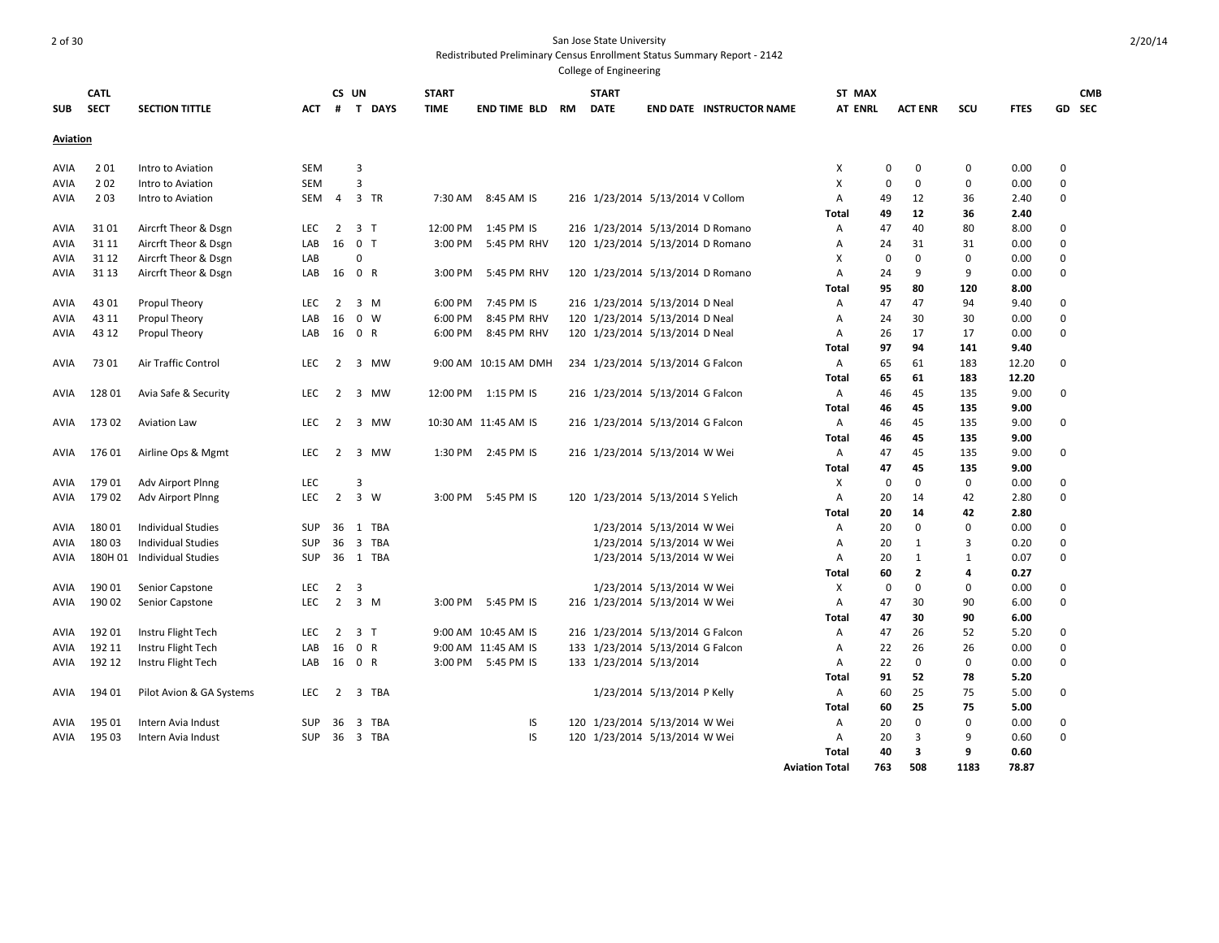| <b>SUB</b>      | <b>CATL</b><br><b>SECT</b> | <b>SECTION TITTLE</b>      | АСТ        | CS UN<br>#     |                         | <b>T DAYS</b> | <b>START</b><br><b>TIME</b> | END TIME BLD         | RM | <b>START</b><br><b>DATE</b>      |                             | <b>END DATE INSTRUCTOR NAME</b> | ST MAX<br><b>AT ENRL</b> |             | <b>ACT ENR</b> | scu          | <b>FTES</b> |             | <b>CMB</b><br>GD SEC |
|-----------------|----------------------------|----------------------------|------------|----------------|-------------------------|---------------|-----------------------------|----------------------|----|----------------------------------|-----------------------------|---------------------------------|--------------------------|-------------|----------------|--------------|-------------|-------------|----------------------|
| <b>Aviation</b> |                            |                            |            |                |                         |               |                             |                      |    |                                  |                             |                                 |                          |             |                |              |             |             |                      |
| AVIA            | 201                        | Intro to Aviation          | SEM        |                | 3                       |               |                             |                      |    |                                  |                             |                                 | х                        | 0           | 0              | 0            | 0.00        | 0           |                      |
| AVIA            | 2 0 2                      | Intro to Aviation          | SEM        |                | $\overline{3}$          |               |                             |                      |    |                                  |                             |                                 | х                        | $\Omega$    | 0              | 0            | 0.00        | $\mathbf 0$ |                      |
| AVIA            | 203                        | Intro to Aviation          | SEM        | 4              |                         | 3 TR          | 7:30 AM                     | 8:45 AM IS           |    | 216 1/23/2014 5/13/2014 V Collom |                             |                                 | A                        | 49          | 12             | 36           | 2.40        | $\mathbf 0$ |                      |
|                 |                            |                            |            |                |                         |               |                             |                      |    |                                  |                             |                                 | Total                    | 49          | 12             | 36           | 2.40        |             |                      |
| AVIA            | 3101                       | Aircrft Theor & Dsgn       | <b>LEC</b> | $\overline{2}$ | 3 <sub>7</sub>          |               | 12:00 PM                    | 1:45 PM IS           |    | 216 1/23/2014 5/13/2014 D Romano |                             |                                 | A                        | 47          | 40             | 80           | 8.00        | $\mathbf 0$ |                      |
| AVIA            | 31 11                      | Aircrft Theor & Dsgn       | LAB        | 16             | 0 <sub>T</sub>          |               | 3:00 PM                     | 5:45 PM RHV          |    | 120 1/23/2014 5/13/2014 D Romano |                             |                                 | Α                        | 24          | 31             | 31           | 0.00        | $\mathbf 0$ |                      |
| AVIA            | 31 12                      | Aircrft Theor & Dsgn       | LAB        |                | $\Omega$                |               |                             |                      |    |                                  |                             |                                 | X                        | $\mathbf 0$ | $\mathbf 0$    | 0            | 0.00        | $\mathbf 0$ |                      |
| AVIA            | 31 13                      | Aircrft Theor & Dsgn       | LAB        | 16             | 0 R                     |               | 3:00 PM                     | 5:45 PM RHV          |    | 120 1/23/2014 5/13/2014 D Romano |                             |                                 | A                        | 24          | 9              | 9            | 0.00        | $\mathbf 0$ |                      |
|                 |                            |                            |            |                |                         |               |                             |                      |    |                                  |                             |                                 | Total                    | 95          | 80             | 120          | 8.00        |             |                      |
| AVIA            | 43 01                      | Propul Theory              | <b>LEC</b> | 2              | $3 \, M$                |               | 6:00 PM                     | 7:45 PM IS           |    | 216 1/23/2014 5/13/2014 D Neal   |                             |                                 | A                        | 47          | 47             | 94           | 9.40        | $\Omega$    |                      |
| AVIA            | 43 11                      | Propul Theory              | LAB        | 16             | $\mathbf 0$             | W             | 6:00 PM                     | 8:45 PM RHV          |    | 120 1/23/2014 5/13/2014 D Neal   |                             |                                 | Α                        | 24          | 30             | 30           | 0.00        | 0           |                      |
| AVIA            | 43 12                      | Propul Theory              | LAB        | 16 0 R         |                         |               | 6:00 PM                     | 8:45 PM RHV          |    | 120 1/23/2014 5/13/2014 D Neal   |                             |                                 | A                        | 26          | 17             | 17           | 0.00        | $\mathbf 0$ |                      |
|                 |                            |                            |            |                |                         |               |                             |                      |    |                                  |                             |                                 | Total                    | 97          | 94             | 141          | 9.40        |             |                      |
| AVIA            | 73 01                      | Air Traffic Control        | <b>LEC</b> | 2              |                         | 3 MW          |                             | 9:00 AM 10:15 AM DMH |    | 234 1/23/2014 5/13/2014 G Falcon |                             |                                 | A                        | 65          | 61             | 183          | 12.20       | $\mathbf 0$ |                      |
|                 |                            |                            |            |                |                         |               |                             |                      |    |                                  |                             |                                 | Total                    | 65          | 61             | 183          | 12.20       |             |                      |
| AVIA            | 128 01                     | Avia Safe & Security       | <b>LEC</b> | 2              | 3                       | MW            | 12:00 PM                    | 1:15 PM IS           |    | 216 1/23/2014 5/13/2014 G Falcon |                             |                                 | Α                        | 46          | 45             | 135          | 9.00        | $\mathbf 0$ |                      |
|                 |                            |                            |            |                |                         |               |                             |                      |    |                                  |                             |                                 | Total                    | 46          | 45             | 135          | 9.00        |             |                      |
| AVIA            | 17302                      | <b>Aviation Law</b>        | <b>LEC</b> | 2              |                         | 3 MW          |                             | 10:30 AM 11:45 AM IS |    | 216 1/23/2014 5/13/2014 G Falcon |                             |                                 | A                        | 46          | 45             | 135          | 9.00        | 0           |                      |
|                 |                            |                            |            |                |                         |               |                             |                      |    |                                  |                             |                                 | Total                    | 46          | 45             | 135          | 9.00        |             |                      |
| AVIA            | 17601                      | Airline Ops & Mgmt         | <b>LEC</b> | $\overline{2}$ |                         | 3 MW          |                             | 1:30 PM 2:45 PM IS   |    | 216 1/23/2014 5/13/2014 W Wei    |                             |                                 | Α                        | 47          | 45             | 135          | 9.00        | $\Omega$    |                      |
|                 |                            |                            |            |                |                         |               |                             |                      |    |                                  |                             |                                 | Total                    | 47          | 45             | 135          | 9.00        |             |                      |
| AVIA            | 17901                      | Adv Airport Plnng          | LEC        |                | 3                       |               |                             |                      |    |                                  |                             |                                 | х                        | 0           | $\mathbf{0}$   | $\mathbf 0$  | 0.00        | 0           |                      |
| AVIA            | 17902                      | Adv Airport Plnng          | <b>LEC</b> | $\overline{2}$ | 3 W                     |               | 3:00 PM                     | 5:45 PM IS           |    | 120 1/23/2014 5/13/2014 S Yelich |                             |                                 | A                        | 20          | 14             | 42           | 2.80        | $\Omega$    |                      |
|                 |                            |                            |            |                |                         |               |                             |                      |    |                                  |                             |                                 | Total                    | 20          | 14             | 42           | 2.80        |             |                      |
| AVIA            | 18001                      | <b>Individual Studies</b>  | SUP        | 36             | 1                       | TBA           |                             |                      |    |                                  | 1/23/2014 5/13/2014 W Wei   |                                 | Α                        | 20          | $\mathbf 0$    | $\Omega$     | 0.00        | $\Omega$    |                      |
| AVIA            | 180 03                     | <b>Individual Studies</b>  | <b>SUP</b> | 36             | $\overline{\mathbf{3}}$ | <b>TBA</b>    |                             |                      |    |                                  | 1/23/2014 5/13/2014 W Wei   |                                 | Α                        | 20          | 1              | 3            | 0.20        | 0           |                      |
| AVIA            |                            | 180H 01 Individual Studies | <b>SUP</b> |                |                         | 36 1 TBA      |                             |                      |    |                                  | 1/23/2014 5/13/2014 W Wei   |                                 | A                        | 20          | 1              | $\mathbf{1}$ | 0.07        | 0           |                      |
|                 |                            |                            |            |                |                         |               |                             |                      |    |                                  |                             |                                 | Total                    | 60          | 2              | 4            | 0.27        |             |                      |
| AVIA            | 190 01                     | Senior Capstone            | <b>LEC</b> | $\overline{2}$ | 3                       |               |                             |                      |    |                                  | 1/23/2014 5/13/2014 W Wei   |                                 | х                        | 0           | 0              | 0            | 0.00        | $\mathbf 0$ |                      |
| AVIA            | 19002                      | Senior Capstone            | <b>LEC</b> | $\overline{2}$ | 3 M                     |               | 3:00 PM                     | 5:45 PM IS           |    | 216 1/23/2014 5/13/2014 W Wei    |                             |                                 | Α                        | 47          | 30             | 90           | 6.00        | $\mathbf 0$ |                      |
|                 |                            |                            |            |                |                         |               |                             |                      |    |                                  |                             |                                 | Total                    | 47          | 30             | 90           | 6.00        |             |                      |
| AVIA            | 19201                      | Instru Flight Tech         | <b>LEC</b> | $\overline{2}$ | 3 T                     |               |                             | 9:00 AM 10:45 AM IS  |    | 216 1/23/2014 5/13/2014 G Falcon |                             |                                 | Α                        | 47          | 26             | 52           | 5.20        | 0           |                      |
| AVIA            | 192 11                     | Instru Flight Tech         | LAB        | 16             | 0 R                     |               |                             | 9:00 AM 11:45 AM IS  |    | 133 1/23/2014 5/13/2014 G Falcon |                             |                                 | Α                        | 22          | 26             | 26           | 0.00        | $\mathbf 0$ |                      |
| AVIA            | 192 12                     | Instru Flight Tech         | LAB        | 16 0 R         |                         |               | 3:00 PM                     | 5:45 PM IS           |    | 133 1/23/2014 5/13/2014          |                             |                                 | A                        | 22          | $\mathbf 0$    | 0            | 0.00        | 0           |                      |
|                 |                            |                            |            |                |                         |               |                             |                      |    |                                  |                             |                                 | Total                    | 91          | 52             | 78           | 5.20        |             |                      |
| AVIA            | 194 01                     | Pilot Avion & GA Systems   | LEC        | $\overline{2}$ |                         | 3 TBA         |                             |                      |    |                                  | 1/23/2014 5/13/2014 P Kelly |                                 | Α                        | 60          | 25             | 75           | 5.00        | $\mathbf 0$ |                      |
|                 |                            |                            |            |                |                         |               |                             |                      |    |                                  |                             |                                 | Total                    | 60          | 25             | 75           | 5.00        |             |                      |
| AVIA            | 195 01                     | Intern Avia Indust         | <b>SUP</b> | 36             | 3                       | TBA           |                             | IS                   |    | 120 1/23/2014 5/13/2014 W Wei    |                             |                                 | Α                        | 20          | $\mathbf 0$    | $\Omega$     | 0.00        | $\mathbf 0$ |                      |
| AVIA            | 195 03                     | Intern Avia Indust         | <b>SUP</b> |                |                         | 36 3 TBA      |                             | IS                   |    | 120 1/23/2014 5/13/2014 W Wei    |                             |                                 | A                        | 20          | 3              | 9            | 0.60        | $\Omega$    |                      |
|                 |                            |                            |            |                |                         |               |                             |                      |    |                                  |                             |                                 | Total                    | 40          | 3              | 9            | 0.60        |             |                      |
|                 |                            |                            |            |                |                         |               |                             |                      |    |                                  |                             |                                 | <b>Aviation Total</b>    | 763         | 508            | 1183         | 78.87       |             |                      |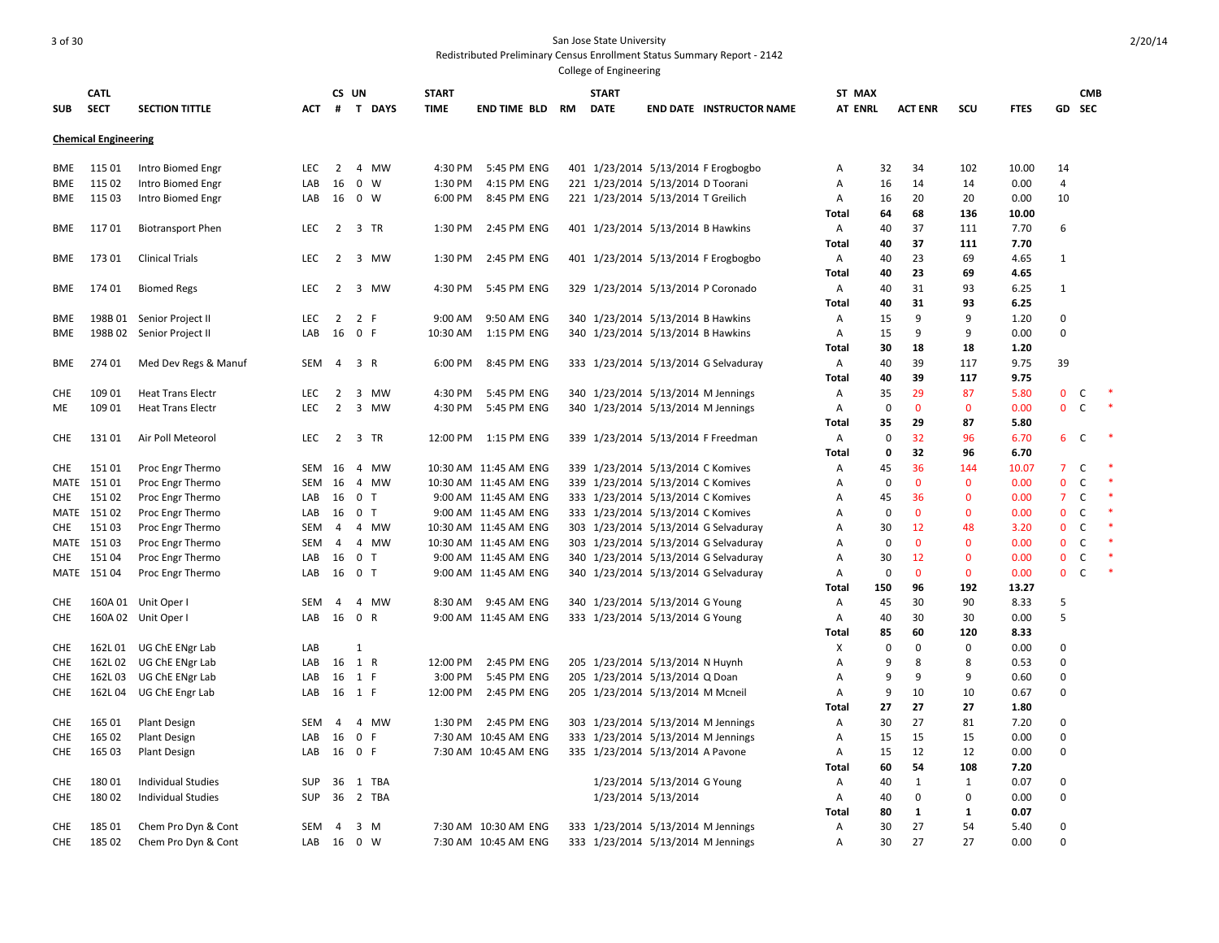| <b>SUB</b>       | <b>CATL</b><br><b>SECT</b>  | <b>SECTION TITTLE</b>                                | <b>ACT</b> | CS UN<br>#          | <b>T DAYS</b>               | <b>START</b><br><b>TIME</b> | END TIME BLD          | <b>RM</b> | <b>START</b><br><b>DATE</b> |                                    | <b>END DATE INSTRUCTOR NAME</b>                                          | ST MAX<br><b>AT ENRL</b> |             | <b>ACT ENR</b> | SCU          | <b>FTES</b>  | GD             | <b>CMB</b><br><b>SEC</b> |   |
|------------------|-----------------------------|------------------------------------------------------|------------|---------------------|-----------------------------|-----------------------------|-----------------------|-----------|-----------------------------|------------------------------------|--------------------------------------------------------------------------|--------------------------|-------------|----------------|--------------|--------------|----------------|--------------------------|---|
|                  | <b>Chemical Engineering</b> |                                                      |            |                     |                             |                             |                       |           |                             |                                    |                                                                          |                          |             |                |              |              |                |                          |   |
| BME              | 115 01                      | Intro Biomed Engr                                    | LEC        | 2                   | 4 MW                        | 4:30 PM                     | 5:45 PM ENG           |           |                             |                                    | 401 1/23/2014 5/13/2014 F Erogbogbo                                      | Α                        | 32          | 34             | 102          | 10.00        | 14             |                          |   |
| BME              | 115 02                      | Intro Biomed Engr                                    | LAB        | 16                  | $0 \quad W$                 | 1:30 PM                     | 4:15 PM ENG           |           |                             | 221 1/23/2014 5/13/2014 D Toorani  |                                                                          | Α                        | 16          | 14             | 14           | 0.00         | 4              |                          |   |
| <b>BME</b>       | 115 03                      | Intro Biomed Engr                                    | LAB        |                     | 16 0 W                      | 6:00 PM                     | 8:45 PM ENG           |           |                             | 221 1/23/2014 5/13/2014 T Greilich |                                                                          | Α                        | 16          | 20             | 20           | 0.00         | 10             |                          |   |
|                  |                             |                                                      |            |                     |                             |                             |                       |           |                             |                                    |                                                                          | <b>Total</b>             | 64          | 68             | 136          | 10.00        |                |                          |   |
| BME              | 11701                       | <b>Biotransport Phen</b>                             | <b>LEC</b> |                     | 2 3 TR                      | 1:30 PM                     | 2:45 PM ENG           |           |                             | 401 1/23/2014 5/13/2014 B Hawkins  |                                                                          | Α                        | 40          | 37             | 111          | 7.70         | 6              |                          |   |
|                  |                             |                                                      |            |                     |                             |                             |                       |           |                             |                                    |                                                                          | <b>Total</b>             | 40          | 37             | 111          | 7.70         |                |                          |   |
| BME              | 173 01                      | <b>Clinical Trials</b>                               | LEC        | 2                   | 3 MW                        | 1:30 PM                     | 2:45 PM ENG           |           |                             |                                    | 401 1/23/2014 5/13/2014 F Erogbogbo                                      | Α                        | 40          | 23             | 69           | 4.65         | $\mathbf{1}$   |                          |   |
|                  |                             |                                                      |            |                     |                             |                             |                       |           |                             |                                    |                                                                          | Total                    | 40          | 23             | 69           | 4.65         |                |                          |   |
| BME              | 174 01                      | <b>Biomed Regs</b>                                   | <b>LEC</b> | 2                   | 3 MW                        | 4:30 PM                     | 5:45 PM ENG           |           |                             |                                    | 329 1/23/2014 5/13/2014 P Coronado                                       | Α                        | 40          | 31             | 93           | 6.25         | $\mathbf{1}$   |                          |   |
|                  |                             |                                                      |            |                     |                             |                             |                       |           |                             |                                    |                                                                          | Total                    | 40          | 31             | 93           | 6.25         |                |                          |   |
| BME              |                             | 198B 01 Senior Project II                            | <b>LEC</b> | $\overline{2}$      | 2 F                         | 9:00 AM                     | 9:50 AM ENG           |           |                             | 340 1/23/2014 5/13/2014 B Hawkins  |                                                                          | Α                        | 15          | 9              | 9            | 1.20         | 0              |                          |   |
| BME              |                             | 198B 02 Senior Project II                            | LAB        | 16                  | 0 F                         | 10:30 AM                    | 1:15 PM ENG           |           |                             | 340 1/23/2014 5/13/2014 B Hawkins  |                                                                          | Α                        | 15          | 9              | 9            | 0.00         | 0              |                          |   |
|                  |                             |                                                      |            |                     |                             |                             |                       |           |                             |                                    |                                                                          | Total                    | 30          | 18             | 18           | 1.20         |                |                          |   |
| BME              | 274 01                      | Med Dev Regs & Manuf                                 | <b>SEM</b> | $\overline{4}$      | 3 R                         | 6:00 PM                     | 8:45 PM ENG           |           |                             |                                    | 333 1/23/2014 5/13/2014 G Selvaduray                                     | А                        | 40          | 39             | 117          | 9.75         | 39             |                          |   |
|                  | 109 01                      |                                                      | LEC        |                     | 3 MW                        | 4:30 PM                     | 5:45 PM ENG           |           |                             |                                    |                                                                          | Total                    | 40<br>35    | 39<br>29       | 117<br>87    | 9.75         | 0              | C                        | × |
| <b>CHE</b><br>ME | 109 01                      | <b>Heat Trans Electr</b><br><b>Heat Trans Electr</b> | <b>LEC</b> | 2<br>$\overline{2}$ | 3 MW                        | 4:30 PM                     | 5:45 PM ENG           |           |                             |                                    | 340 1/23/2014 5/13/2014 M Jennings<br>340 1/23/2014 5/13/2014 M Jennings | Α<br>A                   | $\mathbf 0$ | $\mathbf{0}$   | $\mathbf{0}$ | 5.80<br>0.00 | $\mathbf{0}$   | C                        |   |
|                  |                             |                                                      |            |                     |                             |                             |                       |           |                             |                                    |                                                                          | Total                    | 35          | 29             | 87           | 5.80         |                |                          |   |
| <b>CHE</b>       | 13101                       | Air Poll Meteorol                                    | <b>LEC</b> | $\overline{2}$      | 3 TR                        | 12:00 PM                    | 1:15 PM ENG           |           |                             |                                    | 339 1/23/2014 5/13/2014 F Freedman                                       | Α                        | 0           | 32             | 96           | 6.70         | 6              | C                        |   |
|                  |                             |                                                      |            |                     |                             |                             |                       |           |                             |                                    |                                                                          | Total                    | 0           | 32             | 96           | 6.70         |                |                          |   |
| <b>CHE</b>       | 15101                       | Proc Engr Thermo                                     | SEM        | 16                  | $\overline{4}$<br><b>MW</b> |                             | 10:30 AM 11:45 AM ENG |           |                             | 339 1/23/2014 5/13/2014 C Komives  |                                                                          | Α                        | 45          | 36             | 144          | 10.07        | $\overline{7}$ | $\mathsf{C}$             |   |
| MATE             | 151 01                      | Proc Engr Thermo                                     | SEM        | 16                  | 4 MW                        |                             | 10:30 AM 11:45 AM ENG |           |                             | 339 1/23/2014 5/13/2014 C Komives  |                                                                          | Α                        | 0           | $\mathbf{0}$   | $\mathbf{0}$ | 0.00         | $\mathbf{0}$   | $\mathsf{C}$             |   |
| CHE              | 15102                       | Proc Engr Thermo                                     | LAB        | 16                  | 0 <sub>T</sub>              |                             | 9:00 AM 11:45 AM ENG  |           |                             | 333 1/23/2014 5/13/2014 C Komives  |                                                                          | A                        | 45          | 36             | $\mathbf{0}$ | 0.00         | $\overline{7}$ | $\mathsf{C}$             |   |
| MATE             | 15102                       | Proc Engr Thermo                                     | LAB        | 16                  | 0 <sub>T</sub>              |                             | 9:00 AM 11:45 AM ENG  |           |                             | 333 1/23/2014 5/13/2014 C Komives  |                                                                          | A                        | 0           | $\mathbf{0}$   | $\mathbf{0}$ | 0.00         | $\mathbf 0$    | $\mathsf{C}$             |   |
| CHE              | 15103                       | Proc Engr Thermo                                     | <b>SEM</b> | 4                   | 4 MW                        |                             | 10:30 AM 11:45 AM ENG |           |                             |                                    | 303 1/23/2014 5/13/2014 G Selvaduray                                     | А                        | 30          | 12             | 48           | 3.20         | $\mathbf{0}$   | $\mathsf{C}$             |   |
| MATE             | 151 03                      | Proc Engr Thermo                                     | SEM        | 4                   | 4 MW                        |                             | 10:30 AM 11:45 AM ENG |           |                             |                                    | 303 1/23/2014 5/13/2014 G Selvaduray                                     | Α                        | 0           | $\mathbf{0}$   | $\mathbf{0}$ | 0.00         | $\mathbf{0}$   | $\mathsf{C}$             |   |
| <b>CHE</b>       | 15104                       | Proc Engr Thermo                                     | LAB        | 16                  | 0 <sub>T</sub>              |                             | 9:00 AM 11:45 AM ENG  |           |                             |                                    | 340 1/23/2014 5/13/2014 G Selvaduray                                     | Α                        | 30          | 12             | $\mathbf 0$  | 0.00         | $\mathbf 0$    | $\mathsf{C}$             |   |
|                  | MATE 151 04                 | Proc Engr Thermo                                     | LAB        | 16                  | 0 <sub>T</sub>              |                             | 9:00 AM 11:45 AM ENG  |           |                             |                                    | 340 1/23/2014 5/13/2014 G Selvaduray                                     | A                        | $\mathbf 0$ | $\mathbf{0}$   | $\mathbf{0}$ | 0.00         | $\mathbf 0$    | C                        |   |
|                  |                             |                                                      |            |                     |                             |                             |                       |           |                             |                                    |                                                                          | Total                    | 150         | 96             | 192          | 13.27        |                |                          |   |
| <b>CHE</b>       |                             | 160A 01 Unit Oper I                                  | <b>SEM</b> | 4                   | 4 MW                        | 8:30 AM                     | 9:45 AM ENG           |           |                             | 340 1/23/2014 5/13/2014 G Young    |                                                                          | Α                        | 45          | 30             | 90           | 8.33         | 5              |                          |   |
| <b>CHE</b>       |                             | 160A 02 Unit Oper I                                  | LAB        | 16                  | 0 R                         |                             | 9:00 AM 11:45 AM ENG  |           |                             | 333 1/23/2014 5/13/2014 G Young    |                                                                          | Α                        | 40          | 30             | 30           | 0.00         | 5              |                          |   |
|                  |                             |                                                      |            |                     |                             |                             |                       |           |                             |                                    |                                                                          | Total                    | 85          | 60             | 120          | 8.33         |                |                          |   |
| <b>CHE</b>       |                             | 162L 01 UG ChE ENgr Lab                              | LAB        |                     | $\mathbf{1}$                |                             |                       |           |                             |                                    |                                                                          | х                        | 0           | $\Omega$       | $\mathbf 0$  | 0.00         | $\mathbf 0$    |                          |   |
| <b>CHE</b>       | 162L 02                     | UG ChE ENgr Lab                                      | LAB        | 16                  | 1 R                         | 12:00 PM                    | 2:45 PM ENG           |           |                             | 205 1/23/2014 5/13/2014 N Huynh    |                                                                          | Α                        | 9           | 8              | 8            | 0.53         | 0              |                          |   |
| <b>CHE</b>       | 162L03                      | UG ChE ENgr Lab                                      | LAB        | 16                  | 1 F                         | 3:00 PM                     | 5:45 PM ENG           |           |                             | 205 1/23/2014 5/13/2014 Q Doan     |                                                                          | Α                        | 9           | 9              | 9            | 0.60         | 0              |                          |   |
| CHE              | 162L04                      | UG ChE Engr Lab                                      | LAB        |                     | 16 1 F                      | 12:00 PM                    | 2:45 PM ENG           |           |                             | 205 1/23/2014 5/13/2014 M Mcneil   |                                                                          | A                        | 9<br>27     | 10<br>27       | 10<br>27     | 0.67<br>1.80 | $\mathbf 0$    |                          |   |
| <b>CHE</b>       | 165 01                      | <b>Plant Design</b>                                  | <b>SEM</b> | $\overline{4}$      | 4 MW                        | 1:30 PM                     | 2:45 PM ENG           |           |                             |                                    | 303 1/23/2014 5/13/2014 M Jennings                                       | Total<br>Α               | 30          | 27             | 81           | 7.20         | 0              |                          |   |
| <b>CHE</b>       | 165 02                      | <b>Plant Design</b>                                  | LAB        | 16                  | $\overline{0}$<br>F         |                             | 7:30 AM 10:45 AM ENG  |           |                             |                                    | 333 1/23/2014 5/13/2014 M Jennings                                       | Α                        | 15          | 15             | 15           | 0.00         | $\Omega$       |                          |   |
| CHE              | 165 03                      | Plant Design                                         | LAB        | 16                  | 0 F                         |                             | 7:30 AM 10:45 AM ENG  |           |                             | 335 1/23/2014 5/13/2014 A Pavone   |                                                                          | Α                        | 15          | 12             | 12           | 0.00         | 0              |                          |   |
|                  |                             |                                                      |            |                     |                             |                             |                       |           |                             |                                    |                                                                          | Total                    | 60          | 54             | 108          | 7.20         |                |                          |   |
| <b>CHE</b>       | 18001                       | <b>Individual Studies</b>                            | <b>SUP</b> | 36                  | 1 TBA                       |                             |                       |           |                             | 1/23/2014 5/13/2014 G Young        |                                                                          | Α                        | 40          | 1              | 1            | 0.07         | 0              |                          |   |
| CHE              | 18002                       | <b>Individual Studies</b>                            | <b>SUP</b> | 36                  | 2 TBA                       |                             |                       |           |                             | 1/23/2014 5/13/2014                |                                                                          | Α                        | 40          | 0              | $\mathbf 0$  | 0.00         | 0              |                          |   |
|                  |                             |                                                      |            |                     |                             |                             |                       |           |                             |                                    |                                                                          | Total                    | 80          | $\mathbf{1}$   | 1            | 0.07         |                |                          |   |
| <b>CHE</b>       | 185 01                      | Chem Pro Dyn & Cont                                  | SEM        | $\overline{a}$      | 3 M                         |                             | 7:30 AM 10:30 AM ENG  |           |                             |                                    | 333 1/23/2014 5/13/2014 M Jennings                                       | Α                        | 30          | 27             | 54           | 5.40         | $\Omega$       |                          |   |
| <b>CHE</b>       | 185 02                      | Chem Pro Dyn & Cont                                  | LAB        |                     | 16 0 W                      |                             | 7:30 AM 10:45 AM ENG  |           |                             |                                    | 333 1/23/2014 5/13/2014 M Jennings                                       | Α                        | 30          | 27             | 27           | 0.00         | $\Omega$       |                          |   |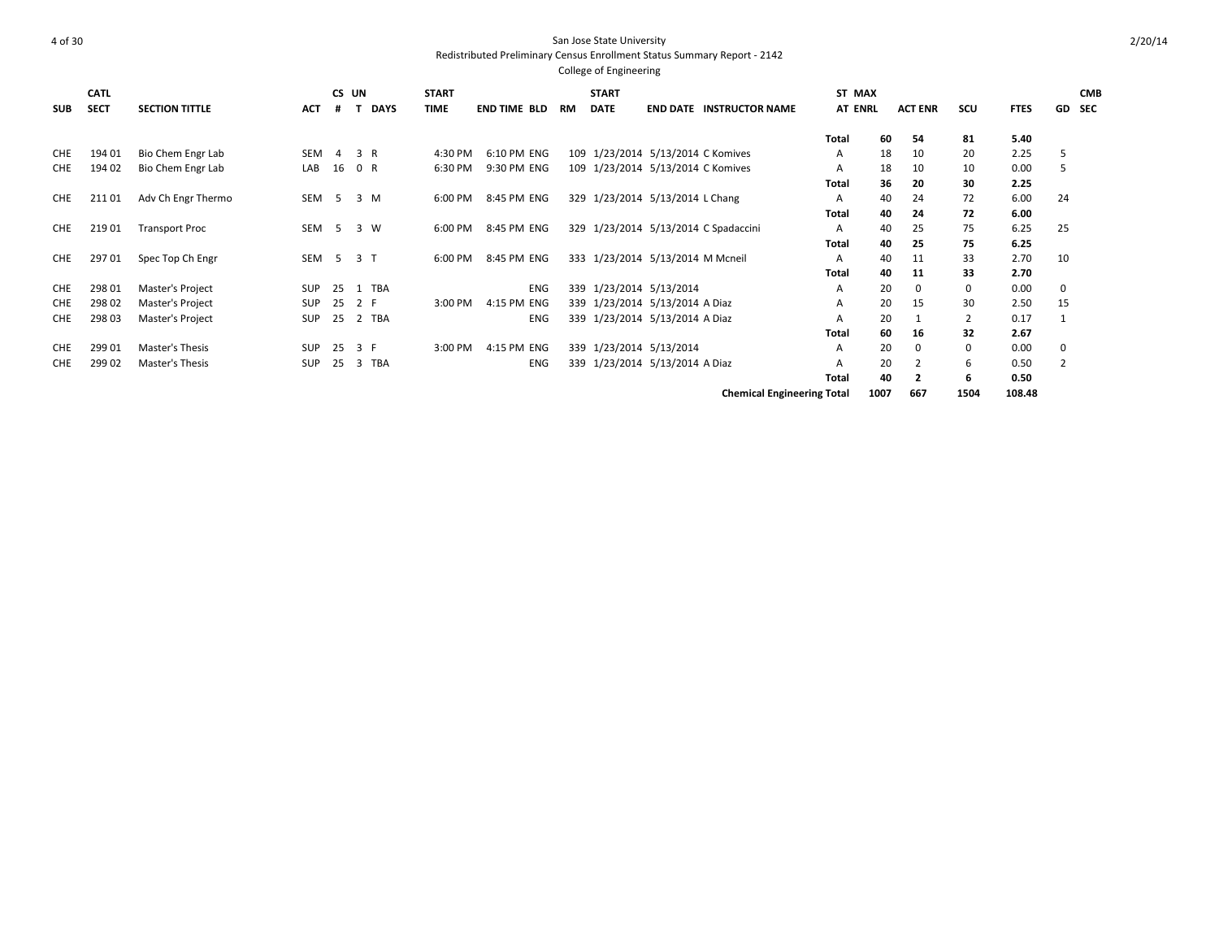| <b>SUB</b> | <b>CATL</b><br><b>SECT</b> | <b>SECTION TITTLE</b> | <b>ACT</b> | #              | CS UN    | <b>START</b><br><b>DAYS</b><br><b>TIME</b> | <b>END TIME BLD</b> | RM | <b>START</b><br><b>DATE</b>       | <b>END DATE INSTRUCTOR NAME</b>      | ST MAX<br><b>AT ENRL</b> |      | <b>ACT ENR</b> | scu         | <b>FTES</b> | GD             | <b>CMB</b><br><b>SEC</b> |
|------------|----------------------------|-----------------------|------------|----------------|----------|--------------------------------------------|---------------------|----|-----------------------------------|--------------------------------------|--------------------------|------|----------------|-------------|-------------|----------------|--------------------------|
|            |                            |                       |            |                |          |                                            |                     |    |                                   |                                      | <b>Total</b>             | 60   | 54             | 81          | 5.40        |                |                          |
| CHE        | 194 01                     | Bio Chem Engr Lab     | <b>SEM</b> | -4             | 3 R      | 4:30 PM                                    | 6:10 PM ENG         |    | 109 1/23/2014 5/13/2014 C Komives |                                      | A                        | 18   | 10             | 20          | 2.25        | 5              |                          |
| <b>CHE</b> | 194 02                     | Bio Chem Engr Lab     | LAB        | 16             | 0 R      | 6:30 PM                                    | 9:30 PM ENG         |    | 109 1/23/2014 5/13/2014 C Komives |                                      | A                        | 18   | 10             | 10          | 0.00        | 5              |                          |
|            |                            |                       |            |                |          |                                            |                     |    |                                   |                                      | Total                    | 36   | 20             | 30          | 2.25        |                |                          |
| <b>CHE</b> | 21101                      | Adv Ch Engr Thermo    | SEM        | - 5            | 3 M      | 6:00 PM                                    | 8:45 PM ENG         |    | 329 1/23/2014 5/13/2014 L Chang   |                                      | A                        | 40   | 24             | 72          | 6.00        | 24             |                          |
|            |                            |                       |            |                |          |                                            |                     |    |                                   |                                      | Total                    | 40   | 24             | 72          | 6.00        |                |                          |
| <b>CHE</b> | 219 01                     | <b>Transport Proc</b> | SEM        | - 5            | 3 W      | 6:00 PM                                    | 8:45 PM ENG         |    |                                   | 329 1/23/2014 5/13/2014 C Spadaccini | A                        | 40   | 25             | 75          | 6.25        | 25             |                          |
|            |                            |                       |            |                |          |                                            |                     |    |                                   |                                      | Total                    | 40   | 25             | 75          | 6.25        |                |                          |
| CHE        | 29701                      | Spec Top Ch Engr      | SEM        | 5 <sup>5</sup> | 3T       | 6:00 PM                                    | 8:45 PM ENG         |    | 333 1/23/2014 5/13/2014 M Mcneil  |                                      | Α                        | 40   | 11             | 33          | 2.70        | 10             |                          |
|            |                            |                       |            |                |          |                                            |                     |    |                                   |                                      | Total                    | 40   | 11             | 33          | 2.70        |                |                          |
| CHE        | 298 01                     | Master's Project      | <b>SUP</b> | 25             | TBA<br>1 |                                            | <b>ENG</b>          |    | 339 1/23/2014 5/13/2014           |                                      | Α                        | 20   | $\mathbf 0$    | $\mathbf 0$ | 0.00        | 0              |                          |
| <b>CHE</b> | 298 02                     | Master's Project      | <b>SUP</b> | 25             | 2 F      | 3:00 PM                                    | 4:15 PM ENG         |    | 339 1/23/2014 5/13/2014 A Diaz    |                                      | A                        | 20   | 15             | 30          | 2.50        | 15             |                          |
| <b>CHE</b> | 298 03                     | Master's Project      | SUP        | 25             | 2 TBA    |                                            | <b>ENG</b>          |    | 339 1/23/2014 5/13/2014 A Diaz    |                                      | А                        | 20   |                | 2           | 0.17        | 1              |                          |
|            |                            |                       |            |                |          |                                            |                     |    |                                   |                                      | Total                    | 60   | 16             | 32          | 2.67        |                |                          |
| <b>CHE</b> | 299 01                     | Master's Thesis       | <b>SUP</b> | 25             | 3 F      | 3:00 PM                                    | 4:15 PM ENG         |    | 339 1/23/2014 5/13/2014           |                                      | A                        | 20   | $\Omega$       | $\Omega$    | 0.00        | 0              |                          |
| <b>CHE</b> | 299 02                     | Master's Thesis       | <b>SUP</b> | 25             | TBA<br>3 |                                            | <b>ENG</b>          |    | 339 1/23/2014 5/13/2014 A Diaz    |                                      | А                        | 20   | $\overline{2}$ | 6           | 0.50        | $\overline{2}$ |                          |
|            |                            |                       |            |                |          |                                            |                     |    |                                   |                                      | Total                    | 40   | $\overline{2}$ | 6           | 0.50        |                |                          |
|            |                            |                       |            |                |          |                                            |                     |    |                                   | <b>Chemical Engineering Total</b>    |                          | 1007 | 667            | 1504        | 108.48      |                |                          |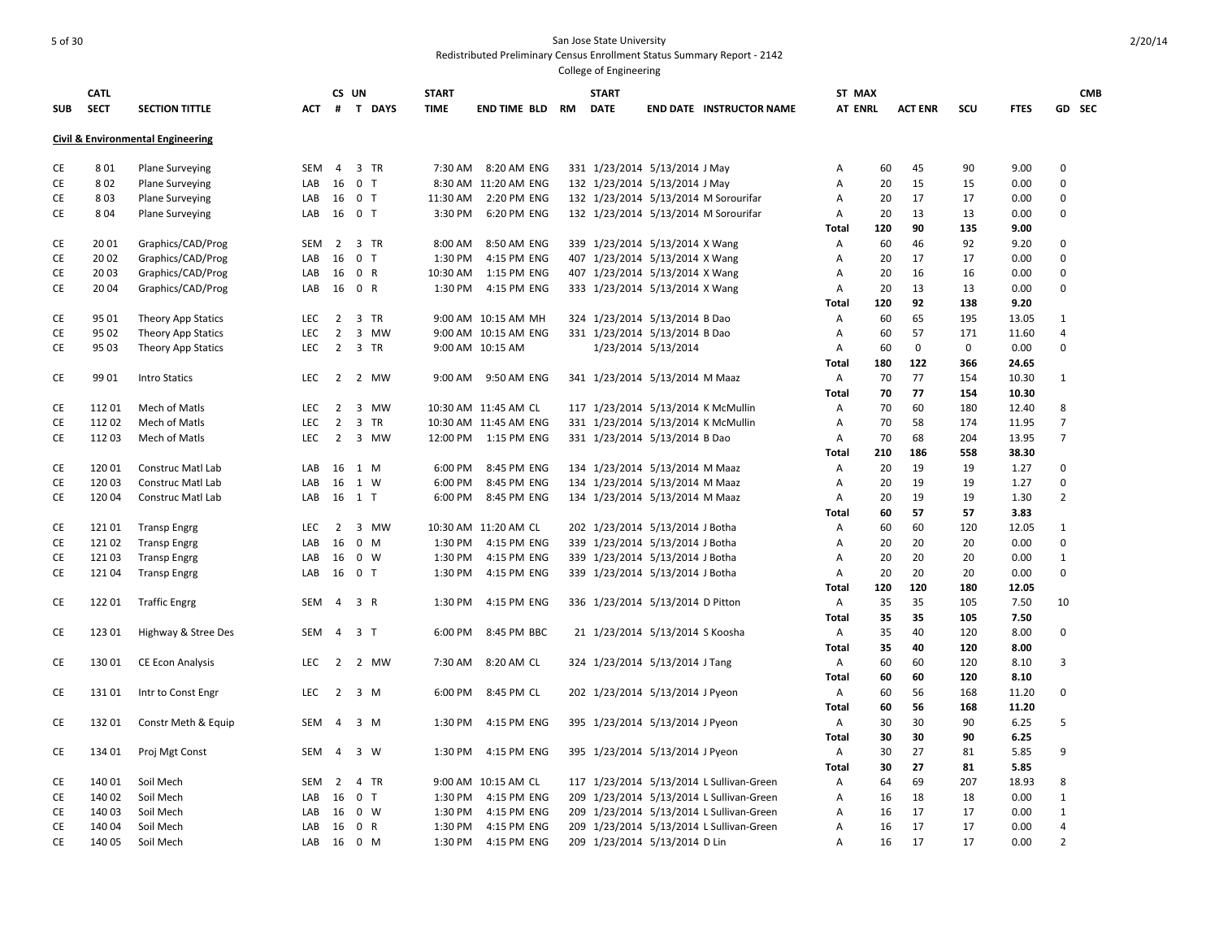| <b>Civil &amp; Environmental Engineering</b><br>801<br>$\overline{4}$<br>3 TR<br>$7:30$ AM<br>8:20 AM ENG<br>331 1/23/2014 5/13/2014 J May<br>45<br>90<br>9.00<br>0<br>CE<br><b>Plane Surveying</b><br>SEM<br>Α<br>60<br>16<br>0 <sub>T</sub><br>20<br>15<br>$\mathbf 0$<br>CE<br>802<br><b>Plane Surveying</b><br>LAB<br>8:30 AM 11:20 AM ENG<br>132 1/23/2014 5/13/2014 J May<br>A<br>15<br>0.00<br>0 <sub>T</sub><br>17<br>$\pmb{0}$<br>CE<br>803<br>16<br>11:30 AM<br>2:20 PM ENG<br>132 1/23/2014 5/13/2014 M Sorourifar<br>20<br>17<br><b>Plane Surveying</b><br>LAB<br>Α<br>0.00<br>0 <sub>T</sub><br>3:30 PM<br>CE<br>8 0 4<br>16<br>6:20 PM ENG<br>132 1/23/2014 5/13/2014 M Sorourifar<br>20<br>13<br>13<br>0.00<br>$\mathbf 0$<br><b>Plane Surveying</b><br>LAB<br>Α<br>90<br>135<br>9.00<br>Total<br>120<br>9.20<br>CE<br>20 01<br>Graphics/CAD/Prog<br><b>SEM</b><br>$\overline{2}$<br>3 TR<br>8:00 AM<br>8:50 AM ENG<br>339 1/23/2014 5/13/2014 X Wang<br>60<br>46<br>92<br>0<br>Α<br>16<br>0 <sub>T</sub><br>CE<br>20 02<br>Graphics/CAD/Prog<br>LAB<br>1:30 PM<br>4:15 PM ENG<br>407 1/23/2014 5/13/2014 X Wang<br>20<br>17<br>17<br>0.00<br>$\mathbf{0}$<br>Α<br>CE<br>0 R<br>407 1/23/2014 5/13/2014 X Wang<br>16<br>$\mathbf 0$<br>20 03<br>Graphics/CAD/Prog<br>LAB<br>16<br>10:30 AM<br>1:15 PM ENG<br>A<br>20<br>16<br>0.00<br>0 R<br>1:30 PM<br>333 1/23/2014 5/13/2014 X Wang<br>0.00<br>$\Omega$<br>CE<br>2004<br>Graphics/CAD/Prog<br>LAB<br>16<br>4:15 PM ENG<br>Α<br>20<br>13<br>13<br>92<br>9.20<br>120<br>138<br>Total<br>CE<br>95 01<br>LEC<br>$\overline{2}$<br>3 TR<br>9:00 AM 10:15 AM MH<br>324 1/23/2014 5/13/2014 B Dao<br>60<br>65<br>195<br>13.05<br>$\mathbf{1}$<br>Theory App Statics<br>Α<br>CE<br>$\overline{2}$<br>3 MW<br>9:00 AM 10:15 AM ENG<br>331 1/23/2014 5/13/2014 B Dao<br>60<br>57<br>11.60<br>$\overline{4}$<br>95 02<br>Theory App Statics<br><b>LEC</b><br>Α<br>171<br>2<br>CE<br>95 03<br><b>LEC</b><br>3 TR<br>9:00 AM 10:15 AM<br>1/23/2014 5/13/2014<br>60<br>$\mathbf 0$<br>$\mathbf 0$<br>0.00<br>$\mathbf 0$<br>Theory App Statics<br>A<br>122<br>180<br>366<br>24.65<br>Total<br>CE<br>99 01<br>LEC<br>$\overline{2}$<br>2 MW<br>9:50 AM ENG<br>70<br>77<br>10.30<br><b>Intro Statics</b><br>9:00 AM<br>341 1/23/2014 5/13/2014 M Maaz<br>Α<br>154<br>1<br>77<br>10.30<br><b>Total</b><br>70<br>154<br>112 01<br>Mech of Matls<br><b>LEC</b><br>$\overline{2}$<br>3<br><b>MW</b><br>10:30 AM 11:45 AM CL<br>117 1/23/2014 5/13/2014 K McMullin<br>70<br>60<br>12.40<br>8<br>CE<br>Α<br>180<br>$\overline{2}$<br>$\overline{\mathbf{3}}$<br>$\overline{7}$<br>CE<br><b>LEC</b><br><b>TR</b><br>331 1/23/2014 5/13/2014 K McMullin<br>58<br>11202<br>Mech of Matls<br>10:30 AM 11:45 AM ENG<br>A<br>70<br>174<br>11.95<br>$\overline{7}$<br>CE<br>$\overline{2}$<br>3 MW<br>331 1/23/2014 5/13/2014 B Dao<br>68<br>13.95<br>11203<br>Mech of Matls<br><b>LEC</b><br>12:00 PM<br>1:15 PM ENG<br>Α<br>70<br>204<br>210<br>186<br>38.30<br>Total<br>558<br>CE<br>12001<br>16<br>1 M<br>6:00 PM<br>8:45 PM ENG<br>134 1/23/2014 5/13/2014 M Maaz<br>20<br>19<br>1.27<br>$\mathbf{0}$<br>Construc Matl Lab<br>LAB<br>Α<br>19<br>CE<br>120 03<br>16<br>8:45 PM ENG<br>19<br>1.27<br>$\mathbf 0$<br>Construc Matl Lab<br>LAB<br>1 W<br>6:00 PM<br>134 1/23/2014 5/13/2014 M Maaz<br>Α<br>20<br>19<br>$\overline{2}$<br>CE<br>120 04<br>16<br>$1$ T<br>6:00 PM<br>8:45 PM ENG<br>134 1/23/2014 5/13/2014 M Maaz<br>20<br>19<br>19<br>1.30<br>Construc Matl Lab<br>LAB<br>Α<br>57<br>60<br>57<br>3.83<br>Total<br>$\overline{2}$<br>3 MW<br>10:30 AM 11:20 AM CL<br>202 1/23/2014 5/13/2014 J Botha<br>60<br>60<br>12.05<br>CE<br>12101<br><b>Transp Engrg</b><br><b>LEC</b><br>120<br>1<br>A<br>$0$ M<br>CE<br>12102<br>LAB<br>16<br>1:30 PM<br>4:15 PM ENG<br>339 1/23/2014 5/13/2014 J Botha<br>20<br>20<br>20<br>0.00<br>0<br><b>Transp Engrg</b><br>Α<br>CE<br>12103<br>16<br>0 W<br>1:30 PM<br>4:15 PM ENG<br>339 1/23/2014 5/13/2014 J Botha<br>20<br>20<br>0.00<br>$\mathbf{1}$<br><b>Transp Engrg</b><br>LAB<br>Α<br>20<br>CE<br>0 <sub>T</sub><br>20<br>20<br>0.00<br>$\mathbf{0}$<br>12104<br><b>Transp Engrg</b><br>LAB<br>16<br>1:30 PM<br>4:15 PM ENG<br>339 1/23/2014 5/13/2014 J Botha<br>A<br>20<br>120<br>120<br>180<br>12.05<br>Total<br>35<br>CE<br>12201<br>3 R<br>1:30 PM<br>4:15 PM ENG<br>336 1/23/2014 5/13/2014 D Pitton<br>35<br>105<br>7.50<br>10<br><b>Traffic Engrg</b><br>SEM<br>$\overline{4}$<br>Α<br>35<br>35<br>7.50<br>Total<br>105<br>3 <sub>1</sub><br>8:45 PM BBC<br>40<br>CE<br>123 01<br>Highway & Stree Des<br>SEM<br>$\overline{4}$<br>6:00 PM<br>21 1/23/2014 5/13/2014 S Koosha<br>A<br>35<br>120<br>8.00<br>0<br>35<br>40<br>8.00<br>Total<br>120<br>13001<br>2 MW<br>8:20 AM CL<br>60<br>60<br>$\overline{3}$<br>CE<br><b>CE Econ Analysis</b><br><b>LEC</b><br>2<br>7:30 AM<br>324 1/23/2014 5/13/2014 J Tang<br>$\mathsf{A}$<br>120<br>8.10<br>60<br>60<br>120<br>8.10<br>Total<br>$\overline{2}$<br>CE<br>13101<br>Intr to Const Engr<br><b>LEC</b><br>3 M<br>6:00 PM<br>8:45 PM CL<br>202 1/23/2014 5/13/2014 J Pyeon<br>60<br>56<br>168<br>11.20<br>0<br>Α<br>60<br>56<br>11.20<br>Total<br>168<br>30<br>5<br>CE<br>13201<br>Constr Meth & Equip<br>SEM<br>$\overline{4}$<br>3 M<br>1:30 PM<br>4:15 PM ENG<br>395 1/23/2014 5/13/2014 J Pyeon<br>$\mathsf{A}$<br>30<br>90<br>6.25<br>30<br>30<br>6.25<br>Total<br>90<br>CE<br>3 W<br>4:15 PM ENG<br>395 1/23/2014 5/13/2014 J Pyeon<br>30<br>27<br>5.85<br>9<br>134 01<br>Proj Mgt Const<br>SEM<br>$\overline{4}$<br>1:30 PM<br>Α<br>81<br>27<br>5.85<br>Total<br>30<br>81<br>69<br>CE<br>140 01<br>Soil Mech<br>SEM<br>$\overline{2}$<br>4 TR<br>9:00 AM 10:15 AM CL<br>117 1/23/2014 5/13/2014 L Sullivan-Green<br>64<br>207<br>18.93<br>8<br>Α<br>CE<br>140 02<br>Soil Mech<br>16<br>0 <sub>T</sub><br>1:30 PM<br>4:15 PM ENG<br>209 1/23/2014 5/13/2014 L Sullivan-Green<br>18<br>0.00<br>$\mathbf{1}$<br>LAB<br>Α<br>16<br>18<br>$\mathbf{1}$<br>$0 \quad W$<br>17<br>CE<br>140 03<br>Soil Mech<br>LAB<br>16<br>1:30 PM<br>4:15 PM ENG<br>209 1/23/2014 5/13/2014 L Sullivan-Green<br>16<br>17<br>0.00<br>A<br>0 R<br>17<br>$\overline{4}$<br>CE<br>140 04<br>Soil Mech<br>16<br>1:30 PM<br>4:15 PM ENG<br>209 1/23/2014 5/13/2014 L Sullivan-Green<br>16<br>17<br>0.00<br>LAB<br>Α<br>CE<br>140 05<br>$0$ M<br>209 1/23/2014 5/13/2014 D Lin<br>17<br>17<br>0.00<br>$\overline{2}$<br>Soil Mech<br>LAB<br>16<br>1:30 PM<br>4:15 PM ENG<br>16<br>Α | <b>SUB</b> | <b>CATL</b><br><b>SECT</b> | <b>SECTION TITTLE</b> | ACT | # | CS UN<br>T DAYS | <b>START</b><br><b>TIME</b> | END TIME BLD | RM | <b>START</b><br><b>DATE</b> | <b>END DATE INSTRUCTOR NAME</b> | ST MAX<br><b>AT ENRL</b> | <b>ACT ENR</b> | SCU | <b>FTES</b> | <b>CMB</b><br>GD SEC |
|-------------------------------------------------------------------------------------------------------------------------------------------------------------------------------------------------------------------------------------------------------------------------------------------------------------------------------------------------------------------------------------------------------------------------------------------------------------------------------------------------------------------------------------------------------------------------------------------------------------------------------------------------------------------------------------------------------------------------------------------------------------------------------------------------------------------------------------------------------------------------------------------------------------------------------------------------------------------------------------------------------------------------------------------------------------------------------------------------------------------------------------------------------------------------------------------------------------------------------------------------------------------------------------------------------------------------------------------------------------------------------------------------------------------------------------------------------------------------------------------------------------------------------------------------------------------------------------------------------------------------------------------------------------------------------------------------------------------------------------------------------------------------------------------------------------------------------------------------------------------------------------------------------------------------------------------------------------------------------------------------------------------------------------------------------------------------------------------------------------------------------------------------------------------------------------------------------------------------------------------------------------------------------------------------------------------------------------------------------------------------------------------------------------------------------------------------------------------------------------------------------------------------------------------------------------------------------------------------------------------------------------------------------------------------------------------------------------------------------------------------------------------------------------------------------------------------------------------------------------------------------------------------------------------------------------------------------------------------------------------------------------------------------------------------------------------------------------------------------------------------------------------------------------------------------------------------------------------------------------------------------------------------------------------------------------------------------------------------------------------------------------------------------------------------------------------------------------------------------------------------------------------------------------------------------------------------------------------------------------------------------------------------------------------------------------------------------------------------------------------------------------------------------------------------------------------------------------------------------------------------------------------------------------------------------------------------------------------------------------------------------------------------------------------------------------------------------------------------------------------------------------------------------------------------------------------------------------------------------------------------------------------------------------------------------------------------------------------------------------------------------------------------------------------------------------------------------------------------------------------------------------------------------------------------------------------------------------------------------------------------------------------------------------------------------------------------------------------------------------------------------------------------------------------------------------------------------------------------------------------------------------------------------------------------------------------------------------------------------------------------------------------------------------------------------------------------------------------------------------------------------------------------------------------------------------------------------------------------------------------------------------------------------------------------------------------------------------------------------------------------------------------------------------------------------------------------------------------------------------------------------------------------------------------------------------------------------------------------------------------------------------------------------------------------------------------------------------------------------------------------------------------------------------------------------------------------------------------------------------------------------------------------------------------------------------------------------------------------------------------------------------------------------------------------------------------------------------------------------------------------------------------------------------------------------------------------------------------------------------------------------------------------------------------------------------------------------------------------------------------------------------------------------------------------------------------------------------------------------------------------------------------|------------|----------------------------|-----------------------|-----|---|-----------------|-----------------------------|--------------|----|-----------------------------|---------------------------------|--------------------------|----------------|-----|-------------|----------------------|
|                                                                                                                                                                                                                                                                                                                                                                                                                                                                                                                                                                                                                                                                                                                                                                                                                                                                                                                                                                                                                                                                                                                                                                                                                                                                                                                                                                                                                                                                                                                                                                                                                                                                                                                                                                                                                                                                                                                                                                                                                                                                                                                                                                                                                                                                                                                                                                                                                                                                                                                                                                                                                                                                                                                                                                                                                                                                                                                                                                                                                                                                                                                                                                                                                                                                                                                                                                                                                                                                                                                                                                                                                                                                                                                                                                                                                                                                                                                                                                                                                                                                                                                                                                                                                                                                                                                                                                                                                                                                                                                                                                                                                                                                                                                                                                                                                                                                                                                                                                                                                                                                                                                                                                                                                                                                                                                                                                                                                                                                                                                                                                                                                                                                                                                                                                                                                                                                                                                                                                                                                                                                                                                                                                                                                                                                                                                                                                                                                                                                                                                   |            |                            |                       |     |   |                 |                             |              |    |                             |                                 |                          |                |     |             |                      |
|                                                                                                                                                                                                                                                                                                                                                                                                                                                                                                                                                                                                                                                                                                                                                                                                                                                                                                                                                                                                                                                                                                                                                                                                                                                                                                                                                                                                                                                                                                                                                                                                                                                                                                                                                                                                                                                                                                                                                                                                                                                                                                                                                                                                                                                                                                                                                                                                                                                                                                                                                                                                                                                                                                                                                                                                                                                                                                                                                                                                                                                                                                                                                                                                                                                                                                                                                                                                                                                                                                                                                                                                                                                                                                                                                                                                                                                                                                                                                                                                                                                                                                                                                                                                                                                                                                                                                                                                                                                                                                                                                                                                                                                                                                                                                                                                                                                                                                                                                                                                                                                                                                                                                                                                                                                                                                                                                                                                                                                                                                                                                                                                                                                                                                                                                                                                                                                                                                                                                                                                                                                                                                                                                                                                                                                                                                                                                                                                                                                                                                                   |            |                            |                       |     |   |                 |                             |              |    |                             |                                 |                          |                |     |             |                      |
|                                                                                                                                                                                                                                                                                                                                                                                                                                                                                                                                                                                                                                                                                                                                                                                                                                                                                                                                                                                                                                                                                                                                                                                                                                                                                                                                                                                                                                                                                                                                                                                                                                                                                                                                                                                                                                                                                                                                                                                                                                                                                                                                                                                                                                                                                                                                                                                                                                                                                                                                                                                                                                                                                                                                                                                                                                                                                                                                                                                                                                                                                                                                                                                                                                                                                                                                                                                                                                                                                                                                                                                                                                                                                                                                                                                                                                                                                                                                                                                                                                                                                                                                                                                                                                                                                                                                                                                                                                                                                                                                                                                                                                                                                                                                                                                                                                                                                                                                                                                                                                                                                                                                                                                                                                                                                                                                                                                                                                                                                                                                                                                                                                                                                                                                                                                                                                                                                                                                                                                                                                                                                                                                                                                                                                                                                                                                                                                                                                                                                                                   |            |                            |                       |     |   |                 |                             |              |    |                             |                                 |                          |                |     |             |                      |
|                                                                                                                                                                                                                                                                                                                                                                                                                                                                                                                                                                                                                                                                                                                                                                                                                                                                                                                                                                                                                                                                                                                                                                                                                                                                                                                                                                                                                                                                                                                                                                                                                                                                                                                                                                                                                                                                                                                                                                                                                                                                                                                                                                                                                                                                                                                                                                                                                                                                                                                                                                                                                                                                                                                                                                                                                                                                                                                                                                                                                                                                                                                                                                                                                                                                                                                                                                                                                                                                                                                                                                                                                                                                                                                                                                                                                                                                                                                                                                                                                                                                                                                                                                                                                                                                                                                                                                                                                                                                                                                                                                                                                                                                                                                                                                                                                                                                                                                                                                                                                                                                                                                                                                                                                                                                                                                                                                                                                                                                                                                                                                                                                                                                                                                                                                                                                                                                                                                                                                                                                                                                                                                                                                                                                                                                                                                                                                                                                                                                                                                   |            |                            |                       |     |   |                 |                             |              |    |                             |                                 |                          |                |     |             |                      |
|                                                                                                                                                                                                                                                                                                                                                                                                                                                                                                                                                                                                                                                                                                                                                                                                                                                                                                                                                                                                                                                                                                                                                                                                                                                                                                                                                                                                                                                                                                                                                                                                                                                                                                                                                                                                                                                                                                                                                                                                                                                                                                                                                                                                                                                                                                                                                                                                                                                                                                                                                                                                                                                                                                                                                                                                                                                                                                                                                                                                                                                                                                                                                                                                                                                                                                                                                                                                                                                                                                                                                                                                                                                                                                                                                                                                                                                                                                                                                                                                                                                                                                                                                                                                                                                                                                                                                                                                                                                                                                                                                                                                                                                                                                                                                                                                                                                                                                                                                                                                                                                                                                                                                                                                                                                                                                                                                                                                                                                                                                                                                                                                                                                                                                                                                                                                                                                                                                                                                                                                                                                                                                                                                                                                                                                                                                                                                                                                                                                                                                                   |            |                            |                       |     |   |                 |                             |              |    |                             |                                 |                          |                |     |             |                      |
|                                                                                                                                                                                                                                                                                                                                                                                                                                                                                                                                                                                                                                                                                                                                                                                                                                                                                                                                                                                                                                                                                                                                                                                                                                                                                                                                                                                                                                                                                                                                                                                                                                                                                                                                                                                                                                                                                                                                                                                                                                                                                                                                                                                                                                                                                                                                                                                                                                                                                                                                                                                                                                                                                                                                                                                                                                                                                                                                                                                                                                                                                                                                                                                                                                                                                                                                                                                                                                                                                                                                                                                                                                                                                                                                                                                                                                                                                                                                                                                                                                                                                                                                                                                                                                                                                                                                                                                                                                                                                                                                                                                                                                                                                                                                                                                                                                                                                                                                                                                                                                                                                                                                                                                                                                                                                                                                                                                                                                                                                                                                                                                                                                                                                                                                                                                                                                                                                                                                                                                                                                                                                                                                                                                                                                                                                                                                                                                                                                                                                                                   |            |                            |                       |     |   |                 |                             |              |    |                             |                                 |                          |                |     |             |                      |
|                                                                                                                                                                                                                                                                                                                                                                                                                                                                                                                                                                                                                                                                                                                                                                                                                                                                                                                                                                                                                                                                                                                                                                                                                                                                                                                                                                                                                                                                                                                                                                                                                                                                                                                                                                                                                                                                                                                                                                                                                                                                                                                                                                                                                                                                                                                                                                                                                                                                                                                                                                                                                                                                                                                                                                                                                                                                                                                                                                                                                                                                                                                                                                                                                                                                                                                                                                                                                                                                                                                                                                                                                                                                                                                                                                                                                                                                                                                                                                                                                                                                                                                                                                                                                                                                                                                                                                                                                                                                                                                                                                                                                                                                                                                                                                                                                                                                                                                                                                                                                                                                                                                                                                                                                                                                                                                                                                                                                                                                                                                                                                                                                                                                                                                                                                                                                                                                                                                                                                                                                                                                                                                                                                                                                                                                                                                                                                                                                                                                                                                   |            |                            |                       |     |   |                 |                             |              |    |                             |                                 |                          |                |     |             |                      |
|                                                                                                                                                                                                                                                                                                                                                                                                                                                                                                                                                                                                                                                                                                                                                                                                                                                                                                                                                                                                                                                                                                                                                                                                                                                                                                                                                                                                                                                                                                                                                                                                                                                                                                                                                                                                                                                                                                                                                                                                                                                                                                                                                                                                                                                                                                                                                                                                                                                                                                                                                                                                                                                                                                                                                                                                                                                                                                                                                                                                                                                                                                                                                                                                                                                                                                                                                                                                                                                                                                                                                                                                                                                                                                                                                                                                                                                                                                                                                                                                                                                                                                                                                                                                                                                                                                                                                                                                                                                                                                                                                                                                                                                                                                                                                                                                                                                                                                                                                                                                                                                                                                                                                                                                                                                                                                                                                                                                                                                                                                                                                                                                                                                                                                                                                                                                                                                                                                                                                                                                                                                                                                                                                                                                                                                                                                                                                                                                                                                                                                                   |            |                            |                       |     |   |                 |                             |              |    |                             |                                 |                          |                |     |             |                      |
|                                                                                                                                                                                                                                                                                                                                                                                                                                                                                                                                                                                                                                                                                                                                                                                                                                                                                                                                                                                                                                                                                                                                                                                                                                                                                                                                                                                                                                                                                                                                                                                                                                                                                                                                                                                                                                                                                                                                                                                                                                                                                                                                                                                                                                                                                                                                                                                                                                                                                                                                                                                                                                                                                                                                                                                                                                                                                                                                                                                                                                                                                                                                                                                                                                                                                                                                                                                                                                                                                                                                                                                                                                                                                                                                                                                                                                                                                                                                                                                                                                                                                                                                                                                                                                                                                                                                                                                                                                                                                                                                                                                                                                                                                                                                                                                                                                                                                                                                                                                                                                                                                                                                                                                                                                                                                                                                                                                                                                                                                                                                                                                                                                                                                                                                                                                                                                                                                                                                                                                                                                                                                                                                                                                                                                                                                                                                                                                                                                                                                                                   |            |                            |                       |     |   |                 |                             |              |    |                             |                                 |                          |                |     |             |                      |
|                                                                                                                                                                                                                                                                                                                                                                                                                                                                                                                                                                                                                                                                                                                                                                                                                                                                                                                                                                                                                                                                                                                                                                                                                                                                                                                                                                                                                                                                                                                                                                                                                                                                                                                                                                                                                                                                                                                                                                                                                                                                                                                                                                                                                                                                                                                                                                                                                                                                                                                                                                                                                                                                                                                                                                                                                                                                                                                                                                                                                                                                                                                                                                                                                                                                                                                                                                                                                                                                                                                                                                                                                                                                                                                                                                                                                                                                                                                                                                                                                                                                                                                                                                                                                                                                                                                                                                                                                                                                                                                                                                                                                                                                                                                                                                                                                                                                                                                                                                                                                                                                                                                                                                                                                                                                                                                                                                                                                                                                                                                                                                                                                                                                                                                                                                                                                                                                                                                                                                                                                                                                                                                                                                                                                                                                                                                                                                                                                                                                                                                   |            |                            |                       |     |   |                 |                             |              |    |                             |                                 |                          |                |     |             |                      |
|                                                                                                                                                                                                                                                                                                                                                                                                                                                                                                                                                                                                                                                                                                                                                                                                                                                                                                                                                                                                                                                                                                                                                                                                                                                                                                                                                                                                                                                                                                                                                                                                                                                                                                                                                                                                                                                                                                                                                                                                                                                                                                                                                                                                                                                                                                                                                                                                                                                                                                                                                                                                                                                                                                                                                                                                                                                                                                                                                                                                                                                                                                                                                                                                                                                                                                                                                                                                                                                                                                                                                                                                                                                                                                                                                                                                                                                                                                                                                                                                                                                                                                                                                                                                                                                                                                                                                                                                                                                                                                                                                                                                                                                                                                                                                                                                                                                                                                                                                                                                                                                                                                                                                                                                                                                                                                                                                                                                                                                                                                                                                                                                                                                                                                                                                                                                                                                                                                                                                                                                                                                                                                                                                                                                                                                                                                                                                                                                                                                                                                                   |            |                            |                       |     |   |                 |                             |              |    |                             |                                 |                          |                |     |             |                      |
|                                                                                                                                                                                                                                                                                                                                                                                                                                                                                                                                                                                                                                                                                                                                                                                                                                                                                                                                                                                                                                                                                                                                                                                                                                                                                                                                                                                                                                                                                                                                                                                                                                                                                                                                                                                                                                                                                                                                                                                                                                                                                                                                                                                                                                                                                                                                                                                                                                                                                                                                                                                                                                                                                                                                                                                                                                                                                                                                                                                                                                                                                                                                                                                                                                                                                                                                                                                                                                                                                                                                                                                                                                                                                                                                                                                                                                                                                                                                                                                                                                                                                                                                                                                                                                                                                                                                                                                                                                                                                                                                                                                                                                                                                                                                                                                                                                                                                                                                                                                                                                                                                                                                                                                                                                                                                                                                                                                                                                                                                                                                                                                                                                                                                                                                                                                                                                                                                                                                                                                                                                                                                                                                                                                                                                                                                                                                                                                                                                                                                                                   |            |                            |                       |     |   |                 |                             |              |    |                             |                                 |                          |                |     |             |                      |
|                                                                                                                                                                                                                                                                                                                                                                                                                                                                                                                                                                                                                                                                                                                                                                                                                                                                                                                                                                                                                                                                                                                                                                                                                                                                                                                                                                                                                                                                                                                                                                                                                                                                                                                                                                                                                                                                                                                                                                                                                                                                                                                                                                                                                                                                                                                                                                                                                                                                                                                                                                                                                                                                                                                                                                                                                                                                                                                                                                                                                                                                                                                                                                                                                                                                                                                                                                                                                                                                                                                                                                                                                                                                                                                                                                                                                                                                                                                                                                                                                                                                                                                                                                                                                                                                                                                                                                                                                                                                                                                                                                                                                                                                                                                                                                                                                                                                                                                                                                                                                                                                                                                                                                                                                                                                                                                                                                                                                                                                                                                                                                                                                                                                                                                                                                                                                                                                                                                                                                                                                                                                                                                                                                                                                                                                                                                                                                                                                                                                                                                   |            |                            |                       |     |   |                 |                             |              |    |                             |                                 |                          |                |     |             |                      |
|                                                                                                                                                                                                                                                                                                                                                                                                                                                                                                                                                                                                                                                                                                                                                                                                                                                                                                                                                                                                                                                                                                                                                                                                                                                                                                                                                                                                                                                                                                                                                                                                                                                                                                                                                                                                                                                                                                                                                                                                                                                                                                                                                                                                                                                                                                                                                                                                                                                                                                                                                                                                                                                                                                                                                                                                                                                                                                                                                                                                                                                                                                                                                                                                                                                                                                                                                                                                                                                                                                                                                                                                                                                                                                                                                                                                                                                                                                                                                                                                                                                                                                                                                                                                                                                                                                                                                                                                                                                                                                                                                                                                                                                                                                                                                                                                                                                                                                                                                                                                                                                                                                                                                                                                                                                                                                                                                                                                                                                                                                                                                                                                                                                                                                                                                                                                                                                                                                                                                                                                                                                                                                                                                                                                                                                                                                                                                                                                                                                                                                                   |            |                            |                       |     |   |                 |                             |              |    |                             |                                 |                          |                |     |             |                      |
|                                                                                                                                                                                                                                                                                                                                                                                                                                                                                                                                                                                                                                                                                                                                                                                                                                                                                                                                                                                                                                                                                                                                                                                                                                                                                                                                                                                                                                                                                                                                                                                                                                                                                                                                                                                                                                                                                                                                                                                                                                                                                                                                                                                                                                                                                                                                                                                                                                                                                                                                                                                                                                                                                                                                                                                                                                                                                                                                                                                                                                                                                                                                                                                                                                                                                                                                                                                                                                                                                                                                                                                                                                                                                                                                                                                                                                                                                                                                                                                                                                                                                                                                                                                                                                                                                                                                                                                                                                                                                                                                                                                                                                                                                                                                                                                                                                                                                                                                                                                                                                                                                                                                                                                                                                                                                                                                                                                                                                                                                                                                                                                                                                                                                                                                                                                                                                                                                                                                                                                                                                                                                                                                                                                                                                                                                                                                                                                                                                                                                                                   |            |                            |                       |     |   |                 |                             |              |    |                             |                                 |                          |                |     |             |                      |
|                                                                                                                                                                                                                                                                                                                                                                                                                                                                                                                                                                                                                                                                                                                                                                                                                                                                                                                                                                                                                                                                                                                                                                                                                                                                                                                                                                                                                                                                                                                                                                                                                                                                                                                                                                                                                                                                                                                                                                                                                                                                                                                                                                                                                                                                                                                                                                                                                                                                                                                                                                                                                                                                                                                                                                                                                                                                                                                                                                                                                                                                                                                                                                                                                                                                                                                                                                                                                                                                                                                                                                                                                                                                                                                                                                                                                                                                                                                                                                                                                                                                                                                                                                                                                                                                                                                                                                                                                                                                                                                                                                                                                                                                                                                                                                                                                                                                                                                                                                                                                                                                                                                                                                                                                                                                                                                                                                                                                                                                                                                                                                                                                                                                                                                                                                                                                                                                                                                                                                                                                                                                                                                                                                                                                                                                                                                                                                                                                                                                                                                   |            |                            |                       |     |   |                 |                             |              |    |                             |                                 |                          |                |     |             |                      |
|                                                                                                                                                                                                                                                                                                                                                                                                                                                                                                                                                                                                                                                                                                                                                                                                                                                                                                                                                                                                                                                                                                                                                                                                                                                                                                                                                                                                                                                                                                                                                                                                                                                                                                                                                                                                                                                                                                                                                                                                                                                                                                                                                                                                                                                                                                                                                                                                                                                                                                                                                                                                                                                                                                                                                                                                                                                                                                                                                                                                                                                                                                                                                                                                                                                                                                                                                                                                                                                                                                                                                                                                                                                                                                                                                                                                                                                                                                                                                                                                                                                                                                                                                                                                                                                                                                                                                                                                                                                                                                                                                                                                                                                                                                                                                                                                                                                                                                                                                                                                                                                                                                                                                                                                                                                                                                                                                                                                                                                                                                                                                                                                                                                                                                                                                                                                                                                                                                                                                                                                                                                                                                                                                                                                                                                                                                                                                                                                                                                                                                                   |            |                            |                       |     |   |                 |                             |              |    |                             |                                 |                          |                |     |             |                      |
|                                                                                                                                                                                                                                                                                                                                                                                                                                                                                                                                                                                                                                                                                                                                                                                                                                                                                                                                                                                                                                                                                                                                                                                                                                                                                                                                                                                                                                                                                                                                                                                                                                                                                                                                                                                                                                                                                                                                                                                                                                                                                                                                                                                                                                                                                                                                                                                                                                                                                                                                                                                                                                                                                                                                                                                                                                                                                                                                                                                                                                                                                                                                                                                                                                                                                                                                                                                                                                                                                                                                                                                                                                                                                                                                                                                                                                                                                                                                                                                                                                                                                                                                                                                                                                                                                                                                                                                                                                                                                                                                                                                                                                                                                                                                                                                                                                                                                                                                                                                                                                                                                                                                                                                                                                                                                                                                                                                                                                                                                                                                                                                                                                                                                                                                                                                                                                                                                                                                                                                                                                                                                                                                                                                                                                                                                                                                                                                                                                                                                                                   |            |                            |                       |     |   |                 |                             |              |    |                             |                                 |                          |                |     |             |                      |
|                                                                                                                                                                                                                                                                                                                                                                                                                                                                                                                                                                                                                                                                                                                                                                                                                                                                                                                                                                                                                                                                                                                                                                                                                                                                                                                                                                                                                                                                                                                                                                                                                                                                                                                                                                                                                                                                                                                                                                                                                                                                                                                                                                                                                                                                                                                                                                                                                                                                                                                                                                                                                                                                                                                                                                                                                                                                                                                                                                                                                                                                                                                                                                                                                                                                                                                                                                                                                                                                                                                                                                                                                                                                                                                                                                                                                                                                                                                                                                                                                                                                                                                                                                                                                                                                                                                                                                                                                                                                                                                                                                                                                                                                                                                                                                                                                                                                                                                                                                                                                                                                                                                                                                                                                                                                                                                                                                                                                                                                                                                                                                                                                                                                                                                                                                                                                                                                                                                                                                                                                                                                                                                                                                                                                                                                                                                                                                                                                                                                                                                   |            |                            |                       |     |   |                 |                             |              |    |                             |                                 |                          |                |     |             |                      |
|                                                                                                                                                                                                                                                                                                                                                                                                                                                                                                                                                                                                                                                                                                                                                                                                                                                                                                                                                                                                                                                                                                                                                                                                                                                                                                                                                                                                                                                                                                                                                                                                                                                                                                                                                                                                                                                                                                                                                                                                                                                                                                                                                                                                                                                                                                                                                                                                                                                                                                                                                                                                                                                                                                                                                                                                                                                                                                                                                                                                                                                                                                                                                                                                                                                                                                                                                                                                                                                                                                                                                                                                                                                                                                                                                                                                                                                                                                                                                                                                                                                                                                                                                                                                                                                                                                                                                                                                                                                                                                                                                                                                                                                                                                                                                                                                                                                                                                                                                                                                                                                                                                                                                                                                                                                                                                                                                                                                                                                                                                                                                                                                                                                                                                                                                                                                                                                                                                                                                                                                                                                                                                                                                                                                                                                                                                                                                                                                                                                                                                                   |            |                            |                       |     |   |                 |                             |              |    |                             |                                 |                          |                |     |             |                      |
|                                                                                                                                                                                                                                                                                                                                                                                                                                                                                                                                                                                                                                                                                                                                                                                                                                                                                                                                                                                                                                                                                                                                                                                                                                                                                                                                                                                                                                                                                                                                                                                                                                                                                                                                                                                                                                                                                                                                                                                                                                                                                                                                                                                                                                                                                                                                                                                                                                                                                                                                                                                                                                                                                                                                                                                                                                                                                                                                                                                                                                                                                                                                                                                                                                                                                                                                                                                                                                                                                                                                                                                                                                                                                                                                                                                                                                                                                                                                                                                                                                                                                                                                                                                                                                                                                                                                                                                                                                                                                                                                                                                                                                                                                                                                                                                                                                                                                                                                                                                                                                                                                                                                                                                                                                                                                                                                                                                                                                                                                                                                                                                                                                                                                                                                                                                                                                                                                                                                                                                                                                                                                                                                                                                                                                                                                                                                                                                                                                                                                                                   |            |                            |                       |     |   |                 |                             |              |    |                             |                                 |                          |                |     |             |                      |
|                                                                                                                                                                                                                                                                                                                                                                                                                                                                                                                                                                                                                                                                                                                                                                                                                                                                                                                                                                                                                                                                                                                                                                                                                                                                                                                                                                                                                                                                                                                                                                                                                                                                                                                                                                                                                                                                                                                                                                                                                                                                                                                                                                                                                                                                                                                                                                                                                                                                                                                                                                                                                                                                                                                                                                                                                                                                                                                                                                                                                                                                                                                                                                                                                                                                                                                                                                                                                                                                                                                                                                                                                                                                                                                                                                                                                                                                                                                                                                                                                                                                                                                                                                                                                                                                                                                                                                                                                                                                                                                                                                                                                                                                                                                                                                                                                                                                                                                                                                                                                                                                                                                                                                                                                                                                                                                                                                                                                                                                                                                                                                                                                                                                                                                                                                                                                                                                                                                                                                                                                                                                                                                                                                                                                                                                                                                                                                                                                                                                                                                   |            |                            |                       |     |   |                 |                             |              |    |                             |                                 |                          |                |     |             |                      |
|                                                                                                                                                                                                                                                                                                                                                                                                                                                                                                                                                                                                                                                                                                                                                                                                                                                                                                                                                                                                                                                                                                                                                                                                                                                                                                                                                                                                                                                                                                                                                                                                                                                                                                                                                                                                                                                                                                                                                                                                                                                                                                                                                                                                                                                                                                                                                                                                                                                                                                                                                                                                                                                                                                                                                                                                                                                                                                                                                                                                                                                                                                                                                                                                                                                                                                                                                                                                                                                                                                                                                                                                                                                                                                                                                                                                                                                                                                                                                                                                                                                                                                                                                                                                                                                                                                                                                                                                                                                                                                                                                                                                                                                                                                                                                                                                                                                                                                                                                                                                                                                                                                                                                                                                                                                                                                                                                                                                                                                                                                                                                                                                                                                                                                                                                                                                                                                                                                                                                                                                                                                                                                                                                                                                                                                                                                                                                                                                                                                                                                                   |            |                            |                       |     |   |                 |                             |              |    |                             |                                 |                          |                |     |             |                      |
|                                                                                                                                                                                                                                                                                                                                                                                                                                                                                                                                                                                                                                                                                                                                                                                                                                                                                                                                                                                                                                                                                                                                                                                                                                                                                                                                                                                                                                                                                                                                                                                                                                                                                                                                                                                                                                                                                                                                                                                                                                                                                                                                                                                                                                                                                                                                                                                                                                                                                                                                                                                                                                                                                                                                                                                                                                                                                                                                                                                                                                                                                                                                                                                                                                                                                                                                                                                                                                                                                                                                                                                                                                                                                                                                                                                                                                                                                                                                                                                                                                                                                                                                                                                                                                                                                                                                                                                                                                                                                                                                                                                                                                                                                                                                                                                                                                                                                                                                                                                                                                                                                                                                                                                                                                                                                                                                                                                                                                                                                                                                                                                                                                                                                                                                                                                                                                                                                                                                                                                                                                                                                                                                                                                                                                                                                                                                                                                                                                                                                                                   |            |                            |                       |     |   |                 |                             |              |    |                             |                                 |                          |                |     |             |                      |
|                                                                                                                                                                                                                                                                                                                                                                                                                                                                                                                                                                                                                                                                                                                                                                                                                                                                                                                                                                                                                                                                                                                                                                                                                                                                                                                                                                                                                                                                                                                                                                                                                                                                                                                                                                                                                                                                                                                                                                                                                                                                                                                                                                                                                                                                                                                                                                                                                                                                                                                                                                                                                                                                                                                                                                                                                                                                                                                                                                                                                                                                                                                                                                                                                                                                                                                                                                                                                                                                                                                                                                                                                                                                                                                                                                                                                                                                                                                                                                                                                                                                                                                                                                                                                                                                                                                                                                                                                                                                                                                                                                                                                                                                                                                                                                                                                                                                                                                                                                                                                                                                                                                                                                                                                                                                                                                                                                                                                                                                                                                                                                                                                                                                                                                                                                                                                                                                                                                                                                                                                                                                                                                                                                                                                                                                                                                                                                                                                                                                                                                   |            |                            |                       |     |   |                 |                             |              |    |                             |                                 |                          |                |     |             |                      |
|                                                                                                                                                                                                                                                                                                                                                                                                                                                                                                                                                                                                                                                                                                                                                                                                                                                                                                                                                                                                                                                                                                                                                                                                                                                                                                                                                                                                                                                                                                                                                                                                                                                                                                                                                                                                                                                                                                                                                                                                                                                                                                                                                                                                                                                                                                                                                                                                                                                                                                                                                                                                                                                                                                                                                                                                                                                                                                                                                                                                                                                                                                                                                                                                                                                                                                                                                                                                                                                                                                                                                                                                                                                                                                                                                                                                                                                                                                                                                                                                                                                                                                                                                                                                                                                                                                                                                                                                                                                                                                                                                                                                                                                                                                                                                                                                                                                                                                                                                                                                                                                                                                                                                                                                                                                                                                                                                                                                                                                                                                                                                                                                                                                                                                                                                                                                                                                                                                                                                                                                                                                                                                                                                                                                                                                                                                                                                                                                                                                                                                                   |            |                            |                       |     |   |                 |                             |              |    |                             |                                 |                          |                |     |             |                      |
|                                                                                                                                                                                                                                                                                                                                                                                                                                                                                                                                                                                                                                                                                                                                                                                                                                                                                                                                                                                                                                                                                                                                                                                                                                                                                                                                                                                                                                                                                                                                                                                                                                                                                                                                                                                                                                                                                                                                                                                                                                                                                                                                                                                                                                                                                                                                                                                                                                                                                                                                                                                                                                                                                                                                                                                                                                                                                                                                                                                                                                                                                                                                                                                                                                                                                                                                                                                                                                                                                                                                                                                                                                                                                                                                                                                                                                                                                                                                                                                                                                                                                                                                                                                                                                                                                                                                                                                                                                                                                                                                                                                                                                                                                                                                                                                                                                                                                                                                                                                                                                                                                                                                                                                                                                                                                                                                                                                                                                                                                                                                                                                                                                                                                                                                                                                                                                                                                                                                                                                                                                                                                                                                                                                                                                                                                                                                                                                                                                                                                                                   |            |                            |                       |     |   |                 |                             |              |    |                             |                                 |                          |                |     |             |                      |
|                                                                                                                                                                                                                                                                                                                                                                                                                                                                                                                                                                                                                                                                                                                                                                                                                                                                                                                                                                                                                                                                                                                                                                                                                                                                                                                                                                                                                                                                                                                                                                                                                                                                                                                                                                                                                                                                                                                                                                                                                                                                                                                                                                                                                                                                                                                                                                                                                                                                                                                                                                                                                                                                                                                                                                                                                                                                                                                                                                                                                                                                                                                                                                                                                                                                                                                                                                                                                                                                                                                                                                                                                                                                                                                                                                                                                                                                                                                                                                                                                                                                                                                                                                                                                                                                                                                                                                                                                                                                                                                                                                                                                                                                                                                                                                                                                                                                                                                                                                                                                                                                                                                                                                                                                                                                                                                                                                                                                                                                                                                                                                                                                                                                                                                                                                                                                                                                                                                                                                                                                                                                                                                                                                                                                                                                                                                                                                                                                                                                                                                   |            |                            |                       |     |   |                 |                             |              |    |                             |                                 |                          |                |     |             |                      |
|                                                                                                                                                                                                                                                                                                                                                                                                                                                                                                                                                                                                                                                                                                                                                                                                                                                                                                                                                                                                                                                                                                                                                                                                                                                                                                                                                                                                                                                                                                                                                                                                                                                                                                                                                                                                                                                                                                                                                                                                                                                                                                                                                                                                                                                                                                                                                                                                                                                                                                                                                                                                                                                                                                                                                                                                                                                                                                                                                                                                                                                                                                                                                                                                                                                                                                                                                                                                                                                                                                                                                                                                                                                                                                                                                                                                                                                                                                                                                                                                                                                                                                                                                                                                                                                                                                                                                                                                                                                                                                                                                                                                                                                                                                                                                                                                                                                                                                                                                                                                                                                                                                                                                                                                                                                                                                                                                                                                                                                                                                                                                                                                                                                                                                                                                                                                                                                                                                                                                                                                                                                                                                                                                                                                                                                                                                                                                                                                                                                                                                                   |            |                            |                       |     |   |                 |                             |              |    |                             |                                 |                          |                |     |             |                      |
|                                                                                                                                                                                                                                                                                                                                                                                                                                                                                                                                                                                                                                                                                                                                                                                                                                                                                                                                                                                                                                                                                                                                                                                                                                                                                                                                                                                                                                                                                                                                                                                                                                                                                                                                                                                                                                                                                                                                                                                                                                                                                                                                                                                                                                                                                                                                                                                                                                                                                                                                                                                                                                                                                                                                                                                                                                                                                                                                                                                                                                                                                                                                                                                                                                                                                                                                                                                                                                                                                                                                                                                                                                                                                                                                                                                                                                                                                                                                                                                                                                                                                                                                                                                                                                                                                                                                                                                                                                                                                                                                                                                                                                                                                                                                                                                                                                                                                                                                                                                                                                                                                                                                                                                                                                                                                                                                                                                                                                                                                                                                                                                                                                                                                                                                                                                                                                                                                                                                                                                                                                                                                                                                                                                                                                                                                                                                                                                                                                                                                                                   |            |                            |                       |     |   |                 |                             |              |    |                             |                                 |                          |                |     |             |                      |
|                                                                                                                                                                                                                                                                                                                                                                                                                                                                                                                                                                                                                                                                                                                                                                                                                                                                                                                                                                                                                                                                                                                                                                                                                                                                                                                                                                                                                                                                                                                                                                                                                                                                                                                                                                                                                                                                                                                                                                                                                                                                                                                                                                                                                                                                                                                                                                                                                                                                                                                                                                                                                                                                                                                                                                                                                                                                                                                                                                                                                                                                                                                                                                                                                                                                                                                                                                                                                                                                                                                                                                                                                                                                                                                                                                                                                                                                                                                                                                                                                                                                                                                                                                                                                                                                                                                                                                                                                                                                                                                                                                                                                                                                                                                                                                                                                                                                                                                                                                                                                                                                                                                                                                                                                                                                                                                                                                                                                                                                                                                                                                                                                                                                                                                                                                                                                                                                                                                                                                                                                                                                                                                                                                                                                                                                                                                                                                                                                                                                                                                   |            |                            |                       |     |   |                 |                             |              |    |                             |                                 |                          |                |     |             |                      |
|                                                                                                                                                                                                                                                                                                                                                                                                                                                                                                                                                                                                                                                                                                                                                                                                                                                                                                                                                                                                                                                                                                                                                                                                                                                                                                                                                                                                                                                                                                                                                                                                                                                                                                                                                                                                                                                                                                                                                                                                                                                                                                                                                                                                                                                                                                                                                                                                                                                                                                                                                                                                                                                                                                                                                                                                                                                                                                                                                                                                                                                                                                                                                                                                                                                                                                                                                                                                                                                                                                                                                                                                                                                                                                                                                                                                                                                                                                                                                                                                                                                                                                                                                                                                                                                                                                                                                                                                                                                                                                                                                                                                                                                                                                                                                                                                                                                                                                                                                                                                                                                                                                                                                                                                                                                                                                                                                                                                                                                                                                                                                                                                                                                                                                                                                                                                                                                                                                                                                                                                                                                                                                                                                                                                                                                                                                                                                                                                                                                                                                                   |            |                            |                       |     |   |                 |                             |              |    |                             |                                 |                          |                |     |             |                      |
|                                                                                                                                                                                                                                                                                                                                                                                                                                                                                                                                                                                                                                                                                                                                                                                                                                                                                                                                                                                                                                                                                                                                                                                                                                                                                                                                                                                                                                                                                                                                                                                                                                                                                                                                                                                                                                                                                                                                                                                                                                                                                                                                                                                                                                                                                                                                                                                                                                                                                                                                                                                                                                                                                                                                                                                                                                                                                                                                                                                                                                                                                                                                                                                                                                                                                                                                                                                                                                                                                                                                                                                                                                                                                                                                                                                                                                                                                                                                                                                                                                                                                                                                                                                                                                                                                                                                                                                                                                                                                                                                                                                                                                                                                                                                                                                                                                                                                                                                                                                                                                                                                                                                                                                                                                                                                                                                                                                                                                                                                                                                                                                                                                                                                                                                                                                                                                                                                                                                                                                                                                                                                                                                                                                                                                                                                                                                                                                                                                                                                                                   |            |                            |                       |     |   |                 |                             |              |    |                             |                                 |                          |                |     |             |                      |
|                                                                                                                                                                                                                                                                                                                                                                                                                                                                                                                                                                                                                                                                                                                                                                                                                                                                                                                                                                                                                                                                                                                                                                                                                                                                                                                                                                                                                                                                                                                                                                                                                                                                                                                                                                                                                                                                                                                                                                                                                                                                                                                                                                                                                                                                                                                                                                                                                                                                                                                                                                                                                                                                                                                                                                                                                                                                                                                                                                                                                                                                                                                                                                                                                                                                                                                                                                                                                                                                                                                                                                                                                                                                                                                                                                                                                                                                                                                                                                                                                                                                                                                                                                                                                                                                                                                                                                                                                                                                                                                                                                                                                                                                                                                                                                                                                                                                                                                                                                                                                                                                                                                                                                                                                                                                                                                                                                                                                                                                                                                                                                                                                                                                                                                                                                                                                                                                                                                                                                                                                                                                                                                                                                                                                                                                                                                                                                                                                                                                                                                   |            |                            |                       |     |   |                 |                             |              |    |                             |                                 |                          |                |     |             |                      |
|                                                                                                                                                                                                                                                                                                                                                                                                                                                                                                                                                                                                                                                                                                                                                                                                                                                                                                                                                                                                                                                                                                                                                                                                                                                                                                                                                                                                                                                                                                                                                                                                                                                                                                                                                                                                                                                                                                                                                                                                                                                                                                                                                                                                                                                                                                                                                                                                                                                                                                                                                                                                                                                                                                                                                                                                                                                                                                                                                                                                                                                                                                                                                                                                                                                                                                                                                                                                                                                                                                                                                                                                                                                                                                                                                                                                                                                                                                                                                                                                                                                                                                                                                                                                                                                                                                                                                                                                                                                                                                                                                                                                                                                                                                                                                                                                                                                                                                                                                                                                                                                                                                                                                                                                                                                                                                                                                                                                                                                                                                                                                                                                                                                                                                                                                                                                                                                                                                                                                                                                                                                                                                                                                                                                                                                                                                                                                                                                                                                                                                                   |            |                            |                       |     |   |                 |                             |              |    |                             |                                 |                          |                |     |             |                      |
|                                                                                                                                                                                                                                                                                                                                                                                                                                                                                                                                                                                                                                                                                                                                                                                                                                                                                                                                                                                                                                                                                                                                                                                                                                                                                                                                                                                                                                                                                                                                                                                                                                                                                                                                                                                                                                                                                                                                                                                                                                                                                                                                                                                                                                                                                                                                                                                                                                                                                                                                                                                                                                                                                                                                                                                                                                                                                                                                                                                                                                                                                                                                                                                                                                                                                                                                                                                                                                                                                                                                                                                                                                                                                                                                                                                                                                                                                                                                                                                                                                                                                                                                                                                                                                                                                                                                                                                                                                                                                                                                                                                                                                                                                                                                                                                                                                                                                                                                                                                                                                                                                                                                                                                                                                                                                                                                                                                                                                                                                                                                                                                                                                                                                                                                                                                                                                                                                                                                                                                                                                                                                                                                                                                                                                                                                                                                                                                                                                                                                                                   |            |                            |                       |     |   |                 |                             |              |    |                             |                                 |                          |                |     |             |                      |
|                                                                                                                                                                                                                                                                                                                                                                                                                                                                                                                                                                                                                                                                                                                                                                                                                                                                                                                                                                                                                                                                                                                                                                                                                                                                                                                                                                                                                                                                                                                                                                                                                                                                                                                                                                                                                                                                                                                                                                                                                                                                                                                                                                                                                                                                                                                                                                                                                                                                                                                                                                                                                                                                                                                                                                                                                                                                                                                                                                                                                                                                                                                                                                                                                                                                                                                                                                                                                                                                                                                                                                                                                                                                                                                                                                                                                                                                                                                                                                                                                                                                                                                                                                                                                                                                                                                                                                                                                                                                                                                                                                                                                                                                                                                                                                                                                                                                                                                                                                                                                                                                                                                                                                                                                                                                                                                                                                                                                                                                                                                                                                                                                                                                                                                                                                                                                                                                                                                                                                                                                                                                                                                                                                                                                                                                                                                                                                                                                                                                                                                   |            |                            |                       |     |   |                 |                             |              |    |                             |                                 |                          |                |     |             |                      |
|                                                                                                                                                                                                                                                                                                                                                                                                                                                                                                                                                                                                                                                                                                                                                                                                                                                                                                                                                                                                                                                                                                                                                                                                                                                                                                                                                                                                                                                                                                                                                                                                                                                                                                                                                                                                                                                                                                                                                                                                                                                                                                                                                                                                                                                                                                                                                                                                                                                                                                                                                                                                                                                                                                                                                                                                                                                                                                                                                                                                                                                                                                                                                                                                                                                                                                                                                                                                                                                                                                                                                                                                                                                                                                                                                                                                                                                                                                                                                                                                                                                                                                                                                                                                                                                                                                                                                                                                                                                                                                                                                                                                                                                                                                                                                                                                                                                                                                                                                                                                                                                                                                                                                                                                                                                                                                                                                                                                                                                                                                                                                                                                                                                                                                                                                                                                                                                                                                                                                                                                                                                                                                                                                                                                                                                                                                                                                                                                                                                                                                                   |            |                            |                       |     |   |                 |                             |              |    |                             |                                 |                          |                |     |             |                      |
|                                                                                                                                                                                                                                                                                                                                                                                                                                                                                                                                                                                                                                                                                                                                                                                                                                                                                                                                                                                                                                                                                                                                                                                                                                                                                                                                                                                                                                                                                                                                                                                                                                                                                                                                                                                                                                                                                                                                                                                                                                                                                                                                                                                                                                                                                                                                                                                                                                                                                                                                                                                                                                                                                                                                                                                                                                                                                                                                                                                                                                                                                                                                                                                                                                                                                                                                                                                                                                                                                                                                                                                                                                                                                                                                                                                                                                                                                                                                                                                                                                                                                                                                                                                                                                                                                                                                                                                                                                                                                                                                                                                                                                                                                                                                                                                                                                                                                                                                                                                                                                                                                                                                                                                                                                                                                                                                                                                                                                                                                                                                                                                                                                                                                                                                                                                                                                                                                                                                                                                                                                                                                                                                                                                                                                                                                                                                                                                                                                                                                                                   |            |                            |                       |     |   |                 |                             |              |    |                             |                                 |                          |                |     |             |                      |
|                                                                                                                                                                                                                                                                                                                                                                                                                                                                                                                                                                                                                                                                                                                                                                                                                                                                                                                                                                                                                                                                                                                                                                                                                                                                                                                                                                                                                                                                                                                                                                                                                                                                                                                                                                                                                                                                                                                                                                                                                                                                                                                                                                                                                                                                                                                                                                                                                                                                                                                                                                                                                                                                                                                                                                                                                                                                                                                                                                                                                                                                                                                                                                                                                                                                                                                                                                                                                                                                                                                                                                                                                                                                                                                                                                                                                                                                                                                                                                                                                                                                                                                                                                                                                                                                                                                                                                                                                                                                                                                                                                                                                                                                                                                                                                                                                                                                                                                                                                                                                                                                                                                                                                                                                                                                                                                                                                                                                                                                                                                                                                                                                                                                                                                                                                                                                                                                                                                                                                                                                                                                                                                                                                                                                                                                                                                                                                                                                                                                                                                   |            |                            |                       |     |   |                 |                             |              |    |                             |                                 |                          |                |     |             |                      |
|                                                                                                                                                                                                                                                                                                                                                                                                                                                                                                                                                                                                                                                                                                                                                                                                                                                                                                                                                                                                                                                                                                                                                                                                                                                                                                                                                                                                                                                                                                                                                                                                                                                                                                                                                                                                                                                                                                                                                                                                                                                                                                                                                                                                                                                                                                                                                                                                                                                                                                                                                                                                                                                                                                                                                                                                                                                                                                                                                                                                                                                                                                                                                                                                                                                                                                                                                                                                                                                                                                                                                                                                                                                                                                                                                                                                                                                                                                                                                                                                                                                                                                                                                                                                                                                                                                                                                                                                                                                                                                                                                                                                                                                                                                                                                                                                                                                                                                                                                                                                                                                                                                                                                                                                                                                                                                                                                                                                                                                                                                                                                                                                                                                                                                                                                                                                                                                                                                                                                                                                                                                                                                                                                                                                                                                                                                                                                                                                                                                                                                                   |            |                            |                       |     |   |                 |                             |              |    |                             |                                 |                          |                |     |             |                      |
|                                                                                                                                                                                                                                                                                                                                                                                                                                                                                                                                                                                                                                                                                                                                                                                                                                                                                                                                                                                                                                                                                                                                                                                                                                                                                                                                                                                                                                                                                                                                                                                                                                                                                                                                                                                                                                                                                                                                                                                                                                                                                                                                                                                                                                                                                                                                                                                                                                                                                                                                                                                                                                                                                                                                                                                                                                                                                                                                                                                                                                                                                                                                                                                                                                                                                                                                                                                                                                                                                                                                                                                                                                                                                                                                                                                                                                                                                                                                                                                                                                                                                                                                                                                                                                                                                                                                                                                                                                                                                                                                                                                                                                                                                                                                                                                                                                                                                                                                                                                                                                                                                                                                                                                                                                                                                                                                                                                                                                                                                                                                                                                                                                                                                                                                                                                                                                                                                                                                                                                                                                                                                                                                                                                                                                                                                                                                                                                                                                                                                                                   |            |                            |                       |     |   |                 |                             |              |    |                             |                                 |                          |                |     |             |                      |
|                                                                                                                                                                                                                                                                                                                                                                                                                                                                                                                                                                                                                                                                                                                                                                                                                                                                                                                                                                                                                                                                                                                                                                                                                                                                                                                                                                                                                                                                                                                                                                                                                                                                                                                                                                                                                                                                                                                                                                                                                                                                                                                                                                                                                                                                                                                                                                                                                                                                                                                                                                                                                                                                                                                                                                                                                                                                                                                                                                                                                                                                                                                                                                                                                                                                                                                                                                                                                                                                                                                                                                                                                                                                                                                                                                                                                                                                                                                                                                                                                                                                                                                                                                                                                                                                                                                                                                                                                                                                                                                                                                                                                                                                                                                                                                                                                                                                                                                                                                                                                                                                                                                                                                                                                                                                                                                                                                                                                                                                                                                                                                                                                                                                                                                                                                                                                                                                                                                                                                                                                                                                                                                                                                                                                                                                                                                                                                                                                                                                                                                   |            |                            |                       |     |   |                 |                             |              |    |                             |                                 |                          |                |     |             |                      |
|                                                                                                                                                                                                                                                                                                                                                                                                                                                                                                                                                                                                                                                                                                                                                                                                                                                                                                                                                                                                                                                                                                                                                                                                                                                                                                                                                                                                                                                                                                                                                                                                                                                                                                                                                                                                                                                                                                                                                                                                                                                                                                                                                                                                                                                                                                                                                                                                                                                                                                                                                                                                                                                                                                                                                                                                                                                                                                                                                                                                                                                                                                                                                                                                                                                                                                                                                                                                                                                                                                                                                                                                                                                                                                                                                                                                                                                                                                                                                                                                                                                                                                                                                                                                                                                                                                                                                                                                                                                                                                                                                                                                                                                                                                                                                                                                                                                                                                                                                                                                                                                                                                                                                                                                                                                                                                                                                                                                                                                                                                                                                                                                                                                                                                                                                                                                                                                                                                                                                                                                                                                                                                                                                                                                                                                                                                                                                                                                                                                                                                                   |            |                            |                       |     |   |                 |                             |              |    |                             |                                 |                          |                |     |             |                      |
|                                                                                                                                                                                                                                                                                                                                                                                                                                                                                                                                                                                                                                                                                                                                                                                                                                                                                                                                                                                                                                                                                                                                                                                                                                                                                                                                                                                                                                                                                                                                                                                                                                                                                                                                                                                                                                                                                                                                                                                                                                                                                                                                                                                                                                                                                                                                                                                                                                                                                                                                                                                                                                                                                                                                                                                                                                                                                                                                                                                                                                                                                                                                                                                                                                                                                                                                                                                                                                                                                                                                                                                                                                                                                                                                                                                                                                                                                                                                                                                                                                                                                                                                                                                                                                                                                                                                                                                                                                                                                                                                                                                                                                                                                                                                                                                                                                                                                                                                                                                                                                                                                                                                                                                                                                                                                                                                                                                                                                                                                                                                                                                                                                                                                                                                                                                                                                                                                                                                                                                                                                                                                                                                                                                                                                                                                                                                                                                                                                                                                                                   |            |                            |                       |     |   |                 |                             |              |    |                             |                                 |                          |                |     |             |                      |
|                                                                                                                                                                                                                                                                                                                                                                                                                                                                                                                                                                                                                                                                                                                                                                                                                                                                                                                                                                                                                                                                                                                                                                                                                                                                                                                                                                                                                                                                                                                                                                                                                                                                                                                                                                                                                                                                                                                                                                                                                                                                                                                                                                                                                                                                                                                                                                                                                                                                                                                                                                                                                                                                                                                                                                                                                                                                                                                                                                                                                                                                                                                                                                                                                                                                                                                                                                                                                                                                                                                                                                                                                                                                                                                                                                                                                                                                                                                                                                                                                                                                                                                                                                                                                                                                                                                                                                                                                                                                                                                                                                                                                                                                                                                                                                                                                                                                                                                                                                                                                                                                                                                                                                                                                                                                                                                                                                                                                                                                                                                                                                                                                                                                                                                                                                                                                                                                                                                                                                                                                                                                                                                                                                                                                                                                                                                                                                                                                                                                                                                   |            |                            |                       |     |   |                 |                             |              |    |                             |                                 |                          |                |     |             |                      |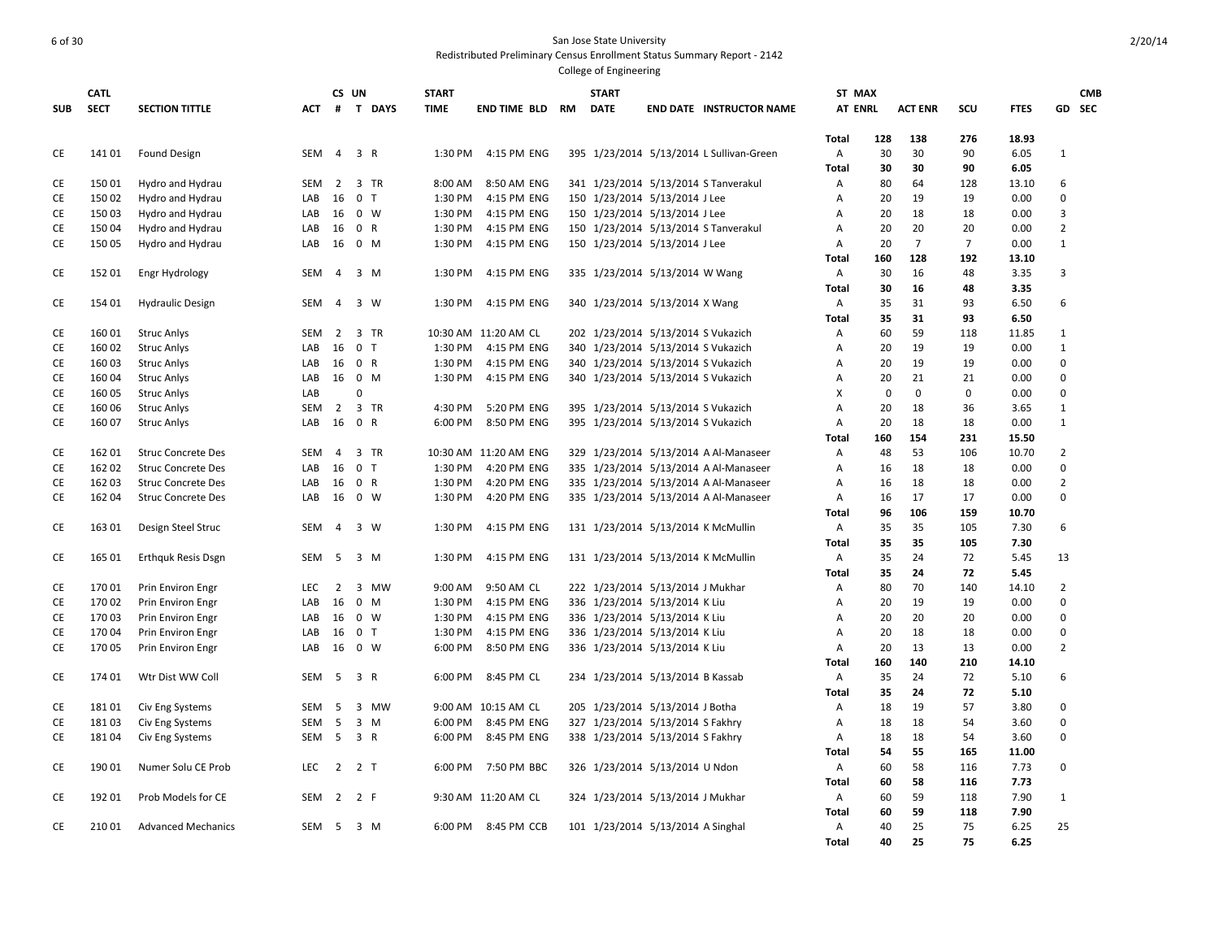|            | CATL        |                           |            | CS UN          |                |              | <b>START</b> |                       | <b>START</b>                       |                                          | ST MAX                         |          |                |             |              |                | <b>CMB</b> |
|------------|-------------|---------------------------|------------|----------------|----------------|--------------|--------------|-----------------------|------------------------------------|------------------------------------------|--------------------------------|----------|----------------|-------------|--------------|----------------|------------|
| <b>SUB</b> | <b>SECT</b> | <b>SECTION TITTLE</b>     | <b>ACT</b> |                |                | # T DAYS     | <b>TIME</b>  | END TIME BLD RM       | <b>DATE</b>                        | <b>END DATE INSTRUCTOR NAME</b>          | <b>AT ENRL</b>                 |          | <b>ACT ENR</b> | SCU         | <b>FTES</b>  |                | GD SEC     |
|            |             |                           |            |                |                |              |              |                       |                                    |                                          | <b>Total</b>                   | 128      | 138            | 276         | 18.93        |                |            |
| CE         | 141 01      | <b>Found Design</b>       | SEM        | 4 3 R          |                |              | 1:30 PM      | 4:15 PM ENG           |                                    | 395 1/23/2014 5/13/2014 L Sullivan-Green | Α                              | 30       | 30             | 90          | 6.05         | $\mathbf{1}$   |            |
|            |             |                           |            |                |                |              |              |                       |                                    |                                          | Total                          | 30       | 30             | 90          | 6.05         |                |            |
| CE         | 15001       | Hydro and Hydrau          | SEM        | 2              |                | 3 TR         | 8:00 AM      | 8:50 AM ENG           |                                    | 341 1/23/2014 5/13/2014 S Tanverakul     | Α                              | 80       | 64             | 128         | 13.10        | 6              |            |
| CE         | 15002       | Hydro and Hydrau          | LAB        | 16             | $\mathbf 0$    | $\mathsf{T}$ | 1:30 PM      | 4:15 PM ENG           | 150 1/23/2014 5/13/2014 J Lee      |                                          | Α                              | 20       | 19             | 19          | 0.00         | $\mathbf 0$    |            |
| CE         | 15003       | Hydro and Hydrau          | LAB        | 16             |                | 0 W          | 1:30 PM      | 4:15 PM ENG           | 150 1/23/2014 5/13/2014 J Lee      |                                          | A                              | 20       | 18             | 18          | 0.00         | $\overline{3}$ |            |
| CE         | 15004       | Hydro and Hydrau          | LAB        | 16             | 0 R            |              | 1:30 PM      | 4:15 PM ENG           |                                    | 150 1/23/2014 5/13/2014 S Tanverakul     | Α                              | 20       | 20             | 20          | 0.00         | $\mathbf 2$    |            |
| CE         | 15005       | Hydro and Hydrau          | LAB        | 16             | 0 M            |              | 1:30 PM      | 4:15 PM ENG           | 150 1/23/2014 5/13/2014 J Lee      |                                          | A                              | 20       | $\overline{7}$ | 7           | 0.00         | $\mathbf{1}$   |            |
|            |             |                           |            |                |                |              |              |                       |                                    |                                          | <b>Total</b>                   | 160      | 128            | 192         | 13.10        |                |            |
| CE         | 152 01      | Engr Hydrology            | SEM        | $\overline{4}$ |                | 3 M          | 1:30 PM      | 4:15 PM ENG           | 335 1/23/2014 5/13/2014 W Wang     |                                          | $\overline{A}$                 | 30       | 16             | 48          | 3.35         | $\overline{3}$ |            |
|            |             |                           |            |                |                |              |              |                       |                                    |                                          | Total                          | 30       | 16             | 48          | 3.35         |                |            |
| CE         | 154 01      | <b>Hydraulic Design</b>   | SEM        | $\overline{4}$ |                | 3 W          | 1:30 PM      | 4:15 PM ENG           | 340 1/23/2014 5/13/2014 X Wang     |                                          | Α                              | 35       | 31             | 93          | 6.50         | 6              |            |
|            |             |                           |            |                |                |              |              |                       |                                    |                                          | Total                          | 35       | 31             | 93          | 6.50         |                |            |
| CE         | 16001       | <b>Struc Anlys</b>        | <b>SEM</b> | $\overline{2}$ |                | 3 TR         |              | 10:30 AM 11:20 AM CL  | 202 1/23/2014 5/13/2014 S Vukazich |                                          | Α                              | 60       | 59             | 118         | 11.85        | $\mathbf{1}$   |            |
| CE         | 16002       | <b>Struc Anlys</b>        | LAB        | 16             | 0 <sub>T</sub> |              | 1:30 PM      | 4:15 PM ENG           | 340 1/23/2014 5/13/2014 S Vukazich |                                          | $\overline{A}$                 | 20       | 19             | 19          | 0.00         | $\mathbf{1}$   |            |
| CE         | 16003       | <b>Struc Anlys</b>        | LAB        | 16             | 0 R            |              | 1:30 PM      | 4:15 PM ENG           | 340 1/23/2014 5/13/2014 S Vukazich |                                          | Α                              | 20       | 19             | 19          | 0.00         | $\mathbf 0$    |            |
| CE         | 16004       | <b>Struc Anlys</b>        | LAB        | 16             | 0 M            |              | 1:30 PM      | 4:15 PM ENG           | 340 1/23/2014 5/13/2014 S Vukazich |                                          | Α                              | 20       | 21             | 21          | 0.00         | $\mathbf 0$    |            |
| CE         | 160 05      | <b>Struc Anlys</b>        | LAB        |                | 0              |              |              |                       |                                    |                                          | X                              | 0        | $\mathbf 0$    | $\mathbf 0$ | 0.00         | $\mathbf 0$    |            |
| CE         | 16006       | <b>Struc Anlys</b>        | <b>SEM</b> | $\overline{2}$ |                | 3 TR         | 4:30 PM      | 5:20 PM ENG           | 395 1/23/2014 5/13/2014 S Vukazich |                                          | $\overline{A}$                 | 20       | 18             | 36          | 3.65         | $1\,$          |            |
| CE         | 160 07      | <b>Struc Anlys</b>        | LAB        | 16             | 0 R            |              | 6:00 PM      | 8:50 PM ENG           | 395 1/23/2014 5/13/2014 S Vukazich |                                          | $\overline{A}$                 | 20       | 18             | 18          | 0.00         | $\mathbf{1}$   |            |
|            |             |                           |            |                |                |              |              |                       |                                    |                                          | <b>Total</b>                   | 160      | 154            | 231         | 15.50        |                |            |
| CE         | 162 01      | <b>Struc Concrete Des</b> | SEM        | $\overline{4}$ |                | 3 TR         |              | 10:30 AM 11:20 AM ENG |                                    | 329 1/23/2014 5/13/2014 A Al-Manaseer    | Α                              | 48       | 53             | 106         | 10.70        | $\overline{2}$ |            |
| CE         | 16202       | <b>Struc Concrete Des</b> | LAB        | 16             | $\mathbf 0$    | $\mathsf{T}$ | 1:30 PM      | 4:20 PM ENG           |                                    | 335 1/23/2014 5/13/2014 A Al-Manaseer    | A                              | 16       | 18             | 18          | 0.00         | $\mathbf 0$    |            |
| CE         | 162 03      | <b>Struc Concrete Des</b> | LAB        | 16             | 0 R            |              | 1:30 PM      | 4:20 PM ENG           |                                    | 335 1/23/2014 5/13/2014 A Al-Manaseer    | Α                              | 16       | 18             | 18          | 0.00         | $\overline{2}$ |            |
| <b>CE</b>  | 162 04      | <b>Struc Concrete Des</b> | LAB        | 16             |                | $0 \quad W$  | 1:30 PM      | 4:20 PM ENG           |                                    | 335 1/23/2014 5/13/2014 A Al-Manaseer    | A                              | 16       | 17             | 17          | 0.00         | $\Omega$       |            |
|            |             |                           |            |                |                |              |              |                       |                                    |                                          | Total                          | 96       | 106            | 159         | 10.70        |                |            |
| CE         | 163 01      | Design Steel Struc        | <b>SEM</b> | $\overline{4}$ |                | 3 W          | 1:30 PM      | 4:15 PM ENG           |                                    | 131 1/23/2014 5/13/2014 K McMullin       | Α                              | 35       | 35             | 105         | 7.30         | 6              |            |
|            |             |                           |            |                |                |              |              |                       |                                    |                                          | <b>Total</b>                   | 35       | 35             | 105         | 7.30         |                |            |
| CE         | 165 01      | <b>Erthquk Resis Dsgn</b> | <b>SEM</b> | 5              |                | 3 M          | 1:30 PM      | 4:15 PM ENG           |                                    | 131 1/23/2014 5/13/2014 K McMullin       | Α                              | 35       | 24             | 72          | 5.45         | 13             |            |
|            |             |                           |            |                |                |              |              |                       |                                    |                                          | Total                          | 35       | 24             | 72          | 5.45         |                |            |
| CE         | 17001       | Prin Environ Engr         | LEC        | $\overline{2}$ |                | 3 MW         | 9:00 AM      | 9:50 AM CL            | 222 1/23/2014 5/13/2014 J Mukhar   |                                          | Α                              | 80       | 70             | 140         | 14.10        | $\overline{2}$ |            |
| CE         | 17002       | Prin Environ Engr         | LAB        | 16             | $\mathbf 0$    | M            | 1:30 PM      | 4:15 PM ENG           | 336 1/23/2014 5/13/2014 K Liu      |                                          | A                              | 20       | 19             | 19          | 0.00         | 0              |            |
| CE         | 17003       | Prin Environ Engr         | LAB        | 16             | 0 W            |              | 1:30 PM      | 4:15 PM ENG           | 336 1/23/2014 5/13/2014 K Liu      |                                          | Α                              | 20       | 20             | 20          | 0.00         | 0              |            |
| СE         | 17004       | Prin Environ Engr         | LAB        | 16             | 0 <sub>T</sub> |              | 1:30 PM      | 4:15 PM ENG           | 336 1/23/2014 5/13/2014 K Liu      |                                          | A                              | 20       | 18             | 18          | 0.00         | 0              |            |
| <b>CE</b>  | 17005       | Prin Environ Engr         | LAB        | 16 0 W         |                |              | 6:00 PM      | 8:50 PM ENG           | 336 1/23/2014 5/13/2014 K Liu      |                                          | $\overline{A}$                 | 20       | 13             | 13          | 0.00         | $\mathbf 2$    |            |
|            |             |                           |            |                |                |              |              |                       |                                    |                                          | <b>Total</b>                   | 160      | 140            | 210         | 14.10        |                |            |
| CE         | 174 01      | Wtr Dist WW Coll          | <b>SEM</b> | 5              | 3 R            |              | 6:00 PM      | 8:45 PM CL            | 234 1/23/2014 5/13/2014 B Kassab   |                                          | Α                              | 35       | 24             | 72          | 5.10         | 6              |            |
|            |             |                           |            |                |                |              |              |                       |                                    |                                          | <b>Total</b>                   | 35       | 24             | 72          | 5.10         |                |            |
| CE         | 18101       | Civ Eng Systems           | SEM        | 5              |                | 3 MW         |              | 9:00 AM 10:15 AM CL   | 205 1/23/2014 5/13/2014 J Botha    |                                          | Α                              | 18       | 19             | 57          | 3.80         | $\mathbf 0$    |            |
| СE         | 18103       | Civ Eng Systems           | SEM        | 5              |                | $3 \, M$     | 6:00 PM      | 8:45 PM ENG           | 327 1/23/2014 5/13/2014 S Fakhry   |                                          | Α                              | 18       | 18             | 54          | 3.60         | $\mathbf 0$    |            |
| CE         | 18104       | Civ Eng Systems           | SEM        | 5              | 3 R            |              | 6:00 PM      | 8:45 PM ENG           | 338 1/23/2014 5/13/2014 S Fakhry   |                                          | Α                              | 18       | 18             | 54          | 3.60         | 0              |            |
|            |             |                           |            |                |                |              |              |                       |                                    |                                          | Total                          | 54       | 55             | 165         | 11.00        |                |            |
| CE         | 19001       | Numer Solu CE Prob        | <b>LEC</b> | 2              | 2 T            |              | 6:00 PM      | 7:50 PM BBC           | 326 1/23/2014 5/13/2014 U Ndon     |                                          | A                              | 60       | 58             | 116         | 7.73         | 0              |            |
|            |             |                           |            |                |                |              |              |                       |                                    |                                          | Total                          | 60       | 58             | 116         | 7.73         |                |            |
| CE         | 192 01      | Prob Models for CE        | <b>SEM</b> | 2              | 2 F            |              |              | 9:30 AM 11:20 AM CL   | 324 1/23/2014 5/13/2014 J Mukhar   |                                          | $\overline{A}$                 | 60       | 59<br>59       | 118         | 7.90<br>7.90 | $\mathbf{1}$   |            |
| <b>CE</b>  | 21001       | <b>Advanced Mechanics</b> | SEM        | - 5            | 3 M            |              | 6:00 PM      | 8:45 PM CCB           | 101 1/23/2014 5/13/2014 A Singhal  |                                          | <b>Total</b><br>$\overline{A}$ | 60<br>40 | 25             | 118<br>75   | 6.25         | 25             |            |
|            |             |                           |            |                |                |              |              |                       |                                    |                                          | <b>Total</b>                   | 40       | 25             | 75          | 6.25         |                |            |
|            |             |                           |            |                |                |              |              |                       |                                    |                                          |                                |          |                |             |              |                |            |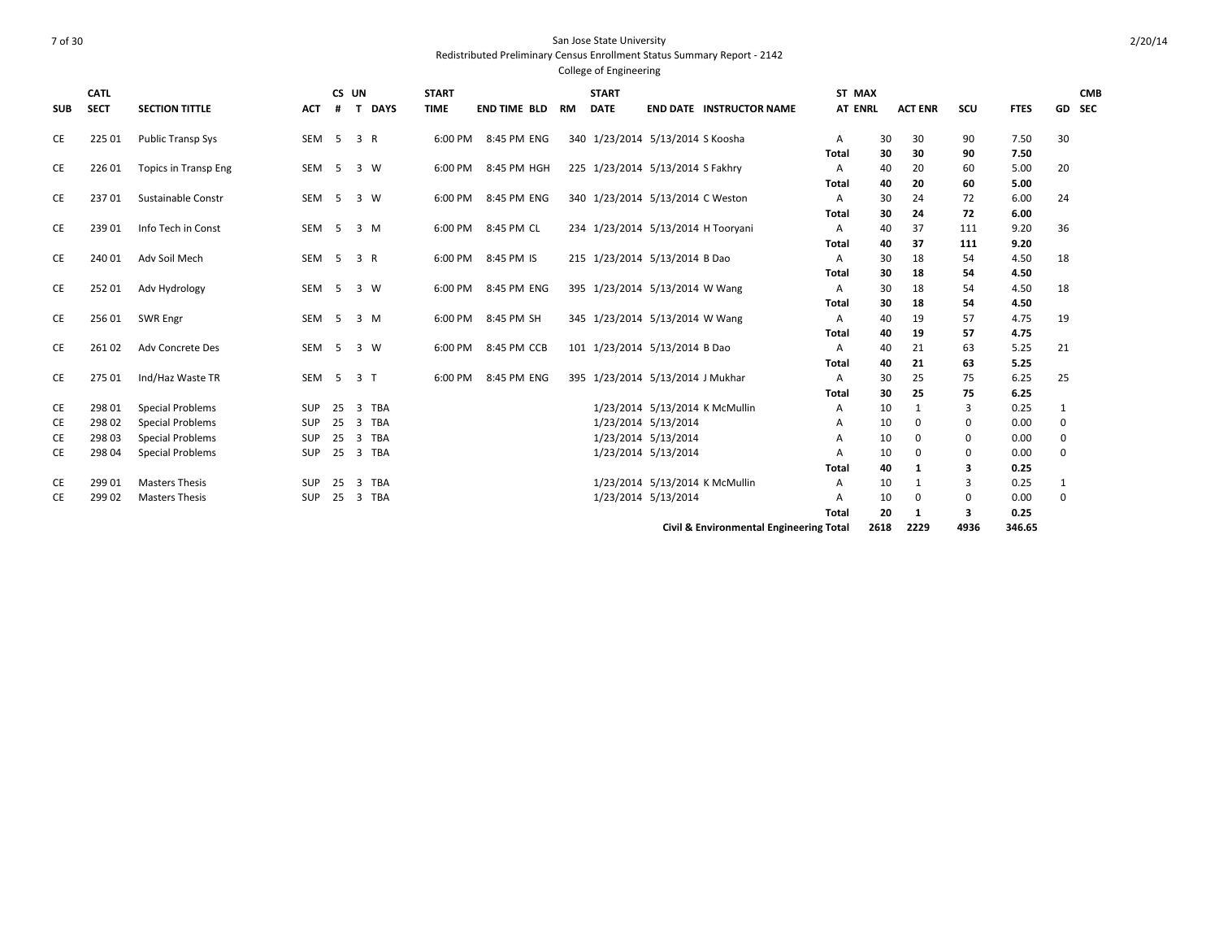| <b>SUB</b> | CATL<br><b>SECT</b> | <b>SECTION TITTLE</b>       | <b>ACT</b> | #           | CS UN<br><b>DAYS</b><br>T             | <b>START</b><br><b>TIME</b> | <b>END TIME BLD</b> | <b>RM</b> | <b>START</b><br><b>DATE</b> |                                    | <b>END DATE INSTRUCTOR NAME</b>         | ST MAX<br><b>AT ENRL</b> |      | <b>ACT ENR</b> | SCU      | <b>FTES</b> | GD SEC      | <b>CMB</b> |
|------------|---------------------|-----------------------------|------------|-------------|---------------------------------------|-----------------------------|---------------------|-----------|-----------------------------|------------------------------------|-----------------------------------------|--------------------------|------|----------------|----------|-------------|-------------|------------|
|            |                     |                             |            |             |                                       |                             |                     |           |                             |                                    |                                         |                          |      |                |          |             |             |            |
| CE         | 225 01              | Public Transp Sys           | SEM        |             | 5 3 R                                 | 6:00 PM                     | 8:45 PM ENG         |           |                             | 340 1/23/2014 5/13/2014 S Koosha   |                                         | A                        | 30   | 30             | 90       | 7.50        | 30          |            |
|            |                     |                             |            |             |                                       |                             |                     |           |                             |                                    |                                         | Total                    | 30   | 30             | 90       | 7.50        |             |            |
| CE         | 22601               | <b>Topics in Transp Eng</b> | SEM        | $5^{\circ}$ | 3 W                                   | 6:00 PM                     | 8:45 PM HGH         |           |                             | 225 1/23/2014 5/13/2014 S Fakhry   |                                         | $\mathsf{A}$             | 40   | 20             | 60       | 5.00        | 20          |            |
|            |                     |                             |            |             |                                       |                             |                     |           |                             |                                    |                                         | <b>Total</b>             | 40   | 20             | 60       | 5.00        |             |            |
| CE         | 23701               | Sustainable Constr          | <b>SEM</b> | 5           | 3 W                                   | 6:00 PM                     | 8:45 PM ENG         |           |                             | 340 1/23/2014 5/13/2014 C Weston   |                                         | $\mathsf{A}$             | 30   | 24             | 72       | 6.00        | 24          |            |
|            |                     |                             |            |             |                                       |                             |                     |           |                             |                                    |                                         | <b>Total</b>             | 30   | 24             | 72       | 6.00        |             |            |
| CE         | 239 01              | Info Tech in Const          | SEM        | $5^{\circ}$ | 3 M                                   | 6:00 PM                     | 8:45 PM CL          |           |                             | 234 1/23/2014 5/13/2014 H Tooryani |                                         | Α                        | 40   | 37             | 111      | 9.20        | 36          |            |
|            |                     |                             |            |             |                                       |                             |                     |           |                             |                                    |                                         | Total                    | 40   | 37             | 111      | 9.20        |             |            |
| CE         | 240 01              | Adv Soil Mech               | SEM        | $5^{\circ}$ | 3 R                                   | 6:00 PM                     | 8:45 PM IS          |           |                             | 215 1/23/2014 5/13/2014 B Dao      |                                         | A                        | 30   | 18             | 54       | 4.50        | 18          |            |
|            |                     |                             |            |             |                                       |                             |                     |           |                             |                                    |                                         | <b>Total</b>             | 30   | 18             | 54       | 4.50        |             |            |
| CE         | 25201               | Adv Hydrology               | SEM        | $5^{\circ}$ | 3 W                                   | 6:00 PM                     | 8:45 PM ENG         |           |                             | 395 1/23/2014 5/13/2014 W Wang     |                                         | $\mathsf{A}$             | 30   | 18             | 54       | 4.50        | 18          |            |
|            |                     |                             |            |             |                                       |                             |                     |           |                             |                                    |                                         | <b>Total</b>             | 30   | 18             | 54       | 4.50        |             |            |
| CE         | 256 01              | <b>SWR Engr</b>             | SEM        | 5           | $3 \, M$                              | 6:00 PM                     | 8:45 PM SH          |           |                             | 345 1/23/2014 5/13/2014 W Wang     |                                         | $\mathsf{A}$             | 40   | 19             | 57       | 4.75        | 19          |            |
|            |                     |                             |            |             |                                       |                             |                     |           |                             |                                    |                                         | Total                    | 40   | 19             | 57       | 4.75        |             |            |
| СE         | 261 02              | Adv Concrete Des            | SEM        | 5           | 3 W                                   | 6:00 PM                     | 8:45 PM CCB         |           |                             | 101 1/23/2014 5/13/2014 B Dao      |                                         | A                        | 40   | 21             | 63       | 5.25        | 21          |            |
|            |                     |                             |            |             |                                       |                             |                     |           |                             |                                    |                                         | <b>Total</b>             | 40   | 21             | 63       | 5.25        |             |            |
| CE         | 275 01              | Ind/Haz Waste TR            | SEM        | 5           | 3 <sub>1</sub>                        | 6:00 PM                     | 8:45 PM ENG         |           |                             | 395 1/23/2014 5/13/2014 J Mukhar   |                                         | $\mathsf{A}$             | 30   | 25             | 75       | 6.25        | 25          |            |
|            |                     |                             |            |             |                                       |                             |                     |           |                             |                                    |                                         | Total                    | 30   | 25             | 75       | 6.25        |             |            |
| CE         | 298 01              | <b>Special Problems</b>     | <b>SUP</b> | 25          | $\overline{3}$<br>TBA                 |                             |                     |           |                             |                                    | 1/23/2014 5/13/2014 K McMullin          | Α                        | 10   | 1              | 3        | 0.25        | 1           |            |
| CE         | 298 02              | <b>Special Problems</b>     | <b>SUP</b> | 25          | <b>TBA</b><br>$\overline{\mathbf{3}}$ |                             |                     |           |                             | 1/23/2014 5/13/2014                |                                         | A                        | 10   | 0              | 0        | 0.00        | 0           |            |
| CE         | 298 03              | <b>Special Problems</b>     | SUP        | 25          | <b>TBA</b><br>3                       |                             |                     |           |                             | 1/23/2014 5/13/2014                |                                         |                          | 10   | $\mathbf 0$    | 0        | 0.00        | $\mathbf 0$ |            |
| СE         | 298 04              | <b>Special Problems</b>     | SUP        | 25          | <b>TBA</b><br>3                       |                             |                     |           |                             | 1/23/2014 5/13/2014                |                                         |                          | 10   | $\Omega$       | 0        | 0.00        | 0           |            |
|            |                     |                             |            |             |                                       |                             |                     |           |                             |                                    |                                         | Total                    | 40   | 1              | 3        | 0.25        |             |            |
| CE         | 299 01              | <b>Masters Thesis</b>       | SUP        | 25          | TBA<br>3                              |                             |                     |           |                             | 1/23/2014 5/13/2014 K McMullin     |                                         | Α                        | 10   |                | 3        | 0.25        | 1           |            |
| CE         | 299 02              | <b>Masters Thesis</b>       | SUP        | 25          | $\overline{\mathbf{3}}$<br>TBA        |                             |                     |           |                             | 1/23/2014 5/13/2014                |                                         |                          | 10   | 0              | $\Omega$ | 0.00        | $\mathbf 0$ |            |
|            |                     |                             |            |             |                                       |                             |                     |           |                             |                                    |                                         | Total                    | 20   | 1              | 3        | 0.25        |             |            |
|            |                     |                             |            |             |                                       |                             |                     |           |                             |                                    | Civil & Environmental Engineering Total |                          | 2618 | 2229           | 4936     | 346.65      |             |            |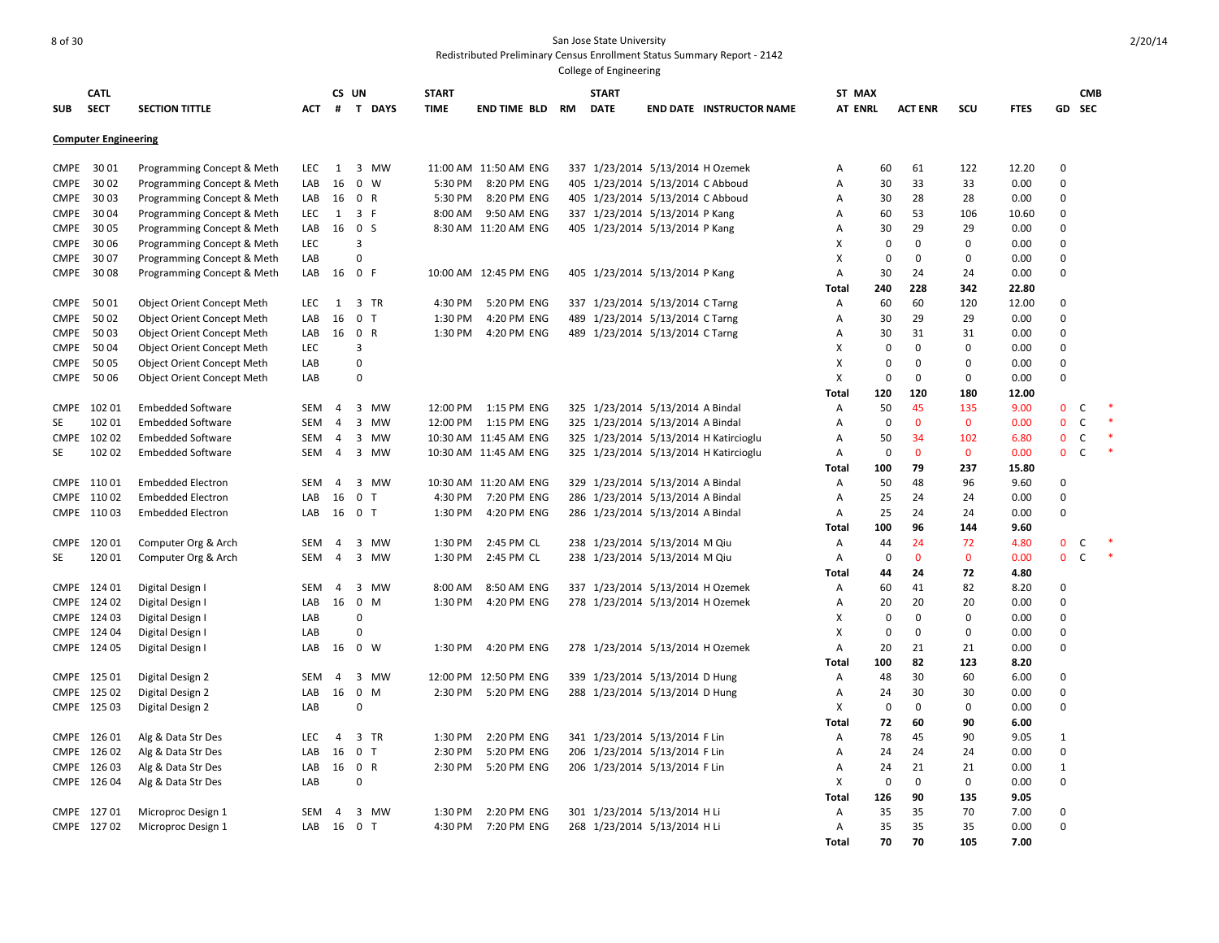## 8 of 30 San Jose State University Redistributed Preliminary Census Enrollment Status Summary Report - 2142 College of Engineering

**SUB CATL SECT SECTION TITTLE CS UN # T DAYS START TIME END TIME BLD RM START DATE END DATE INSTRUCTOR NAME ST MAX AT ENRL ENRL ACT ENR SCU FTES GD SEC Computer Engineering** CMPE 30 01 Programming Concept & Meth LEC 1 3 MW 11:00 AM 11:50 AM ENG 337 1/23/2014 5/13/2014 H Ozemek A 60 61 122 12.20 0 CMPE 30 02 Programming Concept & Meth LAB 16 0 W 5:30 PM 8:20 PM ENG 405 1/23/2014 5/13/2014 C Abboud A 30 33 33 0.00 0 CMPE 30 03 Programming Concept & Meth LAB 16 0 R 5:30 PM 8:20 PM ENG 405 1/23/2014 5/13/2014 C Abboud A 30 28 28 0.00 0 CMPE 30 04 Programming Concept & Meth LEC 1 3 F 8:00 AM 9:50 AM ENG 337 1/23/2014 5/13/2014 P Kang A 60 53 106 10.60 0 CMPE 30 05 Programming Concept & Meth LAB 16 0 S 8:30 AM 11:20 AM ENG 405 1/23/2014 5/13/2014 P Kang A 30 29 29 0.00 0 CMPE 30 06 Programming Concept & Meth LEC 3 X 0 0 0 0.00 0 CMPE 30 07 Programming Concept & Meth LAB 0 X 0 0 0 0.00 0 CMPE 30 08 Programming Concept & Meth LAB 16 0 F 10:00 AM 12:45 PM ENG 405 1/23/2014 5/13/2014 P Kang A 30 24 24 0.00 0 **Total 240 228 342 22.80** CMPE 50 01 Object Orient Concept Meth LEC 1 3 TR 4:30 PM 5:20 PM ENG 337 1/23/2014 5/13/2014 C Tarng A 60 60 120 12.00 0 CMPE 50 02 Object Orient Concept Meth LAB 16 0 T 1:30 PM 4:20 PM ENG 489 1/23/2014 5/13/2014 C Tarng A 30 29 29 0.00 0 CMPE 50 03 Object Orient Concept Meth LAB 16 0 R 1:30 PM 4:20 PM ENG 489 1/23/2014 5/13/2014 C Tarng A 30 31 31 0.00 0 CMPE 50 04 Object Orient Concept Meth LEC 3 X 0 0 0 0.00 0 CMPE 50 05 Object Orient Concept Meth LAB 0 X 0 0 0 0.00 0 CMPE 50 06 Object Orient Concept Meth LAB 0 X 0 0 0 0.00 0 **Total 120 120 180 12.00** CMPE 102 01 Embedded Software SEM 4 3 MW 12:00 PM 1:15 PM ENG 325 1/23/2014 5/13/2014 A Bindal A 50 45 135 9.00 0 C SE 102 01 Embedded Software SEM 4 3 MW 12:00 PM 1:15 PM ENG 325 1/23/2014 5/13/2014 A Bindal A a 0 0 0 0.00 0 C CMPE 102 02 Embedded Software SEM 4 3 MW 10:30 AM 11:45 AM ENG 325 1/23/2014 5/13/2014 H Katircioglu A 50 34 102 6.80 0 C \* SE 102 02 Embedded Software SEM 4 3 MW 10:30 AM 11:45 AM ENG 325 1/23/2014 5/13/2014 H Katircioglu A 0 0 0 0.00 0 C \* **Total 100 79 237 15.80** CMPE 110 01 Embedded Electron SEM 4 3 MW 10:30 AM 11:20 AM ENG 329 1/23/2014 5/13/2014 A Bindal A 50 48 96 9.60 0 CMPE 11002 Embedded Electron LAB 16 0 T 4:30 PM 7:20 PM ENG 286 1/23/2014 5/13/2014 A Bindal A 25 24 24 0.00 0 CMPE 110 03 Embedded Electron LAB 16 0 T 1:30 PM 4:20 PM ENG 286 1/23/2014 5/13/2014 A Bindal A 25 24 24 0.00 0 **Total 100 96 144 9.60** CMPE 120 01 Computer Org & Arch SEM 4 3 MW 1:30 PM 2:45 PM CL 238 1/23/2014 5/13/2014 M Qiu A 44 24 72 4.80 0 C \* SE 12001 Computer Org & Arch SEM 4 3 MW 1:30 PM 2:45 PM CL 238 1/23/2014 5/13/2014 M Qiu A 0 0 0 0.00 0 C **Total 44 24 72 4.80** CMPE 124 01 Digital Design I SEM 4 3 MW 8:00 AM 8:50 AM ENG 337 1/23/2014 5/13/2014 H Ozemek A 60 41 82 8.20 0 CMPE 12402 Digital Design I LAB 16 0 M 1:30 PM 4:20 PM ENG 278 1/23/2014 5/13/2014 H Ozemek A 20 20 20 0.00 0 CMPE 124 03 Digital Design I LAB 0 X 0 0 0 0.00 0 CMPE 124 04 Digital Design I LAB 0 X 0 0 0 0.00 0 CMPE 124 05 Digital Design I LAB 16 0 W 1:30 PM 4:20 PM ENG 278 1/23/2014 5/13/2014 H Ozemek A 20 21 21 0.00 0 **Total 100 82 123 8.20** CMPE 125 01 Digital Design 2 SEM 4 3 MW 12:00 PM 12:50 PM ENG 339 1/23/2014 5/13/2014 D Hung A 48 30 60 6.00 0 CMPE 125 02 Digital Design 2 CM LAB 16 0 M 2:30 PM 5:20 PM ENG 288 1/23/2014 5/13/2014 D Hung CM A 24 30 30 0.00 0 CMPE 125 03 Digital Design 2 LAB 0 X 0 0 0 0.00 0 **Total 72 60 90 6.00** CMPE 126 01 Alg & Data Str Des COMPUS LEC 4 3 TR 1:30 PM 2:20 PM ENG 341 1/23/2014 5/13/2014 F Lin A 78 45 90 9.05 1 CMPE 12602 Alg & Data Str Des COMPUS LAB 16 0 T 2:30 PM 5:20 PM ENG 206 1/23/2014 5/13/2014 F Lin COMPUS A 24 24 24 0.00 0 CMPE 126 03 Alg & Data Str Des CMP LAB 16 0 R 2:30 PM 5:20 PM ENG 206 1/23/2014 5/13/2014 F Lin A 24 21 21 0.00 1 CMPE 126 04 Alg & Data Str Des LAB 0 X 0 0 0 0.00 0 **Total 126 90 135 9.05** CMPE 12701 Microproc Design 1 SEM 4 3 MW 1:30 PM 2:20 PM ENG 301 1/23/2014 5/13/2014 H Li A 35 35 70 7.00 0 CMPE 12702 Microproc Design 1 LAB 16 0 T 4:30 PM 7:20 PM ENG 268 1/23/2014 5/13/2014 H Li A 35 35 35 0.00 0

**CMB** 

**Total 70 70 105 7.00**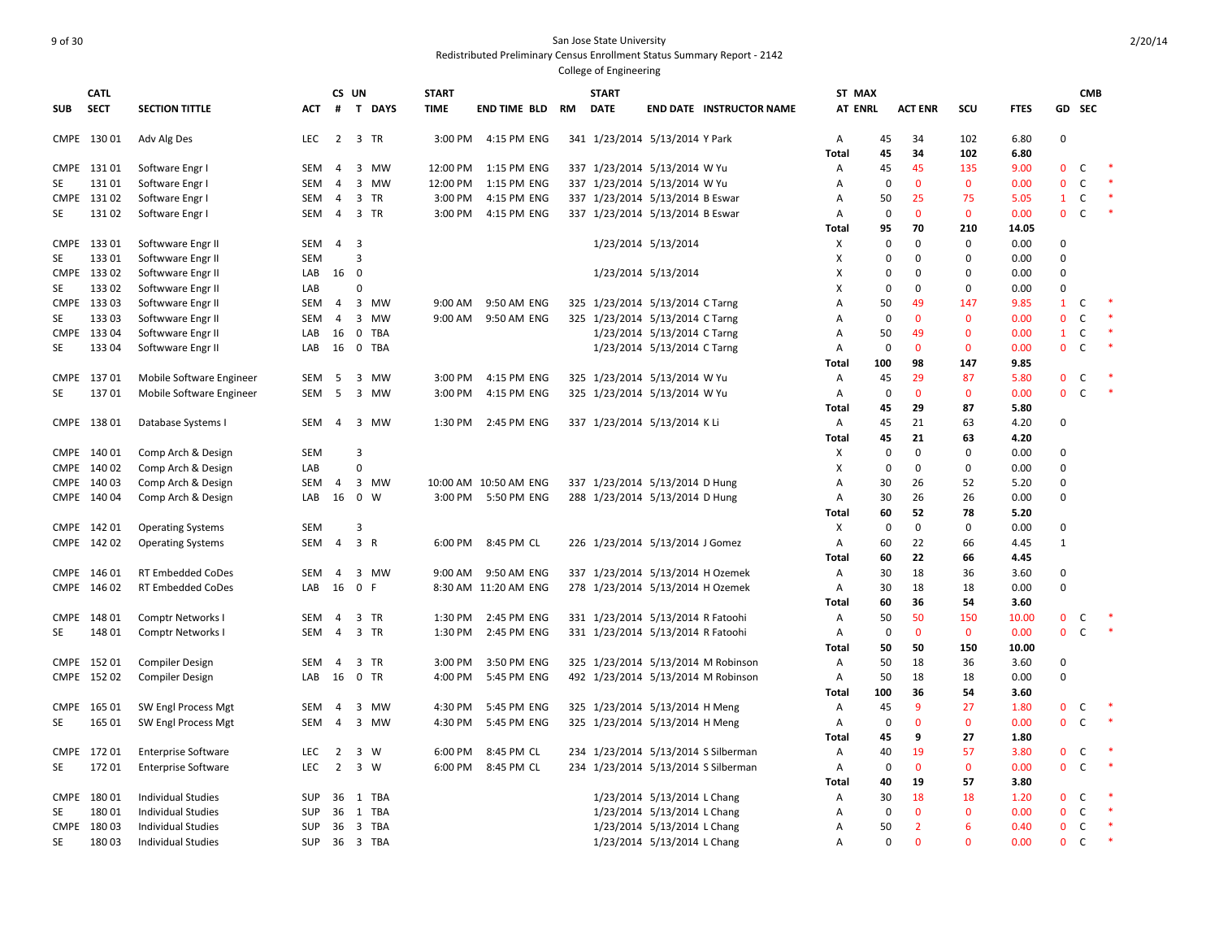| <b>SUB</b>  | <b>CATL</b><br><b>SECT</b> | <b>SECTION TITTLE</b>              | <b>ACT</b>        |                     | CS UN                   | # T DAYS          | <b>START</b><br><b>TIME</b> | END TIME BLD RM            | <b>START</b><br><b>DATE</b>                                        |                             | <b>END DATE INSTRUCTOR NAME</b>     | ST MAX<br><b>AT ENRL</b> |                   | <b>ACT ENR</b>     | scu                 | <b>FTES</b>  |                             | <b>CMB</b><br>GD SEC |        |
|-------------|----------------------------|------------------------------------|-------------------|---------------------|-------------------------|-------------------|-----------------------------|----------------------------|--------------------------------------------------------------------|-----------------------------|-------------------------------------|--------------------------|-------------------|--------------------|---------------------|--------------|-----------------------------|----------------------|--------|
|             |                            |                                    |                   |                     |                         |                   |                             |                            |                                                                    |                             |                                     |                          |                   |                    |                     |              |                             |                      |        |
|             | CMPE 130 01                | Adv Alg Des                        | <b>LEC</b>        |                     | 2 3 TR                  |                   | 3:00 PM                     | 4:15 PM ENG                | 341 1/23/2014 5/13/2014 Y Park                                     |                             |                                     | $\overline{A}$           | 45                | 34                 | 102                 | 6.80         | 0                           |                      |        |
|             |                            |                                    |                   |                     |                         |                   |                             |                            |                                                                    |                             |                                     | Total                    | 45                | 34                 | 102                 | 6.80         |                             |                      |        |
|             | CMPE 13101                 | Software Engr I                    | SEM<br><b>SEM</b> | 4<br>$\overline{4}$ | 3                       | 3 MW<br><b>MW</b> | 12:00 PM                    | 1:15 PM ENG<br>1:15 PM ENG | 337 1/23/2014 5/13/2014 W Yu                                       |                             |                                     | Α                        | 45<br>$\mathbf 0$ | 45<br>$\mathbf{0}$ | 135<br>$\mathbf{0}$ | 9.00         | $\mathbf 0$<br>$\mathbf{0}$ | C<br>C               | $\ast$ |
| <b>SE</b>   | 13101                      | Software Engr I                    | <b>SEM</b>        | $\overline{4}$      | $\overline{3}$          | TR                | 12:00 PM                    |                            | 337 1/23/2014 5/13/2014 W Yu                                       |                             |                                     | A                        |                   | 25                 | 75                  | 0.00         | $\mathbf{1}$                | $\mathsf{C}$         |        |
|             | CMPE 13102<br>13102        | Software Engr I<br>Software Engr I | SEM               | 4                   | $\overline{3}$          | TR                | 3:00 PM<br>3:00 PM          | 4:15 PM ENG<br>4:15 PM ENG | 337 1/23/2014 5/13/2014 B Eswar<br>337 1/23/2014 5/13/2014 B Eswar |                             |                                     | A                        | 50<br>$\mathbf 0$ | $\mathbf{0}$       | $\mathbf 0$         | 5.05<br>0.00 | $\mathbf{0}$                | $\mathsf{C}$         |        |
| SE          |                            |                                    |                   |                     |                         |                   |                             |                            |                                                                    |                             |                                     | Α<br>Total               | 95                | 70                 | 210                 | 14.05        |                             |                      |        |
| <b>CMPE</b> | 13301                      | Softwware Engr II                  | SEM               | $\overline{4}$      | $\overline{\mathbf{3}}$ |                   |                             |                            |                                                                    | 1/23/2014 5/13/2014         |                                     | X                        | $\Omega$          | $\Omega$           | $\mathbf 0$         | 0.00         | $\mathbf 0$                 |                      |        |
| SE          | 13301                      | Softwware Engr II                  | <b>SEM</b>        |                     | 3                       |                   |                             |                            |                                                                    |                             |                                     | х                        | $\mathbf 0$       | $\mathbf 0$        | $\mathbf 0$         | 0.00         | 0                           |                      |        |
|             | CMPE 133 02                | Softwware Engr II                  | LAB               | 16 0                |                         |                   |                             |                            |                                                                    | 1/23/2014 5/13/2014         |                                     | X                        | $\mathbf 0$       | $\Omega$           | $\Omega$            | 0.00         | 0                           |                      |        |
| SE          | 133 02                     | Softwware Engr II                  | LAB               |                     | $\Omega$                |                   |                             |                            |                                                                    |                             |                                     | X                        | $\mathbf 0$       | $\mathbf 0$        | $\mathbf 0$         | 0.00         | 0                           |                      |        |
|             | CMPE 133 03                | Softwware Engr II                  | SEM               | 4                   |                         | 3 MW              | 9:00 AM                     | 9:50 AM ENG                | 325 1/23/2014 5/13/2014 C Tarng                                    |                             |                                     | $\overline{A}$           | 50                | 49                 | 147                 | 9.85         | $\mathbf{1}$                | $\mathsf{C}$         |        |
| SE          | 13303                      | Softwware Engr II                  | <b>SEM</b>        | $\overline{4}$      | 3                       | <b>MW</b>         | $9:00$ AM                   | 9:50 AM ENG                | 325 1/23/2014 5/13/2014 C Tarng                                    |                             |                                     | Α                        | $\mathbf 0$       | $\mathbf{0}$       | $\mathbf{0}$        | 0.00         | $\mathbf{0}$                | C                    |        |
|             | CMPE 133 04                | Softwware Engr II                  | LAB               | 16                  | $\mathbf 0$             | TBA               |                             |                            |                                                                    | 1/23/2014 5/13/2014 C Tarng |                                     | A                        | 50                | 49                 | $\mathbf 0$         | 0.00         | $\mathbf{1}$                | $\mathsf{C}$         |        |
| SE          | 13304                      | Softwware Engr II                  | LAB               | 16                  | $\mathbf 0$             | <b>TBA</b>        |                             |                            |                                                                    | 1/23/2014 5/13/2014 C Tarng |                                     | $\overline{A}$           | $\mathbf 0$       | $\mathbf 0$        | $\mathbf{0}$        | 0.00         | $\mathbf{0}$                | $\mathsf{C}$         |        |
|             |                            |                                    |                   |                     |                         |                   |                             |                            |                                                                    |                             |                                     | Total                    | 100               | 98                 | 147                 | 9.85         |                             |                      |        |
|             | CMPE 137 01                | Mobile Software Engineer           | SEM               | 5                   | 3                       | MW                | 3:00 PM                     | 4:15 PM ENG                | 325 1/23/2014 5/13/2014 W Yu                                       |                             |                                     | $\mathsf{A}$             | 45                | 29                 | 87                  | 5.80         | $\mathbf{0}$                | C                    |        |
| SE          | 13701                      | Mobile Software Engineer           | SEM               | 5                   |                         | 3 MW              | 3:00 PM                     | 4:15 PM ENG                | 325 1/23/2014 5/13/2014 W Yu                                       |                             |                                     | $\mathsf{A}$             | $\mathbf 0$       | $\mathbf 0$        | $\mathbf 0$         | 0.00         | $\mathbf{0}$                | $\mathsf{C}$         |        |
|             |                            |                                    |                   |                     |                         |                   |                             |                            |                                                                    |                             |                                     | <b>Total</b>             | 45                | 29                 | 87                  | 5.80         |                             |                      |        |
|             | CMPE 138 01                | Database Systems I                 | SEM               | $\overline{4}$      |                         | 3 MW              | 1:30 PM                     | 2:45 PM ENG                | 337 1/23/2014 5/13/2014 K Li                                       |                             |                                     | $\mathsf{A}$             | 45                | 21                 | 63                  | 4.20         | 0                           |                      |        |
|             |                            |                                    |                   |                     |                         |                   |                             |                            |                                                                    |                             |                                     | Total                    | 45                | 21                 | 63                  | 4.20         |                             |                      |        |
|             | CMPE 140 01                | Comp Arch & Design                 | <b>SEM</b>        |                     | 3                       |                   |                             |                            |                                                                    |                             |                                     | Х                        | $\mathbf 0$       | $\mathbf 0$        | $\mathbf 0$         | 0.00         | 0                           |                      |        |
|             | CMPE 140 02                | Comp Arch & Design                 | LAB               |                     | $\Omega$                |                   |                             |                            |                                                                    |                             |                                     | X                        | $\mathbf 0$       | $\mathbf 0$        | $\mathbf 0$         | 0.00         | $\mathbf 0$                 |                      |        |
|             | CMPE 140 03                | Comp Arch & Design                 | SEM               | 4                   |                         | 3 MW              |                             | 10:00 AM 10:50 AM ENG      | 337 1/23/2014 5/13/2014 D Hung                                     |                             |                                     | $\overline{A}$           | 30                | 26                 | 52                  | 5.20         | 0                           |                      |        |
|             | CMPE 140 04                | Comp Arch & Design                 | LAB               | 16 0                |                         | W                 |                             | 3:00 PM 5:50 PM ENG        | 288 1/23/2014 5/13/2014 D Hung                                     |                             |                                     | A                        | 30                | 26                 | 26                  | 0.00         | $\Omega$                    |                      |        |
|             |                            |                                    |                   |                     |                         |                   |                             |                            |                                                                    |                             |                                     | Total                    | 60                | 52                 | 78                  | 5.20         |                             |                      |        |
|             | CMPE 142 01                | <b>Operating Systems</b>           | <b>SEM</b>        |                     | 3                       |                   |                             |                            |                                                                    |                             |                                     | X                        | $\mathbf 0$       | $\mathsf 0$        | $\mathsf 0$         | 0.00         | 0                           |                      |        |
|             | CMPE 142 02                | <b>Operating Systems</b>           | SEM               | $\overline{4}$      | 3 R                     |                   | 6:00 PM                     | 8:45 PM CL                 | 226 1/23/2014 5/13/2014 J Gomez                                    |                             |                                     | A                        | 60                | 22                 | 66                  | 4.45         | $\mathbf{1}$                |                      |        |
|             |                            |                                    |                   |                     |                         |                   |                             |                            |                                                                    |                             |                                     | <b>Total</b>             | 60                | 22                 | 66                  | 4.45         |                             |                      |        |
|             | CMPE 146 01                | <b>RT Embedded CoDes</b>           | SEM               | $\overline{4}$      |                         | 3 MW              | 9:00 AM                     | 9:50 AM ENG                | 337 1/23/2014 5/13/2014 H Ozemek                                   |                             |                                     | A                        | 30                | 18                 | 36                  | 3.60         | 0                           |                      |        |
|             | CMPE 146 02                | <b>RT Embedded CoDes</b>           | LAB               | 16                  | 0 F                     |                   |                             | 8:30 AM 11:20 AM ENG       | 278 1/23/2014 5/13/2014 H Ozemek                                   |                             |                                     | A                        | 30                | 18                 | 18                  | 0.00         | $\mathbf 0$                 |                      |        |
|             |                            |                                    |                   |                     |                         |                   |                             |                            |                                                                    |                             |                                     | Total                    | 60                | 36                 | 54                  | 3.60         |                             |                      |        |
|             | CMPE 148 01                | Comptr Networks I                  | SEM               | 4                   | 3                       | TR                | 1:30 PM                     | 2:45 PM ENG                | 331 1/23/2014 5/13/2014 R Fatoohi                                  |                             |                                     | $\mathsf{A}$             | 50                | 50                 | 150                 | 10.00        | $\mathbf{0}$                | C                    |        |
| <b>SE</b>   | 148 01                     | Comptr Networks                    | SEM               | $\overline{4}$      |                         | 3 TR              | 1:30 PM                     | 2:45 PM ENG                | 331 1/23/2014 5/13/2014 R Fatoohi                                  |                             |                                     | $\mathsf{A}$             | $\mathbf 0$       | $\mathbf{0}$       | $\mathbf{0}$        | 0.00         | $\mathbf{0}$                | $\mathsf{C}$         | $\ast$ |
|             |                            |                                    |                   |                     |                         |                   |                             |                            |                                                                    |                             |                                     | Total                    | 50                | 50                 | 150                 | 10.00        |                             |                      |        |
|             | CMPE 152 01                | <b>Compiler Design</b>             | SEM               | 4                   |                         | 3 TR              | 3:00 PM                     | 3:50 PM ENG                |                                                                    |                             | 325 1/23/2014 5/13/2014 M Robinson  | A                        | 50                | 18                 | 36                  | 3.60         | 0                           |                      |        |
|             | CMPE 152 02                | <b>Compiler Design</b>             | LAB               | 16                  |                         | 0 TR              | 4:00 PM                     | 5:45 PM ENG                |                                                                    |                             | 492 1/23/2014 5/13/2014 M Robinson  | Α                        | 50                | 18                 | 18                  | 0.00         | 0                           |                      |        |
|             |                            |                                    |                   |                     |                         |                   |                             |                            |                                                                    |                             |                                     | <b>Total</b>             | 100               | 36                 | 54                  | 3.60         |                             |                      |        |
|             | CMPE 165 01                | SW Engl Process Mgt                | SEM               | $\overline{4}$      | 3                       | MW                | 4:30 PM                     | 5:45 PM ENG                | 325 1/23/2014 5/13/2014 H Meng                                     |                             |                                     | $\mathsf{A}$             | 45                | $\overline{9}$     | 27                  | 1.80         | $\mathbf{0}$                | C                    |        |
| SE          | 165 01                     | SW Engl Process Mgt                | SEM               | 4                   |                         | 3 MW              | 4:30 PM                     | 5:45 PM ENG                | 325 1/23/2014 5/13/2014 H Meng                                     |                             |                                     | A                        | $\mathbf 0$       | $\mathbf{0}$       | $\mathbf 0$         | 0.00         | $\mathbf{0}$                | $\mathsf{C}$         |        |
|             |                            |                                    |                   |                     |                         |                   |                             |                            |                                                                    |                             |                                     | Total                    | 45                | 9                  | 27                  | 1.80         |                             |                      |        |
|             | CMPE 172 01                | <b>Enterprise Software</b>         | <b>LEC</b>        | 2                   | $\overline{\mathbf{3}}$ | w                 | 6:00 PM                     | 8:45 PM CL                 |                                                                    |                             | 234 1/23/2014 5/13/2014 S Silberman | $\mathsf{A}$             | 40                | 19                 | 57                  | 3.80         | $\mathbf{0}$                | C                    |        |
| <b>SE</b>   | 17201                      | <b>Enterprise Software</b>         | <b>LEC</b>        | $2^{\circ}$         | 3 W                     |                   | 6:00 PM                     | 8:45 PM CL                 |                                                                    |                             | 234 1/23/2014 5/13/2014 S Silberman | $\mathsf{A}$             | $\mathbf 0$       | $\mathbf{0}$       | $\mathbf{0}$        | 0.00         | $\mathbf{0}$                | $\mathsf{C}$         |        |
|             |                            |                                    |                   |                     |                         |                   |                             |                            |                                                                    |                             |                                     | Total                    | 40                | 19                 | 57                  | 3.80         |                             |                      |        |
|             | CMPE 180 01                | <b>Individual Studies</b>          | <b>SUP</b>        |                     |                         | 36 1 TBA          |                             |                            |                                                                    | 1/23/2014 5/13/2014 L Chang |                                     | A                        | 30                | 18                 | 18                  | 1.20         | 0                           | $\mathsf{C}$         |        |
| SE          | 18001                      | <b>Individual Studies</b>          | <b>SUP</b>        | 36                  | 1                       | <b>TBA</b>        |                             |                            |                                                                    | 1/23/2014 5/13/2014 L Chang |                                     | Α                        | $\mathbf 0$       | $\mathbf{0}$       | $\mathbf{0}$        | 0.00         | $\Omega$                    | $\mathsf{C}$         |        |
|             | CMPE 18003                 | <b>Individual Studies</b>          | SUP               | 36                  | $\overline{\mathbf{3}}$ | TBA               |                             |                            |                                                                    | 1/23/2014 5/13/2014 L Chang |                                     | Α                        | 50                | $\overline{2}$     | 6                   | 0.40         | $\mathbf{0}$                | C                    |        |
| SE          | 18003                      | <b>Individual Studies</b>          | <b>SUP</b>        |                     |                         | 36 3 TBA          |                             |                            |                                                                    | 1/23/2014 5/13/2014 L Chang |                                     | $\overline{A}$           | $\mathbf 0$       | $\mathbf 0$        | $\mathbf 0$         | 0.00         | $\mathbf{0}$                | $\mathsf{C}$         |        |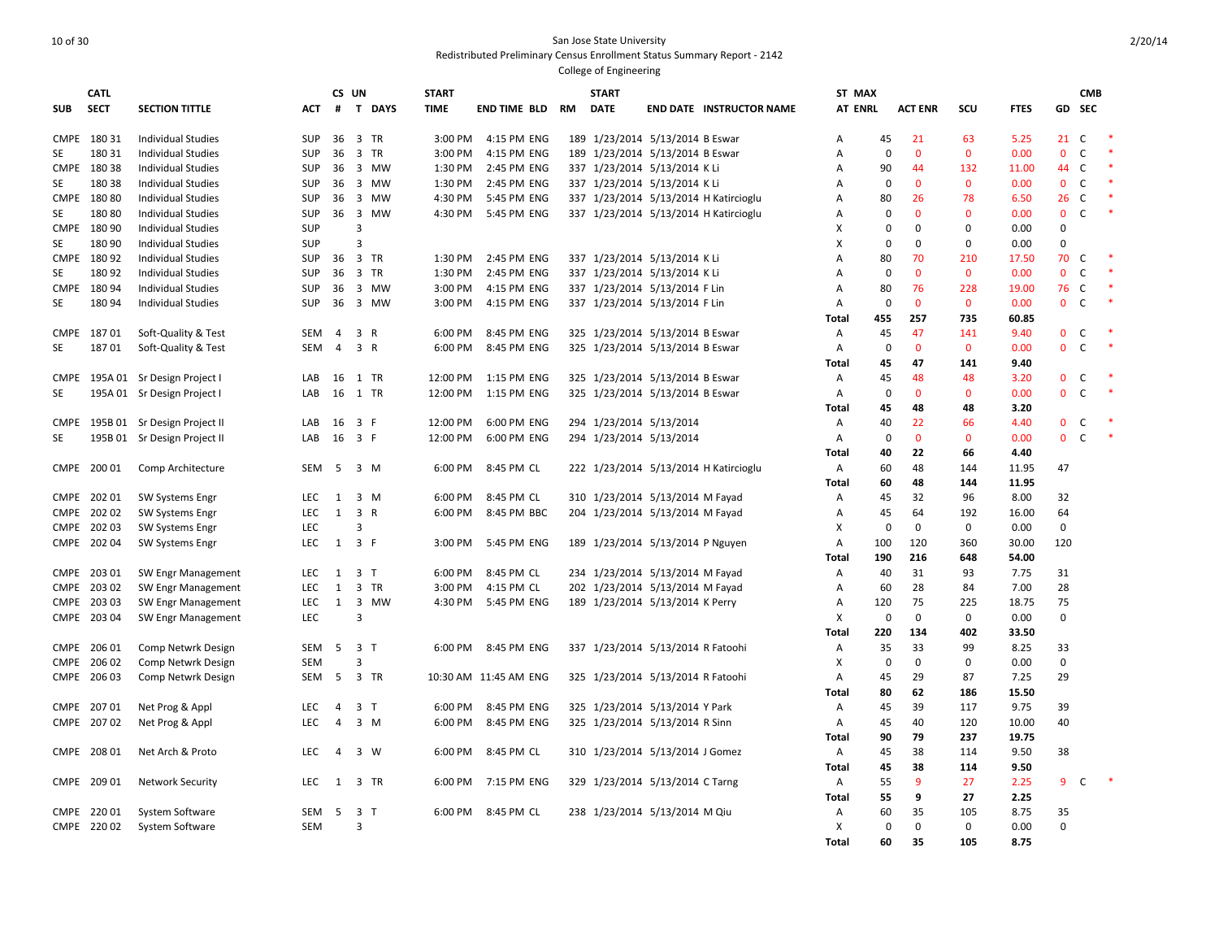|             | <b>CATL</b> |                              |            |                | CS UN                   |           | <b>START</b> |                       |    | <b>START</b> |                                       | ST MAX         |             |                |              |             |              | <b>CMB</b>   |        |
|-------------|-------------|------------------------------|------------|----------------|-------------------------|-----------|--------------|-----------------------|----|--------------|---------------------------------------|----------------|-------------|----------------|--------------|-------------|--------------|--------------|--------|
| <b>SUB</b>  | <b>SECT</b> | <b>SECTION TITTLE</b>        | ACT        | #              |                         | T DAYS    | <b>TIME</b>  | END TIME BLD          | RM | <b>DATE</b>  | <b>END DATE INSTRUCTOR NAME</b>       | <b>AT ENRL</b> |             | <b>ACT ENR</b> | scu          | <b>FTES</b> | GD.          | <b>SEC</b>   |        |
|             | CMPE 180 31 | <b>Individual Studies</b>    | SUP        | 36             |                         | 3 TR      | 3:00 PM      | 4:15 PM ENG           |    |              | 189 1/23/2014 5/13/2014 B Eswar       | А              | 45          | 21             | 63           | 5.25        | 21           | <sub>c</sub> | $\ast$ |
| SE          | 180 31      | <b>Individual Studies</b>    | SUP        | 36             | $\overline{\mathbf{3}}$ | <b>TR</b> | 3:00 PM      | 4:15 PM ENG           |    |              | 189 1/23/2014 5/13/2014 B Eswar       | Α              | $\mathbf 0$ | $\mathbf{0}$   | $\mathbf{0}$ | 0.00        | $\mathbf{0}$ | C            | $\ast$ |
|             | CMPE 180 38 | <b>Individual Studies</b>    | SUP        | 36             |                         | 3 MW      | 1:30 PM      | 2:45 PM ENG           |    |              | 337 1/23/2014 5/13/2014 K Li          | Α              | 90          | 44             | 132          | 11.00       | 44           | $\mathsf{C}$ | $\ast$ |
| SE          | 180 38      | <b>Individual Studies</b>    | SUP        | 36             | $\overline{3}$          | MW        | 1:30 PM      | 2:45 PM ENG           |    |              | 337 1/23/2014 5/13/2014 K Li          | Α              | 0           | $\mathbf{0}$   | $\mathbf{0}$ | 0.00        | $\mathbf{0}$ | $\mathsf{C}$ | $\ast$ |
|             | CMPE 180 80 | <b>Individual Studies</b>    | <b>SUP</b> | 36             | $\overline{\mathbf{3}}$ | MW        | 4:30 PM      | 5:45 PM ENG           |    |              | 337 1/23/2014 5/13/2014 H Katircioglu | Α              | 80          | 26             | 78           | 6.50        | 26           | $\mathsf{C}$ | $\ast$ |
| SE          | 18080       | <b>Individual Studies</b>    | SUP        |                | 36 <sub>3</sub>         | MW        | 4:30 PM      | 5:45 PM ENG           |    |              | 337 1/23/2014 5/13/2014 H Katircioglu | Α              | 0           | $\mathbf{0}$   | $\mathbf 0$  | 0.00        | $\mathbf{0}$ | $\mathsf{C}$ | $\ast$ |
|             | CMPE 180 90 | <b>Individual Studies</b>    | SUP        |                | 3                       |           |              |                       |    |              |                                       | х              | $\Omega$    | $\mathbf 0$    | $\mathbf 0$  | 0.00        | $\mathbf 0$  |              |        |
| SE          | 180 90      | <b>Individual Studies</b>    | SUP        |                | $\overline{3}$          |           |              |                       |    |              |                                       | X              | $\Omega$    | $\mathbf 0$    | $\pmb{0}$    | 0.00        | $\mathbf 0$  |              |        |
|             | CMPE 180 92 | <b>Individual Studies</b>    | SUP        | 36             |                         | 3 TR      | 1:30 PM      | 2:45 PM ENG           |    |              | 337 1/23/2014 5/13/2014 KLi           | А              | 80          | 70             | 210          | 17.50       | 70           | C            |        |
| SE          | 18092       | <b>Individual Studies</b>    | SUP        | 36             |                         | 3 TR      | 1:30 PM      | 2:45 PM ENG           |    |              | 337 1/23/2014 5/13/2014 K Li          | A              | 0           | $\Omega$       | $\mathbf 0$  | 0.00        | $\Omega$     | $\mathsf{C}$ | $\ast$ |
| <b>CMPE</b> | 18094       | <b>Individual Studies</b>    | <b>SUP</b> | 36             |                         | 3 MW      | 3:00 PM      | 4:15 PM ENG           |    |              | 337 1/23/2014 5/13/2014 F Lin         | А              | 80          | 76             | 228          | 19.00       | 76           | C            |        |
| <b>SE</b>   | 18094       | <b>Individual Studies</b>    | <b>SUP</b> | 36             |                         | 3 MW      | 3:00 PM      | 4:15 PM ENG           |    |              | 337 1/23/2014 5/13/2014 F Lin         | A              | $\mathbf 0$ | $\mathbf{0}$   | $\mathbf{0}$ | 0.00        | $\mathbf{0}$ | $\mathsf{C}$ |        |
|             |             |                              |            |                |                         |           |              |                       |    |              |                                       | Total          | 455         | 257            | 735          | 60.85       |              |              |        |
| <b>CMPE</b> | 18701       | Soft-Quality & Test          | <b>SEM</b> | $\overline{4}$ |                         | 3 R       | 6:00 PM      | 8:45 PM ENG           |    |              | 325 1/23/2014 5/13/2014 B Eswar       | Α              | 45          | 47             | 141          | 9.40        | $\mathbf 0$  | C            |        |
| SE          | 18701       | Soft-Quality & Test          | <b>SEM</b> | $\overline{4}$ |                         | 3 R       | 6:00 PM      | 8:45 PM ENG           |    |              | 325 1/23/2014 5/13/2014 B Eswar       | Α              | 0           | $\mathbf 0$    | $\mathbf 0$  | 0.00        | $\mathbf 0$  | $\mathsf{C}$ |        |
|             |             |                              |            |                |                         |           |              |                       |    |              |                                       | Total          | 45          | 47             | 141          | 9.40        |              |              |        |
| CMPE        |             | 195A 01 Sr Design Project I  | LAB        |                |                         | 16 1 TR   | 12:00 PM     | 1:15 PM ENG           |    |              | 325 1/23/2014 5/13/2014 B Eswar       | Α              | 45          | 48             | 48           | 3.20        | $\mathbf{0}$ | C            |        |
| SE          |             | 195A 01 Sr Design Project I  | LAB        | 16             |                         | 1 TR      | 12:00 PM     | 1:15 PM ENG           |    |              | 325 1/23/2014 5/13/2014 B Eswar       | Α              | 0           | $\mathbf{0}$   | $\mathbf{0}$ | 0.00        | $\mathbf{0}$ | C            | $\ast$ |
|             |             |                              |            |                |                         |           |              |                       |    |              |                                       | Total          | 45          | 48             | 48           | 3.20        |              |              |        |
| <b>CMPE</b> |             | 195B 01 Sr Design Project II | LAB        | 16             | 3 F                     |           | 12:00 PM     | 6:00 PM ENG           |    |              | 294 1/23/2014 5/13/2014               | Α              | 40          | 22             | 66           | 4.40        | $\mathbf 0$  | C            |        |
| SE          |             | 195B 01 Sr Design Project II | LAB        | 16             | 3 F                     |           | 12:00 PM     | 6:00 PM ENG           |    |              | 294 1/23/2014 5/13/2014               | Α              | 0           | $\mathbf{0}$   | $\mathbf{0}$ | 0.00        | $\mathbf{0}$ | C            | $\ast$ |
|             |             |                              |            |                |                         |           |              |                       |    |              |                                       | Total          | 40          | 22             | 66           | 4.40        |              |              |        |
|             | CMPE 200 01 | Comp Architecture            | SEM        | - 5            |                         | $3 \, M$  | 6:00 PM      | 8:45 PM CL            |    |              | 222 1/23/2014 5/13/2014 H Katircioglu | Α              | 60          | 48             | 144          | 11.95       | 47           |              |        |
|             |             |                              |            |                |                         |           |              |                       |    |              |                                       | <b>Total</b>   | 60          | 48             | 144          | 11.95       |              |              |        |
|             | CMPE 202 01 | SW Systems Engr              | LEC        | 1              |                         | 3 M       | 6:00 PM      | 8:45 PM CL            |    |              | 310 1/23/2014 5/13/2014 M Fayad       | Α              | 45          | 32             | 96           | 8.00        | 32           |              |        |
| <b>CMPE</b> | 20202       | SW Systems Engr              | <b>LEC</b> | 1              |                         | 3 R       | 6:00 PM      | 8:45 PM BBC           |    |              | 204 1/23/2014 5/13/2014 M Fayad       | Α              | 45          | 64             | 192          | 16.00       | 64           |              |        |
|             | CMPE 202 03 | SW Systems Engr              | LEC        |                | $\overline{3}$          |           |              |                       |    |              |                                       | х              | $\mathbf 0$ | $\Omega$       | 0            | 0.00        | 0            |              |        |
|             | CMPE 202 04 | <b>SW Systems Engr</b>       | <b>LEC</b> | 1              | 3 F                     |           | 3:00 PM      | 5:45 PM ENG           |    |              | 189 1/23/2014 5/13/2014 P Nguyen      | Α              | 100         | 120            | 360          | 30.00       | 120          |              |        |
|             |             |                              |            |                |                         |           |              |                       |    |              |                                       | Total          | 190         | 216            | 648          | 54.00       |              |              |        |
| <b>CMPE</b> | 203 01      | SW Engr Management           | LEC        | 1              | 3 <sub>7</sub>          |           | 6:00 PM      | 8:45 PM CL            |    |              | 234 1/23/2014 5/13/2014 M Fayad       | Α              | 40          | 31             | 93           | 7.75        | 31           |              |        |
|             | CMPE 203 02 | SW Engr Management           | LEC        | 1              |                         | 3 TR      | 3:00 PM      | 4:15 PM CL            |    |              | 202 1/23/2014 5/13/2014 M Fayad       | Α              | 60          | 28             | 84           | 7.00        | 28           |              |        |
|             | CMPE 203 03 | SW Engr Management           | LEC        | $\mathbf{1}$   | $\overline{\mathbf{3}}$ | MW        | 4:30 PM      | 5:45 PM ENG           |    |              | 189 1/23/2014 5/13/2014 K Perry       | Α              | 120         | 75             | 225          | 18.75       | 75           |              |        |
|             | CMPE 203 04 | SW Engr Management           | <b>LEC</b> |                | $\overline{3}$          |           |              |                       |    |              |                                       | X              | $\mathbf 0$ | $\mathbf{0}$   | 0            | 0.00        | $\Omega$     |              |        |
|             |             |                              |            |                |                         |           |              |                       |    |              |                                       | Total          | 220         | 134            | 402          | 33.50       |              |              |        |
|             | CMPE 206 01 | Comp Netwrk Design           | SEM        | - 5            | 3 <sub>1</sub>          |           | 6:00 PM      | 8:45 PM ENG           |    |              | 337 1/23/2014 5/13/2014 R Fatoohi     | Α              | 35          | 33             | 99           | 8.25        | 33           |              |        |
|             | CMPE 206 02 | Comp Netwrk Design           | <b>SEM</b> |                | 3                       |           |              |                       |    |              |                                       | X              | 0           | $\mathbf 0$    | $\mathbf 0$  | 0.00        | $\mathbf 0$  |              |        |
|             | CMPE 206 03 | Comp Netwrk Design           | SEM        | - 5            |                         | 3 TR      |              | 10:30 AM 11:45 AM ENG |    |              | 325 1/23/2014 5/13/2014 R Fatoohi     | Α              | 45          | 29             | 87           | 7.25        | 29           |              |        |
|             |             |                              |            |                |                         |           |              |                       |    |              |                                       | Total          | 80          | 62             | 186          | 15.50       |              |              |        |
|             | CMPE 207 01 | Net Prog & Appl              | <b>LEC</b> | $\overline{4}$ | 3 <sub>7</sub>          |           | 6:00 PM      | 8:45 PM ENG           |    |              | 325 1/23/2014 5/13/2014 Y Park        | Α              | 45          | 39             | 117          | 9.75        | 39           |              |        |
|             | CMPE 207 02 | Net Prog & Appl              | LEC        | $\overline{4}$ |                         | $3 \, M$  | 6:00 PM      | 8:45 PM ENG           |    |              | 325 1/23/2014 5/13/2014 R Sinn        | Α              | 45          | 40             | 120          | 10.00       | 40           |              |        |
|             |             |                              |            |                |                         |           |              |                       |    |              |                                       | <b>Total</b>   | 90          | 79             | 237          | 19.75       |              |              |        |
|             | CMPE 208 01 | Net Arch & Proto             | <b>LEC</b> | $\overline{4}$ |                         | 3 W       | 6:00 PM      | 8:45 PM CL            |    |              | 310 1/23/2014 5/13/2014 J Gomez       | Α              | 45          | 38             | 114          | 9.50        | 38           |              |        |
|             |             |                              |            |                |                         |           |              |                       |    |              |                                       | <b>Total</b>   | 45          | 38             | 114          | 9.50        |              |              |        |
|             | CMPE 209 01 | <b>Network Security</b>      | <b>LEC</b> | 1              |                         | 3 TR      | 6:00 PM      | 7:15 PM ENG           |    |              | 329 1/23/2014 5/13/2014 C Tarng       | Α              | 55          | $\overline{9}$ | 27           | 2.25        | 9            | <sub>c</sub> |        |
|             |             |                              |            |                |                         |           |              |                       |    |              |                                       | Total          | 55          | 9              | 27           | 2.25        |              |              |        |
|             | CMPE 220 01 | System Software              | SEM        | 5              | $\overline{3}$          | $\top$    | 6:00 PM      | 8:45 PM CL            |    |              | 238 1/23/2014 5/13/2014 M Qiu         | Α              | 60          | 35             | 105          | 8.75        | 35           |              |        |
|             | CMPE 220 02 | System Software              | SEM        |                | $\overline{3}$          |           |              |                       |    |              |                                       | X              | $\mathsf 0$ | $\pmb{0}$      | $\pmb{0}$    | 0.00        | $\mathbf 0$  |              |        |
|             |             |                              |            |                |                         |           |              |                       |    |              |                                       | <b>Total</b>   | 60          | 35             | 105          | 8.75        |              |              |        |
|             |             |                              |            |                |                         |           |              |                       |    |              |                                       |                |             |                |              |             |              |              |        |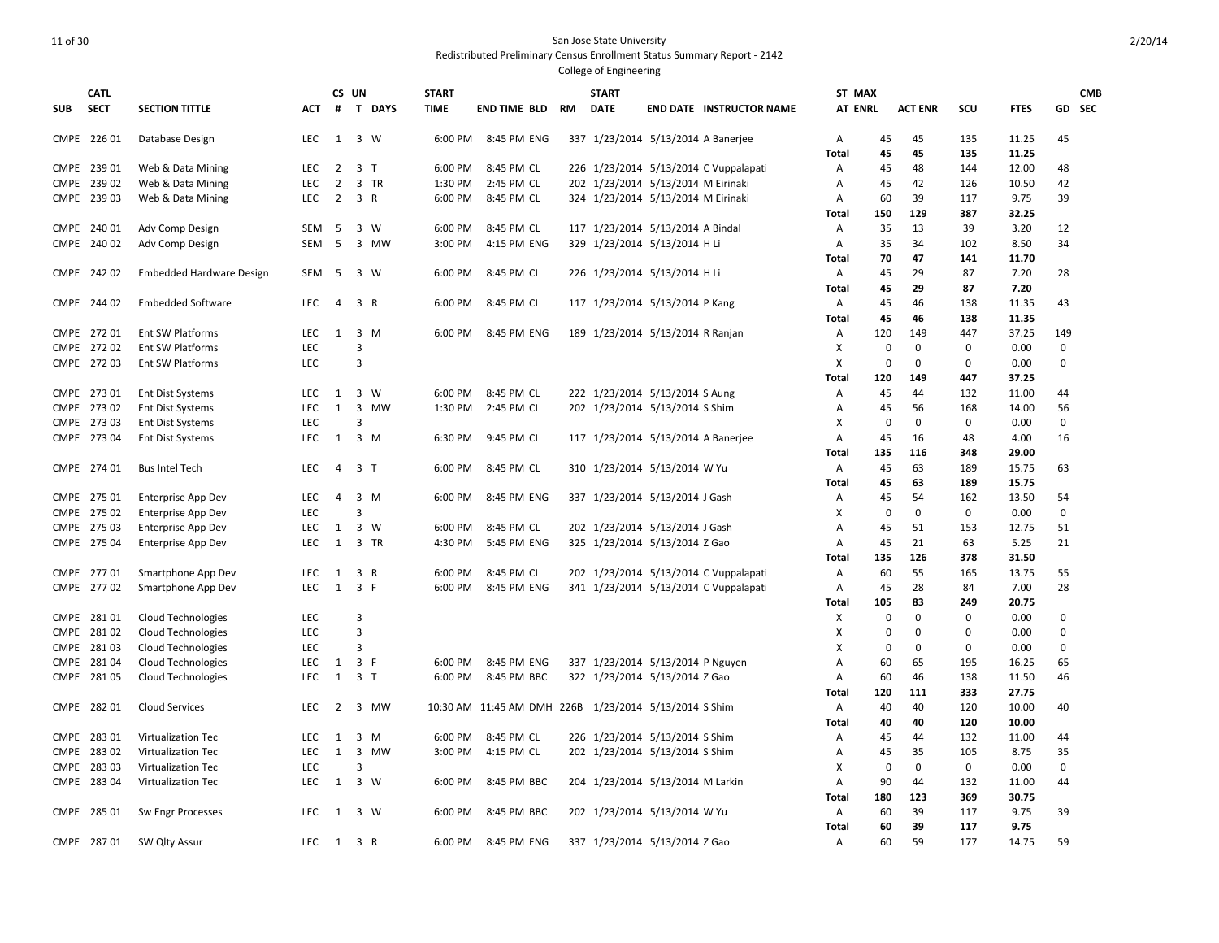# 11 of 30 San Jose State University

Redistributed Preliminary Census Enrollment Status Summary Report - 2142

| <b>SUB</b> | <b>CATL</b><br><b>SECT</b> | <b>SECTION TITTLE</b>     | ACT        | #              | CS UN<br>T DAYS     | <b>START</b><br><b>TIME</b> | END TIME BLD                                          | RM | <b>START</b><br><b>DATE</b>        | <b>END DATE INSTRUCTOR NAME</b>       | ST MAX<br><b>AT ENRL</b> |             | <b>ACT ENR</b> | scu         | <b>FTES</b> |             | <b>CMB</b><br>GD SEC |
|------------|----------------------------|---------------------------|------------|----------------|---------------------|-----------------------------|-------------------------------------------------------|----|------------------------------------|---------------------------------------|--------------------------|-------------|----------------|-------------|-------------|-------------|----------------------|
|            | CMPE 226 01                | Database Design           | LEC        | 1              | 3 W                 | 6:00 PM                     | 8:45 PM ENG                                           |    |                                    | 337 1/23/2014 5/13/2014 A Banerjee    | Α                        | 45          | 45             | 135         | 11.25       | 45          |                      |
|            |                            |                           |            |                |                     |                             |                                                       |    |                                    |                                       | <b>Total</b>             | 45          | 45             | 135         | 11.25       |             |                      |
|            | CMPE 239 01                | Web & Data Mining         | <b>LEC</b> | $\overline{2}$ | 3 <sub>1</sub>      | 6:00 PM                     | 8:45 PM CL                                            |    |                                    | 226 1/23/2014 5/13/2014 C Vuppalapati | A                        | 45          | 48             | 144         | 12.00       | 48          |                      |
|            | CMPE 239 02                | Web & Data Mining         | <b>LEC</b> | $\overline{2}$ | 3 TR                | 1:30 PM                     | 2:45 PM CL                                            |    | 202 1/23/2014 5/13/2014 M Eirinaki |                                       | Α                        | 45          | 42             | 126         | 10.50       | 42          |                      |
|            | CMPE 239 03                | Web & Data Mining         | <b>LEC</b> | $\overline{2}$ | 3 R                 | 6:00 PM                     | 8:45 PM CL                                            |    | 324 1/23/2014 5/13/2014 M Eirinaki |                                       | Α                        | 60          | 39             | 117         | 9.75        | 39          |                      |
|            |                            |                           |            |                |                     |                             |                                                       |    |                                    |                                       | Total                    | 150         | 129            | 387         | 32.25       |             |                      |
|            | CMPE 240 01                | Adv Comp Design           | SEM        | 5              | 3 W                 | 6:00 PM                     | 8:45 PM CL                                            |    | 117 1/23/2014 5/13/2014 A Bindal   |                                       | Α                        | 35          | 13             | 39          | 3.20        | 12          |                      |
|            | CMPE 240 02                | Adv Comp Design           | SEM        | 5              | 3 MW                | 3:00 PM                     | 4:15 PM ENG                                           |    | 329 1/23/2014 5/13/2014 H Li       |                                       | Α                        | 35          | 34             | 102         | 8.50        | 34          |                      |
|            |                            |                           |            |                |                     |                             |                                                       |    |                                    |                                       | <b>Total</b>             | 70          | 47             | 141         | 11.70       |             |                      |
|            | CMPE 242 02                | Embedded Hardware Design  | SEM        | 5              | 3 W                 | 6:00 PM                     | 8:45 PM CL                                            |    | 226 1/23/2014 5/13/2014 H Li       |                                       | Α                        | 45          | 29             | 87          | 7.20        | 28          |                      |
|            |                            |                           |            |                |                     |                             |                                                       |    |                                    |                                       | Total                    | 45          | 29             | 87          | 7.20        |             |                      |
|            | CMPE 244 02                | <b>Embedded Software</b>  | <b>LEC</b> | $\overline{4}$ | 3 R                 | 6:00 PM                     | 8:45 PM CL                                            |    | 117 1/23/2014 5/13/2014 P Kang     |                                       | Α                        | 45          | 46             | 138         | 11.35       | 43          |                      |
|            |                            |                           |            |                |                     |                             |                                                       |    |                                    |                                       | <b>Total</b>             | 45          | 46             | 138         | 11.35       |             |                      |
|            | CMPE 272 01                | Ent SW Platforms          | LEC        | 1              | 3 M                 | 6:00 PM                     | 8:45 PM ENG                                           |    | 189 1/23/2014 5/13/2014 R Ranjan   |                                       | Α                        | 120         | 149            | 447         | 37.25       | 149         |                      |
|            | CMPE 272 02                | <b>Ent SW Platforms</b>   | <b>LEC</b> |                | 3                   |                             |                                                       |    |                                    |                                       | X                        | $\Omega$    | $\mathbf 0$    | 0           | 0.00        | $\mathbf 0$ |                      |
|            | CMPE 272 03                | <b>Ent SW Platforms</b>   | LEC        |                | 3                   |                             |                                                       |    |                                    |                                       | X                        | $\mathbf 0$ | $\mathbf 0$    | 0           | 0.00        | 0           |                      |
|            |                            |                           |            |                |                     |                             |                                                       |    |                                    |                                       | <b>Total</b>             | 120         | 149            | 447         | 37.25       |             |                      |
|            | CMPE 273 01                | <b>Ent Dist Systems</b>   | <b>LEC</b> | 1              | $\overline{3}$<br>W | 6:00 PM                     | 8:45 PM CL                                            |    | 222 1/23/2014 5/13/2014 S Aung     |                                       | Α                        | 45          | 44             | 132         | 11.00       | 44          |                      |
|            | CMPE 273 02                | <b>Ent Dist Systems</b>   | LEC        | $\mathbf{1}$   | 3<br>MW             | 1:30 PM                     | 2:45 PM CL                                            |    | 202 1/23/2014 5/13/2014 S Shim     |                                       | A                        | 45          | 56             | 168         | 14.00       | 56          |                      |
|            | CMPE 273 03                | <b>Ent Dist Systems</b>   | LEC        |                | $\overline{3}$      |                             |                                                       |    |                                    |                                       | X                        | $\mathbf 0$ | $\mathbf 0$    | 0           | 0.00        | 0           |                      |
|            | CMPE 273 04                | <b>Ent Dist Systems</b>   | <b>LEC</b> | $\mathbf{1}$   | $3 \, M$            | 6:30 PM                     | 9:45 PM CL                                            |    | 117 1/23/2014 5/13/2014 A Banerjee |                                       | $\overline{A}$           | 45          | 16             | 48          | 4.00        | 16          |                      |
|            |                            |                           |            |                |                     |                             |                                                       |    |                                    |                                       | Total                    | 135         | 116            | 348         | 29.00       |             |                      |
|            | CMPE 274 01                | <b>Bus Intel Tech</b>     | LEC        | $\overline{4}$ | 3 <sub>1</sub>      | 6:00 PM                     | 8:45 PM CL                                            |    | 310 1/23/2014 5/13/2014 W Yu       |                                       | Α                        | 45          | 63             | 189         | 15.75       | 63          |                      |
|            |                            |                           |            |                |                     |                             |                                                       |    |                                    |                                       | <b>Total</b>             | 45          | 63             | 189         | 15.75       |             |                      |
|            | CMPE 275 01                | <b>Enterprise App Dev</b> | <b>LEC</b> | 4              | 3 M                 | 6:00 PM                     | 8:45 PM ENG                                           |    | 337 1/23/2014 5/13/2014 J Gash     |                                       | A                        | 45          | 54             | 162         | 13.50       | 54          |                      |
|            | CMPE 275 02                | Enterprise App Dev        | LEC        |                | $\overline{3}$      |                             |                                                       |    |                                    |                                       | X                        | $\Omega$    | $\mathbf 0$    | 0           | 0.00        | 0           |                      |
| CMPE       | 275 03                     | <b>Enterprise App Dev</b> | LEC        | 1              | $\overline{3}$<br>W | 6:00 PM                     | 8:45 PM CL                                            |    | 202 1/23/2014 5/13/2014 J Gash     |                                       | Α                        | 45          | 51             | 153         | 12.75       | 51          |                      |
|            | CMPE 275 04                | <b>Enterprise App Dev</b> | <b>LEC</b> | 1              | 3 TR                | 4:30 PM                     | 5:45 PM ENG                                           |    | 325 1/23/2014 5/13/2014 Z Gao      |                                       | Α                        | 45          | 21             | 63          | 5.25        | 21          |                      |
|            |                            |                           |            |                |                     |                             |                                                       |    |                                    |                                       | Total                    | 135         | 126            | 378         | 31.50       |             |                      |
|            | CMPE 277 01                | Smartphone App Dev        | LEC        | $\mathbf{1}$   | 3 R                 | 6:00 PM                     | 8:45 PM CL                                            |    |                                    | 202 1/23/2014 5/13/2014 C Vuppalapati | Α                        | 60          | 55             | 165         | 13.75       | 55          |                      |
|            | CMPE 277 02                | Smartphone App Dev        | <b>LEC</b> | $\mathbf{1}$   | 3 F                 | 6:00 PM                     | 8:45 PM ENG                                           |    |                                    | 341 1/23/2014 5/13/2014 C Vuppalapati | Α                        | 45          | 28             | 84          | 7.00        | 28          |                      |
|            |                            |                           |            |                |                     |                             |                                                       |    |                                    |                                       | Total                    | 105         | 83             | 249         | 20.75       |             |                      |
|            | CMPE 281 01                | <b>Cloud Technologies</b> | LEC        |                | 3                   |                             |                                                       |    |                                    |                                       | X                        | $\Omega$    | $\mathbf 0$    | $\mathbf 0$ | 0.00        | 0           |                      |
| CMPE       | 28102                      | Cloud Technologies        | LEC        |                | $\overline{3}$      |                             |                                                       |    |                                    |                                       | X                        | $\Omega$    | $\mathbf 0$    | $\Omega$    | 0.00        | $\mathbf 0$ |                      |
|            | CMPE 281 03                | <b>Cloud Technologies</b> | <b>LEC</b> |                | 3                   |                             |                                                       |    |                                    |                                       | х                        | $\Omega$    | $\mathbf{0}$   | 0           | 0.00        | 0           |                      |
| CMPE       | 28104                      | <b>Cloud Technologies</b> | LEC        | 1              | 3 F                 | 6:00 PM                     | 8:45 PM ENG                                           |    | 337 1/23/2014 5/13/2014 P Nguyen   |                                       | Α                        | 60          | 65             | 195         | 16.25       | 65          |                      |
|            | CMPE 281 05                | <b>Cloud Technologies</b> | LEC        | 1              | 3 <sub>1</sub>      | 6:00 PM                     | 8:45 PM BBC                                           |    | 322 1/23/2014 5/13/2014 Z Gao      |                                       | Α                        | 60          | 46             | 138         | 11.50       | 46          |                      |
|            |                            |                           |            |                |                     |                             |                                                       |    |                                    |                                       | Total                    | 120         | 111            | 333         | 27.75       |             |                      |
|            | CMPE 282 01                | <b>Cloud Services</b>     | LEC        | $\overline{2}$ | 3 MW                |                             | 10:30 AM 11:45 AM DMH 226B 1/23/2014 5/13/2014 S Shim |    |                                    |                                       | Α                        | 40          | 40             | 120         | 10.00       | 40          |                      |
|            |                            |                           |            |                |                     |                             |                                                       |    |                                    |                                       | <b>Total</b>             | 40          | 40             | 120         | 10.00       |             |                      |
|            | CMPE 283 01                | Virtualization Tec        | LEC        | 1              | 3 M                 | 6:00 PM                     | 8:45 PM CL                                            |    | 226 1/23/2014 5/13/2014 S Shim     |                                       | Α                        | 45          | 44             | 132         | 11.00       | 44          |                      |
|            | CMPE 283 02                | Virtualization Tec        | <b>LEC</b> | $\mathbf{1}$   | 3 MW                | 3:00 PM                     | 4:15 PM CL                                            |    | 202 1/23/2014 5/13/2014 S Shim     |                                       | Α                        | 45          | 35             | 105         | 8.75        | 35          |                      |
|            | CMPE 283 03                | Virtualization Tec        | LEC        |                | 3                   |                             |                                                       |    |                                    |                                       | X                        | 0           | $\mathbf 0$    | 0           | 0.00        | 0           |                      |
|            | CMPE 283 04                | Virtualization Tec        | <b>LEC</b> |                | 1 3 W               | 6:00 PM                     | 8:45 PM BBC                                           |    | 204 1/23/2014 5/13/2014 M Larkin   |                                       | Α                        | 90          | 44             | 132         | 11.00       | 44          |                      |
|            |                            |                           |            |                |                     |                             |                                                       |    |                                    |                                       | <b>Total</b>             | 180         | 123            | 369         | 30.75       |             |                      |
|            | CMPE 285 01                | Sw Engr Processes         | LEC        | 1              | 3 W                 | 6:00 PM                     | 8:45 PM BBC                                           |    | 202 1/23/2014 5/13/2014 W Yu       |                                       | Α                        | 60          | 39             | 117         | 9.75        | 39          |                      |
|            |                            |                           |            |                |                     |                             |                                                       |    |                                    |                                       | <b>Total</b>             | 60          | 39             | 117         | 9.75        |             |                      |
|            | CMPE 287 01                | SW Qlty Assur             | <b>LEC</b> | 1              | 3 R                 | 6:00 PM                     | 8:45 PM ENG                                           |    | 337 1/23/2014 5/13/2014 Z Gao      |                                       | A                        | 60          | 59             | 177         | 14.75       | 59          |                      |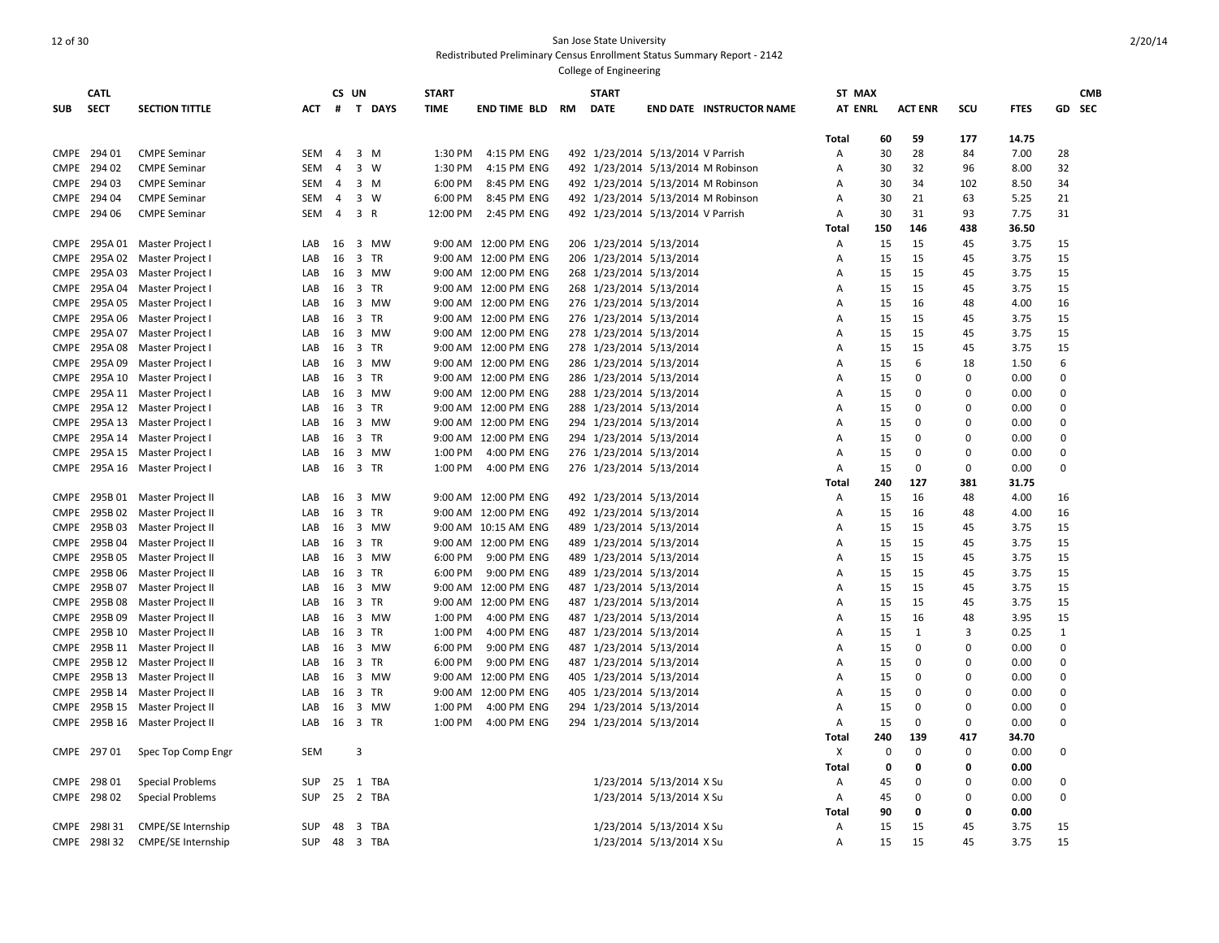#### 12 of 30 San Jose State University Redistributed Preliminary Census Enrollment Status Summary Report - 2142 College of Engineering

**SUB CATL SECT SECTION TITTLE CS UN # T DAYS START TIME END TIME BLD RM START DATE END DATE INSTRUCTOR NAME ST MAX AT ENRL ACT ENR SCU FTES GD CMB SEC Total 60 59 177 14.75** CMPE 294 01 CMPE Seminar SEM 4 3 M 1:30 PM 4:15 PM ENG 492 1/23/2014 5/13/2014 V Parrish A 30 28 84 7.00 28 CMPE 294 02 CMPE Seminar SEM 4 3 W 1:30 PM 4:15 PM ENG 492 1/23/2014 5/13/2014 M Robinson A 30 32 96 8.00 32 CMPE 294 03 CMPE Seminar SEM 4 3 M 6:00 PM 8:45 PM ENG 492 1/23/2014 5/13/2014 M Robinson A 30 34 102 8.50 34 CMPE 294 04 CMPE Seminar SEM 4 3 W 6:00 PM 8:45 PM ENG 492 1/23/2014 5/13/2014 M Robinson A 30 21 63 5.25 21 CMPE 294 06 CMPE Seminar SEM 4 3 R 12:00 PM 2:45 PM ENG 492 1/23/2014 5/13/2014 V Parrish A 30 31 93 7.75 31 **Total 150 146 438 36.50** CMPE 295A 01 Master Project I LAB 16 3 MW 9:00 AM 12:00 PM ENG 206 1/23/2014 5/13/2014 A 15 15 45 3.75 15 CMPE 295A 02 Master Project I LAB 16 3 TR 9:00 AM 12:00 PM ENG 206 1/23/2014 5/13/2014 A 15 15 45 3.75 15 CMPE 295A 03 Master Project I LAB 16 3 MW 9:00 AM 12:00 PM ENG 268 1/23/2014 5/13/2014 A 15 15 45 3.75 15 CMPE 295A 04 Master Project I LAB 16 3 TR 9:00 AM 12:00 PM ENG 268 1/23/2014 5/13/2014 A 15 15 45 3.75 15 CMPE 295A 05 Master Project I LAB 16 3 MW 9:00 AM 12:00 PM ENG 276 1/23/2014 5/13/2014 A 15 16 48 4.00 16 CMPE 295A 06 Master Project I LAB 16 3 TR 9:00 AM 12:00 PM ENG 276 1/23/2014 5/13/2014 A 15 15 45 3.75 15 CMPE 295A 07 Master Project I LAB 16 3 MW 9:00 AM 12:00 PM ENG 278 1/23/2014 5/13/2014 A 15 15 45 3.75 15 CMPE 295A 08 Master Project I LAB 16 3 TR 9:00 AM 12:00 PM ENG 278 1/23/2014 5/13/2014 A 15 15 45 3.75 15 CMPE 295A 09 Master Project I CAB 16 3 MW 9:00 AM 12:00 PM ENG 286 1/23/2014 5/13/2014 A 15 6 18 1.50 6 CMPE 295A 10 Master Project I LAB 16 3 TR 9:00 AM 12:00 PM ENG 286 1/23/2014 5/13/2014 A 15 0 0 0.00 0 CMPE 295A 11 Master Project | LAB 16 3 MW 9:00 AM 12:00 PM ENG 288 1/23/2014 5/13/2014 A 15 0 0 0.00 0 CMPE 295A 12 Master Project I and CAB 16 3 TR 9:00 AM 12:00 PM ENG 288 1/23/2014 5/13/2014 A 15 0 0 0.00 0 CMPE 295A 13 Master Project l LAB 16 3 MW 9:00 AM 12:00 PM ENG 294 1/23/2014 0 0 000 0 CMPE 295A 14 Master Project l LAB 16 3 TR 9:00 AM 12:00 PM ENG 294 1/23/2014 0 0 000 0 CMPE 295A 15 Master Project I LAB 16 3 MW 1:00 PM 4:00 PM ENG 276 1/23/2014 5/13/2014 A 15 0 0 0.00 0 CMPE 295A 16 Master Project I LAB 16 3 TR 1:00 PM 4:00 PM ENG 276 1/23/2014 5/13/2014 A 15 0 0 0.00 0 **Total 240 127 381 31.75** CMPE 295B 01 Master Project II | LAB 16 3 MW 9:00 AM 12:00 PM ENG 492 1/23/2014 5/13/2014 | A 15 16 48 4.00 16 CMPE 295B 02 Master Project II LAB 16 3 TR 9:00 AM 12:00 PM ENG 492 1/23/2014 5/13/2014 A 15 16 48 4.00 16 CMPE 295B 03 Master Project II | LAB 16 3 MW 9:00 AM 10:15 AM ENG 489 1/23/2014 5/13/2014 | A 15 15 45 3.75 15 CMPE 295B 04 Master Project II LAB 16 3 TR 9:00 AM 12:00 PM ENG 489 1/23/2014 5/13/2014 A 15 15 45 3.75 15 CMPE 295B 05 Master Project II | LAB 16 3 MW 6:00 PM 9:00 PM ENG 489 1/23/2014 5/13/2014 | A 15 15 45 3.75 15 CMPE 295B 06 Master Project II LAB 16 3 TR 6:00 PM 9:00 PM ENG 489 1/23/2014 5/13/2014 A 15 15 45 3.75 15 CMPE 295B 07 Master Project II LAB 16 3 MW 9:00 AM 12:00 PM ENG 487 1/23/2014 5/13/2014 A 15 15 45 3.75 15 CMPE 295B 08 Master Project II LAB 16 3 TR 9:00 AM 12:00 PM ENG 487 1/23/2014 5/13/2014 A 15 15 45 3.75 15 CMPE 295B 09 Master Project II | LAB 16 3 MW 1:00 PM 4:00 PM ENG 487 1/23/2014 5/13/2014 | A 15 16 48 3.95 15 CMPE 295B 10 Master Project II LAB 16 3 TR 1:00 PM 4:00 PM ENG 487 1/23/2014 5/13/2014 A 15 1 3 0.25 1 CMPE 295B 11 Master Project II LAB 16 3 MW 6:00 PM 9:00 PM ENG 487 1/23/2014 5/13/2014 A 15 0 0 0.00 0 CMPE 295B 12 Master Project II LAB 16 3 TR 6:00 PM 9:00 PM ENG 487 1/23/2014 5/13/2014 A 15 0 0 0.00 0 CMPE 295B 13 Master Project II LAB 16 3 MW 9:00 AM 12:00 PM ENG 405 1/23/2014 5/13/2014 A 15 0 0 0.00 0 CMPE 295B 14 Master Project II LAB 16 3 TR 9:00 AM 12:00 PM ENG 405 1/23/2014 5/13/2014 A 15 0 0 0.00 0 CMPE 295B 15 Master Project II LAB 16 3 MW 1:00 PM 4:00 PM ENG 294 1/23/2014 5/13/2014 A 15 0 0 0.00 0 CMPE 295B 16 Master Project II LAB 16 3 TR 1:00 PM 4:00 PM ENG 294 1/23/2014 5/13/2014 A 15 0 0 0.00 0 **Total 240 139 417 34.70** CMPE 297 01 Spec Top Comp Engr SEM 3 X 0 0 0 0.00 0 **Total 0 0 0 0.00** CMPE 298 01 Special Problems SUP 25 1 TBA 1/23/2014 5/13/2014 5/13/2014 X Su A 45 0 0 0.00 0 CMPE 298 02 Special Problems SUP 25 2 TBA 1/23/2014 5/13/2014 5/13/2014 X Su a 45 0 0 0.00 0 **Total 90 0 0 0.00** CMPE 298I 31 CMPE/SE Internship SUP 48 3 TBA 10 1/23/2014 5/13/2014 5/13/2014 X Su A 15 15 45 3.75 15 CMPE 298I 32 CMPE/SE Internship SUP 48 3 TBA 1/23/2014 5/13/2014 X Su A 15 15 45 3.75 15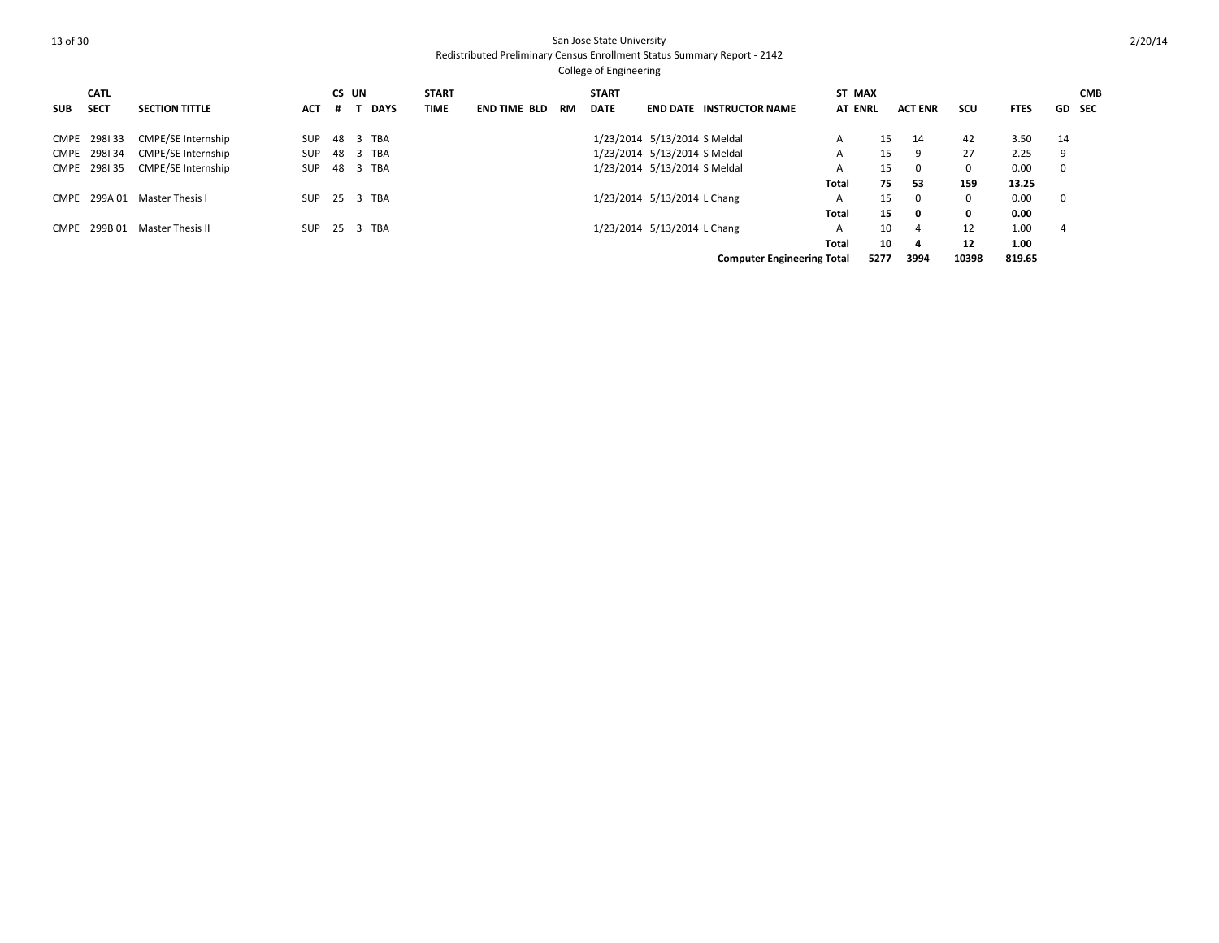## 13 of 30 San Jose State University Redistributed Preliminary Census Enrollment Status Summary Report - 2142 College of Engineering

SUB **SECT CATL SECTION TITTLE CS UN # T DAYS START TIME END TIME BLD RM START DATE END DATE INSTRUCTOR NAME ST MAX AT ENRL ACT ENR SCU FTES GD CMB SEC** CMPE 298I 33 CMPE/SE Internship SUP 48 3 TBA 14 1/23/2014 5/13/2014 5/13/2014 S Meldal A 15 14 42 3.50 14 CMPE 298I 34 CMPE/SE Internship SUP 48 3 TBA 1/23/2014 5/13/2014 5/13/2014 S Meldal A 15 9 27 2.25 9 CMPE 298I 35 CMPE/SE Internship SUP 48 3 TBA 100 100 123/2014 5/13/2014 SMeldal 10 A 15 0 0 0.00 0 **Total 75 53 159 13.25** CMPE 299A 01 Master Thesis I SUP 25 3 TBA 1/23/2014 5/13/2014 L Chang 1/23/2014 L Chang 15 0 0 0.00 0 **Total 15 0 0 0.00** CMPE 299B 01 Master Thesis II SUP 25 3 TBA 100 1/23/2014 5/13/2014 L Chang 10 A 10 4 12 1.00 4 **Total 10 4 12 1.00 Computer Engineering Total 5277 3994 10398 819.65**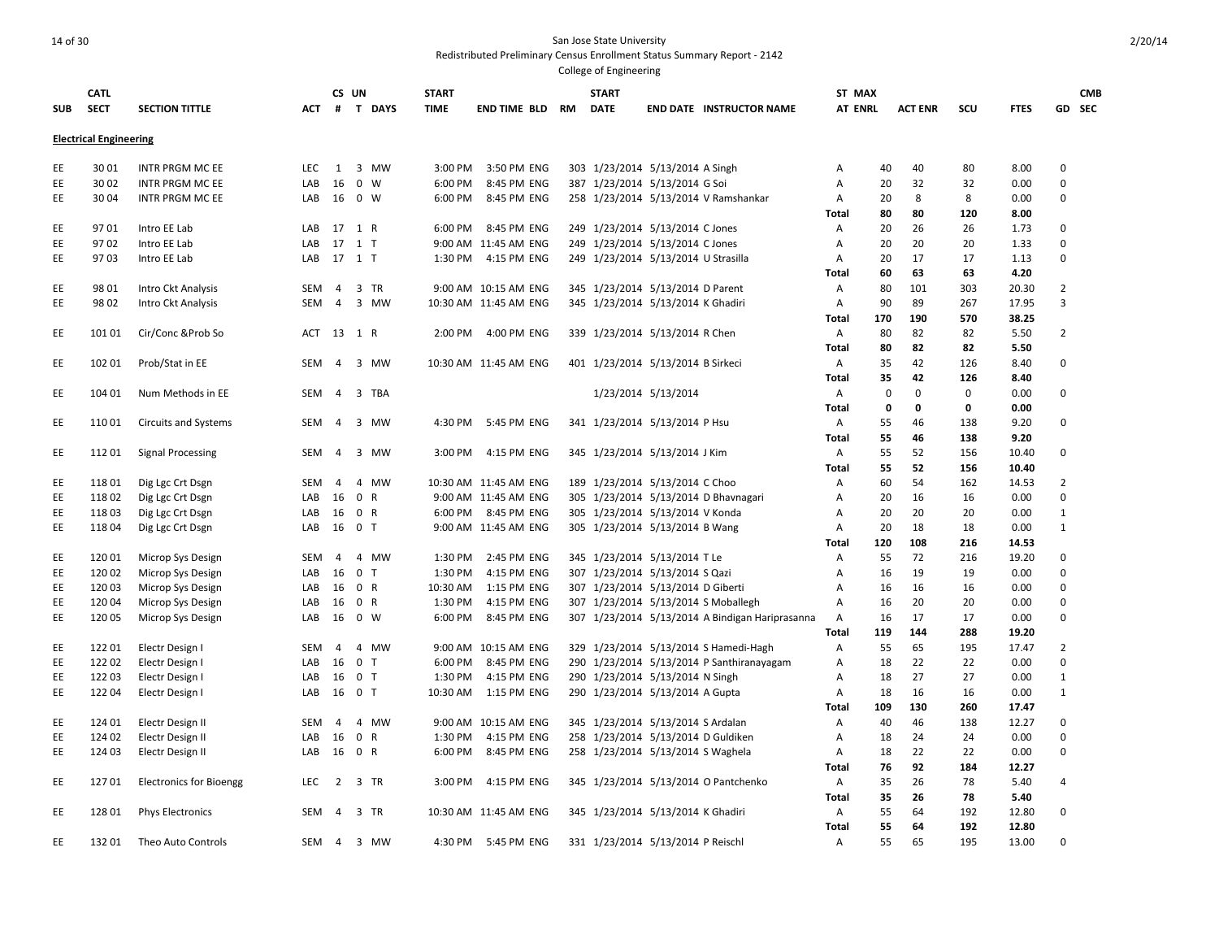| <b>SUB</b> | CATL<br><b>SECT</b>           | <b>SECTION TITTLE</b>          | <b>ACT</b> | CS UN<br>#     | <b>T DAYS</b>                 | <b>START</b><br><b>TIME</b> | END TIME BLD RM       | <b>START</b><br><b>DATE</b>         |                     | <b>END DATE INSTRUCTOR NAME</b>                 | ST MAX<br><b>AT ENRL</b> |          | <b>ACT ENR</b> | SCU | <b>FTES</b> |                | <b>CMB</b><br>GD SEC |
|------------|-------------------------------|--------------------------------|------------|----------------|-------------------------------|-----------------------------|-----------------------|-------------------------------------|---------------------|-------------------------------------------------|--------------------------|----------|----------------|-----|-------------|----------------|----------------------|
|            | <b>Electrical Engineering</b> |                                |            |                |                               |                             |                       |                                     |                     |                                                 |                          |          |                |     |             |                |                      |
| EE.        | 3001                          | INTR PRGM MC EE                | <b>LEC</b> | 1              | 3 MW                          | 3:00 PM                     | 3:50 PM ENG           | 303 1/23/2014 5/13/2014 A Singh     |                     |                                                 | Α                        | 40       | 40             | 80  | 8.00        | $\mathbf 0$    |                      |
| EE.        | 30 02                         | INTR PRGM MC EE                | LAB        | 16             | $\mathbf 0$<br>W              | 6:00 PM                     | 8:45 PM ENG           | 387 1/23/2014 5/13/2014 G Soi       |                     |                                                 | Α                        | 20       | 32             | 32  | 0.00        | $\mathbf 0$    |                      |
| EE         | 30 04                         | <b>INTR PRGM MC EE</b>         | LAB        | 16             | $0 \quad W$                   | 6:00 PM                     | 8:45 PM ENG           |                                     |                     | 258 1/23/2014 5/13/2014 V Ramshankar            | Α                        | 20       | 8              | 8   | 0.00        | $\mathbf 0$    |                      |
|            |                               |                                |            |                |                               |                             |                       |                                     |                     |                                                 | <b>Total</b>             | 80       | 80             | 120 | 8.00        |                |                      |
| EE.        | 9701                          | Intro EE Lab                   | LAB        |                | 17 1 R                        | 6:00 PM                     | 8:45 PM ENG           | 249 1/23/2014 5/13/2014 C Jones     |                     |                                                 | Α                        | 20       | 26             | 26  | 1.73        | 0              |                      |
| EE         | 9702                          | Intro EE Lab                   | LAB        |                | 17 1 T                        |                             | 9:00 AM 11:45 AM ENG  | 249 1/23/2014 5/13/2014 C Jones     |                     |                                                 | A                        | 20       | 20             | 20  | 1.33        | $\Omega$       |                      |
| EE         | 97 03                         | Intro EE Lab                   | LAB        |                | 17 1 T                        | 1:30 PM                     | 4:15 PM ENG           | 249 1/23/2014 5/13/2014 U Strasilla |                     |                                                 | Α                        | 20       | 17             | 17  | 1.13        | $\mathbf 0$    |                      |
|            |                               |                                |            |                |                               |                             |                       |                                     |                     |                                                 | Total                    | 60       | 63             | 63  | 4.20        |                |                      |
| EE         | 98 01                         | Intro Ckt Analysis             | <b>SEM</b> | $\overline{4}$ | $\overline{3}$<br>TR          |                             | 9:00 AM 10:15 AM ENG  | 345 1/23/2014 5/13/2014 D Parent    |                     |                                                 | Α                        | 80       | 101            | 303 | 20.30       | $\overline{2}$ |                      |
| EE         | 98 02                         | Intro Ckt Analysis             | <b>SEM</b> | $\overline{4}$ | $\overline{\mathbf{3}}$<br>MW |                             | 10:30 AM 11:45 AM ENG | 345 1/23/2014 5/13/2014 K Ghadiri   |                     |                                                 | Α                        | 90       | 89             | 267 | 17.95       | $\overline{3}$ |                      |
|            |                               |                                |            |                |                               |                             |                       |                                     |                     |                                                 | Total                    | 170      | 190            | 570 | 38.25       |                |                      |
| EE         | 101 01                        | Cir/Conc & Prob So             | <b>ACT</b> | 13             | 1 R                           | 2:00 PM                     | 4:00 PM ENG           | 339 1/23/2014 5/13/2014 R Chen      |                     |                                                 | Α                        | 80       | 82             | 82  | 5.50        | $\overline{2}$ |                      |
|            |                               |                                |            |                |                               |                             |                       |                                     |                     |                                                 | Total                    | 80       | 82             | 82  | 5.50        |                |                      |
| EE         | 102 01                        | Prob/Stat in EE                | SEM        | $\overline{a}$ | 3 MW                          |                             | 10:30 AM 11:45 AM ENG | 401 1/23/2014 5/13/2014 B Sirkeci   |                     |                                                 | $\mathsf{A}$             | 35       | 42             | 126 | 8.40        | $\mathbf 0$    |                      |
|            |                               |                                |            |                |                               |                             |                       |                                     |                     |                                                 | Total                    | 35       | 42             | 126 | 8.40        |                |                      |
| EE         | 104 01                        | Num Methods in EE              | SEM        | $\overline{4}$ | 3 TBA                         |                             |                       |                                     | 1/23/2014 5/13/2014 |                                                 | Α                        | $\Omega$ | $\pmb{0}$      | 0   | 0.00        | $\Omega$       |                      |
|            |                               |                                |            |                |                               |                             |                       |                                     |                     |                                                 | <b>Total</b>             | 0        | 0              | 0   | 0.00        |                |                      |
| EE         | 11001                         | Circuits and Systems           | SEM        | -4             | 3 MW                          | 4:30 PM                     | 5:45 PM ENG           | 341 1/23/2014 5/13/2014 P Hsu       |                     |                                                 | Α                        | 55       | 46             | 138 | 9.20        | $\Omega$       |                      |
|            |                               |                                |            |                |                               |                             |                       |                                     |                     |                                                 | <b>Total</b>             | 55       | 46             | 138 | 9.20        |                |                      |
| EE         | 112 01                        |                                | SEM        | $\overline{4}$ | 3 MW                          | 3:00 PM                     | 4:15 PM ENG           | 345 1/23/2014 5/13/2014 J Kim       |                     |                                                 | Α                        | 55       | 52             | 156 | 10.40       | $\Omega$       |                      |
|            |                               | <b>Signal Processing</b>       |            |                |                               |                             |                       |                                     |                     |                                                 | <b>Total</b>             | 55       | 52             | 156 | 10.40       |                |                      |
|            |                               |                                | <b>SEM</b> | $\overline{4}$ | 4 MW                          |                             |                       |                                     |                     |                                                 |                          |          | 54             | 162 |             | $\overline{2}$ |                      |
| EE         | 11801                         | Dig Lgc Crt Dsgn               |            |                |                               |                             | 10:30 AM 11:45 AM ENG | 189 1/23/2014 5/13/2014 C Choo      |                     |                                                 | Α                        | 60       |                |     | 14.53       | $\mathbf 0$    |                      |
| EE         | 11802                         | Dig Lgc Crt Dsgn               | LAB        | 16             | $\mathbf{0}$<br>R             |                             | 9:00 AM 11:45 AM ENG  |                                     |                     | 305 1/23/2014 5/13/2014 D Bhavnagari            | Α                        | 20       | 16             | 16  | 0.00        |                |                      |
| EE         | 11803                         | Dig Lgc Crt Dsgn               | LAB        | 16             | 0 R                           | 6:00 PM                     | 8:45 PM ENG           | 305 1/23/2014 5/13/2014 V Konda     |                     |                                                 | Α                        | 20       | 20             | 20  | 0.00        | $\mathbf{1}$   |                      |
| EE.        | 11804                         | Dig Lgc Crt Dsgn               | LAB        | 16             | 0 <sub>T</sub>                |                             | 9:00 AM 11:45 AM ENG  | 305 1/23/2014 5/13/2014 B Wang      |                     |                                                 | Α                        | 20       | 18             | 18  | 0.00        | $\mathbf{1}$   |                      |
|            |                               |                                |            |                |                               |                             |                       |                                     |                     |                                                 | Total                    | 120      | 108            | 216 | 14.53       |                |                      |
| EE         | 120 01                        | Microp Sys Design              | <b>SEM</b> | $\overline{4}$ | 4 MW                          | 1:30 PM                     | 2:45 PM ENG           | 345 1/23/2014 5/13/2014 T Le        |                     |                                                 | Α                        | 55       | 72             | 216 | 19.20       | $\mathbf 0$    |                      |
| EE         | 120 02                        | Microp Sys Design              | LAB        | 16             | $\mathbf{0}$<br>$\top$        | 1:30 PM                     | 4:15 PM ENG           | 307 1/23/2014 5/13/2014 S Qazi      |                     |                                                 | A                        | 16       | 19             | 19  | 0.00        | $\Omega$       |                      |
| EE         | 120 03                        | Microp Sys Design              | LAB        | 16             | 0 R                           | 10:30 AM                    | 1:15 PM ENG           | 307 1/23/2014 5/13/2014 D Giberti   |                     |                                                 | А                        | 16       | 16             | 16  | 0.00        | $\mathbf 0$    |                      |
| EE.        | 12004                         | Microp Sys Design              | LAB        | 16             | 0 R                           | 1:30 PM                     | 4:15 PM ENG           |                                     |                     | 307 1/23/2014 5/13/2014 S Moballegh             | А                        | 16       | 20             | 20  | 0.00        | 0              |                      |
| EE         | 120 05                        | Microp Sys Design              | LAB        | 16             | 0 W                           | 6:00 PM                     | 8:45 PM ENG           |                                     |                     | 307 1/23/2014 5/13/2014 A Bindigan Hariprasanna | Α                        | 16       | 17             | 17  | 0.00        | $\Omega$       |                      |
|            |                               |                                |            |                |                               |                             |                       |                                     |                     |                                                 | <b>Total</b>             | 119      | 144            | 288 | 19.20       |                |                      |
| EE         | 12201                         | Electr Design I                | <b>SEM</b> | $\overline{4}$ | 4 MW                          |                             | 9:00 AM 10:15 AM ENG  |                                     |                     | 329 1/23/2014 5/13/2014 S Hamedi-Hagh           | Α                        | 55       | 65             | 195 | 17.47       | $\overline{2}$ |                      |
| EE         | 12202                         | Electr Design I                | LAB        | 16             | $\mathbf{0}$<br>$\top$        | 6:00 PM                     | 8:45 PM ENG           |                                     |                     | 290 1/23/2014 5/13/2014 P Santhiranayagam       | Α                        | 18       | 22             | 22  | 0.00        | $\Omega$       |                      |
| EE.        | 122 03                        | Electr Design I                | LAB        | 16             | 0 <sub>T</sub>                | 1:30 PM                     | 4:15 PM ENG           | 290 1/23/2014 5/13/2014 N Singh     |                     |                                                 | Α                        | 18       | 27             | 27  | 0.00        | $\mathbf{1}$   |                      |
| EE         | 122 04                        | Electr Design I                | LAB        | 16             | 0 <sub>T</sub>                | 10:30 AM                    | 1:15 PM ENG           | 290 1/23/2014 5/13/2014 A Gupta     |                     |                                                 | Α                        | 18       | 16             | 16  | 0.00        | $\mathbf{1}$   |                      |
|            |                               |                                |            |                |                               |                             |                       |                                     |                     |                                                 | Total                    | 109      | 130            | 260 | 17.47       |                |                      |
| EE.        | 124 01                        | Electr Design II               | SEM        | $\overline{4}$ | 4 MW                          |                             | 9:00 AM 10:15 AM ENG  | 345 1/23/2014 5/13/2014 S Ardalan   |                     |                                                 | Α                        | 40       | 46             | 138 | 12.27       | 0              |                      |
| EE         | 124 02                        | Electr Design II               | LAB        | 16             | 0 R                           | 1:30 PM                     | 4:15 PM ENG           | 258 1/23/2014 5/13/2014 D Guldiken  |                     |                                                 | A                        | 18       | 24             | 24  | 0.00        | $\Omega$       |                      |
| EE         | 124 03                        | Electr Design II               | LAB        |                | 16 0 R                        | 6:00 PM                     | 8:45 PM ENG           | 258 1/23/2014 5/13/2014 S Waghela   |                     |                                                 | A                        | 18       | 22             | 22  | 0.00        | $\mathbf 0$    |                      |
|            |                               |                                |            |                |                               |                             |                       |                                     |                     |                                                 | Total                    | 76       | 92             | 184 | 12.27       |                |                      |
| EE         | 12701                         | <b>Electronics for Bioengg</b> | <b>LEC</b> | 2              | 3 TR                          | 3:00 PM                     | 4:15 PM ENG           |                                     |                     | 345 1/23/2014 5/13/2014 O Pantchenko            | Α                        | 35       | 26             | 78  | 5.40        | 4              |                      |
|            |                               |                                |            |                |                               |                             |                       |                                     |                     |                                                 | <b>Total</b>             | 35       | 26             | 78  | 5.40        |                |                      |
| EE         | 128 01                        | <b>Phys Electronics</b>        | <b>SEM</b> | $\overline{4}$ | 3 TR                          |                             | 10:30 AM 11:45 AM ENG | 345 1/23/2014 5/13/2014 K Ghadiri   |                     |                                                 | Α                        | 55       | 64             | 192 | 12.80       | $\Omega$       |                      |
|            |                               |                                |            |                |                               |                             |                       |                                     |                     |                                                 | Total                    | 55       | 64             | 192 | 12.80       |                |                      |
| EE         | 132 01                        | Theo Auto Controls             | SEM        | $\overline{4}$ | 3 MW                          | 4:30 PM                     | 5:45 PM ENG           | 331 1/23/2014 5/13/2014 P Reischl   |                     |                                                 | A                        | 55       | 65             | 195 | 13.00       | $\Omega$       |                      |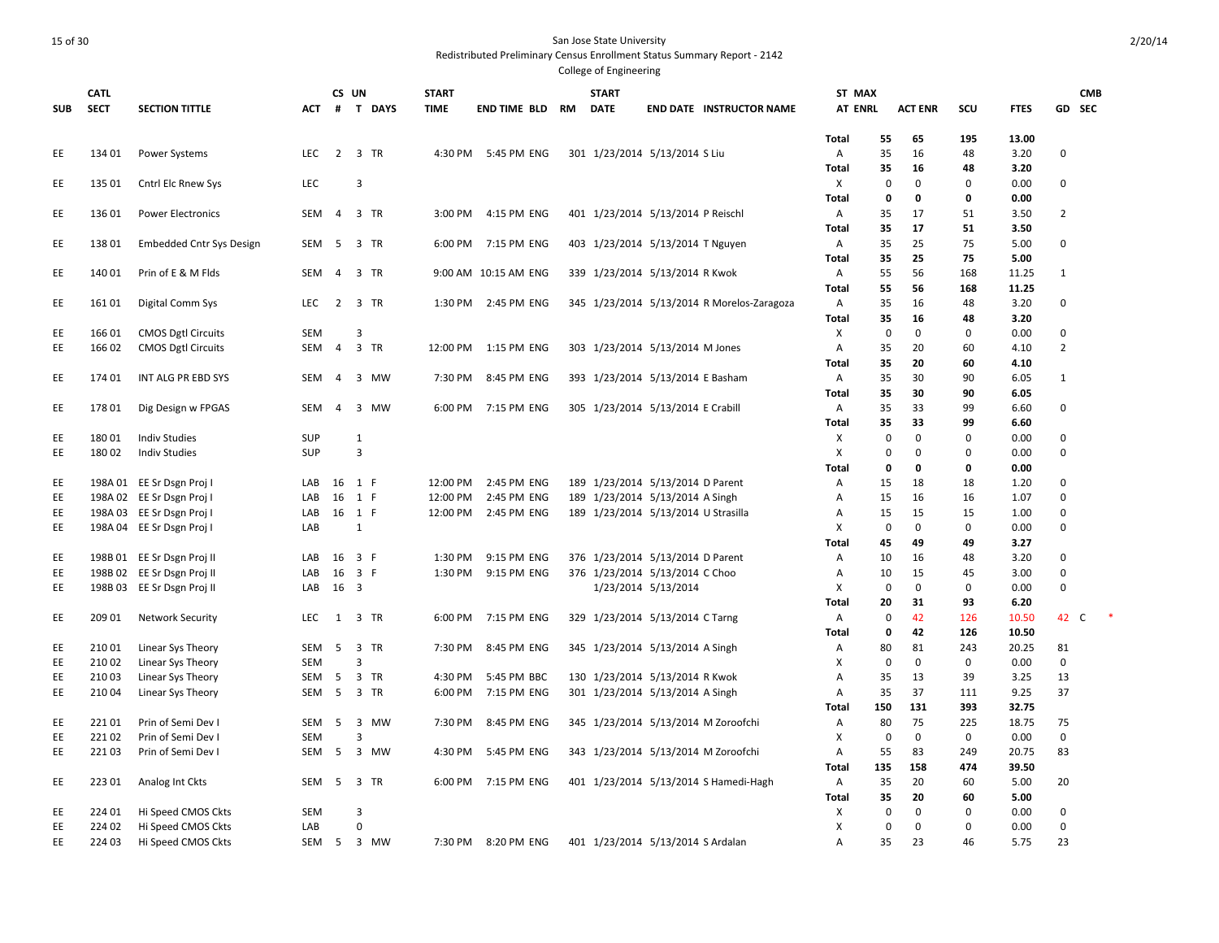| <b>SUB</b> | CATL<br><b>SECT</b> | <b>SECTION TITTLE</b>                        | <b>ACT</b>        | CS UN          | # T DAYS             | <b>START</b><br><b>TIME</b> | END TIME BLD RM      | <b>START</b><br><b>DATE</b> | <b>END DATE INSTRUCTOR NAME</b>            | ST MAX<br><b>AT ENRL</b> |                  | <b>ACT ENR</b>             | SCU              | <b>FTES</b>   |                  | <b>CMB</b><br>GD SEC |
|------------|---------------------|----------------------------------------------|-------------------|----------------|----------------------|-----------------------------|----------------------|-----------------------------|--------------------------------------------|--------------------------|------------------|----------------------------|------------------|---------------|------------------|----------------------|
|            |                     |                                              |                   |                |                      |                             |                      |                             |                                            | <b>Total</b>             | 55               | 65                         | 195              | 13.00         |                  |                      |
| EE         | 134 01              | Power Systems                                | LEC               |                | 2 3 TR               |                             | 4:30 PM 5:45 PM ENG  |                             | 301 1/23/2014 5/13/2014 S Liu              | Α                        | 35               | 16                         | 48               | 3.20          | 0                |                      |
|            |                     |                                              |                   |                |                      |                             |                      |                             |                                            | <b>Total</b>             | 35               | 16                         | 48               | 3.20          |                  |                      |
| EE         | 135 01              | Cntrl Elc Rnew Sys                           | <b>LEC</b>        |                | $\overline{3}$       |                             |                      |                             |                                            | X                        | 0                | $\mathbf 0$                | $\pmb{0}$        | 0.00          | 0                |                      |
|            |                     |                                              |                   |                |                      |                             |                      |                             |                                            | Total                    | 0                | 0                          | 0                | 0.00          |                  |                      |
| EE         | 13601               | <b>Power Electronics</b>                     | SEM               |                | 4 3 TR               | 3:00 PM                     | 4:15 PM ENG          |                             | 401 1/23/2014 5/13/2014 P Reischl          | A                        | 35               | 17                         | 51               | 3.50          | $\overline{2}$   |                      |
| EE         | 13801               | <b>Embedded Cntr Sys Design</b>              | SEM               | -5             | 3 TR                 | 6:00 PM                     | 7:15 PM ENG          |                             | 403 1/23/2014 5/13/2014 T Nguyen           | Total<br>Α               | 35<br>35         | 17<br>25                   | 51<br>75         | 3.50<br>5.00  | $\mathbf 0$      |                      |
|            |                     |                                              |                   |                |                      |                             |                      |                             |                                            | Total                    | 35               | 25                         | 75               | 5.00          |                  |                      |
| EE         | 140 01              | Prin of E & M Flds                           | SEM               | $\overline{4}$ | 3 TR                 |                             | 9:00 AM 10:15 AM ENG |                             | 339 1/23/2014 5/13/2014 R Kwok             | Α                        | 55               | 56                         | 168              | 11.25         | $\mathbf{1}$     |                      |
|            |                     |                                              |                   |                |                      |                             |                      |                             |                                            | <b>Total</b>             | 55               | 56                         | 168              | 11.25         |                  |                      |
| EE         | 161 01              | Digital Comm Sys                             | <b>LEC</b>        |                | 2 3 TR               | 1:30 PM                     | 2:45 PM ENG          |                             | 345 1/23/2014 5/13/2014 R Morelos-Zaragoza | Α                        | 35               | 16                         | 48               | 3.20          | $\mathbf 0$      |                      |
|            |                     |                                              |                   |                |                      |                             |                      |                             |                                            | <b>Total</b>             | 35               | 16                         | 48               | 3.20          |                  |                      |
| EE         | 166 01              | <b>CMOS Dgtl Circuits</b>                    | <b>SEM</b>        |                | $\overline{3}$       |                             |                      |                             |                                            | X                        | 0                | $\Omega$                   | 0                | 0.00          | 0                |                      |
| EE         | 166 02              | <b>CMOS Dgtl Circuits</b>                    | SEM               | $\overline{4}$ | 3 TR                 | 12:00 PM                    | 1:15 PM ENG          |                             | 303 1/23/2014 5/13/2014 M Jones            | Α                        | 35               | 20                         | 60               | 4.10          | $\overline{2}$   |                      |
|            |                     |                                              |                   |                |                      |                             |                      |                             |                                            | <b>Total</b>             | 35               | 20                         | 60               | 4.10          |                  |                      |
| EE         | 174 01              | INT ALG PR EBD SYS                           | SEM               | $\overline{4}$ | 3 MW                 | 7:30 PM                     | 8:45 PM ENG          |                             | 393 1/23/2014 5/13/2014 E Basham           | A                        | 35               | 30                         | 90               | 6.05          | $\mathbf{1}$     |                      |
|            |                     |                                              |                   |                |                      |                             |                      |                             |                                            | Total                    | 35               | 30                         | 90               | 6.05          |                  |                      |
| EE         | 17801               | Dig Design w FPGAS                           | SEM               | -4             | $\overline{3}$<br>MW | 6:00 PM                     | 7:15 PM ENG          |                             | 305 1/23/2014 5/13/2014 E Crabill          | A                        | 35               | 33                         | 99               | 6.60          | $\mathbf 0$      |                      |
|            |                     |                                              |                   |                |                      |                             |                      |                             |                                            | <b>Total</b>             | 35               | 33                         | 99               | 6.60          |                  |                      |
| EE<br>EE.  | 180 01<br>18002     | <b>Indiv Studies</b><br><b>Indiv Studies</b> | SUP<br><b>SUP</b> |                | $\mathbf{1}$<br>3    |                             |                      |                             |                                            | X<br>X                   | 0<br>$\mathbf 0$ | $\mathbf 0$<br>$\mathbf 0$ | 0<br>$\mathbf 0$ | 0.00<br>0.00  | 0<br>$\mathbf 0$ |                      |
|            |                     |                                              |                   |                |                      |                             |                      |                             |                                            | Total                    | 0                | 0                          | 0                | 0.00          |                  |                      |
| EE         |                     | 198A 01 EE Sr Dsgn Proj I                    | LAB               |                | 16 1 F               | 12:00 PM                    | 2:45 PM ENG          |                             | 189 1/23/2014 5/13/2014 D Parent           | Α                        | 15               | 18                         | 18               | 1.20          | 0                |                      |
| EE         |                     | 198A 02 EE Sr Dsgn Proj I                    | LAB               | 16             | 1 F                  | 12:00 PM                    | 2:45 PM ENG          |                             | 189 1/23/2014 5/13/2014 A Singh            | A                        | 15               | 16                         | 16               | 1.07          | 0                |                      |
| EE         |                     | 198A 03 EE Sr Dsgn Proj I                    | LAB               |                | 16 1 F               | 12:00 PM                    | 2:45 PM ENG          |                             | 189 1/23/2014 5/13/2014 U Strasilla        | Α                        | 15               | 15                         | 15               | 1.00          | 0                |                      |
| EE         |                     | 198A 04 EE Sr Dsgn Proj I                    | LAB               |                | 1                    |                             |                      |                             |                                            | X                        | 0                | $\mathbf 0$                | $\mathbf 0$      | 0.00          | 0                |                      |
|            |                     |                                              |                   |                |                      |                             |                      |                             |                                            | Total                    | 45               | 49                         | 49               | 3.27          |                  |                      |
| EE         |                     | 198B 01 EE Sr Dsgn Proj II                   | LAB               |                | 16 3 F               | 1:30 PM                     | 9:15 PM ENG          |                             | 376 1/23/2014 5/13/2014 D Parent           | Α                        | 10               | 16                         | 48               | 3.20          | 0                |                      |
| EE         |                     | 198B 02 EE Sr Dsgn Proj II                   | LAB               |                | 16 3 F               | 1:30 PM                     | 9:15 PM ENG          |                             | 376 1/23/2014 5/13/2014 C Choo             | Α                        | 10               | 15                         | 45               | 3.00          | $\mathbf 0$      |                      |
| EE         |                     | 198B 03 EE Sr Dsgn Proj II                   | LAB 16 3          |                |                      |                             |                      |                             | 1/23/2014 5/13/2014                        | X                        | 0                | $\mathbf 0$                | $\mathbf 0$      | 0.00          | 0                |                      |
|            |                     |                                              |                   |                |                      |                             |                      |                             |                                            | <b>Total</b>             | 20               | 31                         | 93               | 6.20          |                  |                      |
| EE         | 209 01              | <b>Network Security</b>                      | LEC               |                | 1 3 TR               | 6:00 PM                     | 7:15 PM ENG          |                             | 329 1/23/2014 5/13/2014 C Tarng            | A                        | 0                | 42                         | 126              | 10.50         | 42               | C                    |
|            |                     |                                              |                   | 5              | 3 TR                 |                             | 8:45 PM ENG          |                             |                                            | Total                    | 0                | 42                         | 126              | 10.50         | 81               |                      |
| EE<br>EE   | 21001<br>21002      | Linear Sys Theory<br>Linear Sys Theory       | SEM<br>SEM        |                | 3                    | 7:30 PM                     |                      |                             | 345 1/23/2014 5/13/2014 A Singh            | Α<br>X                   | 80<br>0          | 81<br>0                    | 243<br>$\pmb{0}$ | 20.25<br>0.00 | 0                |                      |
| EE         | 21003               | Linear Sys Theory                            | SEM               | $5^{\circ}$    | 3 TR                 | 4:30 PM                     | 5:45 PM BBC          |                             | 130 1/23/2014 5/13/2014 R Kwok             | Α                        | 35               | 13                         | 39               | 3.25          | 13               |                      |
| EE         | 21004               | Linear Sys Theory                            | SEM               | 5              | 3 TR                 | 6:00 PM                     | 7:15 PM ENG          |                             | 301 1/23/2014 5/13/2014 A Singh            | A                        | 35               | 37                         | 111              | 9.25          | 37               |                      |
|            |                     |                                              |                   |                |                      |                             |                      |                             |                                            | Total                    | 150              | 131                        | 393              | 32.75         |                  |                      |
| EE         | 22101               | Prin of Semi Dev I                           | SEM               | 5              | 3 MW                 | 7:30 PM                     | 8:45 PM ENG          |                             | 345 1/23/2014 5/13/2014 M Zoroofchi        | Α                        | 80               | 75                         | 225              | 18.75         | 75               |                      |
| EE         | 22102               | Prin of Semi Dev I                           | <b>SEM</b>        |                | 3                    |                             |                      |                             |                                            | x                        | 0                | $\Omega$                   | 0                | 0.00          | 0                |                      |
| EE         | 22103               | Prin of Semi Dev I                           | SEM <sub>5</sub>  |                | 3 MW                 | 4:30 PM                     | 5:45 PM ENG          |                             | 343 1/23/2014 5/13/2014 M Zoroofchi        | A                        | 55               | 83                         | 249              | 20.75         | 83               |                      |
|            |                     |                                              |                   |                |                      |                             |                      |                             |                                            | Total                    | 135              | 158                        | 474              | 39.50         |                  |                      |
| EE         | 22301               | Analog Int Ckts                              | SEM               | 5              | 3 TR                 | 6:00 PM                     | 7:15 PM ENG          |                             | 401 1/23/2014 5/13/2014 S Hamedi-Hagh      | A                        | 35               | 20                         | 60               | 5.00          | 20               |                      |
|            |                     |                                              |                   |                |                      |                             |                      |                             |                                            | Total                    | 35               | 20                         | 60               | 5.00          |                  |                      |
| EE         | 224 01              | Hi Speed CMOS Ckts                           | SEM               |                | 3                    |                             |                      |                             |                                            | Х                        | 0                | $\mathbf 0$                | $\mathbf 0$      | 0.00          | 0                |                      |
| EE         | 224 02              | Hi Speed CMOS Ckts                           | LAB               |                | $\Omega$             |                             |                      |                             |                                            | X                        | 0                | $\Omega$                   | $\mathbf 0$      | 0.00          | 0                |                      |
| EE         | 224 03              | Hi Speed CMOS Ckts                           |                   |                | SEM 5 3 MW           | 7:30 PM                     | 8:20 PM ENG          |                             | 401 1/23/2014 5/13/2014 S Ardalan          | Α                        | 35               | 23                         | 46               | 5.75          | 23               |                      |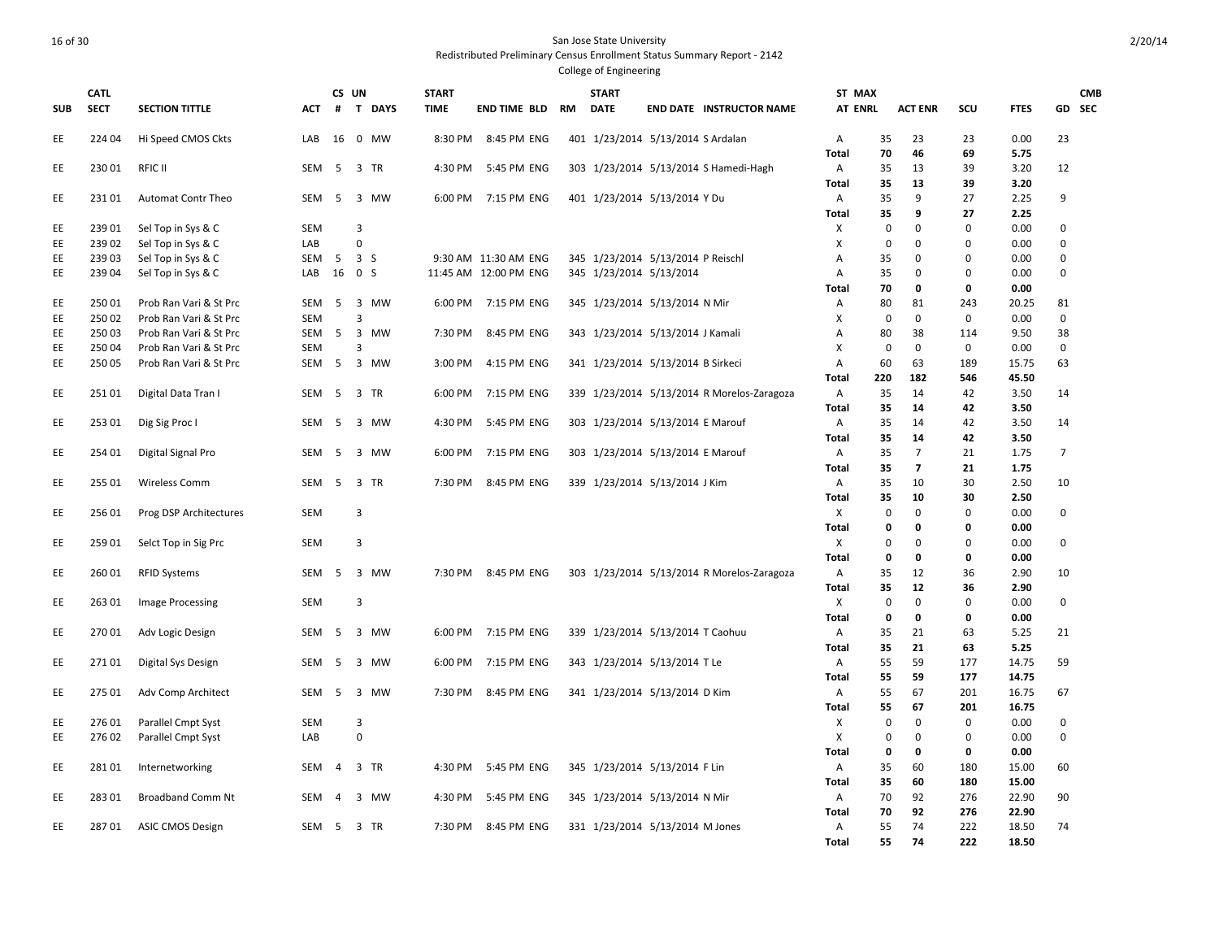|            | <b>CATL</b> |                           |            | CS UN          |                |           | <b>START</b> |                        | <b>START</b>                      |                                            | ST MAX         |             |                |             |             |                | <b>CMB</b> |
|------------|-------------|---------------------------|------------|----------------|----------------|-----------|--------------|------------------------|-----------------------------------|--------------------------------------------|----------------|-------------|----------------|-------------|-------------|----------------|------------|
| <b>SUB</b> | <b>SECT</b> | <b>SECTION TITTLE</b>     | <b>ACT</b> | #              |                | T DAYS    | <b>TIME</b>  | <b>END TIME BLD RM</b> | <b>DATE</b>                       | <b>END DATE INSTRUCTOR NAME</b>            | <b>AT ENRL</b> |             | <b>ACT ENR</b> | SCU         | <b>FTES</b> |                | GD SEC     |
| EE         | 224 04      | Hi Speed CMOS Ckts        | LAB        | 16             |                | 0 MW      | 8:30 PM      | 8:45 PM ENG            | 401 1/23/2014 5/13/2014 S Ardalan |                                            | A              | 35          | 23             | 23          | 0.00        | 23             |            |
|            |             |                           |            |                |                |           |              |                        |                                   |                                            | <b>Total</b>   | 70          | 46             | 69          | 5.75        |                |            |
| EE         | 230 01      | <b>RFIC II</b>            | <b>SEM</b> | 5              | 3 TR           |           | 4:30 PM      | 5:45 PM ENG            |                                   | 303 1/23/2014 5/13/2014 S Hamedi-Hagh      | Α              | 35          | 13             | 39          | 3.20        | 12             |            |
|            |             |                           |            |                |                |           |              |                        |                                   |                                            | <b>Total</b>   | 35          | 13             | 39          | 3.20        |                |            |
| EE         | 23101       | <b>Automat Contr Theo</b> | SEM        | 5              |                | 3 MW      | 6:00 PM      | 7:15 PM ENG            | 401 1/23/2014 5/13/2014 Y Du      |                                            | Α              | 35          | 9              | 27          | 2.25        | 9              |            |
|            |             |                           |            |                |                |           |              |                        |                                   |                                            | <b>Total</b>   | 35          | 9              | 27          | 2.25        |                |            |
| EE         | 239 01      | Sel Top in Sys & C        | <b>SEM</b> |                | 3              |           |              |                        |                                   |                                            | Х              | 0           | 0              | $\mathbf 0$ | 0.00        | 0              |            |
| EE         | 23902       | Sel Top in Sys & C        | LAB        |                | 0              |           |              |                        |                                   |                                            | X              | $\mathbf 0$ | $\Omega$       | 0           | 0.00        | $\mathbf 0$    |            |
| EE         | 239 03      | Sel Top in Sys & C        | SEM        | 5              | 3 <sub>5</sub> |           |              | 9:30 AM 11:30 AM ENG   | 345 1/23/2014 5/13/2014 P Reischl |                                            | $\overline{A}$ | 35          | 0              | $\Omega$    | 0.00        | $\mathbf 0$    |            |
| EE         | 239 04      | Sel Top in Sys & C        | LAB        | 16             | 0 <sup>5</sup> |           |              | 11:45 AM 12:00 PM ENG  | 345 1/23/2014 5/13/2014           |                                            | А              | 35          | $\Omega$       | 0           | 0.00        | 0              |            |
|            |             |                           |            |                |                |           |              |                        |                                   |                                            | <b>Total</b>   | 70          | 0              | 0           | 0.00        |                |            |
| EE         | 25001       | Prob Ran Vari & St Prc    | SEM        | -5             | $\overline{3}$ | MW        | 6:00 PM      | 7:15 PM ENG            | 345 1/23/2014 5/13/2014 N Mir     |                                            | Α              | 80          | 81             | 243         | 20.25       | 81             |            |
| EE         | 250 02      | Prob Ran Vari & St Prc    | <b>SEM</b> |                | 3              |           |              |                        |                                   |                                            | X              | $\mathbf 0$ | $\mathbf 0$    | $\mathbf 0$ | 0.00        | $\mathbf 0$    |            |
| EE         | 25003       | Prob Ran Vari & St Prc    | SEM        | - 5            | $\overline{3}$ | MW        | 7:30 PM      | 8:45 PM ENG            | 343 1/23/2014 5/13/2014 J Kamali  |                                            | A              | 80          | 38             | 114         | 9.50        | 38             |            |
| EE         | 25004       | Prob Ran Vari & St Prc    | <b>SEM</b> |                | 3              |           |              |                        |                                   |                                            | X              | $\mathbf 0$ | $\mathbf 0$    | $\mathbf 0$ | 0.00        | $\mathbf 0$    |            |
| EE         | 250 05      | Prob Ran Vari & St Prc    | SEM        | - 5            |                | 3 MW      | 3:00 PM      | 4:15 PM ENG            | 341 1/23/2014 5/13/2014 B Sirkeci |                                            | A              | 60          | 63             | 189         | 15.75       | 63             |            |
|            |             |                           |            |                |                |           |              |                        |                                   |                                            | Total          | 220         | 182            | 546         | 45.50       |                |            |
| EE         | 251 01      | Digital Data Tran I       | SEM        | - 5            | 3 TR           |           | 6:00 PM      | 7:15 PM ENG            |                                   | 339 1/23/2014 5/13/2014 R Morelos-Zaragoza | Α              | 35          | 14             | 42          | 3.50        | 14             |            |
|            |             |                           |            |                |                |           |              |                        |                                   |                                            | <b>Total</b>   | 35          | 14             | 42          | 3.50        |                |            |
| EE         | 253 01      | Dig Sig Proc I            | SEM        | - 5            |                | 3 MW      | 4:30 PM      | 5:45 PM ENG            | 303 1/23/2014 5/13/2014 E Marouf  |                                            | A              | 35          | 14             | 42          | 3.50        | 14             |            |
|            |             |                           |            |                |                |           |              |                        |                                   |                                            | <b>Total</b>   | 35          | 14             | 42          | 3.50        |                |            |
| EE         | 254 01      | Digital Signal Pro        | <b>SEM</b> | 5              |                | 3 MW      | 6:00 PM      | 7:15 PM ENG            | 303 1/23/2014 5/13/2014 E Marouf  |                                            | Α              | 35          | $\overline{7}$ | 21          | 1.75        | $\overline{7}$ |            |
|            |             |                           |            |                |                |           |              |                        |                                   |                                            | <b>Total</b>   | 35          | $\overline{7}$ | 21          | 1.75        |                |            |
| EE         | 255 01      | Wireless Comm             | SEM        | - 5            | 3 TR           |           | 7:30 PM      | 8:45 PM ENG            | 339 1/23/2014 5/13/2014 J Kim     |                                            | Α              | 35          | 10             | 30          | 2.50        | 10             |            |
|            |             |                           |            |                |                |           |              |                        |                                   |                                            | <b>Total</b>   | 35          | 10             | 30          | 2.50        |                |            |
| EE         | 25601       | Prog DSP Architectures    | <b>SEM</b> |                | 3              |           |              |                        |                                   |                                            | Χ              | 0           | 0              | 0           | 0.00        | $\mathbf 0$    |            |
|            |             |                           |            |                |                |           |              |                        |                                   |                                            | <b>Total</b>   | $\mathbf 0$ | 0              | 0           | 0.00        |                |            |
| EE         | 259 01      | Selct Top in Sig Prc      | <b>SEM</b> |                | 3              |           |              |                        |                                   |                                            | X              | 0           | $\mathbf 0$    | $\mathbf 0$ | 0.00        | $\mathbf 0$    |            |
|            |             |                           |            |                |                |           |              |                        |                                   |                                            | <b>Total</b>   | 0           | 0              | 0           | 0.00        |                |            |
| EE         | 260 01      | <b>RFID Systems</b>       | SEM        | 5              | $\overline{3}$ | MW        | 7:30 PM      | 8:45 PM ENG            |                                   | 303 1/23/2014 5/13/2014 R Morelos-Zaragoza | Α              | 35          | 12             | 36          | 2.90        | 10             |            |
|            |             |                           |            |                |                |           |              |                        |                                   |                                            | <b>Total</b>   | 35          | 12             | 36          | 2.90        |                |            |
| EE         | 263 01      | Image Processing          | <b>SEM</b> |                | 3              |           |              |                        |                                   |                                            | Χ              | $\mathbf 0$ | $\mathbf 0$    | 0           | 0.00        | $\mathbf 0$    |            |
|            |             |                           |            |                |                |           |              |                        |                                   |                                            | <b>Total</b>   | $\mathbf 0$ | 0              | 0           | 0.00        |                |            |
| EE         | 27001       | Adv Logic Design          | SEM        | 5              | $\overline{3}$ | MW        | 6:00 PM      | 7:15 PM ENG            | 339 1/23/2014 5/13/2014 T Caohuu  |                                            | A              | 35          | 21             | 63          | 5.25        | 21             |            |
|            |             |                           |            |                |                |           |              |                        |                                   |                                            | <b>Total</b>   | 35          | 21             | 63          | 5.25        |                |            |
| EE         | 27101       | Digital Sys Design        | SEM        | - 5            | $\overline{3}$ | MW        | 6:00 PM      | 7:15 PM ENG            | 343 1/23/2014 5/13/2014 TLe       |                                            | Α              | 55          | 59             | 177         | 14.75       | 59             |            |
|            |             |                           |            |                |                |           |              |                        |                                   |                                            | <b>Total</b>   | 55          | 59             | 177         | 14.75       |                |            |
| EE         | 275 01      | Adv Comp Architect        | <b>SEM</b> | -5             | 3              | <b>MW</b> | 7:30 PM      | 8:45 PM ENG            | 341 1/23/2014 5/13/2014 D Kim     |                                            | Α              | 55          | 67             | 201         | 16.75       | 67             |            |
|            |             |                           |            |                |                |           |              |                        |                                   |                                            | <b>Total</b>   | 55          | 67             | 201         | 16.75       |                |            |
| EE         | 276 01      | Parallel Cmpt Syst        | <b>SEM</b> |                | $\overline{3}$ |           |              |                        |                                   |                                            | Х              | $\mathbf 0$ | $\mathbf 0$    | $\mathbf 0$ | 0.00        | $\mathbf 0$    |            |
| EE         | 276 02      | Parallel Cmpt Syst        | LAB        |                | $\mathsf 0$    |           |              |                        |                                   |                                            | X              | 0           | $\mathbf{0}$   | 0           | 0.00        | $\mathbf 0$    |            |
|            |             |                           |            |                |                |           |              |                        |                                   |                                            | <b>Total</b>   | 0           | 0              | 0           | 0.00        |                |            |
| EE         | 28101       | Internetworking           | SEM        | $\overline{4}$ |                | 3 TR      | 4:30 PM      | 5:45 PM ENG            | 345 1/23/2014 5/13/2014 F Lin     |                                            | $\mathsf{A}$   | 35          | 60             | 180         | 15.00       | 60             |            |
|            |             |                           |            |                |                |           |              |                        |                                   |                                            | <b>Total</b>   | 35          | 60             | 180         | 15.00       |                |            |
| EE         | 28301       | <b>Broadband Comm Nt</b>  | <b>SEM</b> | $\overline{4}$ | 3              | <b>MW</b> | 4:30 PM      | 5:45 PM ENG            |                                   |                                            | $\overline{A}$ | 70          | 92             | 276         | 22.90       | 90             |            |
|            |             |                           |            |                |                |           |              |                        | 345 1/23/2014 5/13/2014 N Mir     |                                            | Total          | 70          | 92             | 276         | 22.90       |                |            |
| EE         | 28701       | <b>ASIC CMOS Design</b>   | SEM        | 5              |                | 3 TR      | 7:30 PM      | 8:45 PM ENG            | 331 1/23/2014 5/13/2014 M Jones   |                                            | Α              | 55          | 74             | 222         | 18.50       | 74             |            |
|            |             |                           |            |                |                |           |              |                        |                                   |                                            | <b>Total</b>   | 55          | 74             | 222         | 18.50       |                |            |
|            |             |                           |            |                |                |           |              |                        |                                   |                                            |                |             |                |             |             |                |            |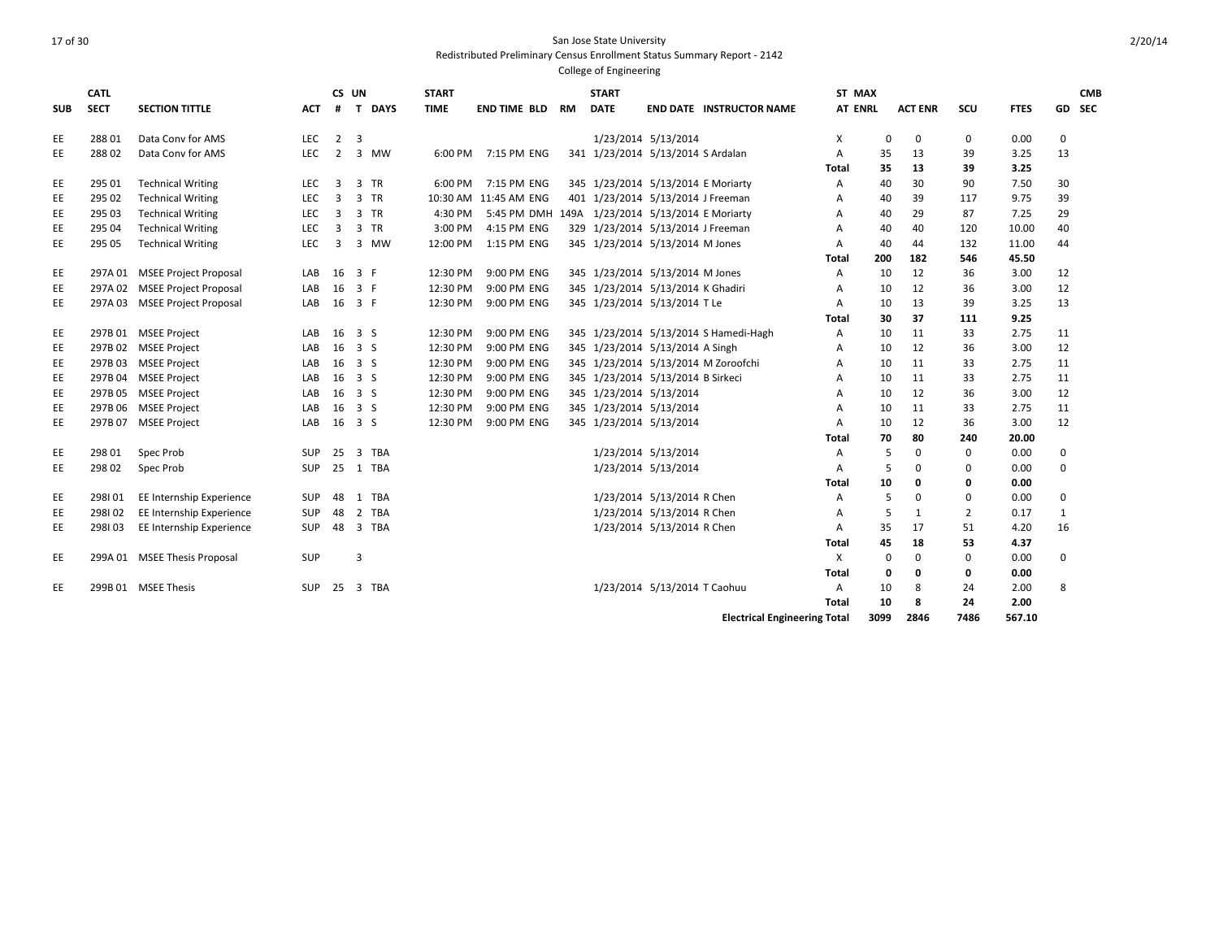|            | <b>CATL</b> |                               |            | CS UN          |                       | <b>START</b> |                                                 |           | <b>START</b>                       |                              |                                       | ST MAX         |             |                |          |             |             | <b>CMB</b> |
|------------|-------------|-------------------------------|------------|----------------|-----------------------|--------------|-------------------------------------------------|-----------|------------------------------------|------------------------------|---------------------------------------|----------------|-------------|----------------|----------|-------------|-------------|------------|
| <b>SUB</b> | <b>SECT</b> | <b>SECTION TITTLE</b>         | ACT        | #              | T DAYS                | <b>TIME</b>  | END TIME BLD                                    | <b>RM</b> | <b>DATE</b>                        |                              | <b>END DATE INSTRUCTOR NAME</b>       | <b>AT ENRL</b> |             | <b>ACT ENR</b> | SCU      | <b>FTES</b> |             | GD SEC     |
| EE         | 28801       | Data Conv for AMS             | <b>LEC</b> | $2^{\circ}$    | -3                    |              |                                                 |           |                                    | 1/23/2014 5/13/2014          |                                       | х              | 0           | 0              | 0        | 0.00        | 0           |            |
| EE         | 288 02      | Data Conv for AMS             | LEC        | $\overline{2}$ | 3 MW                  |              | 6:00 PM 7:15 PM ENG                             |           | 341 1/23/2014 5/13/2014 S Ardalan  |                              |                                       | Α              | 35          | 13             | 39       | 3.25        | 13          |            |
|            |             |                               |            |                |                       |              |                                                 |           |                                    |                              |                                       | Total          | 35          | 13             | 39       | 3.25        |             |            |
| EE         | 295 01      | <b>Technical Writing</b>      | <b>LEC</b> | 3              | 3<br><b>TR</b>        | 6:00 PM      | 7:15 PM ENG                                     |           | 345 1/23/2014 5/13/2014 E Moriarty |                              |                                       | A              | 40          | 30             | 90       | 7.50        | 30          |            |
| EE         | 295 02      | <b>Technical Writing</b>      | <b>LEC</b> | 3              | 3<br><b>TR</b>        |              | 10:30 AM 11:45 AM ENG                           |           | 401 1/23/2014 5/13/2014 J Freeman  |                              |                                       | A              | 40          | 39             | 117      | 9.75        | 39          |            |
| EE         | 295 03      | <b>Technical Writing</b>      | LEC        | 3              | <b>TR</b><br>3        | 4:30 PM      | 5:45 PM DMH 149A 1/23/2014 5/13/2014 E Moriarty |           |                                    |                              |                                       | А              | 40          | 29             | 87       | 7.25        | 29          |            |
| EE         | 295 04      | <b>Technical Writing</b>      | LEC        | 3              | 3<br>TR               | 3:00 PM      | 4:15 PM ENG                                     |           | 329 1/23/2014 5/13/2014 J Freeman  |                              |                                       | A              | 40          | 40             | 120      | 10.00       | 40          |            |
| EE         | 295 05      | <b>Technical Writing</b>      | <b>LEC</b> | 3              | 3 MW                  | 12:00 PM     | 1:15 PM ENG                                     |           | 345 1/23/2014 5/13/2014 M Jones    |                              |                                       | А              | 40          | 44             | 132      | 11.00       | 44          |            |
|            |             |                               |            |                |                       |              |                                                 |           |                                    |                              |                                       | Total          | 200         | 182            | 546      | 45.50       |             |            |
| EE         |             | 297A 01 MSEE Project Proposal | LAB        | 16             | 3 F                   | 12:30 PM     | 9:00 PM ENG                                     |           | 345 1/23/2014 5/13/2014 M Jones    |                              |                                       | Α              | 10          | 12             | 36       | 3.00        | 12          |            |
| EE         | 297A 02     | <b>MSEE Project Proposal</b>  | LAB        | 16             | 3 F                   | 12:30 PM     | 9:00 PM ENG                                     |           | 345 1/23/2014 5/13/2014 K Ghadiri  |                              |                                       | A              | 10          | 12             | 36       | 3.00        | 12          |            |
| EE         | 297A03      | <b>MSEE Project Proposal</b>  | LAB        | 16             | 3 F                   | 12:30 PM     | 9:00 PM ENG                                     |           | 345 1/23/2014 5/13/2014 T Le       |                              |                                       | Α              | 10          | 13             | 39       | 3.25        | 13          |            |
|            |             |                               |            |                |                       |              |                                                 |           |                                    |                              |                                       | Total          | 30          | 37             | 111      | 9.25        |             |            |
| EE         |             | 297B 01 MSEE Project          | LAB        | 16             | 3 <sup>5</sup>        | 12:30 PM     | 9:00 PM ENG                                     |           |                                    |                              | 345 1/23/2014 5/13/2014 S Hamedi-Hagh | Α              | 10          | 11             | 33       | 2.75        | 11          |            |
| EE         |             | 297B 02 MSEE Project          | LAB        | 16             | 3S                    | 12:30 PM     | 9:00 PM ENG                                     |           | 345 1/23/2014 5/13/2014 A Singh    |                              |                                       | Α              | 10          | 12             | 36       | 3.00        | 12          |            |
| EE         |             | 297B 03 MSEE Project          | LAB        | 16             | 3S                    | 12:30 PM     | 9:00 PM ENG                                     |           |                                    |                              | 345 1/23/2014 5/13/2014 M Zoroofchi   | Α              | 10          | 11             | 33       | 2.75        | 11          |            |
| EE         |             | 297B 04 MSEE Project          | LAB        | 16             | 3S                    | 12:30 PM     | 9:00 PM ENG                                     |           | 345 1/23/2014 5/13/2014 B Sirkeci  |                              |                                       | Α              | 10          | 11             | 33       | 2.75        | 11          |            |
| EE         | 297B 05     | <b>MSEE Project</b>           | LAB        | 16             | 3 <sup>5</sup>        | 12:30 PM     | 9:00 PM ENG                                     |           | 345 1/23/2014 5/13/2014            |                              |                                       | Α              | 10          | 12             | 36       | 3.00        | 12          |            |
| EE         | 297B 06     | <b>MSEE Project</b>           | LAB        | 16             | 3S                    | 12:30 PM     | 9:00 PM ENG                                     |           | 345 1/23/2014 5/13/2014            |                              |                                       | A              | 10          | 11             | 33       | 2.75        | 11          |            |
| EE         | 297B 07     | <b>MSEE Project</b>           | LAB        | 16             | 3S                    | 12:30 PM     | 9:00 PM ENG                                     |           | 345 1/23/2014 5/13/2014            |                              |                                       | A              | 10          | 12             | 36       | 3.00        | 12          |            |
|            |             |                               |            |                |                       |              |                                                 |           |                                    |                              |                                       | Total          | 70          | 80             | 240      | 20.00       |             |            |
| EE         | 298 01      | Spec Prob                     | <b>SUP</b> | 25             | <b>TBA</b><br>3       |              |                                                 |           |                                    | 1/23/2014 5/13/2014          |                                       | Α              | 5           | 0              | 0        | 0.00        | 0           |            |
| EE         | 298 02      | Spec Prob                     | <b>SUP</b> |                | 25 1 TBA              |              |                                                 |           |                                    | 1/23/2014 5/13/2014          |                                       | A              | 5           | 0              | 0        | 0.00        | $\mathbf 0$ |            |
|            |             |                               |            |                |                       |              |                                                 |           |                                    |                              |                                       | Total          | 10          | 0              | 0        | 0.00        |             |            |
| EE         | 298101      | EE Internship Experience      | <b>SUP</b> | 48             | <b>TBA</b><br>1       |              |                                                 |           |                                    | 1/23/2014 5/13/2014 R Chen   |                                       | A              | 5           | 0              | $\Omega$ | 0.00        | 0           |            |
| EE         | 298102      | EE Internship Experience      | SUP        | 48             | $\overline{2}$<br>TBA |              |                                                 |           |                                    | 1/23/2014 5/13/2014 R Chen   |                                       | Α              | 5           | 1              | 2        | 0.17        | 1           |            |
| EE         | 298103      | EE Internship Experience      | <b>SUP</b> | 48             | 3<br>TBA              |              |                                                 |           |                                    | 1/23/2014 5/13/2014 R Chen   |                                       | Α              | 35          | 17             | 51       | 4.20        | 16          |            |
|            |             |                               |            |                |                       |              |                                                 |           |                                    |                              |                                       | Total          | 45          | 18             | 53       | 4.37        |             |            |
| EE         |             | 299A 01 MSEE Thesis Proposal  | SUP        |                | 3                     |              |                                                 |           |                                    |                              |                                       | X              | $\mathbf 0$ | $\mathbf 0$    | $\Omega$ | 0.00        | $\mathbf 0$ |            |
|            |             |                               |            |                |                       |              |                                                 |           |                                    |                              |                                       | Total          | 0           | 0              | 0        | 0.00        |             |            |
| EE.        |             | 299B 01 MSEE Thesis           | <b>SUP</b> | 25             | <b>TBA</b><br>3       |              |                                                 |           |                                    | 1/23/2014 5/13/2014 T Caohuu |                                       | Α              | 10          | 8              | 24       | 2.00        | 8           |            |
|            |             |                               |            |                |                       |              |                                                 |           |                                    |                              |                                       | Total          | 10          | 8              | 24       | 2.00        |             |            |
|            |             |                               |            |                |                       |              |                                                 |           |                                    |                              | <b>Electrical Engineering Total</b>   |                | 3099        | 2846           | 7486     | 567.10      |             |            |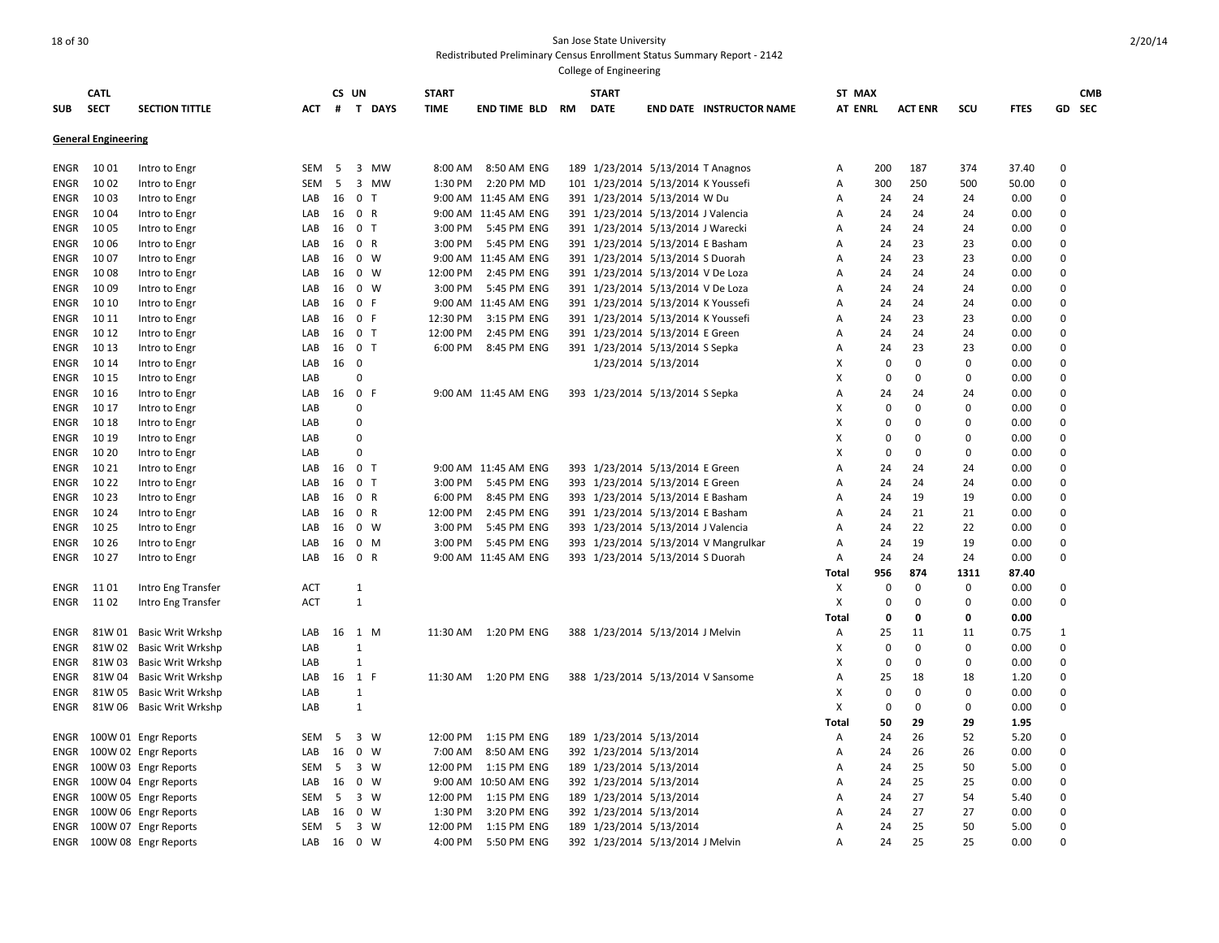| <b>SUB</b>  | <b>CATL</b><br><b>SECT</b> | <b>SECTION TITTLE</b>    | <b>ACT</b> | CS UN<br># | T DAYS                                  | <b>START</b><br><b>TIME</b> | END TIME BLD         | RM  | <b>START</b><br><b>DATE</b> |                                    | <b>END DATE INSTRUCTOR NAME</b>      | ST MAX<br><b>AT ENRL</b> |             | <b>ACT ENR</b> | scu         | <b>FTES</b> |                      | <b>CMB</b><br>GD SEC |
|-------------|----------------------------|--------------------------|------------|------------|-----------------------------------------|-----------------------------|----------------------|-----|-----------------------------|------------------------------------|--------------------------------------|--------------------------|-------------|----------------|-------------|-------------|----------------------|----------------------|
|             | <b>General Engineering</b> |                          |            |            |                                         |                             |                      |     |                             |                                    |                                      |                          |             |                |             |             |                      |                      |
| ENGR        | 1001                       | Intro to Engr            | SEM        | 5          | 3<br><b>MW</b>                          | 8:00 AM                     | 8:50 AM ENG          |     |                             | 189 1/23/2014 5/13/2014 T Anagnos  |                                      | А                        | 200         | 187            | 374         | 37.40       | $\Omega$             |                      |
| ENGR        | 1002                       | Intro to Engr            | SEM        | 5          | 3 MW                                    | 1:30 PM                     | 2:20 PM MD           |     |                             | 101 1/23/2014 5/13/2014 K Youssefi |                                      | Α                        | 300         | 250            | 500         | 50.00       | $\Omega$             |                      |
| <b>ENGR</b> | 1003                       | Intro to Engr            | LAB        | 16         | $\mathbf 0$<br>$\mathsf{T}$             |                             | 9:00 AM 11:45 AM ENG |     |                             | 391 1/23/2014 5/13/2014 W Du       |                                      | Α                        | 24          | 24             | 24          | 0.00        | $\mathbf 0$          |                      |
| ENGR        | 1004                       | Intro to Engr            | LAB        | 16         | 0 R                                     |                             | 9:00 AM 11:45 AM ENG |     |                             | 391 1/23/2014 5/13/2014 J Valencia |                                      | A                        | 24          | 24             | 24          | 0.00        | $\Omega$             |                      |
| ENGR        | 1005                       | Intro to Engr            | LAB        | 16         | 0 <sub>T</sub>                          | 3:00 PM                     | 5:45 PM ENG          |     |                             | 391 1/23/2014 5/13/2014 J Warecki  |                                      | А                        | 24          | 24             | 24          | 0.00        | 0                    |                      |
| ENGR        | 1006                       | Intro to Engr            | LAB        | 16         | 0 R                                     | 3:00 PM                     | 5:45 PM ENG          |     |                             | 391 1/23/2014 5/13/2014 E Basham   |                                      | Α                        | 24          | 23             | 23          | 0.00        | $\Omega$             |                      |
| ENGR        | 10 07                      | Intro to Engr            | LAB        | 16         | $0 \quad W$                             |                             | 9:00 AM 11:45 AM ENG |     |                             | 391 1/23/2014 5/13/2014 S Duorah   |                                      | A                        | 24          | 23             | 23          | 0.00        | $\Omega$             |                      |
| ENGR        | 1008                       | Intro to Engr            | LAB        | 16         | $\mathbf 0$<br>W                        | 12:00 PM                    | 2:45 PM ENG          |     |                             | 391 1/23/2014 5/13/2014 V De Loza  |                                      | A                        | 24          | 24             | 24          | 0.00        | $\Omega$             |                      |
| ENGR        | 1009                       | Intro to Engr            | LAB        | 16         | $0 \quad W$                             | 3:00 PM                     | 5:45 PM ENG          |     |                             | 391 1/23/2014 5/13/2014 V De Loza  |                                      | Α                        | 24          | 24             | 24          | 0.00        | $\mathbf 0$          |                      |
| ENGR        | 10 10                      | Intro to Engr            | LAB        | 16         | $\mathbf 0$<br>F                        | 9:00 AM                     | 11:45 AM ENG         | 391 |                             | 1/23/2014 5/13/2014 K Youssefi     |                                      | A                        | 24          | 24             | 24          | 0.00        | $\Omega$             |                      |
| ENGR        | 10 11                      | Intro to Engr            | LAB        | 16         | 0 F                                     | 12:30 PM                    | 3:15 PM ENG          |     |                             | 391 1/23/2014 5/13/2014 K Youssefi |                                      | А                        | 24          | 23             | 23          | 0.00        | 0                    |                      |
| ENGR        | 10 12                      | Intro to Engr            | LAB        | 16         | 0 <sub>T</sub>                          | 12:00 PM                    | 2:45 PM ENG          |     |                             | 391 1/23/2014 5/13/2014 E Green    |                                      | Α                        | 24          | 24             | 24          | 0.00        | $\mathbf 0$          |                      |
| ENGR        | 10 13                      | Intro to Engr            | LAB        | 16         | 0 <sub>T</sub>                          | 6:00 PM                     | 8:45 PM ENG          |     |                             | 391 1/23/2014 5/13/2014 S Sepka    |                                      | A                        | 24          | 23             | 23          | 0.00        | $\Omega$             |                      |
| ENGR        | 10 14                      | Intro to Engr            | LAB        | 16         | $\mathbf 0$                             |                             |                      |     |                             | 1/23/2014 5/13/2014                |                                      | X                        | $\mathbf 0$ | $\mathbf 0$    | $\Omega$    | 0.00        | $\mathbf 0$          |                      |
| ENGR        | 10 15                      | Intro to Engr            | LAB        |            | $\pmb{0}$                               |                             |                      |     |                             |                                    |                                      | X                        | 0           | $\pmb{0}$      | $\Omega$    | 0.00        | $\Omega$             |                      |
| <b>ENGR</b> | 10 16                      | Intro to Engr            | LAB        | 16         | $\mathbf 0$<br>$\mathsf{F}$             |                             | 9:00 AM 11:45 AM ENG |     |                             | 393 1/23/2014 5/13/2014 S Sepka    |                                      | Α                        | 24          | 24             | 24          | 0.00        | $\mathbf 0$          |                      |
| ENGR        | 10 17                      | Intro to Engr            | LAB        |            | 0                                       |                             |                      |     |                             |                                    |                                      | X                        | $\mathbf 0$ | $\mathbf 0$    | $\Omega$    | 0.00        | $\Omega$             |                      |
| ENGR        | 10 18                      | Intro to Engr            | LAB        |            | 0                                       |                             |                      |     |                             |                                    |                                      | X                        | $\Omega$    | $\Omega$       | $\Omega$    | 0.00        | $\Omega$             |                      |
| ENGR        | 10 19                      | Intro to Engr            | LAB        |            | $\Omega$                                |                             |                      |     |                             |                                    |                                      | X                        | 0           | $\mathbf 0$    | $\Omega$    | 0.00        | $\Omega$             |                      |
| ENGR        | 10 20                      | Intro to Engr            | LAB        |            | $\mathbf 0$                             |                             |                      |     |                             |                                    |                                      | X                        | $\Omega$    | $\pmb{0}$      | $\Omega$    | 0.00        | $\mathbf 0$          |                      |
| ENGR        | 10 21                      | Intro to Engr            | LAB        | 16         | $\mathbf 0$<br>$\mathsf{T}$             |                             | 9:00 AM 11:45 AM ENG |     |                             | 393 1/23/2014 5/13/2014 E Green    |                                      | A                        | 24          | 24             | 24          | 0.00        | $\Omega$             |                      |
| ENGR        | 10 22                      | Intro to Engr            | LAB        | 16         | 0 <sub>T</sub>                          | 3:00 PM                     | 5:45 PM ENG          |     |                             | 393 1/23/2014 5/13/2014 E Green    |                                      | А                        | 24          | 24             | 24          | 0.00        | 0                    |                      |
| ENGR        | 10 23                      | Intro to Engr            | LAB        | 16         | $\mathbf 0$<br>$\mathsf{R}$             | 6:00 PM                     | 8:45 PM ENG          |     |                             | 393 1/23/2014 5/13/2014 E Basham   |                                      | А                        | 24          | 19             | 19          | 0.00        | $\mathbf 0$          |                      |
| <b>ENGR</b> | 10 24                      | Intro to Engr            | LAB        | 16         | $\mathbf 0$<br>$\mathsf{R}$             | 12:00 PM                    | 2:45 PM ENG          |     |                             | 391 1/23/2014 5/13/2014 E Basham   |                                      | A                        | 24          | 21             | 21          | 0.00        | $\Omega$             |                      |
| ENGR        | 10 25                      | Intro to Engr            | LAB        | 16         | $\mathbf 0$<br>W                        | 3:00 PM                     | 5:45 PM ENG          |     |                             | 393 1/23/2014 5/13/2014 J Valencia |                                      | A                        | 24          | 22             | 22          | 0.00        | $\Omega$             |                      |
| ENGR        | 10 26                      | Intro to Engr            | LAB        | 16         | $\mathbf 0$<br>M                        | 3:00 PM                     | 5:45 PM ENG          |     |                             |                                    | 393 1/23/2014 5/13/2014 V Mangrulkar | А                        | 24          | 19             | 19          | 0.00        | $\mathbf 0$          |                      |
| ENGR        | 10 27                      | Intro to Engr            | LAB        | 16         | 0 R                                     |                             | 9:00 AM 11:45 AM ENG |     |                             | 393 1/23/2014 5/13/2014 S Duorah   |                                      | А                        | 24          | 24             | 24          | 0.00        | $\Omega$             |                      |
|             |                            |                          |            |            |                                         |                             |                      |     |                             |                                    |                                      | Total                    | 956         | 874            | 1311        | 87.40       |                      |                      |
| ENGR        | 11 01                      | Intro Eng Transfer       | <b>ACT</b> |            | $\mathbf{1}$                            |                             |                      |     |                             |                                    |                                      | х                        | $\mathbf 0$ | $\mathbf 0$    | $\mathbf 0$ | 0.00        | $\mathbf 0$          |                      |
| ENGR        | 11 02                      | Intro Eng Transfer       | <b>ACT</b> |            | $\mathbf{1}$                            |                             |                      |     |                             |                                    |                                      | X                        | 0           | $\mathbf 0$    | $\Omega$    | 0.00        | $\Omega$             |                      |
|             |                            |                          |            |            |                                         |                             |                      |     |                             |                                    |                                      | Total                    | 0           | 0              | 0           | 0.00        |                      |                      |
| <b>ENGR</b> | 81W 01                     | <b>Basic Writ Wrkshp</b> | LAB        | 16         | 1 M                                     | 11:30 AM                    | 1:20 PM ENG          |     |                             | 388 1/23/2014 5/13/2014 J Melvin   |                                      | Α                        | 25          | 11             | 11          | 0.75        | $\mathbf{1}$         |                      |
| ENGR        | 81W 02                     | <b>Basic Writ Wrkshp</b> | LAB        |            | $\mathbf{1}$                            |                             |                      |     |                             |                                    |                                      | X                        | 0           | $\mathbf 0$    | $\Omega$    | 0.00        | $\Omega$             |                      |
| ENGR        | 81W 03                     | <b>Basic Writ Wrkshp</b> | LAB        |            | 1                                       |                             |                      |     |                             |                                    |                                      | х                        | $\mathbf 0$ | $\mathbf 0$    | $\Omega$    | 0.00        | $\mathbf 0$          |                      |
| ENGR        | 81W04                      | Basic Writ Wrkshp        | LAB        | 16         | 1 F                                     | 11:30 AM                    | 1:20 PM ENG          |     |                             | 388 1/23/2014 5/13/2014 V Sansome  |                                      | А                        | 25          | 18             | 18          | 1.20        | $\mathbf 0$          |                      |
| <b>ENGR</b> | 81W 05                     | <b>Basic Writ Wrkshp</b> | LAB        |            | $\mathbf{1}$                            |                             |                      |     |                             |                                    |                                      | X                        | $\mathbf 0$ | $\mathbf 0$    | $\Omega$    | 0.00        | $\Omega$             |                      |
| ENGR        |                            | 81W 06 Basic Writ Wrkshp | LAB        |            | $\mathbf{1}$                            |                             |                      |     |                             |                                    |                                      | X                        | $\mathbf 0$ | $\mathbf 0$    | $\Omega$    | 0.00        | $\Omega$             |                      |
|             |                            |                          |            |            |                                         |                             |                      |     |                             |                                    |                                      | Total                    | 50          | 29             | 29          | 1.95        |                      |                      |
| ENGR        |                            | 100W 01 Engr Reports     | <b>SEM</b> | -5<br>16   | $\overline{3}$<br>W<br>$\mathbf 0$<br>W | 12:00 PM                    | 1:15 PM ENG          |     | 189 1/23/2014 5/13/2014     |                                    |                                      | Α                        | 24          | 26             | 52          | 5.20        | $\Omega$<br>$\Omega$ |                      |
| ENGR        |                            | 100W 02 Engr Reports     | LAB        |            |                                         | 7:00 AM                     | 8:50 AM ENG          |     | 392 1/23/2014 5/13/2014     |                                    |                                      | Α                        | 24          | 26             | 26          | 0.00        | $\Omega$             |                      |
| ENGR        |                            | 100W 03 Engr Reports     | <b>SEM</b> | 5          | $\overline{\mathbf{3}}$<br>W            | 12:00 PM                    | 1:15 PM ENG          |     | 189 1/23/2014 5/13/2014     |                                    |                                      | А                        | 24          | 25<br>25       | 50          | 5.00        | $\Omega$             |                      |
| ENGR        |                            | 100W 04 Engr Reports     | LAB        | 16         | $\mathbf 0$<br>W<br>$\overline{3}$      | 9:00 AM                     | 10:50 AM ENG         |     |                             | 392 1/23/2014 5/13/2014            |                                      | Α                        | 24          | 27             | 25          | 0.00        | $\mathbf 0$          |                      |
| ENGR        |                            | 100W 05 Engr Reports     | SEM        | 5          | w                                       | 12:00 PM                    | 1:15 PM ENG          |     | 189 1/23/2014 5/13/2014     |                                    |                                      | Α                        | 24          |                | 54          | 5.40        | $\Omega$             |                      |
| ENGR        |                            | 100W 06 Engr Reports     | LAB        | 16         | $\mathbf 0$<br>W                        | 1:30 PM                     | 3:20 PM ENG          |     |                             | 392 1/23/2014 5/13/2014            |                                      | А                        | 24          | 27             | 27          | 0.00        |                      |                      |
| ENGR        |                            | 100W 07 Engr Reports     | <b>SEM</b> | 5          | 3 W                                     | 12:00 PM                    | 1:15 PM ENG          |     |                             | 189 1/23/2014 5/13/2014            |                                      | A                        | 24          | 25             | 50          | 5.00        | $\Omega$<br>$\Omega$ |                      |
| ENGR        |                            | 100W 08 Engr Reports     | LAB        | 16         | $\overline{0}$<br>W                     | 4:00 PM                     | 5:50 PM ENG          |     |                             | 392 1/23/2014 5/13/2014 J Melvin   |                                      | A                        | 24          | 25             | 25          | 0.00        |                      |                      |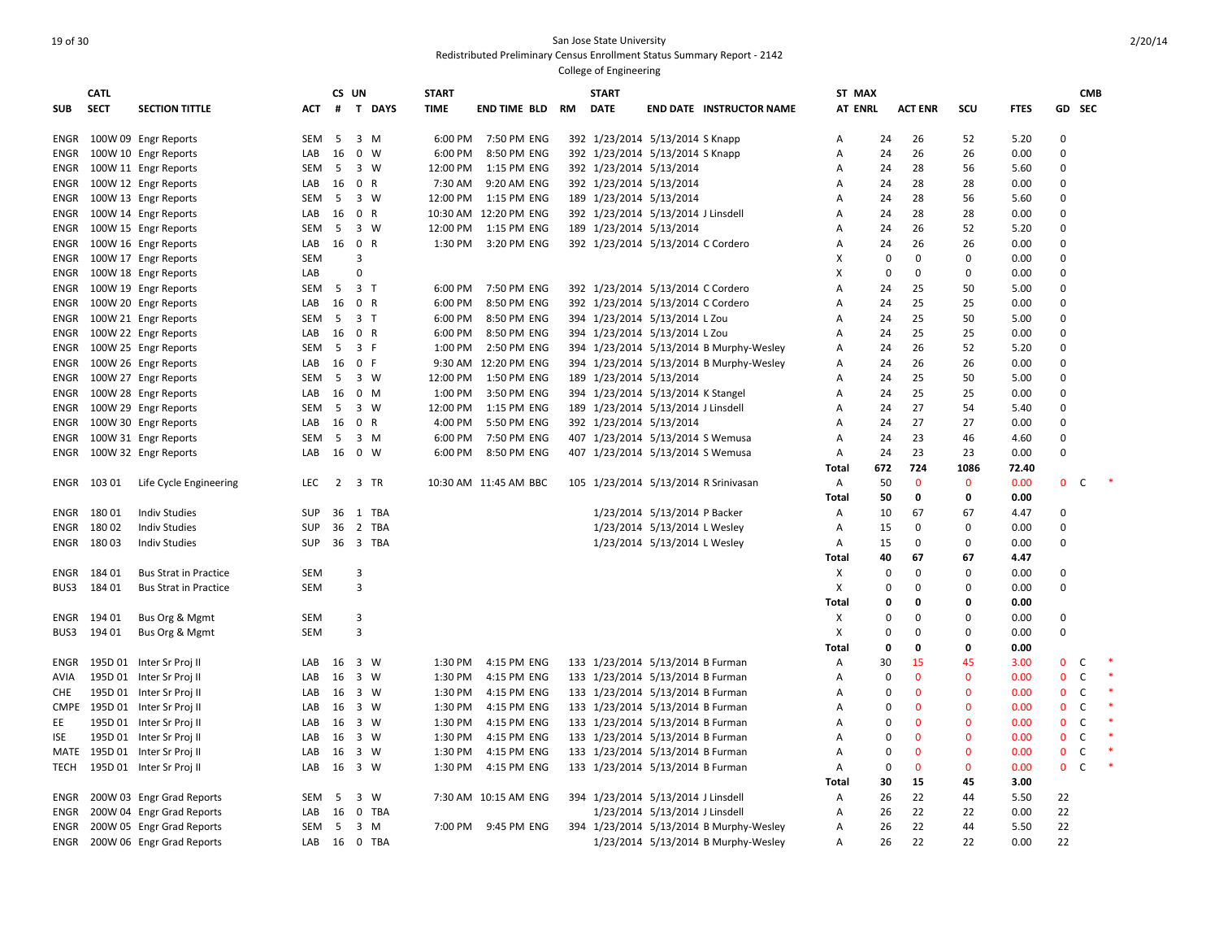## 19 of 30 San Jose State University Redistributed Preliminary Census Enrollment Status Summary Report - 2142 College of Engineering

|            | <b>CATL</b> |                              |            | CS UN          |                |             | <b>START</b> |                          |    | <b>START</b>            |                                      |                                         | ST MAX         |             |                |              |             |              | <b>CMB</b>   |  |
|------------|-------------|------------------------------|------------|----------------|----------------|-------------|--------------|--------------------------|----|-------------------------|--------------------------------------|-----------------------------------------|----------------|-------------|----------------|--------------|-------------|--------------|--------------|--|
| <b>SUB</b> | <b>SECT</b> | <b>SECTION TITTLE</b>        | <b>ACT</b> | #              | T DAYS         | <b>TIME</b> |              | <b>END TIME BLD</b>      | RM | <b>DATE</b>             |                                      | <b>END DATE INSTRUCTOR NAME</b>         | <b>AT ENRL</b> |             | <b>ACT ENR</b> | SCU          | <b>FTES</b> | <b>GD</b>    | <b>SEC</b>   |  |
| ENGR       |             | 100W 09 Engr Reports         | SEM        | 5              | $3 \, M$       |             | 6:00 PM      | 7:50 PM ENG              |    |                         | 392 1/23/2014 5/13/2014 S Knapp      |                                         | Α              | 24          | 26             | 52           | 5.20        | $\Omega$     |              |  |
| ENGR       |             | 100W 10 Engr Reports         | LAB        | 16             | $0 \quad W$    |             | 6:00 PM      | 8:50 PM ENG              |    |                         | 392 1/23/2014 5/13/2014 S Knapp      |                                         | Α              | 24          | 26             | 26           | 0.00        | $\mathbf 0$  |              |  |
| ENGR       |             | 100W 11 Engr Reports         | SEM        | 5              | 3 W            |             | 12:00 PM     | 1:15 PM ENG              |    | 392 1/23/2014 5/13/2014 |                                      |                                         | A              | 24          | 28             | 56           | 5.60        | $\Omega$     |              |  |
| ENGR       |             | 100W 12 Engr Reports         | LAB        | 16             | 0 R            |             | 7:30 AM      | 9:20 AM ENG              |    | 392 1/23/2014 5/13/2014 |                                      |                                         | A              | 24          | 28             | 28           | 0.00        | $\Omega$     |              |  |
| ENGR       |             | 100W 13 Engr Reports         | <b>SEM</b> | 5              | 3 W            |             | 12:00 PM     | 1:15 PM ENG              |    | 189 1/23/2014 5/13/2014 |                                      |                                         | A              | 24          | 28             | 56           | 5.60        | $\Omega$     |              |  |
| ENGR       |             | 100W 14 Engr Reports         | LAB        | 16             | 0 R            |             |              | 10:30 AM 12:20 PM ENG    |    |                         | 392 1/23/2014 5/13/2014 J Linsdell   |                                         | Α              | 24          | 28             | 28           | 0.00        | $\Omega$     |              |  |
| ENGR       |             | 100W 15 Engr Reports         | SEM        | 5              | 3 W            |             |              | 12:00 PM   1:15 PM   ENG |    | 189 1/23/2014 5/13/2014 |                                      |                                         | Α              | 24          | 26             | 52           | 5.20        | $\Omega$     |              |  |
| ENGR       |             | 100W 16 Engr Reports         | LAB        | 16             | 0 R            |             | 1:30 PM      | 3:20 PM ENG              |    |                         | 392 1/23/2014 5/13/2014 C Cordero    |                                         | Α              | 24          | 26             | 26           | 0.00        | $\Omega$     |              |  |
| ENGR       |             | 100W 17 Engr Reports         | <b>SEM</b> |                | 3              |             |              |                          |    |                         |                                      |                                         | X              | $\Omega$    | $\Omega$       | $\mathbf 0$  | 0.00        | $\Omega$     |              |  |
| ENGR       |             | 100W 18 Engr Reports         | LAB        |                | $\Omega$       |             |              |                          |    |                         |                                      |                                         | x              | $\mathbf 0$ | $\Omega$       | $\Omega$     | 0.00        | $\Omega$     |              |  |
| ENGR       |             | 100W 19 Engr Reports         | SEM        | - 5            | 3 <sub>1</sub> |             | 6:00 PM      | 7:50 PM ENG              |    |                         | 392 1/23/2014 5/13/2014 C Cordero    |                                         | А              | 24          | 25             | 50           | 5.00        | $\Omega$     |              |  |
| ENGR       |             | 100W 20 Engr Reports         | LAB        | 16             | 0 R            |             | 6:00 PM      | 8:50 PM ENG              |    |                         | 392 1/23/2014 5/13/2014 C Cordero    |                                         | А              | 24          | 25             | 25           | 0.00        | $\mathbf 0$  |              |  |
| ENGR       |             | 100W 21 Engr Reports         | SEM        | 5              | 3 <sub>7</sub> |             | 6:00 PM      | 8:50 PM ENG              |    |                         | 394 1/23/2014 5/13/2014 L Zou        |                                         | Α              | 24          | 25             | 50           | 5.00        | $\Omega$     |              |  |
| ENGR       |             | 100W 22 Engr Reports         | LAB        | 16             | 0 R            |             | 6:00 PM      | 8:50 PM ENG              |    |                         | 394 1/23/2014 5/13/2014 L Zou        |                                         | A              | 24          | 25             | 25           | 0.00        | $\Omega$     |              |  |
| ENGR       |             | 100W 25 Engr Reports         | <b>SEM</b> | 5              | 3 F            |             | 1:00 PM      | 2:50 PM ENG              |    |                         |                                      | 394 1/23/2014 5/13/2014 B Murphy-Wesley | A              | 24          | 26             | 52           | 5.20        | $\Omega$     |              |  |
| ENGR       |             | 100W 26 Engr Reports         | LAB        | 16             | 0 F            |             |              | 9:30 AM 12:20 PM ENG     |    |                         |                                      | 394 1/23/2014 5/13/2014 B Murphy-Wesley | Α              | 24          | 26             | 26           | 0.00        | $\Omega$     |              |  |
| ENGR       |             | 100W 27 Engr Reports         | <b>SEM</b> | -5             | $3 \ W$        |             | 12:00 PM     | 1:50 PM ENG              |    | 189 1/23/2014 5/13/2014 |                                      |                                         | Α              | 24          | 25             | 50           | 5.00        | $\Omega$     |              |  |
| ENGR       |             | 100W 28 Engr Reports         | LAB        | 16             | $0$ M          |             | 1:00 PM      | 3:50 PM ENG              |    |                         | 394 1/23/2014 5/13/2014 K Stangel    |                                         | Α              | 24          | 25             | 25           | 0.00        | $\Omega$     |              |  |
| ENGR       |             | 100W 29 Engr Reports         | SEM        | 5              | 3 W            |             | 12:00 PM     | 1:15 PM ENG              |    |                         | 189 1/23/2014 5/13/2014 J Linsdell   |                                         | A              | 24          | 27             | 54           | 5.40        | $\Omega$     |              |  |
| ENGR       |             | 100W 30 Engr Reports         | LAB        | 16             | 0 R            |             | 4:00 PM      | 5:50 PM ENG              |    | 392 1/23/2014 5/13/2014 |                                      |                                         | Α              | 24          | 27             | 27           | 0.00        | $\Omega$     |              |  |
| ENGR       |             | 100W 31 Engr Reports         | <b>SEM</b> | 5              | $3 \, M$       |             | 6:00 PM      | 7:50 PM ENG              |    |                         | 407 1/23/2014 5/13/2014 S Wemusa     |                                         | A              | 24          | 23             | 46           | 4.60        | $\Omega$     |              |  |
| ENGR       |             | 100W 32 Engr Reports         | LAB        | 16             | 0 W            |             | 6:00 PM      | 8:50 PM ENG              |    |                         | 407 1/23/2014 5/13/2014 S Wemusa     |                                         | Α              | 24          | 23             | 23           | 0.00        | $\Omega$     |              |  |
|            |             |                              |            |                |                |             |              |                          |    |                         |                                      |                                         | Total          | 672         | 724            | 1086         | 72.40       |              |              |  |
|            | ENGR 103 01 | Life Cycle Engineering       | LEC        | $\overline{2}$ | 3 TR           |             |              | 10:30 AM 11:45 AM BBC    |    |                         | 105 1/23/2014 5/13/2014 R Srinivasan |                                         | A              | 50          | $\mathbf{0}$   | $\mathbf 0$  | 0.00        | $\mathbf{0}$ | c            |  |
|            |             |                              |            |                |                |             |              |                          |    |                         |                                      |                                         | <b>Total</b>   | 50          | 0              | $\mathbf{0}$ | 0.00        |              |              |  |
| ENGR       | 18001       | <b>Indiv Studies</b>         | <b>SUP</b> | 36             | 1 TBA          |             |              |                          |    |                         | 1/23/2014 5/13/2014 P Backer         |                                         | A              | 10          | 67             | 67           | 4.47        | $\Omega$     |              |  |
| ENGR       | 18002       | <b>Indiv Studies</b>         | <b>SUP</b> | 36             | 2 TBA          |             |              |                          |    |                         | 1/23/2014 5/13/2014 L Wesley         |                                         | Α              | 15          | 0              | 0            | 0.00        | $\Omega$     |              |  |
| ENGR       | 18003       | <b>Indiv Studies</b>         | SUP        | 36             | 3 TBA          |             |              |                          |    |                         | 1/23/2014 5/13/2014 L Wesley         |                                         | Α              | 15          | $\Omega$       | $\Omega$     | 0.00        | $\Omega$     |              |  |
|            |             |                              |            |                |                |             |              |                          |    |                         |                                      |                                         | Total          | 40          | 67             | 67           | 4.47        |              |              |  |
| ENGR       | 184 01      | <b>Bus Strat in Practice</b> | SEM        |                | 3              |             |              |                          |    |                         |                                      |                                         | Х              | 0           | $\Omega$       | $\Omega$     | 0.00        | 0            |              |  |
| BUS3       | 184 01      | <b>Bus Strat in Practice</b> | <b>SEM</b> |                | 3              |             |              |                          |    |                         |                                      |                                         | X              | $\mathbf 0$ | 0              | $\mathbf 0$  | 0.00        | $\mathbf 0$  |              |  |
|            |             |                              |            |                |                |             |              |                          |    |                         |                                      |                                         | Total          | 0           | 0              | $\mathbf{0}$ | 0.00        |              |              |  |
| ENGR       | 194 01      | Bus Org & Mgmt               | SEM        |                | 3              |             |              |                          |    |                         |                                      |                                         | Х              | $\Omega$    | $\Omega$       | $\Omega$     | 0.00        | $\Omega$     |              |  |
| BUS3       | 194 01      | Bus Org & Mgmt               | <b>SEM</b> |                | 3              |             |              |                          |    |                         |                                      |                                         | X              | 0           | $\Omega$       | $\Omega$     | 0.00        | $\Omega$     |              |  |
|            |             |                              |            |                |                |             |              |                          |    |                         |                                      |                                         | Total          | $\mathbf 0$ | 0              | 0            | 0.00        |              |              |  |
| ENGR       |             | 195D 01 Inter Sr Proj II     | LAB        | 16             | 3 W            |             | 1:30 PM      | 4:15 PM ENG              |    |                         | 133 1/23/2014 5/13/2014 B Furman     |                                         | Α              | 30          | 15             | 45           | 3.00        | $\mathbf 0$  | C            |  |
| AVIA       |             | 195D 01 Inter Sr Proj II     | LAB        | 16             | 3 W            |             | 1:30 PM      | 4:15 PM ENG              |    |                         | 133 1/23/2014 5/13/2014 B Furman     |                                         | Α              | $\Omega$    | $\Omega$       | $\mathbf{0}$ | 0.00        | $\mathbf{0}$ | C            |  |
| CHE        |             | 195D 01 Inter Sr Proj II     | LAB        | 16             | 3 W            |             | 1:30 PM      | 4:15 PM ENG              |    |                         | 133 1/23/2014 5/13/2014 B Furman     |                                         | Α              | $\Omega$    | $\Omega$       | $\mathbf{0}$ | 0.00        | $\mathbf{0}$ | $\mathsf{C}$ |  |
| CMPE       |             | 195D 01 Inter Sr Proj II     | LAB        | 16             | 3 W            |             | 1:30 PM      | 4:15 PM ENG              |    |                         | 133 1/23/2014 5/13/2014 B Furman     |                                         | A              | $\Omega$    | $\Omega$       | $\Omega$     | 0.00        | $\mathbf{0}$ | C            |  |
| EE         |             | 195D 01 Inter Sr Proj II     | LAB        | 16             | 3 W            |             | 1:30 PM      | 4:15 PM ENG              |    |                         | 133 1/23/2014 5/13/2014 B Furman     |                                         | Α              | $\Omega$    | $\Omega$       | $\Omega$     | 0.00        | $\mathbf 0$  | C            |  |
| ISE        |             | 195D 01 Inter Sr Proj II     | LAB        | 16             | 3 W            |             | 1:30 PM      | 4:15 PM ENG              |    |                         | 133 1/23/2014 5/13/2014 B Furman     |                                         | Α              | $\Omega$    | $\mathbf{0}$   | $\mathbf{0}$ | 0.00        | $\mathbf 0$  | C            |  |
| MATE       |             | 195D 01 Inter Sr Proj II     | LAB        | 16             | 3 W            |             | 1:30 PM      | 4:15 PM ENG              |    |                         | 133 1/23/2014 5/13/2014 B Furman     |                                         | Α              | $\mathbf 0$ | $\mathbf{0}$   | $\mathbf{0}$ | 0.00        | $\mathbf 0$  | $\mathsf{C}$ |  |
| TECH       |             | 195D 01 Inter Sr Proj II     | LAB        | 16             | 3 W            |             | 1:30 PM      | 4:15 PM ENG              |    |                         | 133 1/23/2014 5/13/2014 B Furman     |                                         | A              | $\mathbf 0$ | $\mathbf{0}$   | $\mathbf{0}$ | 0.00        | $\mathbf{0}$ | $\mathsf{C}$ |  |
|            |             |                              |            |                |                |             |              |                          |    |                         |                                      |                                         | Total          | 30          | 15             | 45           | 3.00        |              |              |  |
| ENGR       |             | 200W 03 Engr Grad Reports    | <b>SEM</b> | 5              | 3 W            |             |              | 7:30 AM 10:15 AM ENG     |    |                         | 394 1/23/2014 5/13/2014 J Linsdell   |                                         | A              | 26          | 22             | 44           | 5.50        | 22           |              |  |
| ENGR       |             | 200W 04 Engr Grad Reports    | LAB        | 16             | 0 TBA          |             |              |                          |    |                         | 1/23/2014 5/13/2014 J Linsdell       |                                         | Α              | 26          | 22             | 22           | 0.00        | 22           |              |  |
| ENGR       |             | 200W 05 Engr Grad Reports    | SEM        |                | 5 3 M          |             |              | 7:00 PM 9:45 PM ENG      |    |                         |                                      | 394 1/23/2014 5/13/2014 B Murphy-Wesley | Α              | 26          | 22             | 44           | 5.50        | 22           |              |  |
| ENGR       |             | 200W 06 Engr Grad Reports    | $LAB$ 16   |                | 0 TBA          |             |              |                          |    |                         |                                      | 1/23/2014 5/13/2014 B Murphy-Wesley     | A              | 26          | 22             | 22           | 0.00        | 22           |              |  |
|            |             |                              |            |                |                |             |              |                          |    |                         |                                      |                                         |                |             |                |              |             |              |              |  |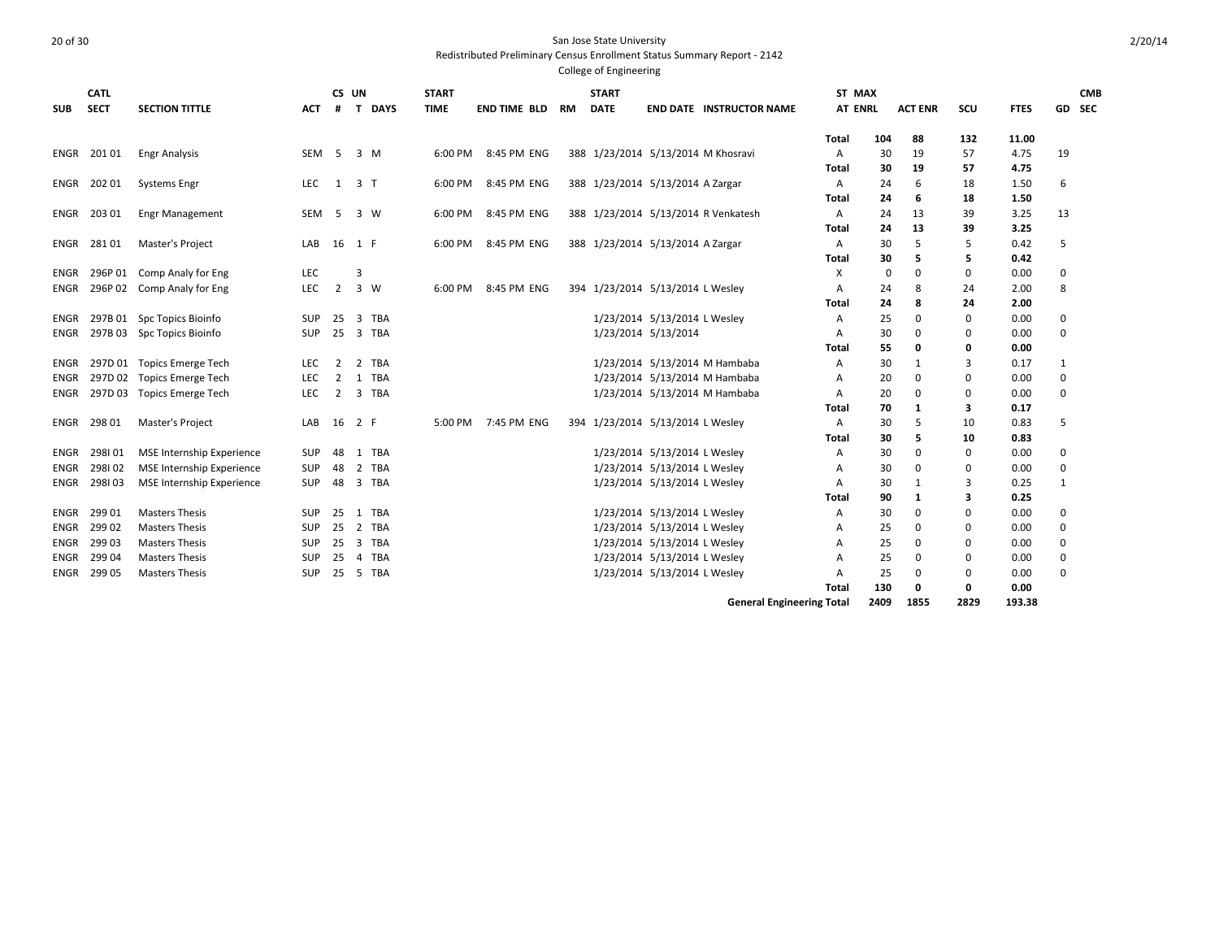# 20 of 30 San Jose State University

Redistributed Preliminary Census Enrollment Status Summary Report - 2142 College of Engineering

| <b>SUB</b>  | <b>CATL</b><br><b>SECT</b> | <b>SECTION TITTLE</b>            | <b>ACT</b> | CS UN<br>#      |                | T DAYS      | <b>START</b><br><b>TIME</b> | <b>END TIME BLD</b> | RM | <b>START</b><br><b>DATE</b> |                                    | <b>END DATE INSTRUCTOR NAME</b>     | ST MAX<br><b>AT ENRL</b> |      | <b>ACT ENR</b> | scu         | <b>FTES</b> | GD SEC      | <b>CMB</b> |
|-------------|----------------------------|----------------------------------|------------|-----------------|----------------|-------------|-----------------------------|---------------------|----|-----------------------------|------------------------------------|-------------------------------------|--------------------------|------|----------------|-------------|-------------|-------------|------------|
|             |                            |                                  |            |                 |                |             |                             |                     |    |                             |                                    |                                     | Total                    | 104  | 88             | 132         | 11.00       |             |            |
| ENGR        | 201 01                     | <b>Engr Analysis</b>             | <b>SEM</b> | -5              | 3 M            |             | 6:00 PM                     | 8:45 PM ENG         |    |                             | 388 1/23/2014 5/13/2014 M Khosravi |                                     | А                        | 30   | 19             | 57          | 4.75        | 19          |            |
|             |                            |                                  |            |                 |                |             |                             |                     |    |                             |                                    |                                     | Total                    | 30   | 19             | 57          | 4.75        |             |            |
| ENGR        | 20201                      | <b>Systems Engr</b>              | <b>LEC</b> | 1               | 3 <sub>1</sub> |             | 6:00 PM                     | 8:45 PM ENG         |    |                             | 388 1/23/2014 5/13/2014 A Zargar   |                                     | A                        | 24   | 6              | 18          | 1.50        | 6           |            |
|             |                            |                                  |            |                 |                |             |                             |                     |    |                             |                                    |                                     | <b>Total</b>             | 24   | 6              | 18          | 1.50        |             |            |
| ENGR        | 203 01                     | <b>Engr Management</b>           | <b>SEM</b> | 5               |                | 3 W         | 6:00 PM                     | 8:45 PM ENG         |    |                             |                                    | 388 1/23/2014 5/13/2014 R Venkatesh | Α                        | 24   | 13             | 39          | 3.25        | 13          |            |
|             |                            |                                  |            |                 |                |             |                             |                     |    |                             |                                    |                                     | <b>Total</b>             | 24   | 13             | 39          | 3.25        |             |            |
| ENGR        | 28101                      | Master's Project                 | LAB        | 16 1 F          |                |             | 6:00 PM                     | 8:45 PM ENG         |    |                             | 388 1/23/2014 5/13/2014 A Zargar   |                                     | A                        | 30   | 5              | 5           | 0.42        | 5           |            |
|             |                            |                                  |            |                 |                |             |                             |                     |    |                             |                                    |                                     | Total                    | 30   | 5              | 5           | 0.42        |             |            |
| ENGR        |                            | 296P 01 Comp Analy for Eng       | <b>LEC</b> |                 |                |             |                             |                     |    |                             |                                    |                                     | Χ                        | 0    | 0              | $\mathbf 0$ | 0.00        | 0           |            |
| <b>ENGR</b> |                            | 296P 02 Comp Analy for Eng       | LEC        | $\overline{2}$  |                | $3 \quad W$ | 6:00 PM                     | 8:45 PM ENG         |    |                             | 394 1/23/2014 5/13/2014 L Wesley   |                                     | А                        | 24   | 8              | 24          | 2.00        | 8           |            |
|             |                            |                                  |            |                 |                |             |                             |                     |    |                             |                                    |                                     | Total                    | 24   | 8              | 24          | 2.00        |             |            |
| ENGR        |                            | 297B 01 Spc Topics Bioinfo       | <b>SUP</b> | 25              | -3             | TBA         |                             |                     |    |                             | 1/23/2014 5/13/2014 L Wesley       |                                     | A                        | 25   | 0              | 0           | 0.00        | 0           |            |
| ENGR        |                            | 297B 03 Spc Topics Bioinfo       | SUP        | $25 \quad 3$    |                | <b>TBA</b>  |                             |                     |    |                             | 1/23/2014 5/13/2014                |                                     | А                        | 30   | 0              | 0           | 0.00        | $\mathbf 0$ |            |
|             |                            |                                  |            |                 |                |             |                             |                     |    |                             |                                    |                                     | Total                    | 55   | 0              | 0           | 0.00        |             |            |
| ENGR        |                            | 297D 01 Topics Emerge Tech       | <b>LEC</b> | 2               | 2              | TBA         |                             |                     |    |                             |                                    | 1/23/2014 5/13/2014 M Hambaba       | A                        | 30   | 1              | 3           | 0.17        | 1           |            |
| ENGR        |                            | 297D 02 Topics Emerge Tech       | <b>LEC</b> | $\overline{2}$  |                | 1 TBA       |                             |                     |    |                             |                                    | 1/23/2014 5/13/2014 M Hambaba       | A                        | 20   | 0              | $\Omega$    | 0.00        | 0           |            |
| <b>ENGR</b> |                            | 297D 03 Topics Emerge Tech       | <b>LEC</b> | $\overline{2}$  | 3              | TBA         |                             |                     |    |                             |                                    | 1/23/2014 5/13/2014 M Hambaba       | Α                        | 20   | $\mathbf 0$    | $\Omega$    | 0.00        | $\mathbf 0$ |            |
|             |                            |                                  |            |                 |                |             |                             |                     |    |                             |                                    |                                     | Total                    | 70   | 1              | 3           | 0.17        |             |            |
| ENGR        | 298 01                     | Master's Project                 | LAB        | 16              | 2 F            |             | 5:00 PM                     | 7:45 PM ENG         |    |                             | 394 1/23/2014 5/13/2014 L Wesley   |                                     | А                        | 30   | 5              | 10          | 0.83        | 5           |            |
|             |                            |                                  |            |                 |                |             |                             |                     |    |                             |                                    |                                     | Total                    | 30   | 5              | 10          | 0.83        |             |            |
| ENGR        | 298101                     | <b>MSE Internship Experience</b> | SUP        | 48              | 1              | <b>TBA</b>  |                             |                     |    |                             | 1/23/2014 5/13/2014 L Wesley       |                                     | Α                        | 30   | $\mathbf 0$    | $\mathbf 0$ | 0.00        | $\mathbf 0$ |            |
| ENGR        | 298102                     | <b>MSE Internship Experience</b> | SUP        | 48              | $\overline{2}$ | TBA         |                             |                     |    |                             | 1/23/2014 5/13/2014 L Wesley       |                                     | А                        | 30   | 0              | $\mathbf 0$ | 0.00        | $\mathbf 0$ |            |
| ENGR        | 298103                     | <b>MSE Internship Experience</b> | <b>SUP</b> |                 |                | 48 3 TBA    |                             |                     |    |                             | 1/23/2014 5/13/2014 L Wesley       |                                     | A                        | 30   | 1              | 3           | 0.25        | 1           |            |
|             |                            |                                  |            |                 |                |             |                             |                     |    |                             |                                    |                                     | Total                    | 90   | 1              | 3           | 0.25        |             |            |
| ENGR        | 29901                      | <b>Masters Thesis</b>            | <b>SUP</b> |                 |                | 25 1 TBA    |                             |                     |    |                             | 1/23/2014 5/13/2014 L Wesley       |                                     | A                        | 30   | $\Omega$       | $\Omega$    | 0.00        | $\Omega$    |            |
| ENGR        | 299 02                     | <b>Masters Thesis</b>            | SUP        | 25 <sub>2</sub> |                | TBA         |                             |                     |    |                             | 1/23/2014 5/13/2014 L Wesley       |                                     | А                        | 25   | $\Omega$       | $\Omega$    | 0.00        | $\Omega$    |            |
| <b>ENGR</b> | 299 03                     | <b>Masters Thesis</b>            | <b>SUP</b> | $25 \quad 3$    |                | TBA         |                             |                     |    |                             | 1/23/2014 5/13/2014 L Wesley       |                                     | A                        | 25   | 0              | $\Omega$    | 0.00        | 0           |            |
| <b>ENGR</b> | 299 04                     | <b>Masters Thesis</b>            | <b>SUP</b> | 25              | $\overline{4}$ | <b>TBA</b>  |                             |                     |    |                             | 1/23/2014 5/13/2014 L Wesley       |                                     | А                        | 25   | 0              | $\Omega$    | 0.00        | 0           |            |
| ENGR        | 299 05                     | <b>Masters Thesis</b>            | <b>SUP</b> | 25              | -5             | <b>TBA</b>  |                             |                     |    |                             | 1/23/2014 5/13/2014 L Wesley       |                                     | A                        | 25   | 0              | $\Omega$    | 0.00        | $\mathbf 0$ |            |
|             |                            |                                  |            |                 |                |             |                             |                     |    |                             |                                    |                                     | Total                    | 130  | 0              | 0           | 0.00        |             |            |
|             |                            |                                  |            |                 |                |             |                             |                     |    |                             |                                    | <b>General Engineering Total</b>    |                          | 2409 | 1855           | 2829        | 193.38      |             |            |

2/20/14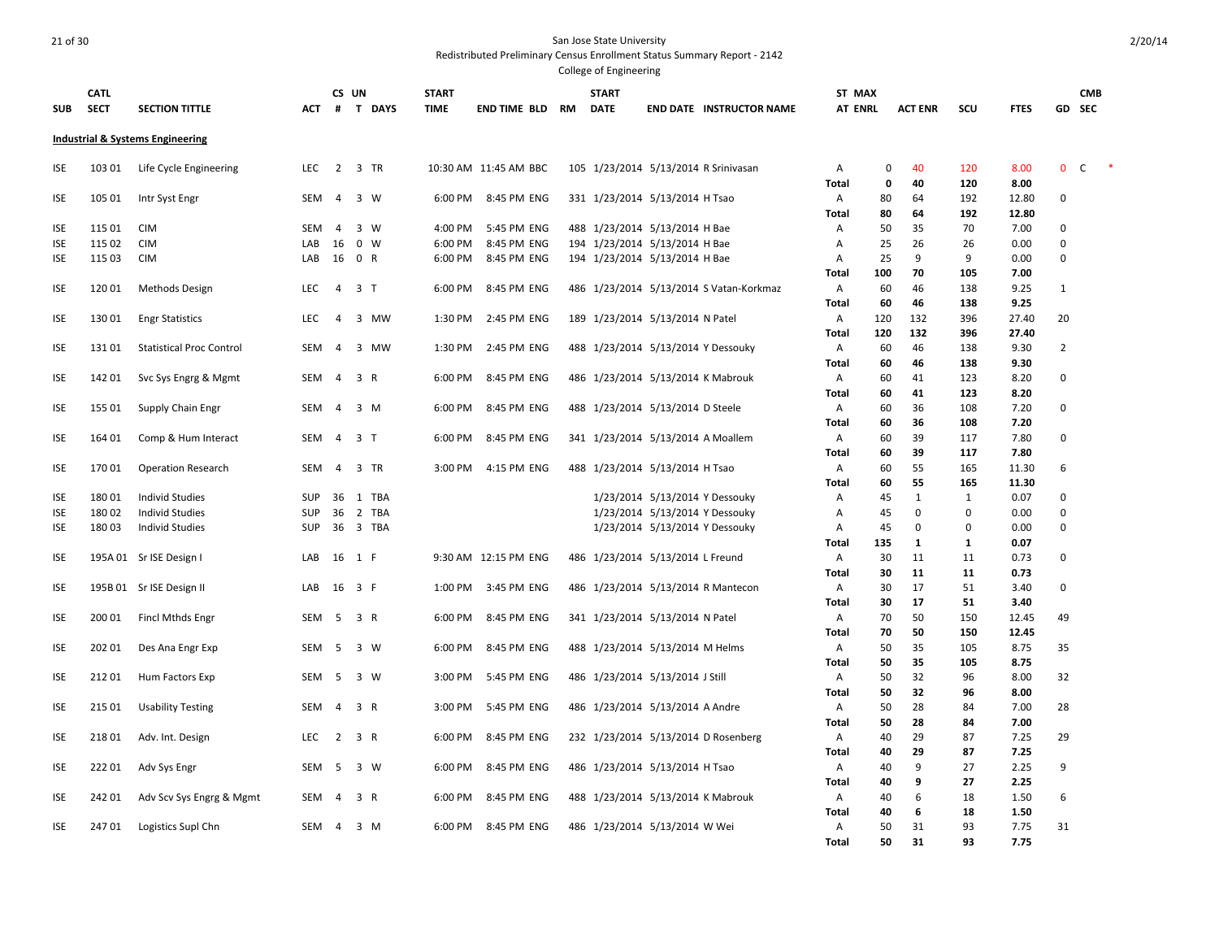# 21 of 30 San Jose State University

Redistributed Preliminary Census Enrollment Status Summary Report - 2142

| <b>SUB</b> | CATL<br><b>SECT</b> | <b>SECTION TITTLE</b>                       | АСТ        | CS UN                   | # T DAYS       |            | <b>START</b><br><b>TIME</b> | <b>END TIME BLD</b>   | <b>RM</b> | <b>START</b><br><b>DATE</b> |                                   | <b>END DATE INSTRUCTOR NAME</b>         | ST MAX<br><b>AT ENRL</b> |         | <b>ACT ENR</b> | SCU          | <b>FTES</b>   | GD             | <b>CMB</b><br><b>SEC</b> |  |
|------------|---------------------|---------------------------------------------|------------|-------------------------|----------------|------------|-----------------------------|-----------------------|-----------|-----------------------------|-----------------------------------|-----------------------------------------|--------------------------|---------|----------------|--------------|---------------|----------------|--------------------------|--|
|            |                     | <b>Industrial &amp; Systems Engineering</b> |            |                         |                |            |                             |                       |           |                             |                                   |                                         |                          |         |                |              |               |                |                          |  |
| <b>ISE</b> | 103 01              | Life Cycle Engineering                      | LEC        | $\overline{2}$          | 3 TR           |            |                             | 10:30 AM 11:45 AM BBC |           |                             |                                   | 105 1/23/2014 5/13/2014 R Srinivasan    | Α                        | 0       | 40             | 120          | 8.00          | $\mathbf 0$    | C                        |  |
| <b>ISE</b> | 105 01              | Intr Syst Engr                              | SEM        | $\overline{4}$          | 3 W            |            | 6:00 PM                     | 8:45 PM ENG           |           |                             | 331 1/23/2014 5/13/2014 H Tsao    |                                         | Total<br>А               | 0<br>80 | 40<br>64       | 120<br>192   | 8.00<br>12.80 | 0              |                          |  |
|            |                     |                                             |            |                         |                |            |                             |                       |           |                             |                                   |                                         | <b>Total</b>             | 80      | 64             | 192          | 12.80         |                |                          |  |
| <b>ISE</b> | 115 01              | <b>CIM</b>                                  | SEM        | $\overline{4}$          | 3 W            |            | 4:00 PM                     | 5:45 PM ENG           |           |                             | 488 1/23/2014 5/13/2014 H Bae     |                                         | Α                        | 50      | 35             | 70           | 7.00          | 0              |                          |  |
| <b>ISE</b> | 115 02              | <b>CIM</b>                                  | LAB        | 16                      | 0 W            |            | 6:00 PM                     | 8:45 PM ENG           |           |                             | 194 1/23/2014 5/13/2014 H Bae     |                                         | Α                        | 25      | 26             | 26           | 0.00          | 0              |                          |  |
| <b>ISE</b> | 115 03              | <b>CIM</b>                                  | LAB        |                         | 16 0 R         |            | 6:00 PM                     | 8:45 PM ENG           |           |                             | 194 1/23/2014 5/13/2014 H Bae     |                                         | A                        | 25      | 9              | 9            | 0.00          | $\mathbf 0$    |                          |  |
|            |                     |                                             |            |                         |                |            |                             |                       |           |                             |                                   |                                         | Total                    | 100     | 70             | 105          | 7.00          |                |                          |  |
| <b>ISE</b> | 12001               | Methods Design                              | LEC        | $\overline{4}$          | 3 <sub>7</sub> |            | 6:00 PM                     | 8:45 PM ENG           |           |                             |                                   | 486 1/23/2014 5/13/2014 S Vatan-Korkmaz | Α                        | 60      | 46             | 138          | 9.25          | $\mathbf{1}$   |                          |  |
|            |                     |                                             |            |                         |                |            |                             |                       |           |                             |                                   |                                         | Total                    | 60      | 46             | 138          | 9.25          |                |                          |  |
| <b>ISE</b> | 13001               | <b>Engr Statistics</b>                      | <b>LEC</b> | $\overline{4}$          | 3 MW           |            | 1:30 PM                     | 2:45 PM ENG           |           |                             | 189 1/23/2014 5/13/2014 N Patel   |                                         | Α                        | 120     | 132            | 396          | 27.40         | 20             |                          |  |
|            |                     |                                             |            |                         |                |            |                             |                       |           |                             |                                   |                                         | Total                    | 120     | 132            | 396          | 27.40         |                |                          |  |
| <b>ISE</b> | 13101               | <b>Statistical Proc Control</b>             | <b>SEM</b> | $\overline{4}$          | 3 MW           |            | 1:30 PM                     | 2:45 PM ENG           |           |                             |                                   | 488 1/23/2014 5/13/2014 Y Dessouky      | Α                        | 60      | 46             | 138          | 9.30          | $\overline{2}$ |                          |  |
|            |                     |                                             |            |                         |                |            |                             |                       |           |                             |                                   |                                         | Total                    | 60      | 46             | 138          | 9.30          |                |                          |  |
| <b>ISE</b> | 142 01              | Svc Sys Engrg & Mgmt                        | SEM        | $\overline{a}$          | 3 R            |            | 6:00 PM                     | 8:45 PM ENG           |           |                             |                                   | 486 1/23/2014 5/13/2014 K Mabrouk       | Α                        | 60      | 41             | 123          | 8.20          | 0              |                          |  |
|            |                     |                                             |            |                         |                |            |                             |                       |           |                             |                                   |                                         | <b>Total</b>             | 60      | 41             | 123          | 8.20          |                |                          |  |
| ISE        | 155 01              | Supply Chain Engr                           | SEM        | 4                       | 3 M            |            | 6:00 PM                     | 8:45 PM ENG           |           |                             | 488 1/23/2014 5/13/2014 D Steele  |                                         | Α                        | 60      | 36             | 108          | 7.20          | $\mathbf 0$    |                          |  |
|            |                     |                                             |            |                         |                |            |                             |                       |           |                             |                                   |                                         | <b>Total</b>             | 60      | 36             | 108          | 7.20          |                |                          |  |
| ISE        | 164 01              | Comp & Hum Interact                         | SEM        | $\overline{4}$          | 3 <sub>1</sub> |            | 6:00 PM                     | 8:45 PM ENG           |           |                             | 341 1/23/2014 5/13/2014 A Moallem |                                         | Α                        | 60      | 39             | 117          | 7.80          | $\mathbf 0$    |                          |  |
|            |                     |                                             |            |                         |                |            |                             |                       |           |                             |                                   |                                         | Total                    | 60      | 39             | 117          | 7.80          |                |                          |  |
| <b>ISE</b> | 170 01              | <b>Operation Research</b>                   | <b>SEM</b> | 4                       | 3 TR           |            | 3:00 PM                     | 4:15 PM ENG           |           |                             | 488 1/23/2014 5/13/2014 H Tsao    |                                         | Α                        | 60      | 55             | 165          | 11.30         | 6              |                          |  |
|            |                     |                                             |            |                         |                |            |                             |                       |           |                             |                                   |                                         | Total                    | 60      | 55             | 165          | 11.30         |                |                          |  |
| <b>ISE</b> | 18001               | <b>Individ Studies</b>                      | <b>SUP</b> |                         | 36 1 TBA       |            |                             |                       |           |                             |                                   | 1/23/2014 5/13/2014 Y Dessouky          | Α                        | 45      | 1              | $\mathbf{1}$ | 0.07          | 0              |                          |  |
| <b>ISE</b> | 18002               | <b>Individ Studies</b>                      | <b>SUP</b> | 36                      | $\overline{2}$ | <b>TBA</b> |                             |                       |           |                             |                                   | 1/23/2014 5/13/2014 Y Dessouky          | Α                        | 45      | $\Omega$       | $\mathbf 0$  | 0.00          | $\mathbf 0$    |                          |  |
| <b>ISE</b> | 18003               | <b>Individ Studies</b>                      | <b>SUP</b> | 36                      | 3 TBA          |            |                             |                       |           |                             |                                   | 1/23/2014 5/13/2014 Y Dessouky          | Α                        | 45      | $\mathbf 0$    | $\mathbf 0$  | 0.00          | 0              |                          |  |
|            |                     |                                             |            |                         |                |            |                             |                       |           |                             |                                   |                                         | Total                    | 135     | $\mathbf{1}$   | 1            | 0.07          |                |                          |  |
| <b>ISE</b> |                     | 195A 01 Sr ISE Design I                     | LAB        |                         | 16 1 F         |            |                             | 9:30 AM 12:15 PM ENG  |           |                             | 486 1/23/2014 5/13/2014 L Freund  |                                         | Α                        | 30      | 11             | 11           | 0.73          | 0              |                          |  |
|            |                     |                                             |            |                         |                |            |                             |                       |           |                             |                                   |                                         | <b>Total</b>             | 30      | 11             | 11           | 0.73          |                |                          |  |
| <b>ISE</b> |                     | 195B 01 Sr ISE Design II                    | LAB        |                         | 16 3 F         |            | 1:00 PM                     | 3:45 PM ENG           |           |                             |                                   | 486 1/23/2014 5/13/2014 R Mantecon      | Α                        | 30      | 17             | 51           | 3.40          | 0              |                          |  |
|            |                     |                                             |            |                         |                |            |                             |                       |           |                             |                                   |                                         | Total                    | 30      | 17             | 51           | 3.40          |                |                          |  |
| ISE        | 200 01              | <b>Fincl Mthds Engr</b>                     | SEM        |                         | 5 3 R          |            | 6:00 PM                     | 8:45 PM ENG           |           |                             | 341 1/23/2014 5/13/2014 N Patel   |                                         | Α                        | 70      | 50             | 150          | 12.45         | 49             |                          |  |
|            |                     |                                             |            |                         |                |            |                             |                       |           |                             |                                   |                                         | Total                    | 70      | 50             | 150          | 12.45         |                |                          |  |
| <b>ISE</b> | 202 01              | Des Ana Engr Exp                            | SEM        | - 5                     | 3 W            |            | 6:00 PM                     | 8:45 PM ENG           |           |                             | 488 1/23/2014 5/13/2014 M Helms   |                                         | Α                        | 50      | 35             | 105          | 8.75          | 35             |                          |  |
|            |                     |                                             |            |                         |                |            |                             |                       |           |                             |                                   |                                         | <b>Total</b>             | 50      | 35             | 105          | 8.75          |                |                          |  |
| <b>ISE</b> | 212 01              | Hum Factors Exp                             | SEM        | 5                       | 3 W            |            | 3:00 PM                     | 5:45 PM ENG           |           |                             | 486 1/23/2014 5/13/2014 J Still   |                                         | Α                        | 50      | 32             | 96           | 8.00          | 32             |                          |  |
|            |                     |                                             |            |                         |                |            |                             |                       |           |                             |                                   |                                         | <b>Total</b>             | 50      | 32             | 96           | 8.00          |                |                          |  |
| <b>ISE</b> | 215 01              | <b>Usability Testing</b>                    | SEM        | 4                       | 3 R            |            | 3:00 PM                     | 5:45 PM ENG           |           |                             | 486 1/23/2014 5/13/2014 A Andre   |                                         | Α                        | 50      | 28             | 84           | 7.00          | 28             |                          |  |
|            |                     |                                             |            |                         |                |            |                             |                       |           |                             |                                   |                                         | Total                    | 50      | 28             | 84           | 7.00          |                |                          |  |
| <b>ISE</b> | 21801               | Adv. Int. Design                            | LEC        | 2                       | 3 R            |            | 6:00 PM                     | 8:45 PM ENG           |           |                             |                                   | 232 1/23/2014 5/13/2014 D Rosenberg     | Α                        | 40      | 29             | 87           | 7.25          | 29             |                          |  |
|            |                     |                                             |            |                         |                |            |                             |                       |           |                             |                                   |                                         | <b>Total</b>             | 40      | 29             | 87           | 7.25          |                |                          |  |
| <b>ISE</b> | 22201               | Adv Sys Engr                                | SEM        | -5                      | 3 W            |            | 6:00 PM                     | 8:45 PM ENG           |           |                             | 486 1/23/2014 5/13/2014 H Tsao    |                                         | Α                        | 40      | 9              | 27           | 2.25          | 9              |                          |  |
|            |                     |                                             |            |                         |                |            |                             |                       |           |                             |                                   |                                         | <b>Total</b>             | 40      | 9              | 27           | 2.25          |                |                          |  |
| ISE        | 242 01              | Adv Scv Sys Engrg & Mgmt                    | SEM        | $\overline{\mathbf{4}}$ | 3 R            |            | 6:00 PM                     | 8:45 PM ENG           |           |                             |                                   | 488 1/23/2014 5/13/2014 K Mabrouk       | Α                        | 40      | 6              | 18           | 1.50          | 6              |                          |  |
|            |                     |                                             |            |                         |                |            |                             |                       |           |                             |                                   |                                         | Total                    | 40      | 6              | 18           | 1.50          |                |                          |  |
| ISE        | 24701               | Logistics Supl Chn                          | SEM        | 4                       | 3 M            |            | 6:00 PM                     | 8:45 PM ENG           |           |                             | 486 1/23/2014 5/13/2014 W Wei     |                                         | Α                        | 50      | 31             | 93           | 7.75          | 31             |                          |  |
|            |                     |                                             |            |                         |                |            |                             |                       |           |                             |                                   |                                         | <b>Total</b>             | 50      | 31             | 93           | 7.75          |                |                          |  |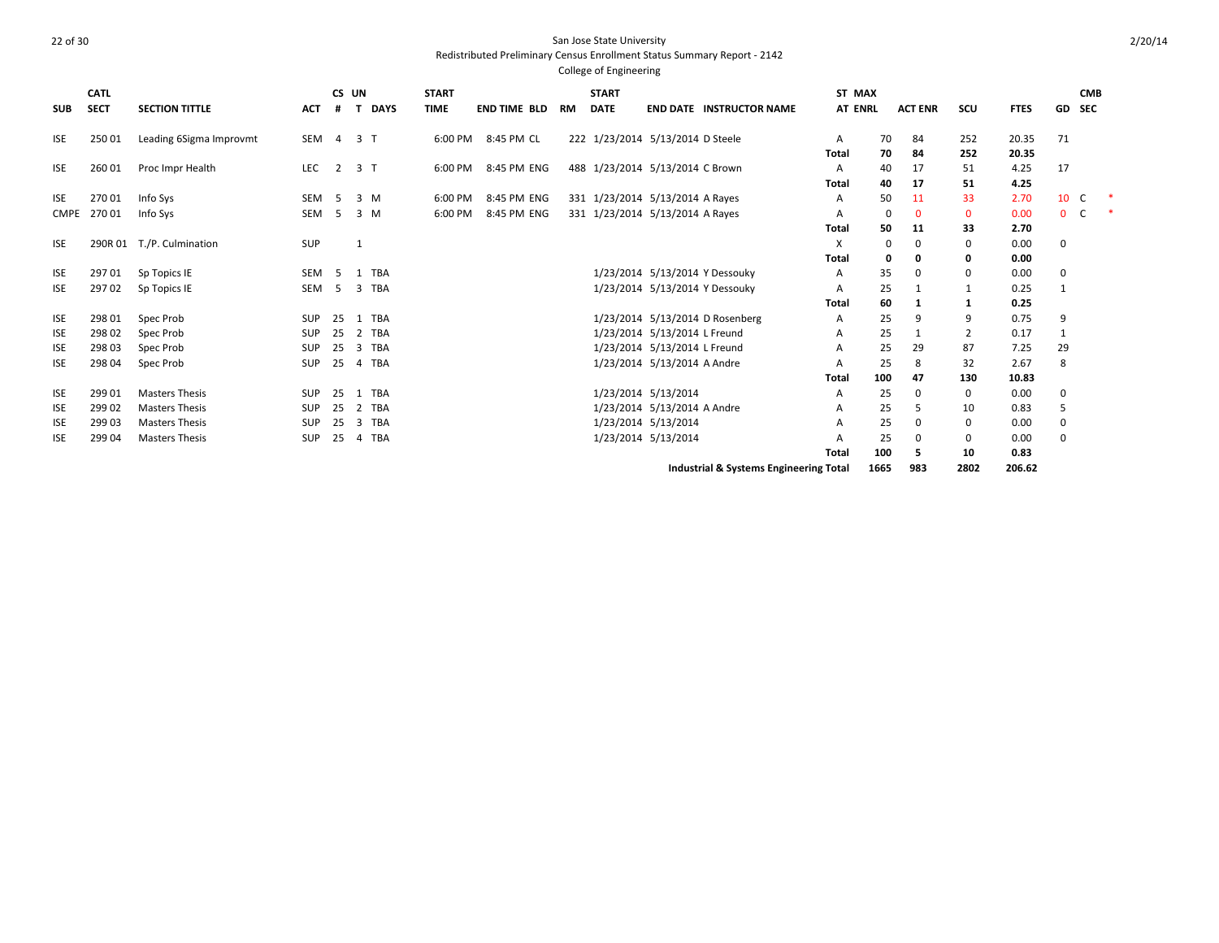| SUB         | <b>CATL</b><br><b>SECT</b> | <b>SECTION TITTLE</b>   | <b>ACT</b> | #              | CS UN          | <b>DAYS</b> | <b>START</b><br><b>TIME</b> | <b>END TIME BLD</b> | RM | <b>START</b><br><b>DATE</b> |                                  | <b>END DATE INSTRUCTOR NAME</b>        | ST MAX<br><b>AT ENRL</b> |      | <b>ACT ENR</b> | scu            | <b>FTES</b> | GD          | <b>CMB</b><br><b>SEC</b> |    |
|-------------|----------------------------|-------------------------|------------|----------------|----------------|-------------|-----------------------------|---------------------|----|-----------------------------|----------------------------------|----------------------------------------|--------------------------|------|----------------|----------------|-------------|-------------|--------------------------|----|
|             |                            |                         |            |                |                |             |                             |                     |    |                             |                                  |                                        |                          |      |                |                |             |             |                          |    |
| <b>ISE</b>  | 250 01                     | Leading 6Sigma Improvmt | SEM        | $\overline{4}$ | 3 <sub>1</sub> |             | 6:00 PM                     | 8:45 PM CL          |    |                             | 222 1/23/2014 5/13/2014 D Steele |                                        | A                        | 70   | 84             | 252            | 20.35       | 71          |                          |    |
|             |                            |                         |            |                |                |             |                             |                     |    |                             |                                  |                                        | Total                    | 70   | 84             | 252            | 20.35       |             |                          |    |
| <b>ISE</b>  | 260 01                     | Proc Impr Health        | LEC        | $\overline{2}$ | 3 <sub>1</sub> |             | 6:00 PM                     | 8:45 PM ENG         |    |                             | 488 1/23/2014 5/13/2014 C Brown  |                                        | A                        | 40   | 17             | 51             | 4.25        | 17          |                          |    |
|             |                            |                         |            |                |                |             |                             |                     |    |                             |                                  |                                        | Total                    | 40   | 17             | 51             | 4.25        |             |                          |    |
| <b>ISE</b>  | 270 01                     | Info Sys                | <b>SEM</b> | -5             |                | 3 M         | 6:00 PM                     | 8:45 PM ENG         |    |                             | 331 1/23/2014 5/13/2014 A Rayes  |                                        | Α                        | 50   | 11             | 33             | 2.70        | 10          | C                        |    |
| <b>CMPE</b> | 27001                      | Info Sys                | <b>SEM</b> | -5             |                | 3 M         | 6:00 PM                     | 8:45 PM ENG         |    |                             | 331 1/23/2014 5/13/2014 A Rayes  |                                        | Α                        | 0    | $\mathbf 0$    | $\mathbf 0$    | 0.00        | $0-$        |                          | -* |
|             |                            |                         |            |                |                |             |                             |                     |    |                             |                                  |                                        | Total                    | 50   | 11             | 33             | 2.70        |             |                          |    |
| <b>ISE</b>  | 290R 01                    | T./P. Culmination       | SUP        |                | 1              |             |                             |                     |    |                             |                                  |                                        | X                        | 0    | 0              | 0              | 0.00        | $\Omega$    |                          |    |
|             |                            |                         |            |                |                |             |                             |                     |    |                             |                                  |                                        | Total                    | 0    | 0              | 0              | 0.00        |             |                          |    |
| <b>ISE</b>  | 29701                      | Sp Topics IE            | SEM        | -5             | 1              | <b>TBA</b>  |                             |                     |    |                             |                                  | 1/23/2014 5/13/2014 Y Dessouky         | A                        | 35   | 0              | 0              | 0.00        | 0           |                          |    |
| <b>ISE</b>  | 29702                      | Sp Topics IE            | SEM        | - 5            |                | 3 TBA       |                             |                     |    |                             | 1/23/2014 5/13/2014 Y Dessouky   |                                        | A                        | 25   | $\mathbf{1}$   | $\mathbf{1}$   | 0.25        |             |                          |    |
|             |                            |                         |            |                |                |             |                             |                     |    |                             |                                  |                                        | <b>Total</b>             | 60   | -1             | 1              | 0.25        |             |                          |    |
| <b>ISE</b>  | 298 01                     | Spec Prob               | SUP        | 25             | 1              | <b>TBA</b>  |                             |                     |    |                             |                                  | 1/23/2014 5/13/2014 D Rosenberg        | A                        | 25   | 9              | 9              | 0.75        | 9           |                          |    |
| <b>ISE</b>  | 298 02                     | Spec Prob               | SUP        | 25             | 2              | <b>TBA</b>  |                             |                     |    |                             | 1/23/2014 5/13/2014 L Freund     |                                        | Α                        | 25   | -1             | $\overline{2}$ | 0.17        |             |                          |    |
| <b>ISE</b>  | 298 03                     | Spec Prob               | <b>SUP</b> | 25             | 3              | <b>TBA</b>  |                             |                     |    |                             | 1/23/2014 5/13/2014 L Freund     |                                        | A                        | 25   | 29             | 87             | 7.25        | 29          |                          |    |
| <b>ISE</b>  | 298 04                     | Spec Prob               | <b>SUP</b> | 25             | $\overline{4}$ | TBA         |                             |                     |    |                             | 1/23/2014 5/13/2014 A Andre      |                                        | A                        | 25   | 8              | 32             | 2.67        | 8           |                          |    |
|             |                            |                         |            |                |                |             |                             |                     |    |                             |                                  |                                        | <b>Total</b>             | 100  | 47             | 130            | 10.83       |             |                          |    |
| <b>ISE</b>  | 299 01                     | <b>Masters Thesis</b>   | <b>SUP</b> | 25             |                | 1 TBA       |                             |                     |    |                             | 1/23/2014 5/13/2014              |                                        | A                        | 25   | $\Omega$       | 0              | 0.00        | $\Omega$    |                          |    |
| <b>ISE</b>  | 299 02                     | <b>Masters Thesis</b>   | <b>SUP</b> | 25             | 2              | TBA         |                             |                     |    |                             | 1/23/2014 5/13/2014 A Andre      |                                        | Α                        | 25   | 5              | 10             | 0.83        | 5           |                          |    |
| <b>ISE</b>  | 299 03                     | <b>Masters Thesis</b>   | <b>SUP</b> | 25             | 3              | <b>TBA</b>  |                             |                     |    |                             | 1/23/2014 5/13/2014              |                                        | A                        | 25   | $\mathbf 0$    | 0              | 0.00        | $\mathbf 0$ |                          |    |
| <b>ISE</b>  | 299 04                     | <b>Masters Thesis</b>   | <b>SUP</b> | 25             | $\overline{4}$ | <b>TBA</b>  |                             |                     |    |                             | 1/23/2014 5/13/2014              |                                        | A                        | 25   | 0              | 0              | 0.00        | $\mathbf 0$ |                          |    |
|             |                            |                         |            |                |                |             |                             |                     |    |                             |                                  |                                        | <b>Total</b>             | 100  | -5             | 10             | 0.83        |             |                          |    |
|             |                            |                         |            |                |                |             |                             |                     |    |                             |                                  | Industrial & Systems Engineering Total |                          | 1665 | 983            | 2802           | 206.62      |             |                          |    |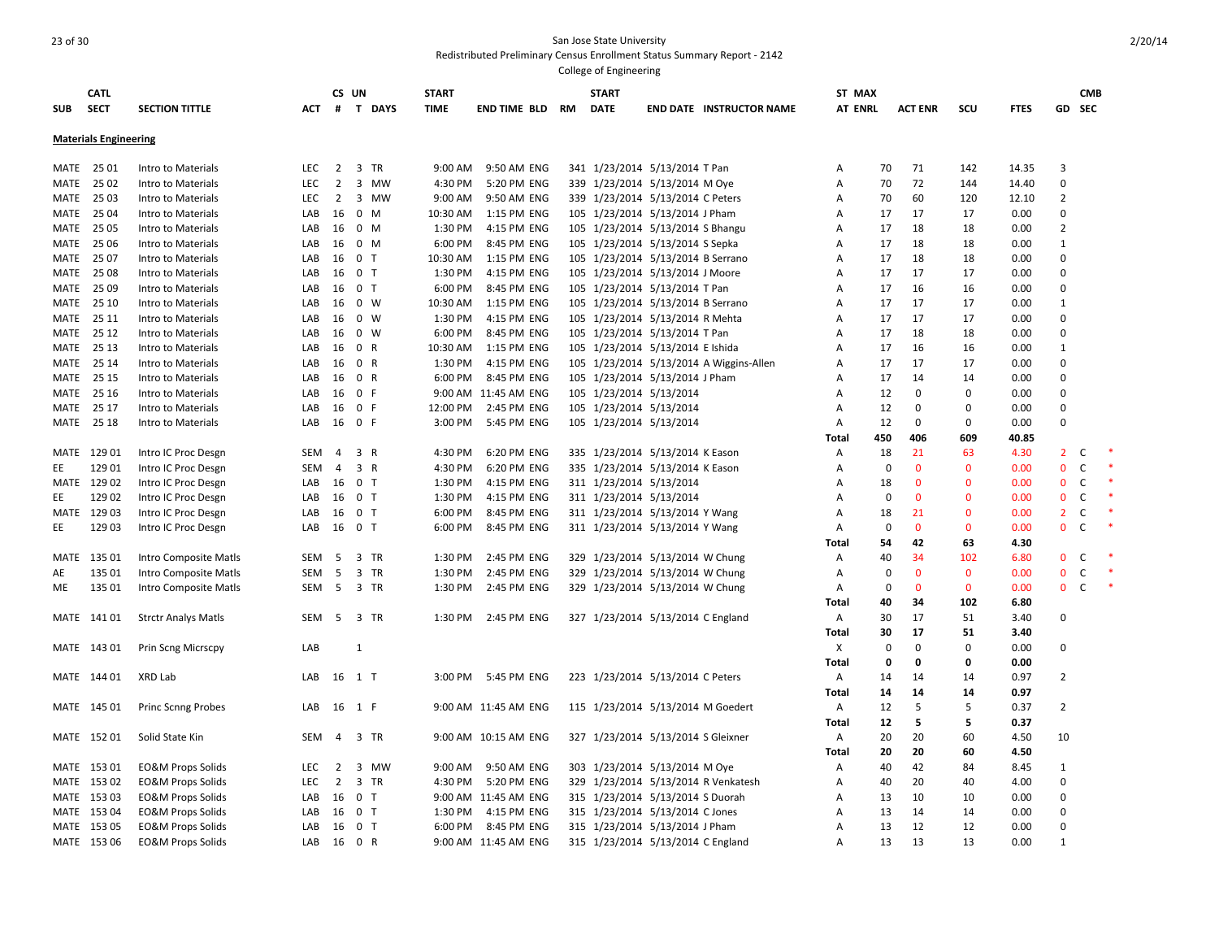| <b>SUB</b> | <b>CATL</b><br><b>SECT</b>   | <b>SECTION TITTLE</b>        | АСТ        | #              | CS UN                   | T DAYS    | <b>START</b><br><b>TIME</b> | END TIME BLD         | RM | <b>START</b><br><b>DATE</b>        | <b>END DATE INSTRUCTOR NAME</b>         | ST MAX<br><b>AT ENRL</b> |             | <b>ACT ENR</b> | SCU          | <b>FTES</b> | GD             | <b>CMB</b><br><b>SEC</b> |        |
|------------|------------------------------|------------------------------|------------|----------------|-------------------------|-----------|-----------------------------|----------------------|----|------------------------------------|-----------------------------------------|--------------------------|-------------|----------------|--------------|-------------|----------------|--------------------------|--------|
|            | <b>Materials Engineering</b> |                              |            |                |                         |           |                             |                      |    |                                    |                                         |                          |             |                |              |             |                |                          |        |
| MATE       | 25 01                        | Intro to Materials           | <b>LEC</b> | $\overline{2}$ | 3                       | <b>TR</b> | 9:00 AM                     | 9:50 AM ENG          |    | 341 1/23/2014 5/13/2014 T Pan      |                                         | Α                        | 70          | 71             | 142          | 14.35       | $\overline{3}$ |                          |        |
| MATE       | 25 02                        | Intro to Materials           | <b>LEC</b> | $\overline{2}$ | 3                       | MW        | 4:30 PM                     | 5:20 PM ENG          |    | 339 1/23/2014 5/13/2014 M Oye      |                                         | Α                        | 70          | 72             | 144          | 14.40       | $\mathbf 0$    |                          |        |
| MATE       | 25 03                        | Intro to Materials           | <b>LEC</b> | 2              |                         | 3 MW      | 9:00 AM                     | 9:50 AM ENG          |    | 339 1/23/2014 5/13/2014 C Peters   |                                         | Α                        | 70          | 60             | 120          | 12.10       | $\overline{2}$ |                          |        |
| MATE       | 25 04                        | Intro to Materials           | LAB        | 16             | $0 \t M$                |           | 10:30 AM                    | 1:15 PM ENG          |    | 105 1/23/2014 5/13/2014 J Pham     |                                         | A                        | 17          | 17             | 17           | 0.00        | $\Omega$       |                          |        |
| MATE       | 25 05                        | Intro to Materials           | LAB        |                | 16 0 M                  |           | 1:30 PM                     | 4:15 PM ENG          |    | 105 1/23/2014 5/13/2014 S Bhangu   |                                         | Α                        | 17          | 18             | 18           | 0.00        | $\overline{2}$ |                          |        |
| MATE       | 25 06                        | Intro to Materials           | LAB        | 16             | $\mathbf{0}$            | M         | 6:00 PM                     | 8:45 PM ENG          |    | 105 1/23/2014 5/13/2014 S Sepka    |                                         | Α                        | 17          | 18             | 18           | 0.00        | $\mathbf{1}$   |                          |        |
| MATE       | 25 07                        | Intro to Materials           | LAB        | 16             | 0 <sub>T</sub>          |           | 10:30 AM                    | 1:15 PM ENG          |    | 105 1/23/2014 5/13/2014 B Serrano  |                                         | Α                        | 17          | 18             | 18           | 0.00        | $\Omega$       |                          |        |
| MATE       | 25 08                        | Intro to Materials           | LAB        | 16             | 0 <sub>T</sub>          |           | 1:30 PM                     | 4:15 PM ENG          |    | 105 1/23/2014 5/13/2014 J Moore    |                                         | A                        | 17          | 17             | 17           | 0.00        | $\Omega$       |                          |        |
| MATE       | 25 09                        | Intro to Materials           | LAB        | 16             | 0 <sub>T</sub>          |           | 6:00 PM                     | 8:45 PM ENG          |    | 105 1/23/2014 5/13/2014 T Pan      |                                         | Α                        | 17          | 16             | 16           | 0.00        | $\Omega$       |                          |        |
| MATE       | 25 10                        | Intro to Materials           | LAB        | 16             | $0 \quad W$             |           | 10:30 AM                    | 1:15 PM ENG          |    | 105 1/23/2014 5/13/2014 B Serrano  |                                         | Α                        | 17          | 17             | 17           | 0.00        | $\mathbf{1}$   |                          |        |
| MATE       | 25 11                        | Intro to Materials           | LAB        | 16 0 W         |                         |           | 1:30 PM                     | 4:15 PM ENG          |    | 105 1/23/2014 5/13/2014 R Mehta    |                                         | Α                        | 17          | 17             | 17           | 0.00        | $\Omega$       |                          |        |
| MATE       | 25 12                        | Intro to Materials           | LAB        | 16             | $0 \quad W$             |           | 6:00 PM                     | 8:45 PM ENG          |    | 105 1/23/2014 5/13/2014 T Pan      |                                         | Α                        | 17          | 18             | 18           | 0.00        | $\mathbf 0$    |                          |        |
| MATE       | 25 13                        | Intro to Materials           | LAB        | 16             | 0 R                     |           | 10:30 AM                    | 1:15 PM ENG          |    | 105 1/23/2014 5/13/2014 E Ishida   |                                         | Α                        | 17          | 16             | 16           | 0.00        | $\mathbf{1}$   |                          |        |
| MATE       | 25 14                        | Intro to Materials           | LAB        | 16             | 0 R                     |           | 1:30 PM                     | 4:15 PM ENG          |    |                                    | 105 1/23/2014 5/13/2014 A Wiggins-Allen | A                        | 17          | 17             | 17           | 0.00        | $\Omega$       |                          |        |
| MATE       | 25 15                        | Intro to Materials           | LAB        |                | 16 0 R                  |           | 6:00 PM                     | 8:45 PM ENG          |    | 105 1/23/2014 5/13/2014 J Pham     |                                         | Α                        | 17          | 14             | 14           | 0.00        | $\mathbf 0$    |                          |        |
| MATE       | 25 16                        | Intro to Materials           | LAB        | 16             | 0 F                     |           |                             | 9:00 AM 11:45 AM ENG |    | 105 1/23/2014 5/13/2014            |                                         | Α                        | 12          | $\Omega$       | 0            | 0.00        | $\Omega$       |                          |        |
| MATE       | 25 17                        | Intro to Materials           | LAB        | 16             | 0 F                     |           | 12:00 PM                    | 2:45 PM ENG          |    | 105 1/23/2014 5/13/2014            |                                         | A                        | 12          | $\mathbf 0$    | $\Omega$     | 0.00        | $\Omega$       |                          |        |
| MATE       | 25 18                        | Intro to Materials           | LAB        | 16 0 F         |                         |           | 3:00 PM                     | 5:45 PM ENG          |    | 105 1/23/2014 5/13/2014            |                                         | A                        | 12          | $\mathbf 0$    | $\mathbf 0$  | 0.00        | $\Omega$       |                          |        |
|            |                              |                              |            |                |                         |           |                             |                      |    |                                    |                                         | Total                    | 450         | 406            | 609          | 40.85       |                |                          |        |
| MATE       | 129 01                       | Intro IC Proc Desgn          | SEM        | $\overline{4}$ | 3 R                     |           | 4:30 PM                     | 6:20 PM ENG          |    | 335 1/23/2014 5/13/2014 K Eason    |                                         | Α                        | 18          | 21             | 63           | 4.30        | $\overline{2}$ | C                        | $\ast$ |
| EE         | 129 01                       | Intro IC Proc Desgn          | SEM        | 4              | 3 R                     |           | 4:30 PM                     | 6:20 PM ENG          |    | 335 1/23/2014 5/13/2014 K Eason    |                                         | Α                        | 0           | $\mathbf 0$    | $\mathbf 0$  | 0.00        | $\mathbf 0$    | $\mathsf C$              | $\ast$ |
|            | MATE 129 02                  | Intro IC Proc Desgn          | LAB        | 16 0 T         |                         |           | 1:30 PM                     | 4:15 PM ENG          |    | 311 1/23/2014 5/13/2014            |                                         | Α                        | 18          | $\mathbf 0$    | $\mathbf 0$  | 0.00        | $\mathbf 0$    | $\mathsf C$              | $\ast$ |
| EE         | 129 02                       | Intro IC Proc Desgn          | LAB        |                | 16 0 T                  |           | 1:30 PM                     | 4:15 PM ENG          |    | 311 1/23/2014 5/13/2014            |                                         | A                        | 0           | $\mathbf{0}$   | $\mathbf{0}$ | 0.00        | $\mathbf 0$    | C                        | $\ast$ |
|            | MATE 129 03                  | Intro IC Proc Desgn          | LAB        | 16             | 0 <sub>T</sub>          |           | 6:00 PM                     | 8:45 PM ENG          |    | 311 1/23/2014 5/13/2014 Y Wang     |                                         | A                        | 18          | 21             | $\mathbf{0}$ | 0.00        | $\overline{2}$ | $\mathsf C$              | $\ast$ |
| EE         | 129 03                       | Intro IC Proc Desgn          | LAB        |                | 16 0 T                  |           | 6:00 PM                     | 8:45 PM ENG          |    | 311 1/23/2014 5/13/2014 Y Wang     |                                         | Α                        | 0           | $\mathbf{0}$   | $\mathbf{0}$ | 0.00        | $\mathbf{0}$   | $\mathsf C$              | $\ast$ |
|            |                              |                              |            |                |                         |           |                             |                      |    |                                    |                                         | Total                    | 54          | 42             | 63           | 4.30        |                |                          |        |
|            | MATE 135 01                  | Intro Composite Matls        | SEM        | 5              | 3 TR                    |           | 1:30 PM                     | 2:45 PM ENG          |    | 329 1/23/2014 5/13/2014 W Chung    |                                         | Α                        | 40          | 34             | 102          | 6.80        | $\mathbf{0}$   | C                        | $\ast$ |
| AE         | 135 01                       | Intro Composite Matls        | SEM        | 5              | $\overline{\mathbf{3}}$ | TR        | 1:30 PM                     | 2:45 PM ENG          |    | 329 1/23/2014 5/13/2014 W Chung    |                                         | Α                        | $\mathbf 0$ | $\mathbf{0}$   | $\mathbf{0}$ | 0.00        | $\mathbf 0$    | C                        | $\ast$ |
| ME         | 135 01                       | Intro Composite Matls        | SEM        | -5             | 3 TR                    |           | 1:30 PM                     | 2:45 PM ENG          |    | 329 1/23/2014 5/13/2014 W Chung    |                                         | A                        | $\Omega$    | $\mathbf{0}$   | $\mathbf{0}$ | 0.00        | $\mathbf{0}$   | C                        | $\ast$ |
|            |                              |                              |            |                |                         |           |                             |                      |    |                                    |                                         | Total                    | 40          | 34             | 102          | 6.80        |                |                          |        |
|            | MATE 141 01                  | <b>Strctr Analys Matls</b>   | SEM        | 5              | 3 TR                    |           | 1:30 PM                     | 2:45 PM ENG          |    | 327 1/23/2014 5/13/2014 C England  |                                         | Α                        | 30          | 17             | 51           | 3.40        | $\mathbf 0$    |                          |        |
|            |                              |                              |            |                |                         |           |                             |                      |    |                                    |                                         | Total                    | 30          | 17             | 51           | 3.40        |                |                          |        |
|            | MATE 143 01                  | Prin Scng Micrscpy           | LAB        |                | 1                       |           |                             |                      |    |                                    |                                         | Х                        | 0           | 0              | 0            | 0.00        | $\Omega$       |                          |        |
|            |                              |                              |            |                |                         |           |                             |                      |    |                                    |                                         | Total                    | 0           | 0              | $\Omega$     | 0.00        |                |                          |        |
|            | MATE 144 01                  | XRD Lab                      | LAB        |                | 16 1 T                  |           | 3:00 PM                     | 5:45 PM ENG          |    | 223 1/23/2014 5/13/2014 C Peters   |                                         | Α                        | 14          | 14             | 14           | 0.97        | $\overline{2}$ |                          |        |
|            |                              |                              |            |                |                         |           |                             |                      |    |                                    |                                         | Total                    | 14          | 14             | 14           | 0.97        |                |                          |        |
|            | MATE 145 01                  | <b>Princ Scnng Probes</b>    | LAB        | 16 1 F         |                         |           |                             | 9:00 AM 11:45 AM ENG |    | 115 1/23/2014 5/13/2014 M Goedert  |                                         | Α                        | 12          | 5              | 5            | 0.37        | $\overline{2}$ |                          |        |
|            |                              |                              |            |                |                         |           |                             |                      |    |                                    |                                         | Total                    | 12          | 5              | 5            | 0.37        |                |                          |        |
|            | MATE 152 01                  | Solid State Kin              | SEM        | 4              | 3                       | TR        |                             | 9:00 AM 10:15 AM ENG |    | 327 1/23/2014 5/13/2014 S Gleixner |                                         | A                        | 20          | 20             | 60           | 4.50        | 10             |                          |        |
|            |                              |                              |            |                |                         |           |                             |                      |    |                                    |                                         | Total                    | 20          | 20             | 60           | 4.50        |                |                          |        |
| MATE       | 153 01                       | <b>EO&amp;M Props Solids</b> | <b>LEC</b> | 2              | 3                       | MW        | 9:00 AM                     | 9:50 AM ENG          |    | 303 1/23/2014 5/13/2014 M Ove      |                                         | Α                        | 40          | 42             | 84           | 8.45        | 1              |                          |        |
|            | MATE 153 02                  | <b>EO&amp;M Props Solids</b> | LEC        | $\overline{2}$ |                         | 3 TR      | 4:30 PM                     | 5:20 PM ENG          |    |                                    | 329 1/23/2014 5/13/2014 R Venkatesh     | Α                        | 40          | 20             | 40           | 4.00        | $\mathbf 0$    |                          |        |
|            | MATE 153 03                  | <b>EO&amp;M Props Solids</b> | LAB        | 16             | 0 <sub>T</sub>          |           |                             | 9:00 AM 11:45 AM ENG |    | 315 1/23/2014 5/13/2014 S Duorah   |                                         | Α                        | 13          | 10             | 10           | 0.00        | $\mathbf 0$    |                          |        |
|            | MATE 153 04                  | <b>EO&amp;M Props Solids</b> | LAB        | 16             | 0 <sub>T</sub>          |           | 1:30 PM                     | 4:15 PM ENG          |    | 315 1/23/2014 5/13/2014 C Jones    |                                         | A                        | 13          | 14             | 14           | 0.00        | $\Omega$       |                          |        |
|            | MATE 153 05                  | <b>EO&amp;M Props Solids</b> | LAB        |                | 16 0 T                  |           | 6:00 PM                     | 8:45 PM ENG          |    | 315 1/23/2014 5/13/2014 J Pham     |                                         | A                        | 13          | 12             | 12           | 0.00        | $\Omega$       |                          |        |
|            | MATE 153 06                  | <b>EO&amp;M Props Solids</b> | LAB        | 16 0 R         |                         |           |                             | 9:00 AM 11:45 AM ENG |    | 315 1/23/2014 5/13/2014 C England  |                                         | A                        | 13          | 13             | 13           | 0.00        | $\mathbf{1}$   |                          |        |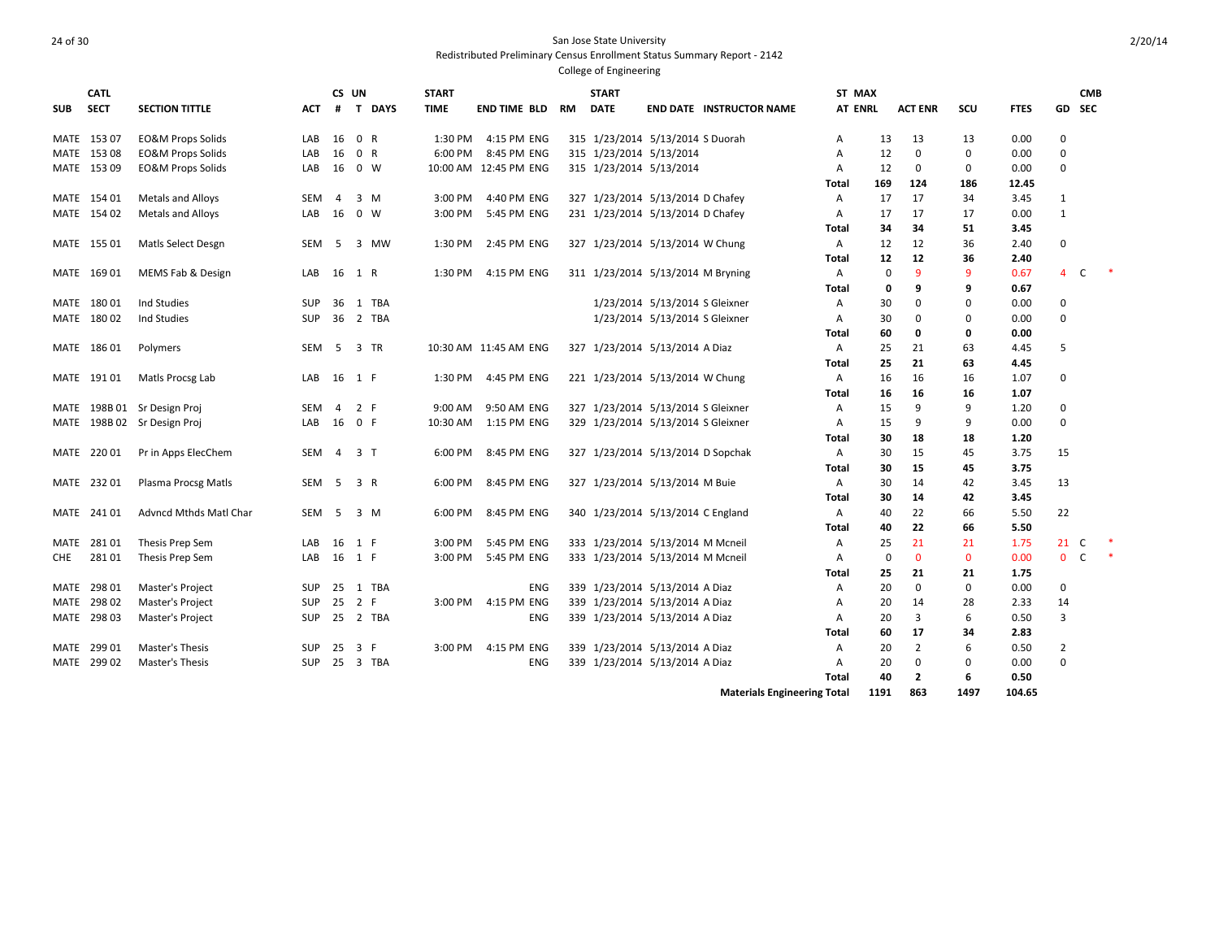College of Engineering

| <b>CATL</b><br>CS UN<br><b>START</b><br><b>START</b><br>ST MAX                                                                                                                                             |                          | <b>CMB</b>          |  |
|------------------------------------------------------------------------------------------------------------------------------------------------------------------------------------------------------------|--------------------------|---------------------|--|
| <b>SECT</b><br><b>AT ENRL</b><br>scu<br><b>SUB</b><br><b>SECTION TITTLE</b><br>#<br>T DAYS<br><b>TIME</b><br>END TIME BLD<br>RM<br><b>DATE</b><br><b>END DATE INSTRUCTOR NAME</b><br><b>ACT ENR</b><br>АСТ | <b>FTES</b><br><b>GD</b> | <b>SEC</b>          |  |
| <b>EO&amp;M Props Solids</b><br>0 R<br>4:15 PM ENG<br>315 1/23/2014 5/13/2014 S Duorah<br>153 07<br>LAB<br>16<br>1:30 PM<br>13<br>13<br>13<br>MATE<br>Α                                                    | 0.00<br>0                |                     |  |
| 0 R<br>315 1/23/2014 5/13/2014<br>153 08<br><b>EO&amp;M Props Solids</b><br>LAB<br>16<br>6:00 PM<br>8:45 PM ENG<br>12<br>$\Omega$<br>$\Omega$<br>MATE<br>A                                                 | 0.00<br>$\mathbf 0$      |                     |  |
| 153 09<br>16<br>$0 \quad W$<br>315 1/23/2014 5/13/2014<br>12<br>0<br>$\mathbf 0$<br>MATE<br><b>EO&amp;M Props Solids</b><br>LAB<br>10:00 AM 12:45 PM ENG<br>A                                              | 0.00<br>0                |                     |  |
| 169<br>124<br>186<br>Total                                                                                                                                                                                 | 12.45                    |                     |  |
| MATE 154 01<br>Metals and Alloys<br>$3 \, M$<br>3:00 PM<br>4:40 PM ENG<br>327 1/23/2014 5/13/2014 D Chafey<br>17<br>34<br><b>SEM</b><br>$\overline{4}$<br>17<br>Α                                          | 3.45<br>1                |                     |  |
| MATE 154 02<br>16<br>0 W<br>3:00 PM<br>5:45 PM ENG<br>231 1/23/2014 5/13/2014 D Chafey<br>17<br><b>Metals and Alloys</b><br>LAB<br>17<br>17<br>Α                                                           | 0.00<br>1                |                     |  |
| 34<br>51<br>34<br>Total                                                                                                                                                                                    | 3.45                     |                     |  |
| 36<br>MATE 155 01<br>Matls Select Desgn<br>5<br>1:30 PM<br>2:45 PM ENG<br>327 1/23/2014 5/13/2014 W Chung<br>12<br>12<br>SEM<br>3 MW<br>Α                                                                  | $\mathbf 0$<br>2.40      |                     |  |
| 12<br>36<br>12<br>Total                                                                                                                                                                                    | 2.40                     |                     |  |
| $\mathbf{q}$<br>9<br>MATE 169 01<br>MEMS Fab & Design<br>16<br>4:15 PM ENG<br>311 1/23/2014 5/13/2014 M Bryning<br>$\mathbf 0$<br>LAB<br>1 R<br>1:30 PM<br>A                                               | 0.67                     | $\overline{4}$<br>C |  |
| 9<br>q<br>0<br>Total                                                                                                                                                                                       | 0.67                     |                     |  |
| Ind Studies<br>$\Omega$<br>MATE 180 01<br><b>SUP</b><br>36 1 TBA<br>1/23/2014 5/13/2014 S Gleixner<br>30<br>$\Omega$<br>A                                                                                  | 0.00<br>$\mathbf 0$      |                     |  |
| MATE 180 02<br>36 2 TBA<br>1/23/2014 5/13/2014 S Gleixner<br>Ind Studies<br>SUP<br>$\Omega$<br>$\mathbf 0$<br>Α<br>30                                                                                      | 0.00<br>$\mathbf 0$      |                     |  |
| 0<br>60<br>0<br>Total                                                                                                                                                                                      | 0.00                     |                     |  |
| 3 TR<br>327 1/23/2014 5/13/2014 A Diaz<br>25<br>21<br>63<br>MATE 186 01<br>Polymers<br>SEM<br>- 5<br>10:30 AM 11:45 AM ENG<br>Α                                                                            | 5<br>4.45                |                     |  |
| 21<br>63<br>25<br>Total                                                                                                                                                                                    | 4.45                     |                     |  |
| 4:45 PM ENG<br>16<br>MATE 19101<br>Matls Procsg Lab<br>LAB<br>16<br>1 F<br>1:30 PM<br>221 1/23/2014 5/13/2014 W Chung<br>Α<br>16<br>16                                                                     | 1.07<br>0                |                     |  |
| 16<br>16<br>16<br>Total                                                                                                                                                                                    | 1.07                     |                     |  |
| MATE 198B 01 Sr Design Proj<br>SEM<br>2 F<br>9:00 AM<br>9:50 AM ENG<br>327 1/23/2014 5/13/2014 S Gleixner<br>15<br>$\mathbf{q}$<br>9<br>$\overline{4}$<br>Α                                                | 1.20<br>0                |                     |  |
| MATE 198B 02 Sr Design Proj<br>16<br>0 F<br>1:15 PM ENG<br>329 1/23/2014 5/13/2014 S Gleixner<br>9<br>LAB<br>10:30 AM<br>15<br>q<br>A                                                                      | 0.00<br>0                |                     |  |
| 30<br>18<br>18<br>Total                                                                                                                                                                                    | 1.20                     |                     |  |
| MATE 220 01<br>Pr in Apps ElecChem<br>3 <sub>1</sub><br>6:00 PM<br>8:45 PM ENG<br>327 1/23/2014 5/13/2014 D Sopchak<br>30<br>15<br>45<br>SEM<br>$\overline{4}$<br>Α                                        | 3.75<br>15               |                     |  |
| 30<br>15<br>45<br>Total                                                                                                                                                                                    | 3.75                     |                     |  |
| MATE 232 01<br>SEM<br>5<br>3 R<br>8:45 PM ENG<br>327 1/23/2014 5/13/2014 M Buie<br>Plasma Procsg Matls<br>6:00 PM<br>30<br>14<br>42<br>Α                                                                   | 3.45<br>13               |                     |  |
| 42<br>30<br>14<br>Total                                                                                                                                                                                    | 3.45                     |                     |  |
| 8:45 PM ENG<br>MATE 241 01<br><b>Advncd Mthds Matl Char</b><br><b>SEM</b><br>5<br>$3 \, M$<br>6:00 PM<br>340 1/23/2014 5/13/2014 C England<br>40<br>22<br>66<br>A                                          | 22<br>5.50               |                     |  |
| 66<br>40<br>22<br>Total                                                                                                                                                                                    | 5.50                     |                     |  |
| 16<br>5:45 PM ENG<br>333 1/23/2014 5/13/2014 M Mcneil<br>21<br>21<br>28101<br>Thesis Prep Sem<br>LAB<br>1 F<br>3:00 PM<br>25<br>MATE<br>Α                                                                  | 1.75                     | 21<br>C             |  |
| 28101<br>333 1/23/2014 5/13/2014 M Mcneil<br>$\mathbf 0$<br>$\Omega$<br>$\mathbf{0}$<br>LAB<br>16<br>1 F<br>3:00 PM<br>5:45 PM ENG<br>Thesis Prep Sem<br>A<br>CHE                                          | 0.00                     | $0-$                |  |
| 21<br>21<br>Total<br>25                                                                                                                                                                                    | 1.75                     |                     |  |
| 29801<br>1 TBA<br>339 1/23/2014 5/13/2014 A Diaz<br>20<br>$\mathbf 0$<br>$\mathbf 0$<br>MATE<br>Master's Project<br><b>SUP</b><br>25<br><b>ENG</b><br>A                                                    | 0.00<br>$\mathbf 0$      |                     |  |
| 298 02<br>Master's Project<br>25<br>2 F<br>4:15 PM ENG<br>339 1/23/2014 5/13/2014 A Diaz<br>28<br>MATE<br>SUP<br>3:00 PM<br>20<br>14<br>Α                                                                  | 2.33<br>14               |                     |  |
| 6<br>MATE 298 03<br><b>SUP</b><br>25 2 TBA<br>339 1/23/2014 5/13/2014 A Diaz<br>20<br>3<br>Master's Project<br><b>ENG</b><br>A                                                                             | 0.50<br>3                |                     |  |
| 17<br>34<br>Total<br>60                                                                                                                                                                                    | 2.83                     |                     |  |
| $\overline{2}$<br>6<br>29901<br>Master's Thesis<br><b>SUP</b><br>25<br>3 F<br>3:00 PM<br>4:15 PM ENG<br>339 1/23/2014 5/13/2014 A Diaz<br>20<br>MATE<br>A                                                  | 0.50<br>$\overline{2}$   |                     |  |
| MATE 299 02<br>3 TBA<br>339 1/23/2014 5/13/2014 A Diaz<br>20<br>$\mathbf 0$<br>$\mathbf 0$<br><b>Master's Thesis</b><br><b>SUP</b><br>25<br><b>ENG</b><br>A                                                | 0.00<br>$\mathbf 0$      |                     |  |
| $\overline{2}$<br>6<br>Total<br>40                                                                                                                                                                         | 0.50                     |                     |  |

**Materials Engineering Total 1191 863 1497 104.65**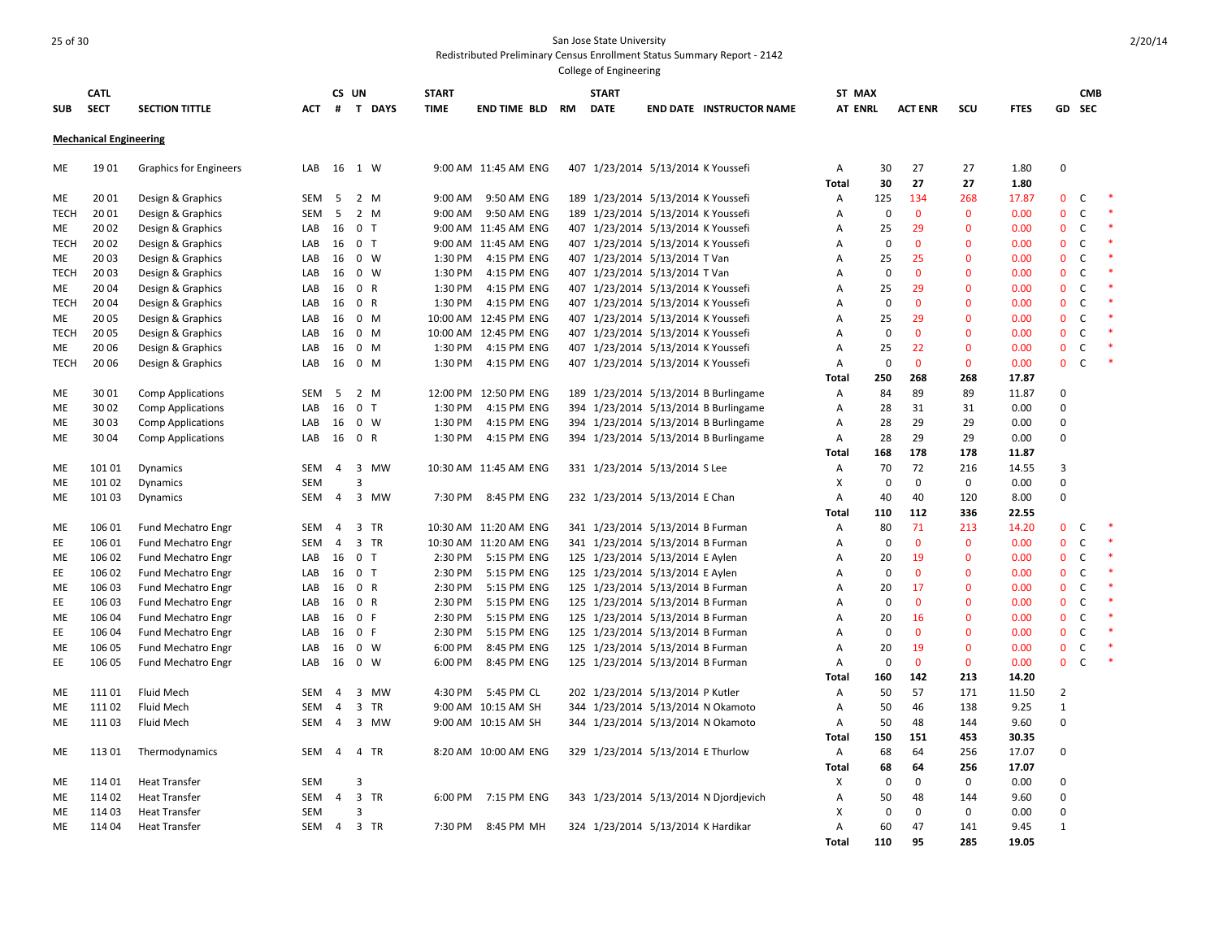| <b>SUB</b>  | <b>CATL</b><br><b>SECT</b>    | <b>SECTION TITTLE</b>         | АСТ        | #              | CS UN          | <b>T DAYS</b> | <b>START</b><br><b>TIME</b> | END TIME BLD          | RM | <b>START</b><br><b>DATE</b> |                                    | <b>END DATE INSTRUCTOR NAME</b>       | ST MAX<br><b>AT ENRL</b> |             | <b>ACT ENR</b> | SCU          | <b>FTES</b>  | GD             | <b>CMB</b><br><b>SEC</b> |        |
|-------------|-------------------------------|-------------------------------|------------|----------------|----------------|---------------|-----------------------------|-----------------------|----|-----------------------------|------------------------------------|---------------------------------------|--------------------------|-------------|----------------|--------------|--------------|----------------|--------------------------|--------|
|             | <b>Mechanical Engineering</b> |                               |            |                |                |               |                             |                       |    |                             |                                    |                                       |                          |             |                |              |              |                |                          |        |
| ME          | 1901                          | <b>Graphics for Engineers</b> | LAB        | 16             | 1 W            |               |                             | 9:00 AM 11:45 AM ENG  |    |                             | 407 1/23/2014 5/13/2014 K Youssefi |                                       | Α<br><b>Total</b>        | 30<br>30    | 27<br>27       | 27<br>27     | 1.80<br>1.80 | $\mathbf 0$    |                          |        |
| ME          | 20 01                         | Design & Graphics             | SEM        | 5              | 2 M            |               | 9:00 AM                     | 9:50 AM ENG           |    |                             | 189 1/23/2014 5/13/2014 K Youssefi |                                       | Α                        | 125         | 134            | 268          | 17.87        | $\mathbf{0}$   | C                        | $\ast$ |
| <b>TECH</b> | 20 01                         | Design & Graphics             | SEM        | 5              |                | 2 M           | 9:00 AM                     | 9:50 AM ENG           |    |                             | 189 1/23/2014 5/13/2014 K Youssefi |                                       | Α                        | $\mathbf 0$ | $\mathbf{0}$   | $\mathbf{0}$ | 0.00         | $\mathbf{0}$   | C                        |        |
| ME          | 20 02                         | Design & Graphics             | LAB        | 16             | 0 <sub>T</sub> |               |                             | 9:00 AM 11:45 AM ENG  |    |                             | 407 1/23/2014 5/13/2014 K Youssefi |                                       | A                        | 25          | 29             | $\mathbf 0$  | 0.00         | $\mathbf{0}$   | $\mathsf{C}$             |        |
| <b>TECH</b> | 20 02                         | Design & Graphics             | LAB        | 16             | 0 <sub>T</sub> |               |                             | 9:00 AM 11:45 AM ENG  |    |                             | 407 1/23/2014 5/13/2014 K Youssefi |                                       | Α                        | $\mathbf 0$ | $\mathbf{0}$   | $\mathbf 0$  | 0.00         | $\mathbf 0$    | C                        |        |
| ME          | 20 03                         | Design & Graphics             | LAB        | 16             | $0 \quad W$    |               | 1:30 PM                     | 4:15 PM ENG           |    |                             | 407 1/23/2014 5/13/2014 T Van      |                                       | A                        | 25          | 25             | $\mathbf{0}$ | 0.00         | $\mathbf{0}$   | C                        |        |
| <b>TECH</b> | 20 03                         | Design & Graphics             | LAB        | 16             |                | 0 W           | 1:30 PM                     | 4:15 PM ENG           |    |                             | 407 1/23/2014 5/13/2014 T Van      |                                       | A                        | $\mathbf 0$ | $\mathbf{0}$   | $\mathbf{0}$ | 0.00         | $\mathbf{0}$   | $\mathsf{C}$             |        |
| ME          | 2004                          | Design & Graphics             | LAB        | 16             | 0 R            |               | 1:30 PM                     | 4:15 PM ENG           |    |                             | 407 1/23/2014 5/13/2014 K Youssefi |                                       | A                        | 25          | 29             | $\mathbf 0$  | 0.00         | $\mathbf 0$    | $\mathsf{C}$             |        |
| <b>TECH</b> | 2004                          | Design & Graphics             | LAB        | 16             | 0 R            |               | 1:30 PM                     | 4:15 PM ENG           |    |                             | 407 1/23/2014 5/13/2014 K Youssefi |                                       | A                        | $\mathbf 0$ | $\mathbf{0}$   | $\mathbf{0}$ | 0.00         | $\mathbf{0}$   | C                        |        |
| ME          | 20 05                         | Design & Graphics             | LAB        | 16             | 0 M            |               |                             | 10:00 AM 12:45 PM ENG |    |                             | 407 1/23/2014 5/13/2014 K Youssefi |                                       | A                        | 25          | 29             | $\mathbf 0$  | 0.00         | $\mathbf{0}$   | $\mathsf{C}$             |        |
| <b>TECH</b> | 20 05                         | Design & Graphics             | LAB        | 16             | $0$ M          |               |                             | 10:00 AM 12:45 PM ENG |    |                             | 407 1/23/2014 5/13/2014 K Youssefi |                                       | A                        | $\mathbf 0$ | $\mathbf 0$    | $\mathbf 0$  | 0.00         | $\mathbf 0$    | $\mathsf C$              |        |
| ME          | 20 06                         | Design & Graphics             | LAB        | 16             | $0$ M          |               | 1:30 PM                     | 4:15 PM ENG           |    |                             | 407 1/23/2014 5/13/2014 K Youssefi |                                       | A                        | 25          | 22             | $\mathbf{0}$ | 0.00         | $\mathbf 0$    | C                        |        |
| TECH        | 20 06                         | Design & Graphics             | LAB        | 16             | $0$ M          |               | 1:30 PM                     | 4:15 PM ENG           |    |                             | 407 1/23/2014 5/13/2014 K Youssefi |                                       | Α                        | $\mathbf 0$ | $\mathbf{0}$   | $\mathbf{0}$ | 0.00         | $\mathbf{0}$   | $\mathsf C$              | $\ast$ |
|             |                               |                               |            |                |                |               |                             |                       |    |                             |                                    |                                       | Total                    | 250         | 268            | 268          | 17.87        |                |                          |        |
| ME          | 30 01                         | <b>Comp Applications</b>      | SEM        | 5              | 2 M            |               |                             | 12:00 PM 12:50 PM ENG |    |                             |                                    | 189 1/23/2014 5/13/2014 B Burlingame  | Α                        | 84          | 89             | 89           | 11.87        | $\Omega$       |                          |        |
| ME          | 30 02                         | <b>Comp Applications</b>      | LAB        | 16             | 0 <sub>T</sub> |               | 1:30 PM                     | 4:15 PM ENG           |    |                             |                                    | 394 1/23/2014 5/13/2014 B Burlingame  | Α                        | 28          | 31             | 31           | 0.00         | $\Omega$       |                          |        |
| <b>ME</b>   | 30 03                         | <b>Comp Applications</b>      | LAB        | 16             | 0 W            |               | 1:30 PM                     | 4:15 PM ENG           |    |                             |                                    | 394 1/23/2014 5/13/2014 B Burlingame  | A                        | 28          | 29             | 29           | 0.00         | $\Omega$       |                          |        |
| ME          | 30 04                         | <b>Comp Applications</b>      | LAB        | 16             | 0 R            |               | 1:30 PM                     | 4:15 PM ENG           |    |                             |                                    | 394 1/23/2014 5/13/2014 B Burlingame  | A                        | 28          | 29             | 29           | 0.00         | $\Omega$       |                          |        |
|             |                               |                               |            |                |                |               |                             |                       |    |                             |                                    |                                       | Total                    | 168         | 178            | 178          | 11.87        |                |                          |        |
| ME          | 101 01                        | Dynamics                      | <b>SEM</b> | 4              | 3              | <b>MW</b>     |                             | 10:30 AM 11:45 AM ENG |    |                             | 331 1/23/2014 5/13/2014 S Lee      |                                       | A                        | 70          | 72             | 216          | 14.55        | 3              |                          |        |
| ME          | 101 02                        | Dynamics                      | <b>SEM</b> |                | 3              |               |                             |                       |    |                             |                                    |                                       | X                        | 0           | $\mathbf{0}$   | $\mathbf 0$  | 0.00         | $\mathbf 0$    |                          |        |
| ME          | 101 03                        | Dynamics                      | SEM        | $\overline{4}$ |                | 3 MW          | 7:30 PM                     | 8:45 PM ENG           |    |                             | 232 1/23/2014 5/13/2014 E Chan     |                                       | Α                        | 40          | 40             | 120          | 8.00         | $\mathbf 0$    |                          |        |
|             |                               |                               |            |                |                |               |                             |                       |    |                             |                                    |                                       | Total                    | 110         | 112            | 336          | 22.55        |                |                          |        |
| ME          | 106 01                        | <b>Fund Mechatro Engr</b>     | SEM        | $\overline{4}$ |                | 3 TR          |                             | 10:30 AM 11:20 AM ENG |    |                             | 341 1/23/2014 5/13/2014 B Furman   |                                       | $\overline{A}$           | 80          | 71             | 213          | 14.20        | $\mathbf{0}$   | C                        | $\ast$ |
| EE          | 106 01                        | <b>Fund Mechatro Engr</b>     | <b>SEM</b> | $\overline{4}$ |                | 3 TR          |                             | 10:30 AM 11:20 AM ENG |    |                             | 341 1/23/2014 5/13/2014 B Furman   |                                       | Α                        | $\mathbf 0$ | $\mathbf{0}$   | $\mathbf 0$  | 0.00         | $\mathbf 0$    | $\mathsf{C}$             | $\ast$ |
| ME          | 106 02                        | Fund Mechatro Engr            | LAB        | 16             | 0 <sub>T</sub> |               | 2:30 PM                     | 5:15 PM ENG           |    |                             | 125 1/23/2014 5/13/2014 E Aylen    |                                       | A                        | 20          | 19             | $\mathbf{0}$ | 0.00         | $\mathbf{0}$   | C                        |        |
| EE          | 106 02                        | Fund Mechatro Engr            | LAB        | 16             | 0 <sub>T</sub> |               | 2:30 PM                     | 5:15 PM ENG           |    |                             | 125 1/23/2014 5/13/2014 E Aylen    |                                       | A                        | $\Omega$    | $\mathbf 0$    | $\mathbf{0}$ | 0.00         | $\mathbf{0}$   | $\mathsf{C}$             |        |
| ME          | 106 03                        | Fund Mechatro Engr            | LAB        | 16             | 0 R            |               | 2:30 PM                     | 5:15 PM ENG           |    |                             | 125 1/23/2014 5/13/2014 B Furman   |                                       | A                        | 20          | 17             | $\mathbf 0$  | 0.00         | $\mathbf 0$    | $\mathsf{C}$             |        |
| EE          | 106 03                        | Fund Mechatro Engr            | LAB        | 16             | 0 R            |               | 2:30 PM                     | 5:15 PM ENG           |    |                             | 125 1/23/2014 5/13/2014 B Furman   |                                       | A                        | $\Omega$    | $\mathbf{0}$   | $\mathbf{0}$ | 0.00         | $\mathbf{0}$   | $\mathsf{C}$             |        |
| ME          | 106 04                        | <b>Fund Mechatro Engr</b>     | LAB        | 16             | 0 F            |               | 2:30 PM                     | 5:15 PM ENG           |    |                             | 125 1/23/2014 5/13/2014 B Furman   |                                       | A                        | 20          | 16             | $\mathbf 0$  | 0.00         | $\mathbf 0$    | $\mathsf{C}$             |        |
| EE          | 106 04                        | Fund Mechatro Engr            | LAB        | 16             | 0 F            |               | 2:30 PM                     | 5:15 PM ENG           |    |                             | 125 1/23/2014 5/13/2014 B Furman   |                                       | A                        | 0           | $\mathbf 0$    | $\mathbf 0$  | 0.00         | $\mathbf 0$    | $\mathsf{C}$             |        |
| ME          | 106 05                        | <b>Fund Mechatro Engr</b>     | LAB        | 16             | 0 W            |               | 6:00 PM                     | 8:45 PM ENG           |    |                             | 125 1/23/2014 5/13/2014 B Furman   |                                       | A                        | 20          | 19             | $\mathbf 0$  | 0.00         | $\mathbf 0$    | C                        |        |
| EE          | 106 05                        | <b>Fund Mechatro Engr</b>     | LAB        | 16             | $0 \quad W$    |               | 6:00 PM                     | 8:45 PM ENG           |    |                             | 125 1/23/2014 5/13/2014 B Furman   |                                       | A                        | 0           | $\mathbf{0}$   | $\mathbf 0$  | 0.00         | $\mathbf{0}$   | $\mathsf{C}$             |        |
|             |                               |                               |            |                |                |               |                             |                       |    |                             |                                    |                                       | Total                    | 160         | 142            | 213          | 14.20        |                |                          |        |
| ME          | 11101                         | <b>Fluid Mech</b>             | SEM        | $\overline{4}$ |                | 3 MW          | 4:30 PM                     | 5:45 PM CL            |    |                             | 202 1/23/2014 5/13/2014 P Kutler   |                                       | A                        | 50          | 57             | 171          | 11.50        | $\overline{2}$ |                          |        |
| ME          | 111 02                        | Fluid Mech                    | SEM        | 4              |                | 3 TR          |                             | 9:00 AM 10:15 AM SH   |    |                             | 344 1/23/2014 5/13/2014 N Okamoto  |                                       | Α                        | 50          | 46             | 138          | 9.25         | $\mathbf{1}$   |                          |        |
| ME          | 11103                         | Fluid Mech                    | SEM        | $\overline{4}$ |                | 3 MW          |                             | 9:00 AM 10:15 AM SH   |    |                             | 344 1/23/2014 5/13/2014 N Okamoto  |                                       | A                        | 50          | 48             | 144          | 9.60         | $\Omega$       |                          |        |
|             |                               |                               |            |                |                |               |                             |                       |    |                             |                                    |                                       | Total                    | 150         | 151            | 453          | 30.35        |                |                          |        |
| ME          | 11301                         | Thermodynamics                | SEM        | $\overline{4}$ |                | 4 TR          |                             | 8:20 AM 10:00 AM ENG  |    |                             | 329 1/23/2014 5/13/2014 E Thurlow  |                                       | Α                        | 68          | 64             | 256          | 17.07        | $\Omega$       |                          |        |
|             |                               |                               |            |                |                |               |                             |                       |    |                             |                                    |                                       | Total                    | 68          | 64             | 256          | 17.07        |                |                          |        |
| ME          | 11401                         | <b>Heat Transfer</b>          | <b>SEM</b> |                | 3              |               |                             |                       |    |                             |                                    |                                       | Х                        | $\mathbf 0$ | $\mathbf{0}$   | $\mathbf 0$  | 0.00         | $\Omega$       |                          |        |
| ME          | 114 02                        | <b>Heat Transfer</b>          | SEM        | $\overline{4}$ |                | 3 TR          | 6:00 PM                     | 7:15 PM ENG           |    |                             |                                    | 343 1/23/2014 5/13/2014 N Djordjevich | A                        | 50          | 48             | 144          | 9.60         | $\mathbf 0$    |                          |        |
| ME          | 114 03                        | <b>Heat Transfer</b>          | <b>SEM</b> |                | 3              |               |                             |                       |    |                             |                                    |                                       | X                        | 0           | $\Omega$       | $\mathbf 0$  | 0.00         | $\Omega$       |                          |        |
| <b>ME</b>   | 114 04                        | <b>Heat Transfer</b>          | SEM        | $\overline{4}$ |                | 3 TR          | 7:30 PM                     | 8:45 PM MH            |    |                             | 324 1/23/2014 5/13/2014 K Hardikar |                                       | A                        | 60          | 47             | 141          | 9.45         | $\mathbf{1}$   |                          |        |
|             |                               |                               |            |                |                |               |                             |                       |    |                             |                                    |                                       | <b>Total</b>             | 110         | 95             | 285          | 19.05        |                |                          |        |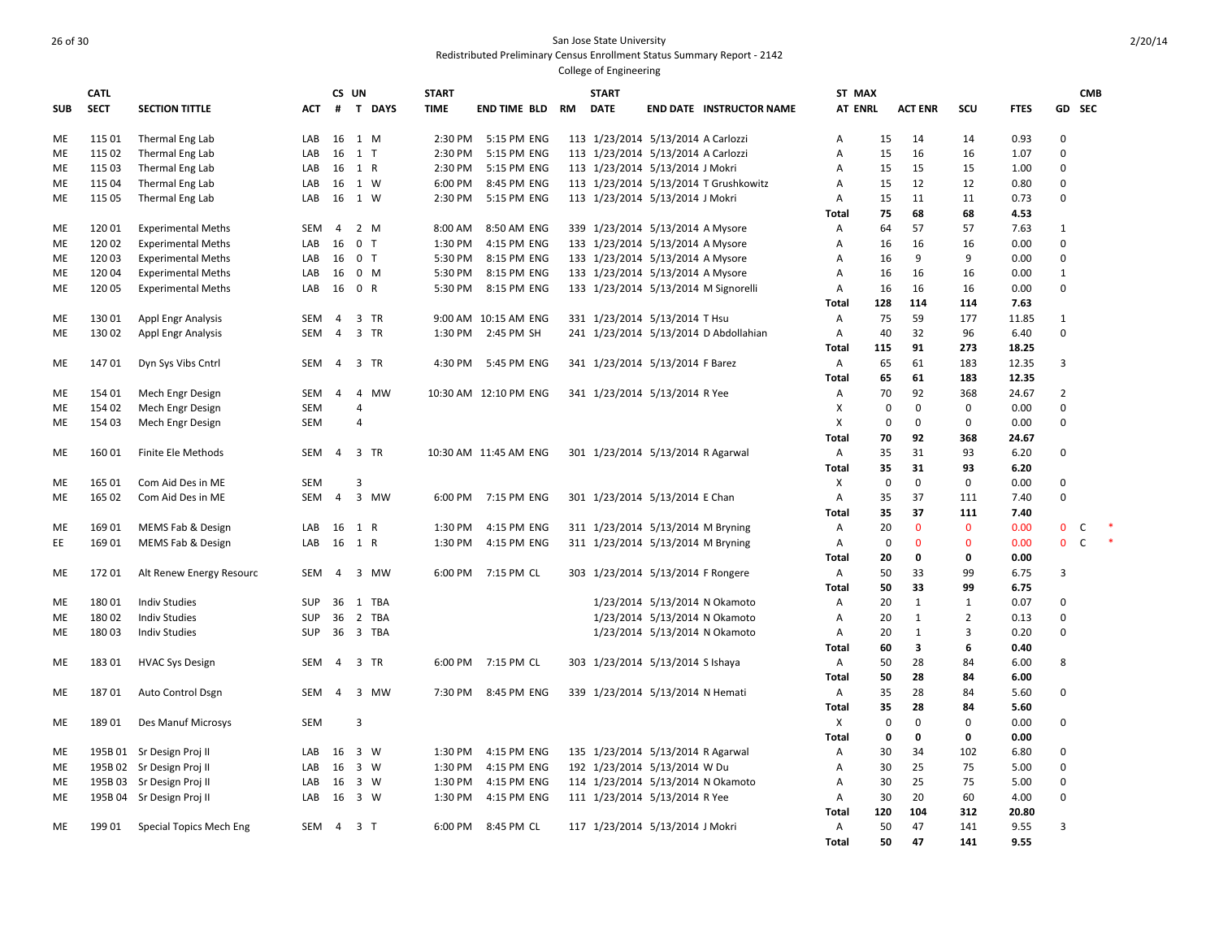|            | <b>CATL</b> |                           |            | CS UN          |                |           | <b>START</b> |                       |    | <b>START</b> |                                    |                                       | ST MAX         |             |                |                |             |                | <b>CMB</b>   |        |
|------------|-------------|---------------------------|------------|----------------|----------------|-----------|--------------|-----------------------|----|--------------|------------------------------------|---------------------------------------|----------------|-------------|----------------|----------------|-------------|----------------|--------------|--------|
| <b>SUB</b> | <b>SECT</b> | <b>SECTION TITTLE</b>     | <b>ACT</b> | #              |                | T DAYS    | <b>TIME</b>  | <b>END TIME BLD</b>   | RM | <b>DATE</b>  |                                    | <b>END DATE INSTRUCTOR NAME</b>       | <b>AT ENRL</b> |             | <b>ACT ENR</b> | SCU            | <b>FTES</b> | GD             | <b>SEC</b>   |        |
|            |             |                           |            |                |                |           |              |                       |    |              |                                    |                                       |                |             |                |                |             |                |              |        |
| ME         | 115 01      | Thermal Eng Lab           | LAB        | 16 1 M         |                |           | 2:30 PM      | 5:15 PM ENG           |    |              | 113 1/23/2014 5/13/2014 A Carlozzi |                                       | A              | 15          | 14             | 14             | 0.93        | $\mathbf 0$    |              |        |
| ME         | 115 02      | Thermal Eng Lab           | LAB        | 16             | $1$ T          |           | 2:30 PM      | 5:15 PM ENG           |    |              | 113 1/23/2014 5/13/2014 A Carlozzi |                                       | А              | 15          | 16             | 16             | 1.07        | $\mathbf 0$    |              |        |
| ME         | 115 03      | Thermal Eng Lab           | LAB        | 16 1 R         |                |           | 2:30 PM      | 5:15 PM ENG           |    |              | 113 1/23/2014 5/13/2014 J Mokri    |                                       | А              | 15          | 15             | 15             | 1.00        | $\mathbf 0$    |              |        |
| ME         | 115 04      | Thermal Eng Lab           | LAB        | 16 1 W         |                |           | 6:00 PM      | 8:45 PM ENG           |    |              |                                    | 113 1/23/2014 5/13/2014 T Grushkowitz | А              | 15          | 12             | 12             | 0.80        | $\mathbf 0$    |              |        |
| <b>ME</b>  | 115 05      | Thermal Eng Lab           | LAB        | 16 1 W         |                |           | 2:30 PM      | 5:15 PM ENG           |    |              | 113 1/23/2014 5/13/2014 J Mokri    |                                       | Α              | 15          | 11             | 11             | 0.73        | $\Omega$       |              |        |
|            |             |                           |            |                |                |           |              |                       |    |              |                                    |                                       | Total          | 75          | 68             | 68             | 4.53        |                |              |        |
| ME         | 12001       | <b>Experimental Meths</b> | <b>SEM</b> | $\overline{4}$ | 2 M            |           | 8:00 AM      | 8:50 AM ENG           |    |              | 339 1/23/2014 5/13/2014 A Mysore   |                                       | Α              | 64          | 57             | 57             | 7.63        | 1              |              |        |
| ME         | 12002       | <b>Experimental Meths</b> | LAB        | 16             | 0 <sub>T</sub> |           | 1:30 PM      | 4:15 PM ENG           |    |              | 133 1/23/2014 5/13/2014 A Mysore   |                                       | Α              | 16          | 16             | 16             | 0.00        | $\mathbf 0$    |              |        |
| ME         | 12003       | <b>Experimental Meths</b> | LAB        | 16 0 T         |                |           | 5:30 PM      | 8:15 PM ENG           |    |              | 133 1/23/2014 5/13/2014 A Mysore   |                                       | А              | 16          | 9              | 9              | 0.00        | $\mathbf 0$    |              |        |
| ME         | 12004       | <b>Experimental Meths</b> | LAB        | 16 0 M         |                |           | 5:30 PM      | 8:15 PM ENG           |    |              | 133 1/23/2014 5/13/2014 A Mysore   |                                       | А              | 16          | 16             | 16             | 0.00        | $\mathbf{1}$   |              |        |
| ME         | 12005       | <b>Experimental Meths</b> | LAB        | 16 0 R         |                |           | 5:30 PM      | 8:15 PM ENG           |    |              |                                    | 133 1/23/2014 5/13/2014 M Signorelli  | Α              | 16          | 16             | 16             | 0.00        | $\mathbf 0$    |              |        |
|            |             |                           |            |                |                |           |              |                       |    |              |                                    |                                       | Total          | 128         | 114            | 114            | 7.63        |                |              |        |
| ME         | 13001       | <b>Appl Engr Analysis</b> | SEM        | $\overline{4}$ |                | 3 TR      |              | 9:00 AM 10:15 AM ENG  |    |              | 331 1/23/2014 5/13/2014 T Hsu      |                                       | Α              | 75          | 59             | 177            | 11.85       | 1              |              |        |
| <b>ME</b>  | 13002       | Appl Engr Analysis        | <b>SEM</b> | $\overline{4}$ |                | 3 TR      | 1:30 PM      | 2:45 PM SH            |    |              |                                    | 241 1/23/2014 5/13/2014 D Abdollahian | $\overline{A}$ | 40          | 32             | 96             | 6.40        | $\mathbf 0$    |              |        |
|            |             |                           |            |                |                |           |              |                       |    |              |                                    |                                       | Total          | 115         | 91             | 273            | 18.25       |                |              |        |
| ME         | 14701       | Dyn Sys Vibs Cntrl        | SEM        | 4 3 TR         |                |           | 4:30 PM      | 5:45 PM ENG           |    |              | 341 1/23/2014 5/13/2014 F Barez    |                                       | Α              | 65          | 61             | 183            | 12.35       | 3              |              |        |
|            |             |                           |            |                |                |           |              |                       |    |              |                                    |                                       | Total          | 65          | 61             | 183            | 12.35       |                |              |        |
| ME         | 154 01      | Mech Engr Design          | SEM        | $\overline{4}$ | $\overline{4}$ | <b>MW</b> |              | 10:30 AM 12:10 PM ENG |    |              | 341 1/23/2014 5/13/2014 R Yee      |                                       | Α              | 70          | 92             | 368            | 24.67       | $\overline{2}$ |              |        |
| ME         | 154 02      | Mech Engr Design          | <b>SEM</b> |                | $\overline{4}$ |           |              |                       |    |              |                                    |                                       | X              | $\mathbf 0$ | 0              | 0              | 0.00        | $\mathbf 0$    |              |        |
| ME         | 154 03      | Mech Engr Design          | <b>SEM</b> |                | $\overline{4}$ |           |              |                       |    |              |                                    |                                       | $\times$       | 0           | $\mathbf 0$    | 0              | 0.00        | $\mathbf 0$    |              |        |
|            |             |                           |            |                |                |           |              |                       |    |              |                                    |                                       | <b>Total</b>   | 70          | 92             | 368            | 24.67       |                |              |        |
| ME         | 16001       | Finite Ele Methods        | SEM        | $\overline{4}$ |                | 3 TR      |              | 10:30 AM 11:45 AM ENG |    |              | 301 1/23/2014 5/13/2014 R Agarwal  |                                       | Α              | 35          | 31             | 93             | 6.20        | $\mathbf 0$    |              |        |
|            |             |                           |            |                |                |           |              |                       |    |              |                                    |                                       | Total          | 35          | 31             | 93             | 6.20        |                |              |        |
| ME         | 165 01      | Com Aid Des in ME         | <b>SEM</b> |                | 3              |           |              |                       |    |              |                                    |                                       | X              | 0           | $\mathbf 0$    | 0              | 0.00        | $\mathbf 0$    |              |        |
| <b>ME</b>  | 165 02      | Com Aid Des in ME         | <b>SEM</b> | $\overline{4}$ |                | 3 MW      | 6:00 PM      | 7:15 PM ENG           |    |              | 301 1/23/2014 5/13/2014 E Chan     |                                       | A              | 35          | 37             | 111            | 7.40        | $\mathbf 0$    |              |        |
|            |             |                           |            |                |                |           |              |                       |    |              |                                    |                                       | Total          | 35          | 37             | 111            | 7.40        |                |              |        |
| ME         | 169 01      | MEMS Fab & Design         | LAB        | 16 1 R         |                |           | 1:30 PM      | 4:15 PM ENG           |    |              | 311 1/23/2014 5/13/2014 M Bryning  |                                       | Α              | 20          | $\Omega$       | $\mathbf{0}$   | 0.00        | $\mathbf 0$    | C            | $\ast$ |
| EE.        | 16901       | MEMS Fab & Design         | LAB        | 16 1 R         |                |           | 1:30 PM      | 4:15 PM ENG           |    |              | 311 1/23/2014 5/13/2014 M Bryning  |                                       | $\overline{A}$ | 0           | $\mathbf{0}$   | $\mathbf{0}$   | 0.00        | $\mathbf 0$    | $\mathsf{C}$ | $\ast$ |
|            |             |                           |            |                |                |           |              |                       |    |              |                                    |                                       | <b>Total</b>   | 20          | 0              | 0              | 0.00        |                |              |        |
| ME         | 17201       | Alt Renew Energy Resourc  | <b>SEM</b> | $\overline{a}$ | $\overline{3}$ | MW        | 6:00 PM      | 7:15 PM CL            |    |              | 303 1/23/2014 5/13/2014 F Rongere  |                                       | Α              | 50          | 33             | 99             | 6.75        | 3              |              |        |
|            |             |                           |            |                |                |           |              |                       |    |              |                                    |                                       | Total          | 50          | 33             | 99             | 6.75        |                |              |        |
| ME         | 18001       | <b>Indiv Studies</b>      | <b>SUP</b> |                |                | 36 1 TBA  |              |                       |    |              |                                    | 1/23/2014 5/13/2014 N Okamoto         | Α              | 20          | $\mathbf{1}$   | $\mathbf{1}$   | 0.07        | $\mathbf 0$    |              |        |
| ME         | 18002       | <b>Indiv Studies</b>      | <b>SUP</b> |                |                | 36 2 TBA  |              |                       |    |              |                                    | 1/23/2014 5/13/2014 N Okamoto         | Α              | 20          | $\mathbf{1}$   | $\overline{2}$ | 0.13        | $\mathbf 0$    |              |        |
| ME         | 180 03      | <b>Indiv Studies</b>      | <b>SUP</b> |                |                | 36 3 TBA  |              |                       |    |              |                                    | 1/23/2014 5/13/2014 N Okamoto         | А              | 20          | $\mathbf{1}$   | 3              | 0.20        | $\mathbf 0$    |              |        |
|            |             |                           |            |                |                |           |              |                       |    |              |                                    |                                       | Total          | 60          | 3              | 6              | 0.40        |                |              |        |
| ME         | 18301       | <b>HVAC Sys Design</b>    | SEM        | 4              |                | 3 TR      | 6:00 PM      | 7:15 PM CL            |    |              | 303 1/23/2014 5/13/2014 S Ishaya   |                                       | Α              | 50          | 28             | 84             | 6.00        | 8              |              |        |
|            |             |                           |            |                |                |           |              |                       |    |              |                                    |                                       | Total          | 50          | 28             | 84             | 6.00        |                |              |        |
| ME         | 18701       | Auto Control Dsgn         | <b>SEM</b> | 4              |                | 3 MW      | 7:30 PM      | 8:45 PM ENG           |    |              | 339 1/23/2014 5/13/2014 N Hemati   |                                       | Α              | 35          | 28             | 84             | 5.60        | $\pmb{0}$      |              |        |
|            |             |                           |            |                |                |           |              |                       |    |              |                                    |                                       | Total          | 35          | 28             | 84             | 5.60        |                |              |        |
| <b>ME</b>  | 18901       | Des Manuf Microsys        | <b>SEM</b> |                | $\overline{3}$ |           |              |                       |    |              |                                    |                                       | X              | $\mathbf 0$ | 0              | $\mathbf 0$    | 0.00        | $\pmb{0}$      |              |        |
|            |             |                           |            |                |                |           |              |                       |    |              |                                    |                                       | <b>Total</b>   | $\mathbf 0$ | $\mathbf 0$    | 0              | 0.00        |                |              |        |
| ME         |             | 195B 01 Sr Design Proj II | LAB        | 16 3 W         |                |           | 1:30 PM      | 4:15 PM ENG           |    |              | 135 1/23/2014 5/13/2014 R Agarwal  |                                       | Α              | 30          | 34             | 102            | 6.80        | $\mathbf 0$    |              |        |
| ME         |             | 195B 02 Sr Design Proj II | LAB        | 16 3 W         |                |           | 1:30 PM      | 4:15 PM ENG           |    |              | 192 1/23/2014 5/13/2014 W Du       |                                       | Α              | 30          | 25             | 75             | 5.00        | $\mathbf 0$    |              |        |
| ME         |             | 195B 03 Sr Design Proj II | LAB        | 16 3 W         |                |           | 1:30 PM      | 4:15 PM ENG           |    |              |                                    | 114 1/23/2014 5/13/2014 N Okamoto     | Α              | 30          | 25             | 75             | 5.00        | $\mathbf 0$    |              |        |
| ME         |             | 195B 04 Sr Design Proj II | LAB        | 16             | 3 W            |           | 1:30 PM      | 4:15 PM ENG           |    |              | 111 1/23/2014 5/13/2014 R Yee      |                                       | Α              | 30          | 20             | 60             | 4.00        | $\mathbf 0$    |              |        |
|            |             |                           |            |                |                |           |              |                       |    |              |                                    |                                       | Total          | 120         | 104            | 312            | 20.80       |                |              |        |
| ME         | 19901       | Special Topics Mech Eng   | SEM        | 4              | 3 <sub>1</sub> |           | 6:00 PM      | 8:45 PM CL            |    |              | 117 1/23/2014 5/13/2014 J Mokri    |                                       | Α              | 50          | 47             | 141            | 9.55        | 3              |              |        |
|            |             |                           |            |                |                |           |              |                       |    |              |                                    |                                       | Total          | 50          | 47             | 141            | 9.55        |                |              |        |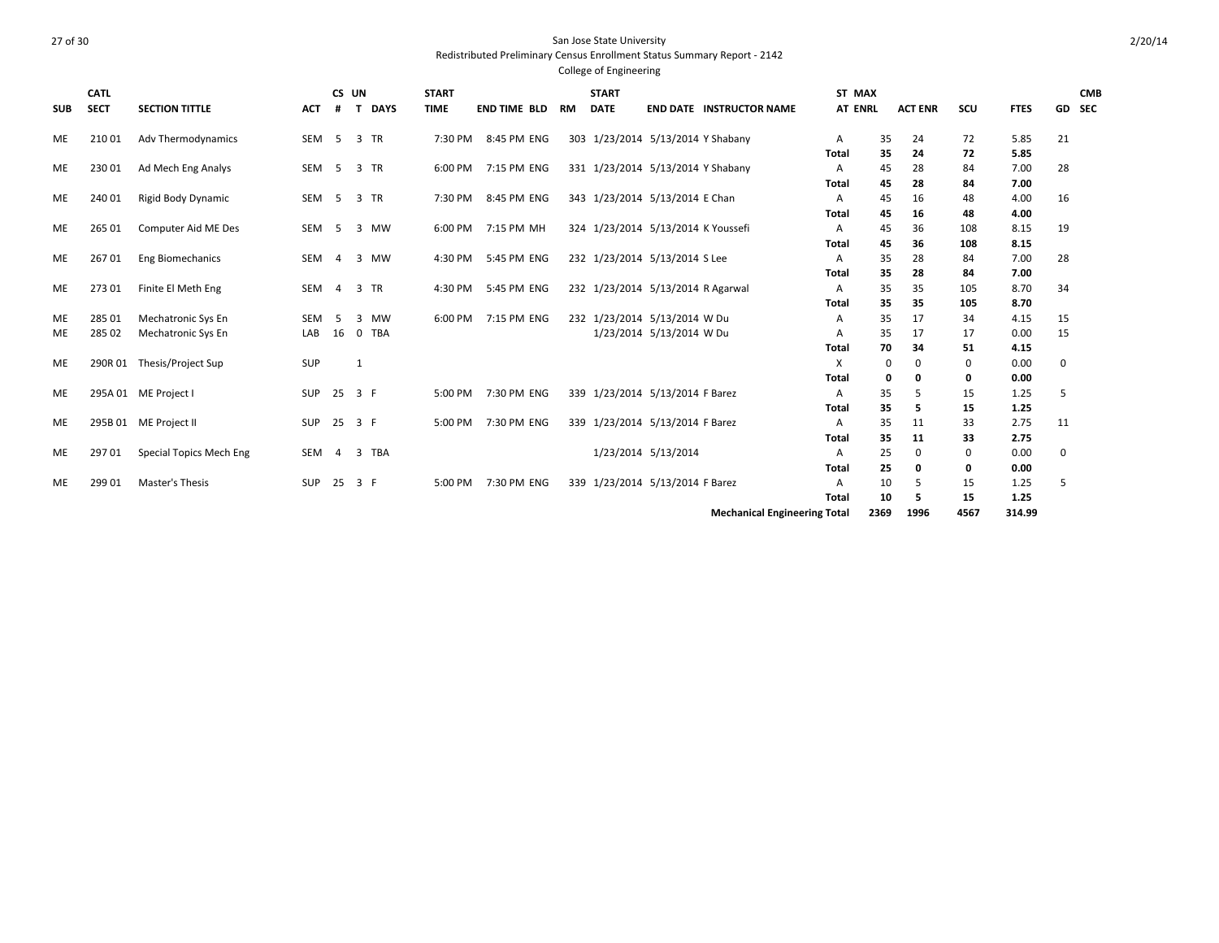College of Engineering

| <b>SUB</b> | <b>CATL</b><br><b>SECT</b> | <b>SECTION TITTLE</b>      | <b>ACT</b> | CS UN<br>#     | $\mathbf{T}$   | <b>DAYS</b> | <b>START</b><br><b>TIME</b> | <b>END TIME BLD</b> | <b>RM</b> | <b>START</b><br><b>DATE</b> |                                    | <b>END DATE INSTRUCTOR NAME</b>      | ST MAX<br><b>AT ENRL</b> |          | <b>ACT ENR</b> | SCU  | <b>FTES</b>   | GD SEC       | <b>CMB</b> |
|------------|----------------------------|----------------------------|------------|----------------|----------------|-------------|-----------------------------|---------------------|-----------|-----------------------------|------------------------------------|--------------------------------------|--------------------------|----------|----------------|------|---------------|--------------|------------|
| <b>ME</b>  | 210 01                     | Adv Thermodynamics         | SEM        | $5^{\circ}$    |                | 3 TR        | 7:30 PM                     | 8:45 PM ENG         |           |                             | 303 1/23/2014 5/13/2014 Y Shabany  |                                      | A                        | 35       | 24             | 72   | 5.85          | 21           |            |
|            |                            |                            |            |                |                |             |                             |                     |           |                             |                                    |                                      | Total                    | 35       | 24             | 72   | 5.85          |              |            |
| ME         | 230 01                     | Ad Mech Eng Analys         | SEM        | $5^{\circ}$    |                | 3 TR        | 6:00 PM                     | 7:15 PM ENG         |           |                             | 331 1/23/2014 5/13/2014 Y Shabany  |                                      | A                        | 45       | 28             | 84   | 7.00          | 28           |            |
|            |                            |                            |            |                |                |             |                             |                     |           |                             |                                    |                                      | <b>Total</b>             | 45       | 28             | 84   | 7.00          |              |            |
| ME         | 240 01                     | Rigid Body Dynamic         | SEM        | $5^{\circ}$    |                | 3 TR        | 7:30 PM                     | 8:45 PM ENG         |           |                             | 343 1/23/2014 5/13/2014 E Chan     |                                      | A                        | 45       | 16             | 48   | 4.00          | 16           |            |
|            |                            |                            |            |                |                |             |                             |                     |           |                             |                                    |                                      | <b>Total</b>             | 45       | 16             | 48   | 4.00          |              |            |
| ME         | 265 01                     | Computer Aid ME Des        | SEM        | - 5            |                | 3 MW        | 6:00 PM                     | 7:15 PM MH          |           |                             | 324 1/23/2014 5/13/2014 K Youssefi |                                      | A                        | 45       | 36             | 108  | 8.15          | 19           |            |
|            |                            |                            |            |                |                |             |                             |                     |           |                             |                                    |                                      | Total                    | 45       | 36             | 108  | 8.15          |              |            |
| <b>ME</b>  | 26701                      | <b>Eng Biomechanics</b>    | SEM        | $\overline{4}$ |                | 3 MW        | 4:30 PM                     | 5:45 PM ENG         |           |                             | 232 1/23/2014 5/13/2014 S Lee      |                                      | A                        | 35       | 28             | 84   | 7.00          | 28           |            |
|            |                            |                            |            |                |                |             |                             |                     |           |                             |                                    |                                      | <b>Total</b>             | 35       | 28             | 84   | 7.00          |              |            |
| ME         | 27301                      | Finite El Meth Eng         | SEM        | $\overline{4}$ | $\overline{3}$ | TR          | 4:30 PM                     | 5:45 PM ENG         |           |                             | 232 1/23/2014 5/13/2014 R Agarwal  |                                      | $\overline{A}$           | 35       | 35             | 105  | 8.70          | 34           |            |
|            |                            |                            |            |                |                |             |                             |                     |           |                             |                                    |                                      | Total                    | 35       | 35             | 105  | 8.70          |              |            |
| ME         | 285 01                     | <b>Mechatronic Sys En</b>  | SEM        | - 5            | 3              | <b>MW</b>   | 6:00 PM                     | 7:15 PM ENG         |           |                             | 232 1/23/2014 5/13/2014 W Du       |                                      | A                        | 35       | 17             | 34   | 4.15          | 15           |            |
| ME         | 285 02                     | <b>Mechatronic Sys En</b>  | LAB        | 16             | $\mathbf 0$    | <b>TBA</b>  |                             |                     |           |                             | 1/23/2014 5/13/2014 W Du           |                                      | A                        | 35       | 17             | 17   | 0.00          | 15           |            |
|            |                            |                            |            |                |                |             |                             |                     |           |                             |                                    |                                      | Total                    | 70       | 34             | 51   | 4.15          |              |            |
| ME         |                            | 290R 01 Thesis/Project Sup | SUP        |                | 1              |             |                             |                     |           |                             |                                    |                                      | X                        | $\Omega$ | $\Omega$       | 0    | 0.00          | $\mathbf{0}$ |            |
|            |                            |                            |            |                |                |             |                             |                     |           |                             |                                    |                                      | Total                    | 0        | O              | 0    | 0.00          |              |            |
| ME         |                            | 295A 01 ME Project I       | <b>SUP</b> | 25 3 F         |                |             | 5:00 PM                     | 7:30 PM ENG         |           |                             | 339 1/23/2014 5/13/2014 F Barez    |                                      | A                        | 35       | 5              | 15   | 1.25          | 5            |            |
|            |                            |                            |            |                |                |             |                             |                     |           |                             |                                    |                                      | <b>Total</b>             | 35       | 5              | 15   | 1.25          |              |            |
| ME         |                            | 295B 01 ME Project II      | SUP        | 25 3 F         |                |             | 5:00 PM                     | 7:30 PM ENG         |           |                             | 339 1/23/2014 5/13/2014 F Barez    |                                      | A                        | 35       | 11             | 33   | 2.75          | 11           |            |
|            |                            |                            |            |                |                |             |                             |                     |           |                             |                                    |                                      | Total                    | 35       | 11             | 33   | 2.75          |              |            |
| ME         | 297 01                     | Special Topics Mech Eng    | SEM        | $\overline{4}$ | $\overline{3}$ | TBA         |                             |                     |           |                             | 1/23/2014 5/13/2014                |                                      | $\mathsf{A}$             | 25       | $\mathbf 0$    | 0    | 0.00          | 0            |            |
|            |                            |                            |            |                |                |             |                             |                     |           |                             |                                    |                                      | <b>Total</b>             | 25       | 0              | 0    | 0.00          |              |            |
| <b>ME</b>  | 299 01                     | Master's Thesis            | SUP        | 25             | 3 F            |             | 5:00 PM                     | 7:30 PM ENG         |           |                             | 339 1/23/2014 5/13/2014 F Barez    |                                      | A                        | 10       | 5              | 15   | 1.25          | 5            |            |
|            |                            |                            |            |                |                |             |                             |                     |           |                             |                                    |                                      | <b>Total</b>             | 10       | 5              | 15   | 1.25          |              |            |
|            |                            |                            |            |                |                |             |                             |                     |           |                             |                                    | <b>Machenical Funishership Total</b> |                          |          | $2200 - 1000$  | 1007 | <b>314.00</b> |              |            |

**Mechanical Engineering Total 2369 1996 4567 314.99**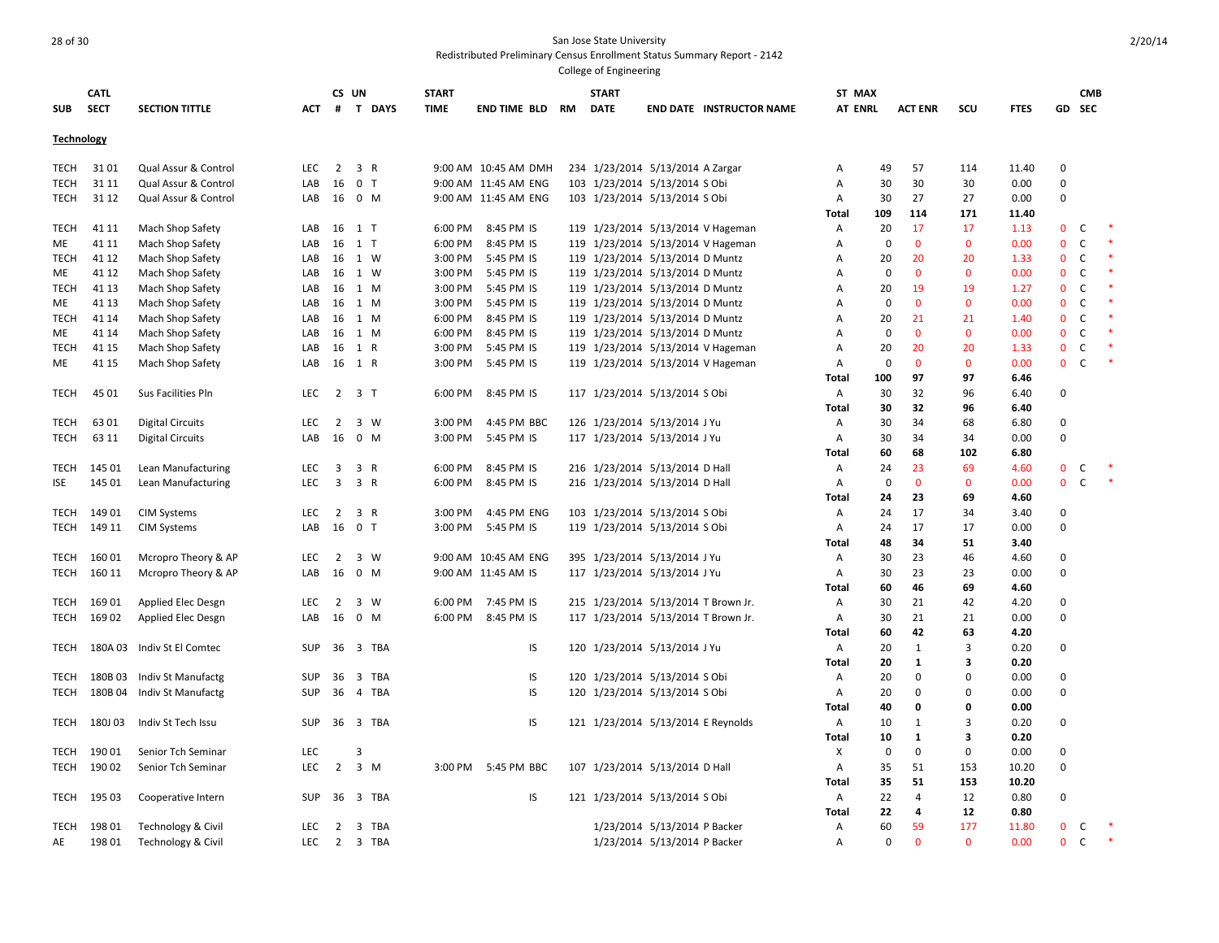| <b>SUB</b>        | <b>CATL</b><br><b>SECT</b> | <b>SECTION TITTLE</b>      | <b>ACT</b> | #                       | CS UN<br>T DAYS | <b>START</b><br><b>TIME</b> | END TIME BLD         | RM | <b>START</b><br><b>DATE</b>         |                              | <b>END DATE INSTRUCTOR NAME</b> | ST MAX<br><b>AT ENRL</b> |             | <b>ACT ENR</b> | SCU                     | <b>FTES</b> | GD           | <b>CMB</b><br><b>SEC</b> |        |  |
|-------------------|----------------------------|----------------------------|------------|-------------------------|-----------------|-----------------------------|----------------------|----|-------------------------------------|------------------------------|---------------------------------|--------------------------|-------------|----------------|-------------------------|-------------|--------------|--------------------------|--------|--|
|                   |                            |                            |            |                         |                 |                             |                      |    |                                     |                              |                                 |                          |             |                |                         |             |              |                          |        |  |
| <b>Technology</b> |                            |                            |            |                         |                 |                             |                      |    |                                     |                              |                                 |                          |             |                |                         |             |              |                          |        |  |
| TECH              | 3101                       | Qual Assur & Control       | <b>LEC</b> | 2                       | 3 R             |                             | 9:00 AM 10:45 AM DMH |    | 234 1/23/2014 5/13/2014 A Zargar    |                              |                                 | А                        | 49          | 57             | 114                     | 11.40       | 0            |                          |        |  |
| <b>TECH</b>       | 31 11                      | Qual Assur & Control       | LAB        | 16                      | 0 <sub>T</sub>  |                             | 9:00 AM 11:45 AM ENG |    | 103 1/23/2014 5/13/2014 S Obi       |                              |                                 | Α                        | 30          | 30             | 30                      | 0.00        | $\mathbf 0$  |                          |        |  |
| <b>TECH</b>       | 31 12                      | Qual Assur & Control       | LAB        | 16                      | $0$ M           |                             | 9:00 AM 11:45 AM ENG |    | 103 1/23/2014 5/13/2014 S Obi       |                              |                                 | A                        | 30          | 27             | 27                      | 0.00        | $\mathbf 0$  |                          |        |  |
|                   |                            |                            |            |                         |                 |                             |                      |    |                                     |                              |                                 | Total                    | 109         | 114            | 171                     | 11.40       |              |                          |        |  |
| <b>TECH</b>       | 41 11                      | Mach Shop Safety           | LAB        | 16                      | $1$ T           | 6:00 PM                     | 8:45 PM IS           |    | 119 1/23/2014 5/13/2014 V Hageman   |                              |                                 | Α                        | 20          | 17             | 17                      | 1.13        | $\mathbf 0$  | c                        |        |  |
| ME                | 41 11                      | Mach Shop Safety           | LAB        | 16                      | 1 T             | 6:00 PM                     | 8:45 PM IS           |    | 119 1/23/2014 5/13/2014 V Hageman   |                              |                                 | Α                        | $\mathbf 0$ | $\mathbf 0$    | $\mathbf 0$             | 0.00        | $\mathbf{0}$ | C                        | $\ast$ |  |
| <b>TECH</b>       | 41 12                      | Mach Shop Safety           | LAB        | 16                      | 1 W             | 3:00 PM                     | 5:45 PM IS           |    | 119 1/23/2014 5/13/2014 D Muntz     |                              |                                 | A                        | 20          | 20             | 20                      | 1.33        | $\mathbf{0}$ | $\mathsf{C}$             |        |  |
| ME                | 41 12                      | Mach Shop Safety           | LAB        | 16                      | 1 W             | 3:00 PM                     | 5:45 PM IS           |    | 119 1/23/2014 5/13/2014 D Muntz     |                              |                                 | Α                        | 0           | $\mathbf{0}$   | $\mathbf{0}$            | 0.00        | $\mathbf 0$  | $\mathsf C$              |        |  |
| <b>TECH</b>       | 41 13                      | Mach Shop Safety           | LAB        | 16                      | 1 M             | 3:00 PM                     | 5:45 PM IS           |    | 119 1/23/2014 5/13/2014 D Muntz     |                              |                                 | A                        | 20          | 19             | 19                      | 1.27        | $\mathbf 0$  | $\mathsf{C}$             |        |  |
| ME                | 41 13                      | Mach Shop Safety           | LAB        | 16                      | 1 M             | 3:00 PM                     | 5:45 PM IS           |    | 119 1/23/2014 5/13/2014 D Muntz     |                              |                                 | Α                        | 0           | $\mathbf 0$    | $\mathbf 0$             | 0.00        | $\mathbf 0$  | C                        |        |  |
| <b>TECH</b>       | 41 14                      | Mach Shop Safety           | LAB        | 16                      | 1 M             | 6:00 PM                     | 8:45 PM IS           |    | 119 1/23/2014 5/13/2014 D Muntz     |                              |                                 | Α                        | 20          | 21             | 21                      | 1.40        | $\mathbf{0}$ | C                        |        |  |
| ME                | 41 14                      | Mach Shop Safety           | LAB        | 16                      | 1 M             | 6:00 PM                     | 8:45 PM IS           |    | 119 1/23/2014 5/13/2014 D Muntz     |                              |                                 | А                        | $\mathbf 0$ | $\mathbf{0}$   | $\mathbf{0}$            | 0.00        | $\mathbf{0}$ | C                        |        |  |
| <b>TECH</b>       | 41 15                      | Mach Shop Safety           | LAB        | 16                      | 1 R             | 3:00 PM                     | 5:45 PM IS           |    | 119 1/23/2014 5/13/2014 V Hageman   |                              |                                 | Α                        | 20          | 20             | 20                      | 1.33        | $\mathbf 0$  | $\mathsf{C}$             |        |  |
| ME                | 41 15                      | Mach Shop Safety           | LAB        | 16                      | 1 R             | 3:00 PM                     | 5:45 PM IS           |    | 119 1/23/2014 5/13/2014 V Hageman   |                              |                                 | Α                        | 0           | $\mathbf{0}$   | $\mathbf{0}$            | 0.00        | $\mathbf{0}$ | C                        |        |  |
|                   |                            |                            |            |                         |                 |                             |                      |    |                                     |                              |                                 | Total                    | 100         | 97             | 97                      | 6.46        |              |                          |        |  |
| <b>TECH</b>       | 45 01                      | Sus Facilities Pln         | <b>LEC</b> | $\overline{2}$          | 3 <sub>1</sub>  | 6:00 PM                     | 8:45 PM IS           |    | 117 1/23/2014 5/13/2014 S Obi       |                              |                                 | Α                        | 30          | 32             | 96                      | 6.40        | $\mathbf 0$  |                          |        |  |
|                   |                            |                            |            |                         |                 |                             |                      |    |                                     |                              |                                 | Total                    | 30          | 32             | 96                      | 6.40        |              |                          |        |  |
| <b>TECH</b>       | 63 01                      | <b>Digital Circuits</b>    | <b>LEC</b> | $\overline{2}$          | 3 W             | 3:00 PM                     | 4:45 PM BBC          |    | 126 1/23/2014 5/13/2014 J Yu        |                              |                                 | Α                        | 30          | 34             | 68                      | 6.80        | 0            |                          |        |  |
| <b>TECH</b>       | 63 11                      | <b>Digital Circuits</b>    | LAB        | 16                      | $0$ M           | 3:00 PM                     | 5:45 PM IS           |    | 117 1/23/2014 5/13/2014 J Yu        |                              |                                 | Α                        | 30          | 34             | 34                      | 0.00        | $\mathbf 0$  |                          |        |  |
|                   |                            |                            |            |                         |                 |                             |                      |    |                                     |                              |                                 | Total                    | 60          | 68             | 102                     | 6.80        |              |                          |        |  |
| <b>TECH</b>       | 145 01                     | Lean Manufacturing         | <b>LEC</b> | 3                       | 3 R             | 6:00 PM                     | 8:45 PM IS           |    | 216 1/23/2014 5/13/2014 D Hall      |                              |                                 | Α                        | 24          | 23             | 69                      | 4.60        | $\mathbf 0$  | с                        |        |  |
| ISE               | 145 01                     | Lean Manufacturing         | <b>LEC</b> | $\overline{\mathbf{3}}$ | 3 R             | 6:00 PM                     | 8:45 PM IS           |    | 216 1/23/2014 5/13/2014 D Hall      |                              |                                 | Α                        | 0           | $\mathbf{0}$   | $\mathbf{0}$            | 0.00        | $\mathbf{0}$ | $\mathsf{C}$             |        |  |
|                   |                            |                            |            |                         |                 |                             |                      |    |                                     |                              |                                 | Total                    | 24          | 23             | 69                      | 4.60        |              |                          |        |  |
| <b>TECH</b>       | 149 01                     | <b>CIM Systems</b>         | <b>LEC</b> | $\overline{2}$          | 3 R             | 3:00 PM                     | 4:45 PM ENG          |    | 103 1/23/2014 5/13/2014 S Obi       |                              |                                 | Α                        | 24          | 17             | 34                      | 3.40        | $\mathbf 0$  |                          |        |  |
| TECH              | 149 11                     | <b>CIM Systems</b>         | LAB        | 16                      | 0 <sub>T</sub>  | 3:00 PM                     | 5:45 PM IS           |    | 119 1/23/2014 5/13/2014 S Obi       |                              |                                 | Α                        | 24          | 17             | 17                      | 0.00        | $\mathbf 0$  |                          |        |  |
|                   |                            |                            |            |                         |                 |                             |                      |    |                                     |                              |                                 | Total                    | 48          | 34             | 51                      | 3.40        |              |                          |        |  |
| <b>TECH</b>       | 16001                      | Mcropro Theory & AP        | <b>LEC</b> | $\overline{2}$          | 3 W             |                             | 9:00 AM 10:45 AM ENG |    | 395 1/23/2014 5/13/2014 J Yu        |                              |                                 | Α                        | 30          | 23             | 46                      | 4.60        | $\mathbf 0$  |                          |        |  |
| TECH              | 160 11                     | Mcropro Theory & AP        | LAB        | 16                      | $0$ M           |                             | 9:00 AM 11:45 AM IS  |    | 117 1/23/2014 5/13/2014 J Yu        |                              |                                 | Α                        | 30          | 23             | 23                      | 0.00        | $\mathbf 0$  |                          |        |  |
|                   |                            |                            |            |                         |                 |                             |                      |    |                                     |                              |                                 | <b>Total</b>             | 60          | 46             | 69                      | 4.60        |              |                          |        |  |
| <b>TECH</b>       | 169 01                     | Applied Elec Desgn         | <b>LEC</b> | $\overline{2}$          | 3 W             | 6:00 PM                     | 7:45 PM IS           |    | 215 1/23/2014 5/13/2014 T Brown Jr. |                              |                                 | Α                        | 30          | 21             | 42                      | 4.20        | $\mathbf 0$  |                          |        |  |
| TECH              | 169 02                     | Applied Elec Desgn         | LAB        | 16                      | 0 M             |                             | 6:00 PM 8:45 PM IS   |    | 117 1/23/2014 5/13/2014 T Brown Jr. |                              |                                 | Α                        | 30          | 21             | 21                      | 0.00        | $\mathbf 0$  |                          |        |  |
|                   |                            |                            |            |                         |                 |                             |                      |    |                                     |                              |                                 | <b>Total</b>             | 60          | 42             | 63                      | 4.20        |              |                          |        |  |
| <b>TECH</b>       |                            | 180A 03 Indiv St El Comtec | <b>SUP</b> |                         | 36 3 TBA        |                             | IS                   |    | 120 1/23/2014 5/13/2014 J Yu        |                              |                                 | Α                        | 20          | $\mathbf{1}$   | 3                       | 0.20        | $\mathbf 0$  |                          |        |  |
|                   |                            |                            |            |                         |                 |                             |                      |    |                                     |                              |                                 | Total                    | 20          | $\mathbf{1}$   | $\overline{\mathbf{3}}$ | 0.20        |              |                          |        |  |
| TECH              | 180B03                     | Indiv St Manufactg         | <b>SUP</b> | 36                      | 3 TBA           |                             | IS                   |    | 120 1/23/2014 5/13/2014 S Obi       |                              |                                 | Α                        | 20          | 0              | $\Omega$                | 0.00        | $\mathbf 0$  |                          |        |  |
| <b>TECH</b>       | 180B04                     | Indiv St Manufactg         | <b>SUP</b> | 36                      | 4 TBA           |                             | IS                   |    | 120 1/23/2014 5/13/2014 S Obi       |                              |                                 | Α                        | 20          | $\mathbf 0$    | $\Omega$                | 0.00        | $\mathbf 0$  |                          |        |  |
|                   |                            |                            |            |                         |                 |                             |                      |    |                                     |                              |                                 | Total                    | 40          | 0              | $\Omega$                | 0.00        |              |                          |        |  |
| <b>TECH</b>       | 180J03                     | Indiv St Tech Issu         | <b>SUP</b> | 36                      | 3 TBA           |                             | IS                   |    | 121 1/23/2014 5/13/2014 E Reynolds  |                              |                                 | Α                        | 10          | 1              | 3                       | 0.20        | 0            |                          |        |  |
|                   |                            |                            |            |                         |                 |                             |                      |    |                                     |                              |                                 | Total                    | 10          | 1              | $\overline{\mathbf{3}}$ | 0.20        |              |                          |        |  |
| TECH              | 19001                      | Senior Tch Seminar         | <b>LEC</b> |                         | 3               |                             |                      |    |                                     |                              |                                 | x                        | $\mathbf 0$ | $\mathbf 0$    | $\mathbf 0$             | 0.00        | $\mathbf 0$  |                          |        |  |
| <b>TECH</b>       | 19002                      | Senior Tch Seminar         | <b>LEC</b> | $\overline{2}$          | 3 M             | 3:00 PM                     | 5:45 PM BBC          |    | 107 1/23/2014 5/13/2014 D Hall      |                              |                                 | Α                        | 35          | 51             | 153                     | 10.20       | $\mathbf 0$  |                          |        |  |
|                   |                            |                            |            |                         |                 |                             |                      |    |                                     |                              |                                 | <b>Total</b>             | 35          | 51             | 153                     | 10.20       |              |                          |        |  |
| <b>TECH</b>       | 195 03                     | Cooperative Intern         | <b>SUP</b> | 36                      | 3 TBA           |                             | IS                   |    | 121 1/23/2014 5/13/2014 S Obi       |                              |                                 | Α                        | 22          | $\overline{4}$ | 12                      | 0.80        | $\mathbf 0$  |                          |        |  |
|                   |                            |                            |            |                         |                 |                             |                      |    |                                     |                              |                                 | Total                    | 22          | 4              | 12                      | 0.80        |              |                          |        |  |
| <b>TECH</b>       | 198 01                     | Technology & Civil         | <b>LEC</b> | 2                       | TBA<br>3        |                             |                      |    |                                     | 1/23/2014 5/13/2014 P Backer |                                 | Α                        | 60          | 59             | 177                     | 11.80       | $\mathbf 0$  | C                        |        |  |
| AE                | 198 01                     | Technology & Civil         | <b>LEC</b> | $\overline{2}$          | 3 TBA           |                             |                      |    |                                     | 1/23/2014 5/13/2014 P Backer |                                 | A                        | $\Omega$    | $\Omega$       | $\Omega$                | 0.00        | $\Omega$     | $\mathsf{C}$             |        |  |
|                   |                            |                            |            |                         |                 |                             |                      |    |                                     |                              |                                 |                          |             |                |                         |             |              |                          |        |  |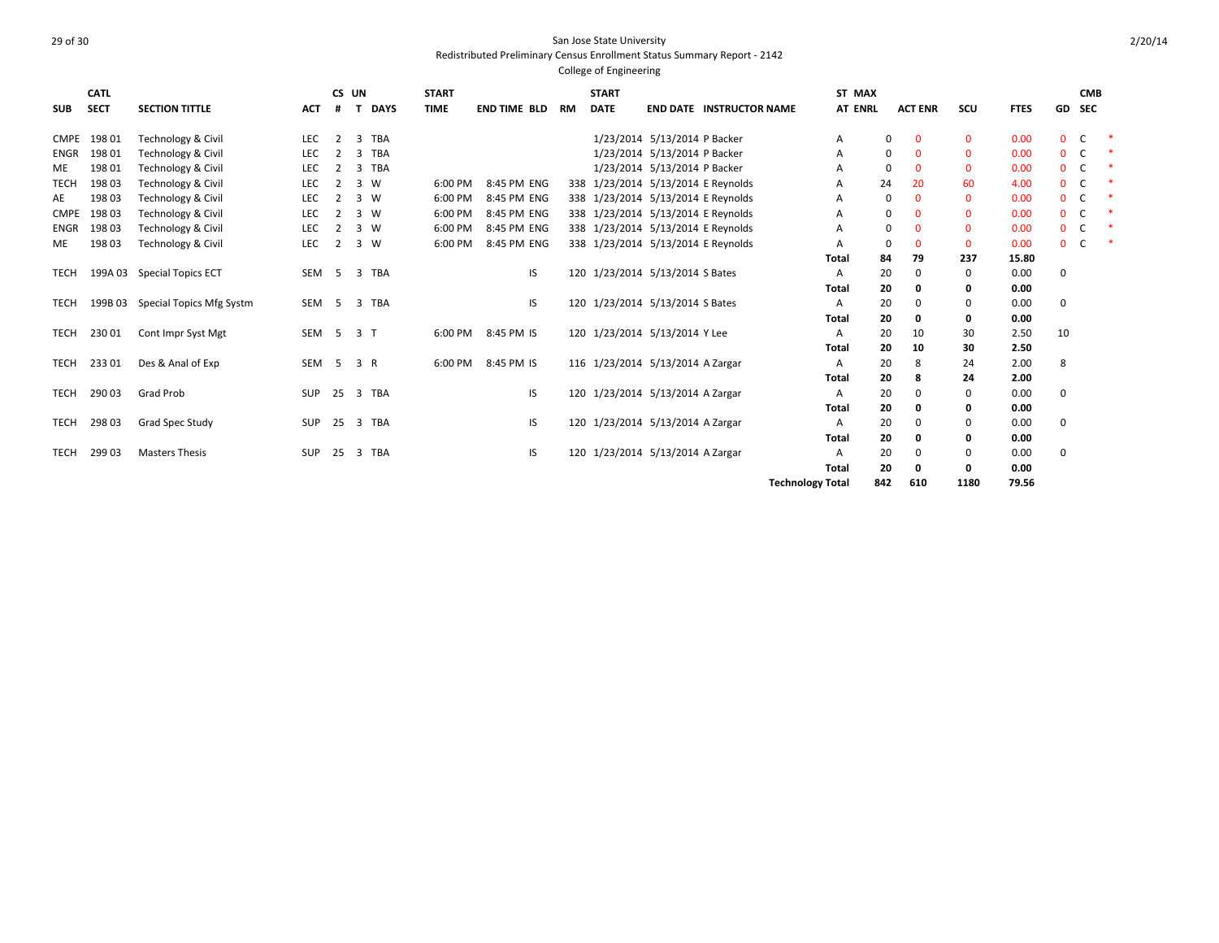### 29 of 30 San Jose State University Redistributed Preliminary Census Enrollment Status Summary Report - 2142 College of Engineering

**SUB CATL SECT SECTION TITTLE CS UN # T DAYS START TIME END TIME BLD RM START DATE END DATE INSTRUCTOR NAME ST MAX AT ENRL ACT ENR SCU FTES GD CMB SEC** CMPE 198 01 Technology & Civil LEC 2 3 TBA 1/23/2014 5/13/2014 P Backer A 0 0 0 0.00 0 C \* ENGR 198 01 Technology & Civil LEC 2 3 TBA 1/23/2014 5/13/2014 P Backer A 0 0 0 0.00 0 C \* ME 19801 Technology & Civil LEC 2 3 TBA 1990 1/23/2014 5/13/2014 F Backer A 0 0 0 0 0.00 0 C TECH 19803 Technology & Civil LEC 2 3 W 6:00 PM 8:45 PM ENG 338 1/23/2014 5/13/2014 E Reynolds A 24 20 60 4.00 0 C AE 198 03 Technology & Civil LEC 2 3 W 6:00 PM 8:45 PM ENG 338 1/23/2014 5/13/2014 E Reynolds A 0 0 0 0.00 0 C \* CMPE 198 03 Technology & Civil 
LEC 2 3 W 6:00 PM 8:45 PM ENG 338 1/23/2014 5/13/2014 E Reynolds A 0 0 0 0.00 0 C \* ENGR 198 03 Technology & Civil LEC 2 3 W 6:00 PM 8:45 PM ENG 338 1/23/2014 5/13/2014 E Reynolds A 0 0 0 0.00 0 C \* ME 198 03 Technology & Civil LEC 2 3 W 6:00 PM 8:45 PM ENG 338 1/23/2014 5/13/2014 E Reynolds A 0 0 0 0.00 0 C \* **Total 84 79 237 15.80** TECH 199A 03 Special Topics ECT 5 SEM 5 3 TBA 15 120 1/23/2014 5/13/2014 S Bates 5 A 20 0 0 0.00 0 **Total 20 0 0 0.00** TECH 199B 03 Special Topics Mfg Systm SEM 5 3 TBA 1998 120 1/23/2014 5/13/2014 S Bates 199B 03 Special Topics Mfg Systm SEM 5 3 TBA **Total 20 0 0 0.00** TECH 230 01 Cont Impr Syst Mgt SEM 5 3 T 6:00 PM 8:45 PM IS 120 1/23/2014 5/13/2014 Y Lee A 20 10 30 2.50 10 **Total 20 10 30 2.50** TECH 233 01 Des & Anal of Exp SEM 5 3 R 6:00 PM 8:45 PM IS 1/23/2014 5/13/2014 A Zargar A 20 8 24 2.00 8 **Total 20 8 24 2.00** TECH 29003 Grad Prob SUP 25 3 TBA 120 1/23/2014 5/13/2014 A Zargar A 20 0 0.00 0 **Total 20 0 0 0.00** TECH 29803 Grad Spec Study SUP 25 3 TBA IS 120 1/23/2014 5/13/2014 A Zargar A 20 0 0.00 0 **Total 20 0 0 0.00** TECH 29903 Masters Thesis **SUP 25 3 TBA** IS 120 1/23/2014 5/13/2014 A Zargar A 20 0 0.00 0 **Total 20 0 0 0.00 Technology Total 842 610 1180 79.56**

2/20/14